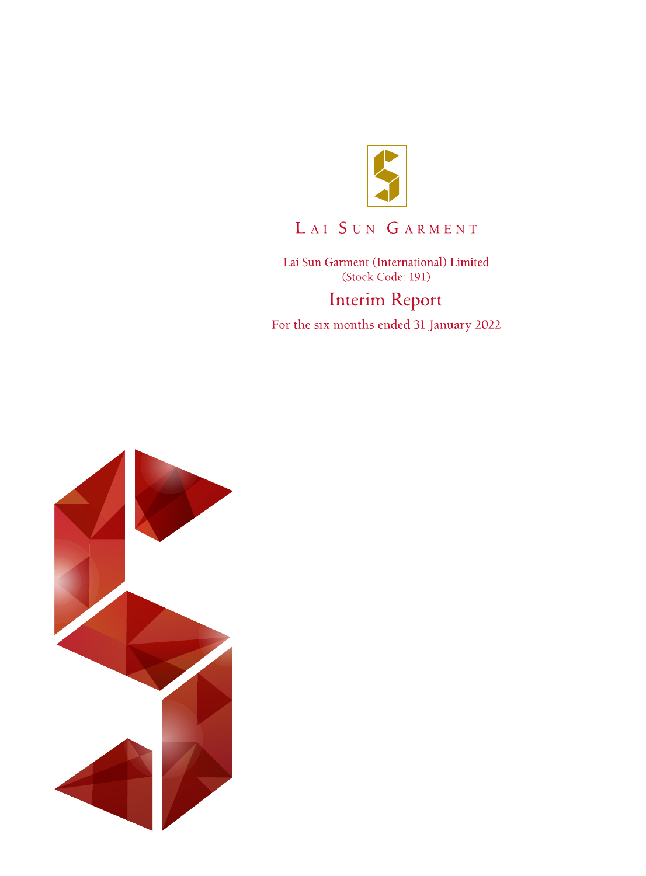

# LAI SUN GARMENT

Lai Sun Garment (International) Limited (Stock Code: 191) **Interim Report** 

For the six months ended 31 January 2022

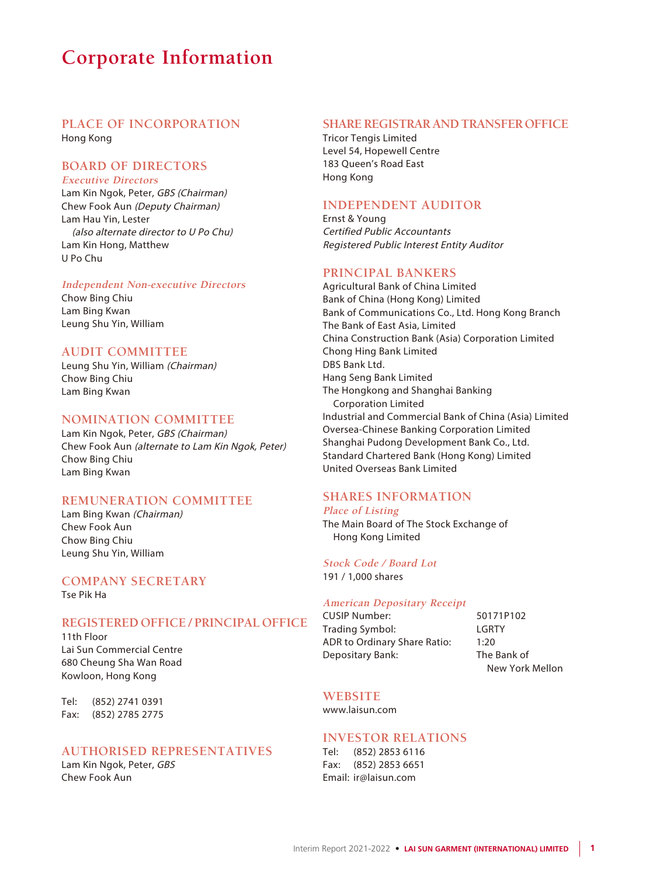## **Corporate Information**

#### **PLACE OF INCORPORATION**

Hong Kong

#### **BOARD OF DIRECTORS**

**Executive Directors** Lam Kin Ngok, Peter, GBS (Chairman) Chew Fook Aun (Deputy Chairman) Lam Hau Yin, Lester (also alternate director to U Po Chu) Lam Kin Hong, Matthew U Po Chu

#### **Independent Non-executive Directors**

Chow Bing Chiu Lam Bing Kwan Leung Shu Yin, William

#### **AUDIT COMMITTEE**

Leung Shu Yin, William (Chairman) Chow Bing Chiu Lam Bing Kwan

#### **NOMINATION COMMITTEE**

Lam Kin Ngok, Peter, GBS (Chairman) Chew Fook Aun (alternate to Lam Kin Ngok, Peter) Chow Bing Chiu Lam Bing Kwan

#### **REMUNERATION COMMITTEE**

Lam Bing Kwan (Chairman) Chew Fook Aun Chow Bing Chiu Leung Shu Yin, William

#### **COMPANY SECRETARY**

Tse Pik Ha

#### **REGISTERED OFFICE / PRINCIPAL OFFICE**

11th Floor Lai Sun Commercial Centre 680 Cheung Sha Wan Road Kowloon, Hong Kong

Tel: (852) 2741 0391 Fax: (852) 2785 2775

#### **AUTHORISED REPRESENTATIVES**

Lam Kin Ngok, Peter, GBS Chew Fook Aun

#### **SHARE REGISTRAR AND TRANSFER OFFICE**

Tricor Tengis Limited Level 54, Hopewell Centre 183 Queen's Road East Hong Kong

#### **INDEPENDENT AUDITOR**

Ernst & Young Certified Public Accountants Registered Public Interest Entity Auditor

#### **PRINCIPAL BANKERS**

Agricultural Bank of China Limited Bank of China (Hong Kong) Limited Bank of Communications Co., Ltd. Hong Kong Branch The Bank of East Asia, Limited China Construction Bank (Asia) Corporation Limited Chong Hing Bank Limited DBS Bank Ltd. Hang Seng Bank Limited The Hongkong and Shanghai Banking Corporation Limited Industrial and Commercial Bank of China (Asia) Limited Oversea-Chinese Banking Corporation Limited Shanghai Pudong Development Bank Co., Ltd. Standard Chartered Bank (Hong Kong) Limited United Overseas Bank Limited

### **SHARES INFORMATION**

#### **Place of Listing**

The Main Board of The Stock Exchange of Hong Kong Limited

#### **Stock Code / Board Lot** 191 / 1,000 shares

#### **American Depositary Receipt**

CUSIP Number: 50171P102 Trading Symbol: LGRTY ADR to Ordinary Share Ratio: 1:20 Depositary Bank: The Bank of

New York Mellon

### **WEBSITE**

www.laisun.com

#### **INVESTOR RELATIONS**

Tel: (852) 2853 6116 Fax: (852) 2853 6651 Email: ir@laisun.com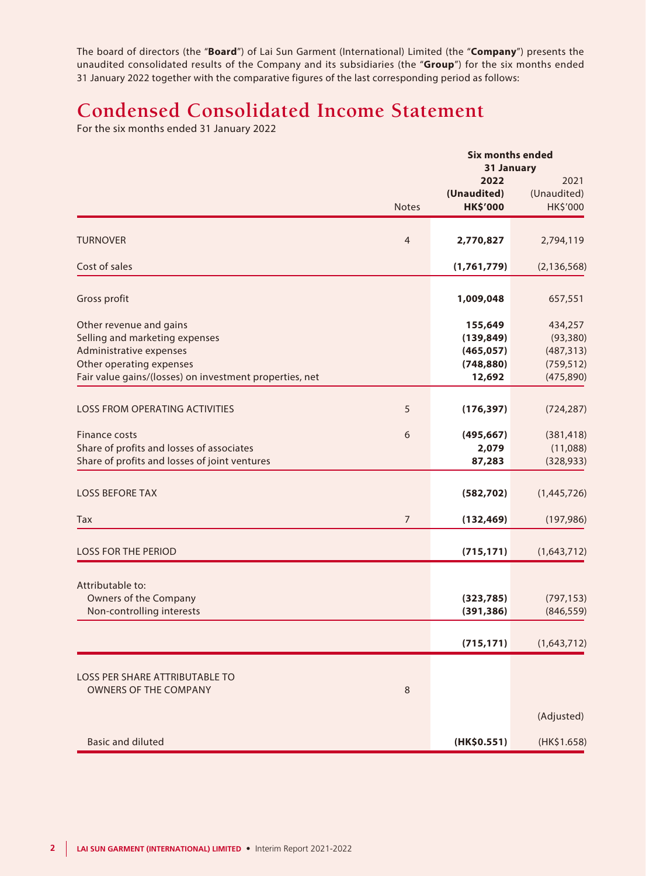The board of directors (the "**Board**") of Lai Sun Garment (International) Limited (the "**Company**") presents the unaudited consolidated results of the Company and its subsidiaries (the "**Group**") for the six months ended 31 January 2022 together with the comparative figures of the last corresponding period as follows:

# **Condensed Consolidated Income Statement**

For the six months ended 31 January 2022

|                                                         |                | <b>Six months ended</b> |               |
|---------------------------------------------------------|----------------|-------------------------|---------------|
|                                                         |                | 31 January<br>2022      | 2021          |
|                                                         |                | (Unaudited)             | (Unaudited)   |
|                                                         | <b>Notes</b>   | <b>HK\$'000</b>         | HK\$'000      |
|                                                         |                |                         |               |
| <b>TURNOVER</b>                                         | $\overline{4}$ | 2,770,827               | 2,794,119     |
| Cost of sales                                           |                | (1,761,779)             | (2, 136, 568) |
| Gross profit                                            |                | 1,009,048               | 657,551       |
| Other revenue and gains                                 |                | 155,649                 | 434,257       |
| Selling and marketing expenses                          |                | (139, 849)              | (93, 380)     |
| Administrative expenses                                 |                | (465, 057)              | (487, 313)    |
| Other operating expenses                                |                | (748, 880)              | (759, 512)    |
| Fair value gains/(losses) on investment properties, net |                | 12,692                  | (475, 890)    |
| <b>LOSS FROM OPERATING ACTIVITIES</b>                   | 5              | (176, 397)              | (724, 287)    |
| Finance costs                                           | 6              | (495, 667)              | (381, 418)    |
| Share of profits and losses of associates               |                | 2,079                   | (11,088)      |
| Share of profits and losses of joint ventures           |                | 87,283                  | (328, 933)    |
| <b>LOSS BEFORE TAX</b>                                  |                | (582, 702)              | (1,445,726)   |
| Tax                                                     | $\overline{7}$ | (132, 469)              | (197, 986)    |
|                                                         |                |                         |               |
| <b>LOSS FOR THE PERIOD</b>                              |                | (715, 171)              | (1,643,712)   |
| Attributable to:                                        |                |                         |               |
| Owners of the Company                                   |                | (323, 785)              | (797, 153)    |
| Non-controlling interests                               |                | (391, 386)              | (846, 559)    |
|                                                         |                | (715, 171)              | (1,643,712)   |
|                                                         |                |                         |               |
| LOSS PER SHARE ATTRIBUTABLE TO                          |                |                         |               |
| <b>OWNERS OF THE COMPANY</b>                            | 8              |                         |               |
|                                                         |                |                         | (Adjusted)    |
| <b>Basic and diluted</b>                                |                | (HK\$0.551)             | (HK\$1.658)   |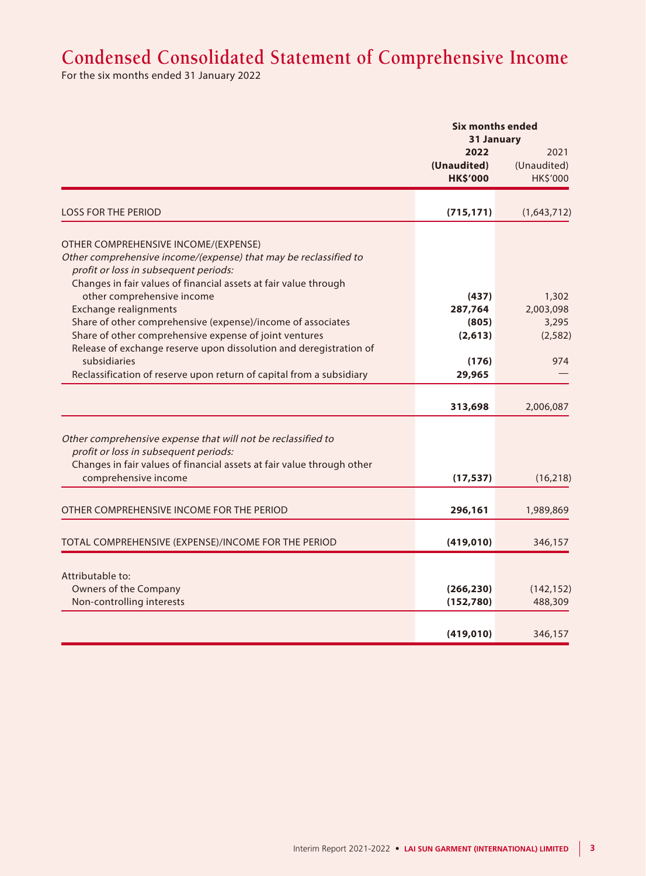## **Condensed Consolidated Statement of Comprehensive Income**

For the six months ended 31 January 2022

|                                                                                                                                                                                                             | <b>Six months ended</b><br>31 January  |                                 |
|-------------------------------------------------------------------------------------------------------------------------------------------------------------------------------------------------------------|----------------------------------------|---------------------------------|
|                                                                                                                                                                                                             | 2022<br>(Unaudited)<br><b>HK\$'000</b> | 2021<br>(Unaudited)<br>HK\$'000 |
| <b>LOSS FOR THE PERIOD</b>                                                                                                                                                                                  | (715, 171)                             | (1,643,712)                     |
| OTHER COMPREHENSIVE INCOME/(EXPENSE)                                                                                                                                                                        |                                        |                                 |
| Other comprehensive income/(expense) that may be reclassified to<br>profit or loss in subsequent periods:<br>Changes in fair values of financial assets at fair value through<br>other comprehensive income | (437)                                  | 1,302                           |
| <b>Exchange realignments</b>                                                                                                                                                                                | 287,764                                | 2,003,098                       |
| Share of other comprehensive (expense)/income of associates                                                                                                                                                 | (805)                                  | 3,295                           |
| Share of other comprehensive expense of joint ventures                                                                                                                                                      | (2,613)                                | (2, 582)                        |
| Release of exchange reserve upon dissolution and deregistration of                                                                                                                                          |                                        |                                 |
| subsidiaries                                                                                                                                                                                                | (176)                                  | 974                             |
| Reclassification of reserve upon return of capital from a subsidiary                                                                                                                                        | 29,965                                 |                                 |
|                                                                                                                                                                                                             |                                        |                                 |
|                                                                                                                                                                                                             | 313,698                                | 2,006,087                       |
| Other comprehensive expense that will not be reclassified to<br>profit or loss in subsequent periods:<br>Changes in fair values of financial assets at fair value through other                             |                                        |                                 |
| comprehensive income                                                                                                                                                                                        | (17, 537)                              | (16, 218)                       |
|                                                                                                                                                                                                             |                                        |                                 |
| OTHER COMPREHENSIVE INCOME FOR THE PERIOD                                                                                                                                                                   | 296,161                                | 1,989,869                       |
|                                                                                                                                                                                                             |                                        |                                 |
| TOTAL COMPREHENSIVE (EXPENSE)/INCOME FOR THE PERIOD                                                                                                                                                         | (419, 010)                             | 346,157                         |
|                                                                                                                                                                                                             |                                        |                                 |
| Attributable to:                                                                                                                                                                                            |                                        |                                 |
| Owners of the Company                                                                                                                                                                                       | (266, 230)                             | (142, 152)                      |
| Non-controlling interests                                                                                                                                                                                   | (152, 780)                             | 488,309                         |
|                                                                                                                                                                                                             | (419, 010)                             | 346,157                         |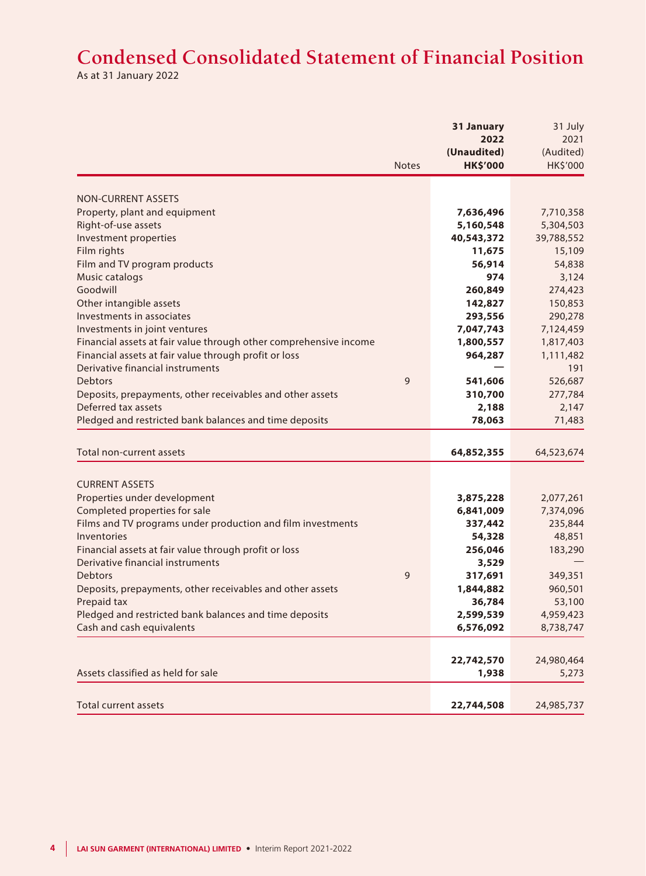# **Condensed Consolidated Statement of Financial Position**

As at 31 January 2022

|                                                                   | 31 January             | 31 July                |
|-------------------------------------------------------------------|------------------------|------------------------|
|                                                                   | 2022                   | 2021                   |
|                                                                   | (Unaudited)            | (Audited)              |
| <b>Notes</b>                                                      | <b>HK\$'000</b>        | HK\$'000               |
|                                                                   |                        |                        |
| NON-CURRENT ASSETS                                                |                        |                        |
| Property, plant and equipment                                     | 7,636,496              | 7,710,358              |
| Right-of-use assets                                               | 5,160,548              | 5,304,503              |
| Investment properties                                             | 40,543,372             | 39,788,552             |
| Film rights                                                       | 11,675                 | 15,109                 |
| Film and TV program products                                      | 56,914                 | 54,838                 |
| Music catalogs                                                    | 974                    | 3,124                  |
| Goodwill                                                          | 260,849                | 274,423                |
| Other intangible assets                                           | 142,827                | 150,853                |
| Investments in associates                                         | 293,556                | 290,278                |
| Investments in joint ventures                                     | 7,047,743              | 7,124,459              |
| Financial assets at fair value through other comprehensive income | 1,800,557              | 1,817,403              |
| Financial assets at fair value through profit or loss             | 964,287                | 1,111,482              |
| Derivative financial instruments                                  |                        | 191                    |
| 9<br>Debtors                                                      | 541,606                | 526,687                |
| Deposits, prepayments, other receivables and other assets         | 310,700                | 277,784                |
| Deferred tax assets                                               | 2,188                  | 2,147                  |
| Pledged and restricted bank balances and time deposits            | 78,063                 | 71,483                 |
|                                                                   |                        |                        |
| Total non-current assets                                          | 64,852,355             | 64,523,674             |
| <b>CURRENT ASSETS</b>                                             |                        |                        |
| Properties under development                                      |                        |                        |
| Completed properties for sale                                     | 3,875,228<br>6,841,009 | 2,077,261<br>7,374,096 |
| Films and TV programs under production and film investments       | 337,442                | 235,844                |
| Inventories                                                       | 54,328                 | 48,851                 |
| Financial assets at fair value through profit or loss             | 256,046                | 183,290                |
| Derivative financial instruments                                  | 3,529                  |                        |
| 9<br>Debtors                                                      | 317,691                | 349,351                |
| Deposits, prepayments, other receivables and other assets         | 1,844,882              | 960,501                |
| Prepaid tax                                                       | 36,784                 | 53,100                 |
| Pledged and restricted bank balances and time deposits            | 2,599,539              | 4,959,423              |
| Cash and cash equivalents                                         | 6,576,092              | 8,738,747              |
|                                                                   |                        |                        |
|                                                                   | 22,742,570             | 24,980,464             |
| Assets classified as held for sale                                | 1,938                  | 5,273                  |
|                                                                   |                        |                        |
| <b>Total current assets</b>                                       | 22,744,508             | 24,985,737             |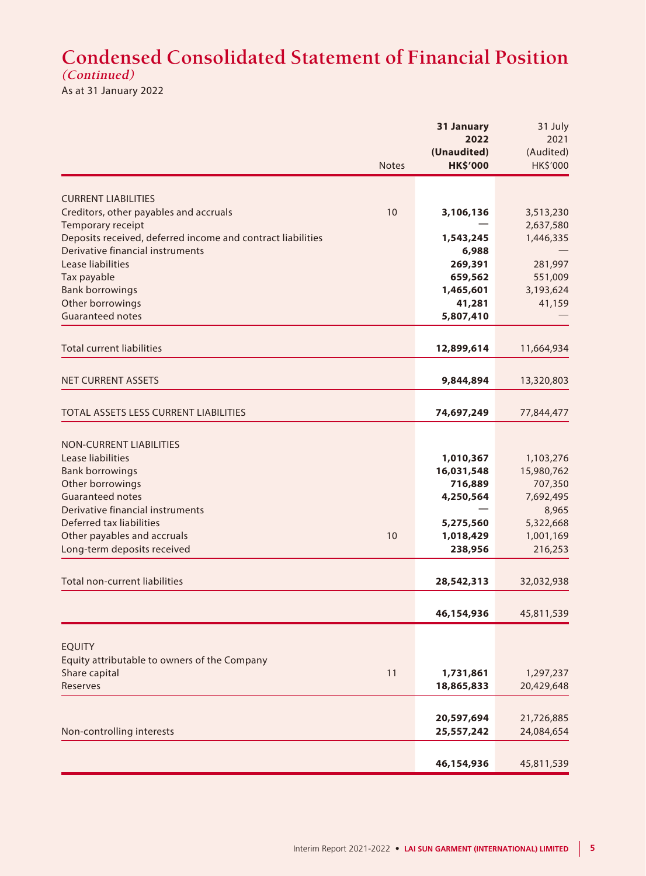## **Condensed Consolidated Statement of Financial Position (Continued)**

As at 31 January 2022

|                                                             |              | 31 January          | 31 July           |
|-------------------------------------------------------------|--------------|---------------------|-------------------|
|                                                             |              | 2022<br>(Unaudited) | 2021<br>(Audited) |
|                                                             | <b>Notes</b> | <b>HK\$'000</b>     | HK\$'000          |
|                                                             |              |                     |                   |
| <b>CURRENT LIABILITIES</b>                                  |              |                     |                   |
| Creditors, other payables and accruals                      | 10           | 3,106,136           | 3,513,230         |
| Temporary receipt                                           |              |                     | 2,637,580         |
| Deposits received, deferred income and contract liabilities |              | 1,543,245           | 1,446,335         |
| Derivative financial instruments                            |              | 6,988               |                   |
| Lease liabilities                                           |              | 269,391             | 281,997           |
| Tax payable                                                 |              | 659,562             | 551,009           |
| <b>Bank borrowings</b>                                      |              | 1,465,601           | 3,193,624         |
| Other borrowings                                            |              | 41,281              | 41,159            |
| <b>Guaranteed notes</b>                                     |              | 5,807,410           |                   |
| <b>Total current liabilities</b>                            |              | 12,899,614          | 11,664,934        |
|                                                             |              |                     |                   |
| <b>NET CURRENT ASSETS</b>                                   |              | 9,844,894           | 13,320,803        |
|                                                             |              |                     |                   |
| TOTAL ASSETS LESS CURRENT LIABILITIES                       |              | 74,697,249          | 77,844,477        |
| <b>NON-CURRENT LIABILITIES</b>                              |              |                     |                   |
| Lease liabilities                                           |              | 1,010,367           | 1,103,276         |
| <b>Bank borrowings</b>                                      |              | 16,031,548          | 15,980,762        |
| Other borrowings                                            |              | 716,889             | 707,350           |
| <b>Guaranteed notes</b>                                     |              | 4,250,564           | 7,692,495         |
| Derivative financial instruments                            |              |                     | 8,965             |
| Deferred tax liabilities                                    |              | 5,275,560           | 5,322,668         |
| Other payables and accruals                                 | 10           | 1,018,429           | 1,001,169         |
| Long-term deposits received                                 |              | 238,956             | 216,253           |
|                                                             |              |                     |                   |
| <b>Total non-current liabilities</b>                        |              | 28,542,313          | 32,032,938        |
|                                                             |              | 46,154,936          | 45,811,539        |
|                                                             |              |                     |                   |
| <b>EQUITY</b>                                               |              |                     |                   |
| Equity attributable to owners of the Company                |              |                     |                   |
| Share capital                                               | 11           | 1,731,861           | 1,297,237         |
| Reserves                                                    |              | 18,865,833          | 20,429,648        |
|                                                             |              | 20,597,694          | 21,726,885        |
| Non-controlling interests                                   |              | 25,557,242          | 24,084,654        |
|                                                             |              |                     |                   |
|                                                             |              | 46,154,936          | 45,811,539        |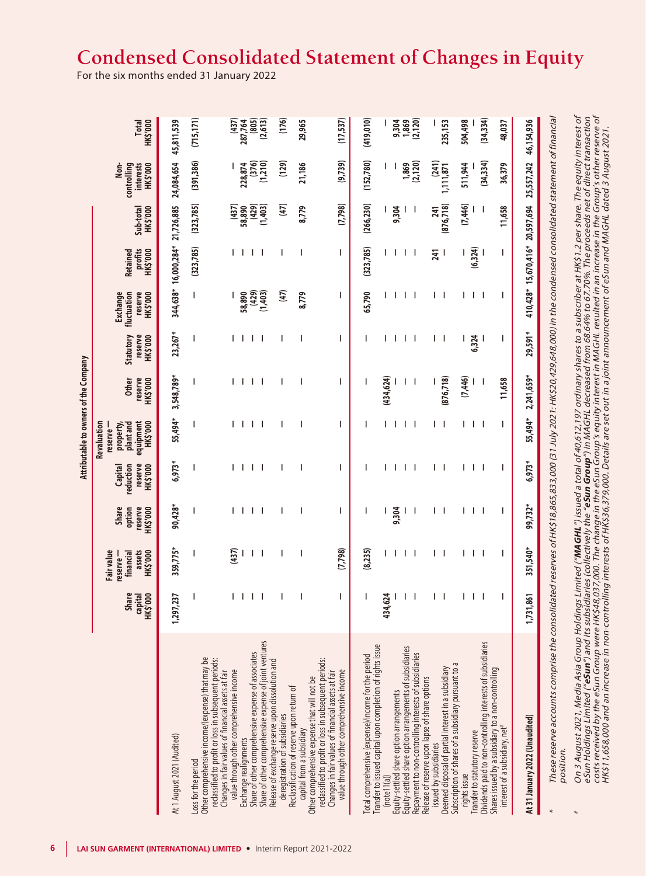## **Condensed Consolidated Statement of Changes in Equity**

For the six months ended 31 January 2022

|                                                                                                                                                                                                                                                                                                                                                                                                                                                                                                                                                                                                                   |                                   |                               |                                        |                                        |                                             |                                                                                    | Attributable to owners of the Company |                                  |                                                       |                                               |                       |                                                       |                             |
|-------------------------------------------------------------------------------------------------------------------------------------------------------------------------------------------------------------------------------------------------------------------------------------------------------------------------------------------------------------------------------------------------------------------------------------------------------------------------------------------------------------------------------------------------------------------------------------------------------------------|-----------------------------------|-------------------------------|----------------------------------------|----------------------------------------|---------------------------------------------|------------------------------------------------------------------------------------|---------------------------------------|----------------------------------|-------------------------------------------------------|-----------------------------------------------|-----------------------|-------------------------------------------------------|-----------------------------|
|                                                                                                                                                                                                                                                                                                                                                                                                                                                                                                                                                                                                                   | Share<br><b>HK\$'000</b><br>capit | Fair value<br>reserve -<br>ਫ਼ | assets<br><b>HK\$'000</b><br>financial | option<br>reserve<br>HK\$'000<br>Share | reserve<br>HK\$'000<br>reduction<br>Capital | equipment<br><b>HK\$'000</b><br>property,<br>plant and<br>Revaluation<br>reserve – | reserve<br>HK\$'000<br>Other          | reserve<br>Statutory<br>HK\$'000 | fluctuation<br>reserve<br><b>Exchange</b><br>HK\$'000 | profits<br><b>HK\$'000</b><br><b>Retained</b> | HK\$'000<br>Sub-total | interests<br><b>HK\$'000</b><br>controlling<br>.<br>≷ | HK\$'000<br><b>Total</b>    |
| At 1 August 2021 (Audited)                                                                                                                                                                                                                                                                                                                                                                                                                                                                                                                                                                                        | 1,297,23                          | ిన                            | 359,775*                               | 90,428*                                | 6,973*                                      | 55,494*                                                                            | 3,548,789*                            | 23,267*                          |                                                       | 344,638* 16,000,284* 21,726,885               |                       | 24,084,654                                            | 45,811,539                  |
| Other comprehensive income/(expense) that may be<br>Loss for the period                                                                                                                                                                                                                                                                                                                                                                                                                                                                                                                                           |                                   |                               |                                        |                                        |                                             |                                                                                    | I                                     |                                  | L                                                     | (323, 785)                                    | (323, 785)            | (391, 386)                                            | (715, 171)                  |
| reclassified to profit or loss in subsequent periods:<br>Changes in fair values of financial assets at fair<br>value through other comprehensive income<br>Exchange realignments                                                                                                                                                                                                                                                                                                                                                                                                                                  |                                   |                               | (437)                                  |                                        | J.                                          |                                                                                    | $\perp$                               |                                  | 58,890                                                |                                               | (437)<br>58,890       | 228,874                                               | (437)                       |
| Share of other comprehensive expense of joint ventures<br>Share of other comprehensive expense of associates                                                                                                                                                                                                                                                                                                                                                                                                                                                                                                      |                                   | J.                            | -1                                     | J.                                     | $\mathbf{I}$                                |                                                                                    | Ι.<br>- 1                             | J.                               | (429)<br>(1,403)                                      | $\mathbf{I}$                                  | (429)<br>(1,403)      | (376)<br>(1,210)                                      | 287,764<br>(805)<br>(2,613) |
| Release of exchange reserve upon dissolution and<br>Reclassification of reserve upon return of<br>deregistration of subsidiaries                                                                                                                                                                                                                                                                                                                                                                                                                                                                                  |                                   |                               |                                        |                                        |                                             |                                                                                    |                                       |                                  | $\left(47\right)$                                     |                                               | $\left(47\right)$     | (129)                                                 | (176)                       |
| Other comprehensive expense that will not be<br>capital from a subsidiary                                                                                                                                                                                                                                                                                                                                                                                                                                                                                                                                         |                                   |                               |                                        |                                        | I                                           |                                                                                    |                                       | ı                                | 8,779                                                 | I                                             | 8,779                 | 21,186                                                | 29,965                      |
| reclassified to profit or loss in subsequent periods:<br>Changes in fair values of financial assets at fair<br>value through other comprehensive income                                                                                                                                                                                                                                                                                                                                                                                                                                                           |                                   | I                             | (7,798)                                | J.                                     | J.                                          | ı                                                                                  | I                                     | J.                               | J                                                     | $\overline{\phantom{a}}$                      | (7,798)               | (9,739)                                               | (17, 537)                   |
| Transfer to issued capital upon completion of rights issue<br>Total comprehensive (expense)/income for the period                                                                                                                                                                                                                                                                                                                                                                                                                                                                                                 |                                   |                               | (8,235)                                |                                        |                                             |                                                                                    |                                       |                                  | 65,790                                                | (323, 785)                                    | (266, 230)            | (152, 780)                                            | (419, 010)                  |
| Equity-settled share option arrangements of subsidiaries<br>Repayment to non-controlling interests of subsidiaries<br>Equity-settled share option arrangements<br>(note 11(a))                                                                                                                                                                                                                                                                                                                                                                                                                                    | 434,624                           |                               | I.                                     | 9,304                                  | Т                                           |                                                                                    | (434, 624)<br>J.                      | I.                               |                                                       |                                               | 9,304                 | (2, 120)<br>1,869                                     | 9,304<br>(2, 120)           |
| Deemed disposal of partial interest in a subsidiary<br>Release of reserve upon lapse of share options<br>issued by subsidiaries                                                                                                                                                                                                                                                                                                                                                                                                                                                                                   |                                   |                               |                                        |                                        |                                             |                                                                                    | (876, 718)                            | L<br><sup>1</sup>                |                                                       | 241                                           | (876, 718)<br>241     | (241)<br>1,111,871                                    | 235,153                     |
| Subscription of shares of a subsidiary pursuant to a<br>Transfer to statutory reserve<br>rights issue                                                                                                                                                                                                                                                                                                                                                                                                                                                                                                             |                                   |                               | J.                                     |                                        | L<br>J.                                     |                                                                                    | (7, 446)                              | 6,324                            |                                                       | (6, 324)                                      | (7,446)               | 511,944                                               | 504,498                     |
| Dividends paid to non-controlling interests of subsidiaries<br>Shares issued by a subsidiary to a non-controlling<br>interest of a subsidiary, net <sup>#</sup>                                                                                                                                                                                                                                                                                                                                                                                                                                                   |                                   |                               | $\overline{\phantom{a}}$<br>ı          |                                        | $\overline{\phantom{a}}$<br>ı               | ı                                                                                  | 11,658<br>$\overline{\phantom{a}}$    | ı                                |                                                       | ı                                             | 11,658                | (34, 334)<br>36,379                                   | (34, 334)<br>48,037         |
| At 31 January 2022 (Unaudited)                                                                                                                                                                                                                                                                                                                                                                                                                                                                                                                                                                                    | 1,731,861                         |                               | 351,540*                               | 99,732*                                | 6,973*                                      | 55,494*                                                                            | 2,241,659*                            | 29,591*                          |                                                       | 410,428* 15,670,416* 20,597,694               |                       | 25,557,242                                            | 46,154,936                  |
| These reserve accounts comprise the consolidated reserves of HK\$18,865,833,000 (31 July 2021: HK\$20,429,048,000) in the condensed consolidated statement of financial<br>position.                                                                                                                                                                                                                                                                                                                                                                                                                              |                                   |                               |                                        |                                        |                                             |                                                                                    |                                       |                                  |                                                       |                                               |                       |                                                       |                             |
| On 3 August 2021, Media Asia Group Holdings Limited (" <b>MAGHL"</b> ) issued a total of 40,612,197 ordinary shares to a subscriber at HK\$1.2 per share. The equity interest of<br>costs received by the eSun Group were HK\$48,037,000. The change in the eSun Group's equity interest in MAGHL resulted in an increase in the Group's other reserve of<br>HK\$11,658,000 and an increase in non-controlling interest<br>eSun Holdings Limited (" <b>eSun</b> ") and its subsidiaries (collectively the " <b>eSun Group</b> ") in MAGHL decreased from 68.64% to 67.70%. The proceeds net of direct transaction |                                   |                               |                                        |                                        |                                             |                                                                                    |                                       |                                  |                                                       |                                               |                       |                                                       |                             |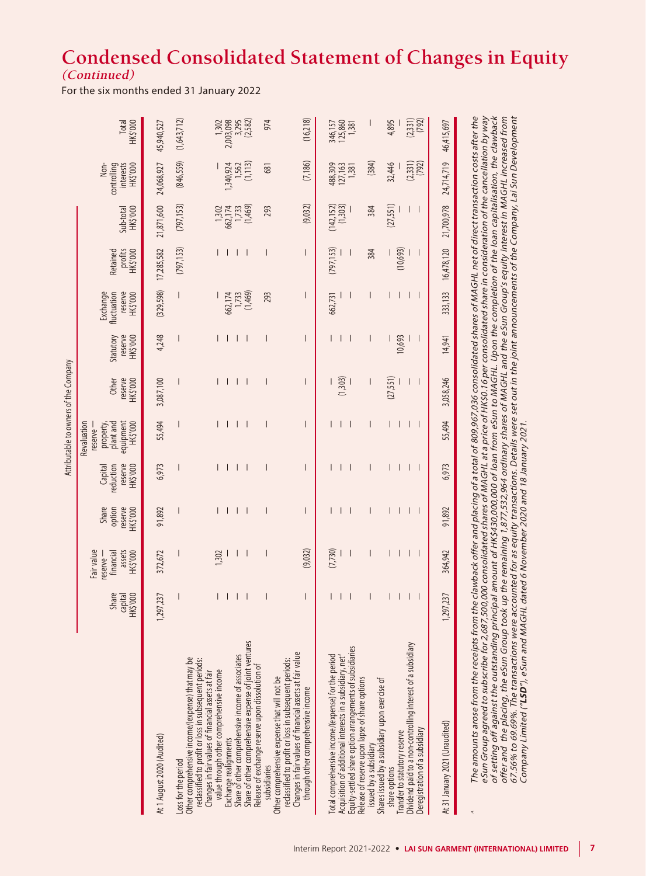## **Condensed Consolidated Statement of Changes in Equity (Continued)**

For the six months ended 31 January 2022

|                                                                                                                                                                                                                                                                                                                                                                                                                                                                                                                                                                                                                                                                                                                                                                 |                              |                                                          |                                        |                                             |                                                                           | Attributable to owners of the Company |                                  |                                                |                                 |                       |                                              |                             |
|-----------------------------------------------------------------------------------------------------------------------------------------------------------------------------------------------------------------------------------------------------------------------------------------------------------------------------------------------------------------------------------------------------------------------------------------------------------------------------------------------------------------------------------------------------------------------------------------------------------------------------------------------------------------------------------------------------------------------------------------------------------------|------------------------------|----------------------------------------------------------|----------------------------------------|---------------------------------------------|---------------------------------------------------------------------------|---------------------------------------|----------------------------------|------------------------------------------------|---------------------------------|-----------------------|----------------------------------------------|-----------------------------|
|                                                                                                                                                                                                                                                                                                                                                                                                                                                                                                                                                                                                                                                                                                                                                                 | Share<br>capital<br>HK\$'000 | Fair value<br>assets<br>HK\$'000<br>financial<br>eserve- | Share<br>reserve<br>HK\$'000<br>option | reserve<br>HK\$'000<br>reduction<br>Capital | equipment<br>HK\$'000<br>Revaluation<br>plant and<br>property<br>reserve- | reserve<br>Other<br>HK\$'000          | Statutory<br>HK\$'000<br>reserve | Exchange<br>fluctuation<br>reserve<br>HK\$'000 | profits<br>HK\$'000<br>Retained | HK\$'000<br>Sub-total | Non-<br>controlling<br>interests<br>HK\$'000 | HK\$'000<br>Total           |
| At 1 August 2020 (Audited)                                                                                                                                                                                                                                                                                                                                                                                                                                                                                                                                                                                                                                                                                                                                      | 1,297,237                    | 372,672                                                  | 91,892                                 | 6,973                                       | 55,494                                                                    | 3,087,100                             | 4,248                            | (329, 598)                                     | 17,285,582                      | 21,871,600            | 24,068,927                                   | 45,940,527                  |
| Other comprehensive income/(expense) that may be<br>-oss for the period                                                                                                                                                                                                                                                                                                                                                                                                                                                                                                                                                                                                                                                                                         |                              |                                                          |                                        |                                             |                                                                           |                                       |                                  | $\vert$                                        | (797, 153)                      | (797, 153)            | (846,559)                                    | (1,643,712)                 |
| reclassified to profit or loss in subsequent periods:<br>Changes in fair values of financial assets at fair<br>value through other comprehensive income                                                                                                                                                                                                                                                                                                                                                                                                                                                                                                                                                                                                         | $\vert - \vert$              | 1,302                                                    |                                        |                                             |                                                                           |                                       |                                  |                                                |                                 | 1,302                 |                                              | 1,302                       |
| Share of other comprehensive income of associates<br>Exchange realignments                                                                                                                                                                                                                                                                                                                                                                                                                                                                                                                                                                                                                                                                                      |                              |                                                          | $\perp$<br>$\mathbf 1$                 |                                             |                                                                           | $\mathbf{I}$<br>$\mathbf{L}$          |                                  | 1,733<br>662,174                               |                                 | 662,174<br>1,733      | 1,340,924                                    | 2,003,098<br>3,295          |
| Share of other comprehensive expense of joint ventures                                                                                                                                                                                                                                                                                                                                                                                                                                                                                                                                                                                                                                                                                                          |                              |                                                          |                                        |                                             |                                                                           |                                       |                                  | (1,469)                                        |                                 | (1,469)               | (1, 113)                                     | (2,582)                     |
| Release of exchange reserve upon dissolution of<br>Other comprehensive expense that will not be<br>subsidiaries                                                                                                                                                                                                                                                                                                                                                                                                                                                                                                                                                                                                                                                 |                              |                                                          |                                        |                                             |                                                                           |                                       |                                  | 293                                            |                                 | 293                   | 681                                          | 974                         |
| Changes in fair values of financial assets at fair value<br>reclassified to profit or loss in subsequent periods:<br>through other comprehensive income                                                                                                                                                                                                                                                                                                                                                                                                                                                                                                                                                                                                         |                              | (9,032)                                                  |                                        |                                             |                                                                           |                                       |                                  |                                                |                                 | (9,032)               | (7, 186)                                     | (16,218)                    |
| Equity-settled share option arrangements of subsidiaries<br>Acquisition of additional interests in a subsidiary, net <sup>^</sup><br>otal comprehensive income/(expense) for the period                                                                                                                                                                                                                                                                                                                                                                                                                                                                                                                                                                         |                              | (7, 730)                                                 |                                        |                                             |                                                                           | (1,303)                               |                                  | 662,731                                        | (797, 153)                      | (142, 152)<br>(1,303) | 488,309<br>127,163<br>1,381                  | 125,860<br>346,157<br>1,381 |
| Release of reserve upon lapse of share options<br>issued by a subsidiary                                                                                                                                                                                                                                                                                                                                                                                                                                                                                                                                                                                                                                                                                        |                              |                                                          |                                        |                                             |                                                                           |                                       |                                  |                                                | 384                             | 384                   | (384)                                        |                             |
| Dividend paid to a non-controlling interest of a subsidiary<br>Shares issued by a subsidiary upon exercise of<br>Transfer to statutory reserve<br>share options                                                                                                                                                                                                                                                                                                                                                                                                                                                                                                                                                                                                 |                              |                                                          | $\mathbf{I}$<br>I                      |                                             |                                                                           | (27,551)                              | 10,693                           |                                                | (10,693)                        | (27,551)              | 32,446                                       | 4,895                       |
| Deregistration of a subsidiary                                                                                                                                                                                                                                                                                                                                                                                                                                                                                                                                                                                                                                                                                                                                  |                              |                                                          |                                        |                                             |                                                                           |                                       |                                  |                                                |                                 |                       | $(2,331)$<br>$(792)$                         | $(2,331)$<br>$(792)$        |
| At 31 January 2021 (Unaudited)                                                                                                                                                                                                                                                                                                                                                                                                                                                                                                                                                                                                                                                                                                                                  | 1,297,237                    | 364,942                                                  | 91,892                                 | 6,973                                       | 55,494                                                                    | 3,058,246                             | 14,941                           | 333,133                                        | 16,478,120                      | 21,700,978            | 24,714,719                                   | 46,415,697                  |
| The amounts arose from the receipts from the clawback offer and placing of a total of 809,967,036 consolidated shares of MAGHL net of direct transaction costs after the<br>eSun Group agreed to subscribe for 2,687,500,000 consolidated shares of MAGHL at a price of HK\$0.16 per consolidated share in consideration of the cancellation by way<br>of setting off against the outstanding principal amount of HK\$430,000,000 of loan from eSun to MAGHL. Upon the completion of the loan capitalisation, the clawback<br>offer and the placing, the eSun Group took up the remaining 1,877,532,964 ordinary shares of MAGHL and the eSun Group's equity interest in MAGHL increased from<br>67.56% to 69.69%. The transactions were accounted for as equit |                              |                                                          |                                        |                                             |                                                                           |                                       |                                  |                                                |                                 |                       |                                              |                             |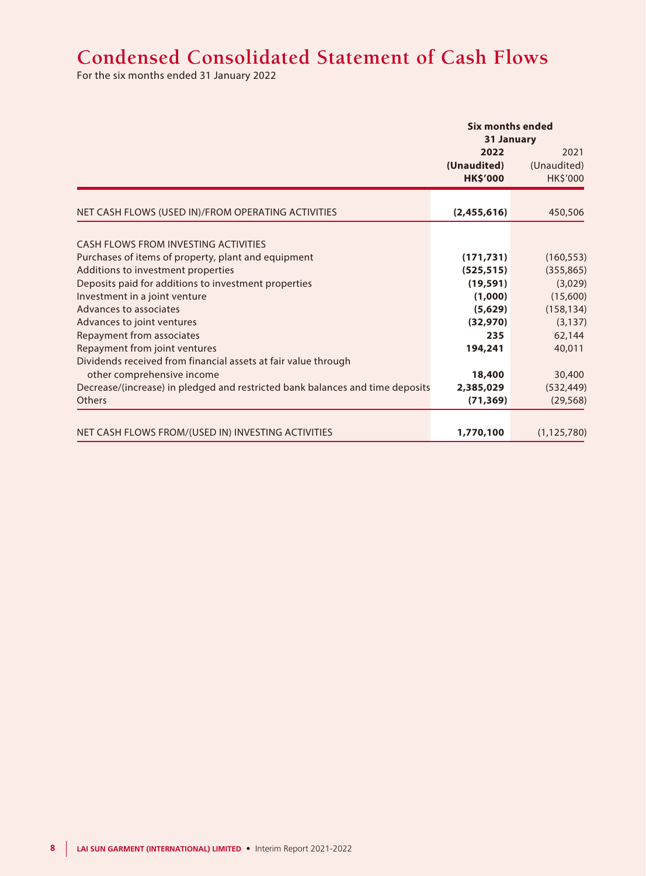## **Condensed Consolidated Statement of Cash Flows**

For the six months ended 31 January 2022

|                                                                                           | Six months ended                       | 31 January                      |
|-------------------------------------------------------------------------------------------|----------------------------------------|---------------------------------|
|                                                                                           | 2022<br>(Unaudited)<br><b>HK\$'000</b> | 2021<br>(Unaudited)<br>HK\$'000 |
| NET CASH FLOWS (USED IN)/FROM OPERATING ACTIVITIES                                        | (2,455,616)                            | 450,506                         |
| CASH FLOWS FROM INVESTING ACTIVITIES                                                      |                                        |                                 |
|                                                                                           |                                        |                                 |
| Purchases of items of property, plant and equipment<br>Additions to investment properties | (171, 731)<br>(525, 515)               | (160, 553)<br>(355, 865)        |
| Deposits paid for additions to investment properties                                      | (19, 591)                              | (3,029)                         |
| Investment in a joint venture                                                             | (1,000)                                | (15,600)                        |
| Advances to associates                                                                    | (5,629)                                | (158, 134)                      |
| Advances to joint ventures                                                                | (32, 970)                              | (3, 137)                        |
| Repayment from associates                                                                 | 235                                    | 62,144                          |
| Repayment from joint ventures                                                             | 194,241                                | 40,011                          |
| Dividends received from financial assets at fair value through                            |                                        |                                 |
| other comprehensive income                                                                | 18,400                                 | 30,400                          |
| Decrease/(increase) in pledged and restricted bank balances and time deposits             | 2,385,029                              | (532, 449)                      |
| <b>Others</b>                                                                             | (71, 369)                              | (29, 568)                       |
|                                                                                           |                                        |                                 |
| NET CASH FLOWS FROM/(USED IN) INVESTING ACTIVITIES                                        | 1,770,100                              | (1, 125, 780)                   |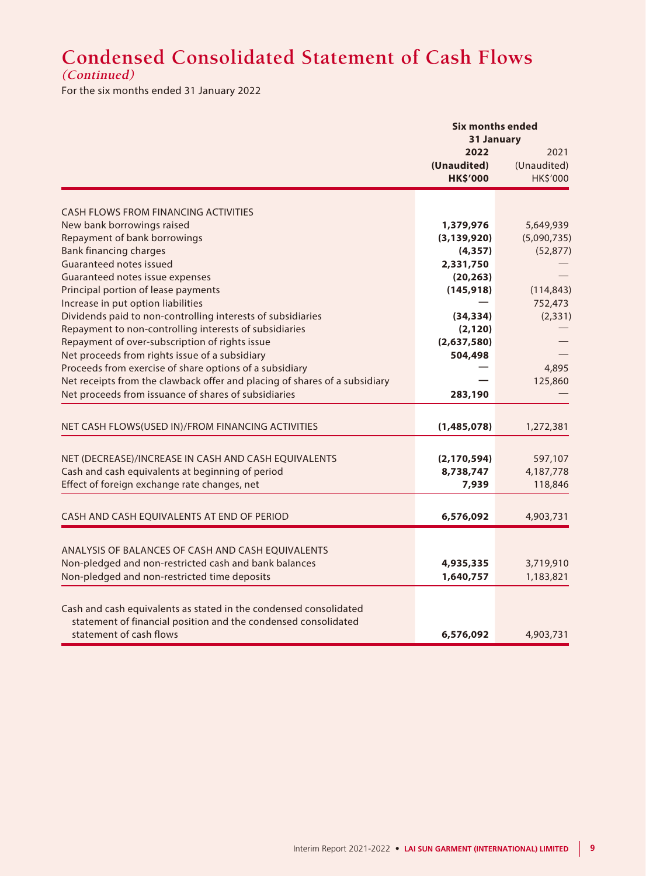# **Condensed Consolidated Statement of Cash Flows**

**(Continued)**

For the six months ended 31 January 2022

|                                                                            | <b>Six months ended</b> | 31 January  |
|----------------------------------------------------------------------------|-------------------------|-------------|
|                                                                            | 2022                    | 2021        |
|                                                                            | (Unaudited)             | (Unaudited) |
|                                                                            | <b>HK\$'000</b>         | HK\$'000    |
|                                                                            |                         |             |
| <b>CASH FLOWS FROM FINANCING ACTIVITIES</b>                                |                         |             |
| New bank borrowings raised                                                 | 1,379,976               | 5,649,939   |
| Repayment of bank borrowings                                               | (3, 139, 920)           | (5,090,735) |
| <b>Bank financing charges</b>                                              | (4, 357)                | (52, 877)   |
| Guaranteed notes issued                                                    | 2,331,750               |             |
| Guaranteed notes issue expenses                                            | (20, 263)               |             |
| Principal portion of lease payments                                        | (145, 918)              | (114, 843)  |
| Increase in put option liabilities                                         |                         | 752,473     |
| Dividends paid to non-controlling interests of subsidiaries                | (34, 334)               | (2, 331)    |
| Repayment to non-controlling interests of subsidiaries                     | (2, 120)                |             |
| Repayment of over-subscription of rights issue                             | (2,637,580)             |             |
| Net proceeds from rights issue of a subsidiary                             | 504,498                 |             |
| Proceeds from exercise of share options of a subsidiary                    |                         | 4,895       |
| Net receipts from the clawback offer and placing of shares of a subsidiary |                         | 125,860     |
| Net proceeds from issuance of shares of subsidiaries                       | 283,190                 |             |
|                                                                            |                         |             |
| NET CASH FLOWS(USED IN)/FROM FINANCING ACTIVITIES                          | (1,485,078)             | 1,272,381   |
|                                                                            |                         |             |
| NET (DECREASE)/INCREASE IN CASH AND CASH EQUIVALENTS                       | (2, 170, 594)           | 597,107     |
| Cash and cash equivalents at beginning of period                           | 8,738,747               | 4,187,778   |
| Effect of foreign exchange rate changes, net                               | 7,939                   | 118,846     |
|                                                                            |                         |             |
| CASH AND CASH EQUIVALENTS AT END OF PERIOD                                 | 6,576,092               | 4,903,731   |
|                                                                            |                         |             |
| ANALYSIS OF BALANCES OF CASH AND CASH EQUIVALENTS                          |                         |             |
| Non-pledged and non-restricted cash and bank balances                      | 4,935,335               | 3,719,910   |
| Non-pledged and non-restricted time deposits                               | 1,640,757               | 1,183,821   |
|                                                                            |                         |             |
| Cash and cash equivalents as stated in the condensed consolidated          |                         |             |
| statement of financial position and the condensed consolidated             |                         |             |
| statement of cash flows                                                    | 6,576,092               | 4,903,731   |
|                                                                            |                         |             |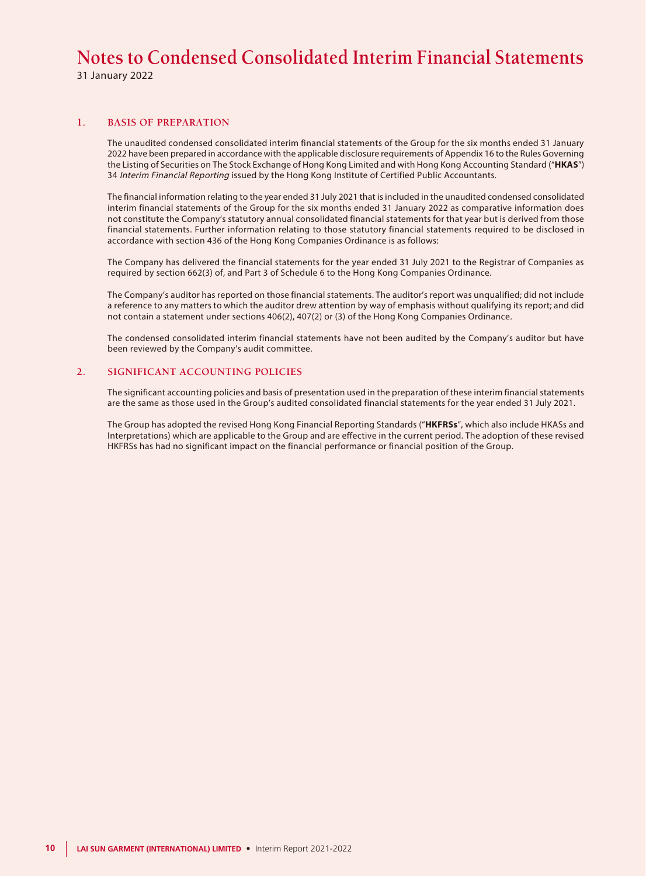31 January 2022

#### **1. BASIS OF PREPARATION**

The unaudited condensed consolidated interim financial statements of the Group for the six months ended 31 January 2022 have been prepared in accordance with the applicable disclosure requirements of Appendix 16 to the Rules Governing the Listing of Securities on The Stock Exchange of Hong Kong Limited and with Hong Kong Accounting Standard ("**HKAS**") 34 Interim Financial Reporting issued by the Hong Kong Institute of Certified Public Accountants.

The financial information relating to the year ended 31 July 2021 that is included in the unaudited condensed consolidated interim financial statements of the Group for the six months ended 31 January 2022 as comparative information does not constitute the Company's statutory annual consolidated financial statements for that year but is derived from those financial statements. Further information relating to those statutory financial statements required to be disclosed in accordance with section 436 of the Hong Kong Companies Ordinance is as follows:

The Company has delivered the financial statements for the year ended 31 July 2021 to the Registrar of Companies as required by section 662(3) of, and Part 3 of Schedule 6 to the Hong Kong Companies Ordinance.

The Company's auditor has reported on those financial statements. The auditor's report was unqualified; did not include a reference to any matters to which the auditor drew attention by way of emphasis without qualifying its report; and did not contain a statement under sections 406(2), 407(2) or (3) of the Hong Kong Companies Ordinance.

The condensed consolidated interim financial statements have not been audited by the Company's auditor but have been reviewed by the Company's audit committee.

#### **2. SIGNIFICANT ACCOUNTING POLICIES**

The significant accounting policies and basis of presentation used in the preparation of these interim financial statements are the same as those used in the Group's audited consolidated financial statements for the year ended 31 July 2021.

The Group has adopted the revised Hong Kong Financial Reporting Standards ("**HKFRSs**", which also include HKASs and Interpretations) which are applicable to the Group and are effective in the current period. The adoption of these revised HKFRSs has had no significant impact on the financial performance or financial position of the Group.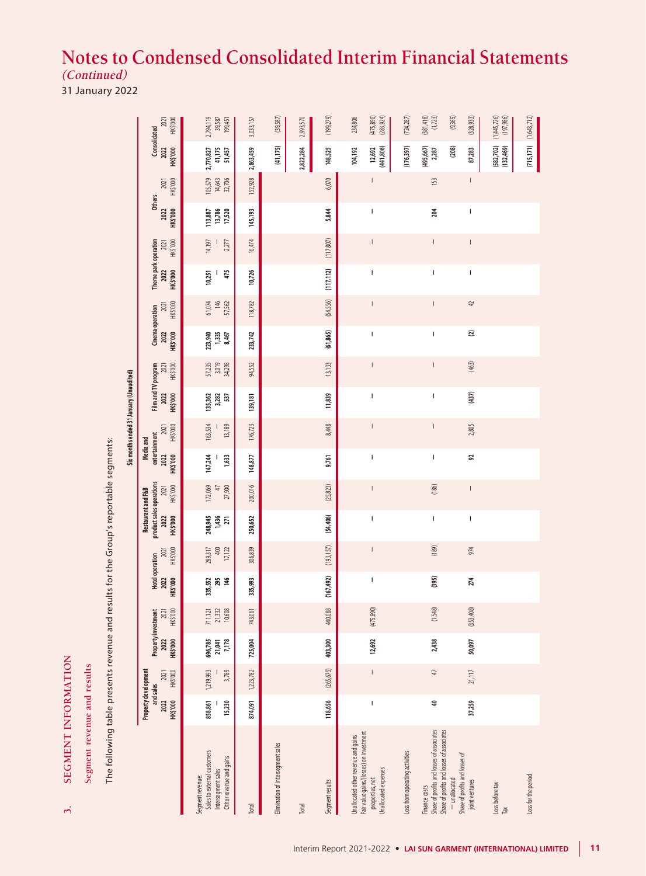31 January 2022

| <b>SEGMENT INFORMATION</b><br>Segment revenue and results<br>$\dot{\mathfrak{h}}$                                         |                                                       |                    |                                         |                             |                                            |                              |                                                                    |                             |                                                       |                                         |                                         |                           |                                             |                          |                                          |                  |                                                                                                                                                                                                                                                                                                                                                                                  |                             |                                  |                                         |
|---------------------------------------------------------------------------------------------------------------------------|-------------------------------------------------------|--------------------|-----------------------------------------|-----------------------------|--------------------------------------------|------------------------------|--------------------------------------------------------------------|-----------------------------|-------------------------------------------------------|-----------------------------------------|-----------------------------------------|---------------------------|---------------------------------------------|--------------------------|------------------------------------------|------------------|----------------------------------------------------------------------------------------------------------------------------------------------------------------------------------------------------------------------------------------------------------------------------------------------------------------------------------------------------------------------------------|-----------------------------|----------------------------------|-----------------------------------------|
| The following table presents revenue and results for the Group's reportable segments:                                     |                                                       |                    |                                         |                             |                                            |                              |                                                                    |                             |                                                       |                                         |                                         |                           |                                             |                          |                                          |                  |                                                                                                                                                                                                                                                                                                                                                                                  |                             |                                  |                                         |
|                                                                                                                           |                                                       |                    |                                         |                             |                                            |                              |                                                                    |                             |                                                       | Six months ended 31 January (Unaudited) |                                         |                           |                                             |                          |                                          |                  |                                                                                                                                                                                                                                                                                                                                                                                  |                             |                                  |                                         |
|                                                                                                                           | Property development<br>and sales<br>HK\$'000<br>2022 | HK\$'000<br>2021   | Property investment<br>HK\$'000<br>2022 | HK\$'000<br>2021            | <b>Hotel operation</b><br>HK\$'000<br>2022 | HK\$'000<br>2021             | product sales operations<br>Restaurant and F&B<br>HK\$'000<br>2022 | HK\$'000<br>2021            | entertainment<br><b>Media</b> and<br>HK\$'000<br>2022 | HK\$'000<br>2021                        | Film and TV program<br>HK\$'000<br>2022 | HK\$'000<br>2021          | Cinema operation<br><b>HK\$'000</b><br>2022 | HK\$'000<br>2021         | Theme park operation<br>HK\$'000<br>2022 | HK\$'000<br>2021 | <b>Others</b><br>2022<br>HK\$'000                                                                                                                                                                                                                                                                                                                                                | HK\$'000<br>2021            | Consolidated<br>2022<br>HK\$'000 | HK\$'000<br>2021                        |
| Sales to external customers<br>Other revenue and gains<br>Intersegment sales<br>Segment revenue:                          | 858,861<br>15,230                                     | 1,219,993<br>3,789 | 696,785<br>7,178<br>21,041              | 21,332<br>10,608<br>711,121 | 335,552<br>295<br>146                      | 289,317<br>$400$<br>$17,122$ | 248,945<br>1,436<br>271                                            | 172,069<br>27,900<br>$47\,$ | 147,244<br>1,633                                      | 163,534<br>13,189                       | 135,362<br>3,282<br>537                 | 57,235<br>3,019<br>34,298 | 223,940<br>1,335<br>8,467                   | 146<br>57,562<br>61,074  | 475<br>10,251<br>J.                      | 14,197<br>2,277  | 113,887<br>13,786<br>17,520                                                                                                                                                                                                                                                                                                                                                      | 105,579<br>14,643<br>32,706 | 2,770,827<br>41,175<br>51,457    | 2,794,119<br>39,587<br>199,451          |
| Total                                                                                                                     | 874,091                                               | 1,223,782          | 725,004                                 | 743,061                     | 335,993                                    | 306,839                      | 250,652                                                            | 200,016                     | 148,877                                               | 176,723                                 | 139,181                                 | 94,552                    | 233,742                                     | 118,782                  | 10,726                                   | 16,474           | 145,193                                                                                                                                                                                                                                                                                                                                                                          | 152,928                     | 2,863,459                        | 3,033,157                               |
| Elimination of intersegment sales                                                                                         |                                                       |                    |                                         |                             |                                            |                              |                                                                    |                             |                                                       |                                         |                                         |                           |                                             |                          |                                          |                  |                                                                                                                                                                                                                                                                                                                                                                                  |                             | (41, 175)                        | (39, 587)                               |
| Total                                                                                                                     |                                                       |                    |                                         |                             |                                            |                              |                                                                    |                             |                                                       |                                         |                                         |                           |                                             |                          |                                          |                  |                                                                                                                                                                                                                                                                                                                                                                                  |                             | 2,822,284                        | 2,993,570                               |
| Segment results                                                                                                           | 118,656                                               | (265, 675)         | 403,300                                 | 440,088                     | (167, 492)                                 | (193, 157)                   | (54, 406)                                                          | (25, 823)                   | 9,761                                                 | 8,448                                   | 11,839                                  | 13,133                    | (61, 865)                                   | (64,556)                 | (117, 112)                               | (117, 807)       | 5,844                                                                                                                                                                                                                                                                                                                                                                            | 6,070                       | 148,525                          | (199, 279)                              |
| Fair value gains/(losses) on investment<br>Unallocated other revenue and gains<br>Unallocated expenses<br>properties, net | I                                                     | $\vert$            | 12,692                                  | (475,890)                   | I                                          | $\mathsf I$                  | I                                                                  | $\vert$                     | I                                                     | $\mathsf{I}$                            | I                                       | $\vert$                   | T                                           | $\vert$                  | I                                        | $\vert$          | T                                                                                                                                                                                                                                                                                                                                                                                | $\overline{\phantom{a}}$    | 12,692<br>(441,806)<br>104,192   | $(475, 890)$<br>$(283, 924)$<br>234,806 |
| Loss from operating activities                                                                                            |                                                       |                    |                                         |                             |                                            |                              |                                                                    |                             |                                                       |                                         |                                         |                           |                                             |                          |                                          |                  |                                                                                                                                                                                                                                                                                                                                                                                  |                             | (176, 397)                       | (724, 287)                              |
| Share of profits and losses of associates<br>Finance costs                                                                | ą                                                     | $\hbox{f}$         | 2,438                                   | (1,548)                     | (395)                                      | (189)                        | $\sf I$                                                            | (186)                       | I                                                     | $\sf I$                                 | I                                       | $\overline{\phantom{a}}$  | $\overline{\phantom{a}}$                    | $\overline{\phantom{a}}$ | T                                        | $\mid$           | 204                                                                                                                                                                                                                                                                                                                                                                              | $153$                       | (495, 667)<br>2,287              | $(381,418)$<br>$(1,723)$                |
| Share of profits and losses of associates<br>Share of profits and losses of<br>- unallocated                              |                                                       |                    |                                         |                             |                                            |                              |                                                                    |                             |                                                       |                                         |                                         |                           |                                             |                          |                                          |                  |                                                                                                                                                                                                                                                                                                                                                                                  |                             | $\left( 208\right)$              | (9,365)                                 |
| joint ventures                                                                                                            | 37,259                                                | 21,117             | 50,097                                  | (353, 408)                  | 274                                        | 974                          | $\sf I$                                                            | $\mid$                      | x                                                     | 2,805                                   | (437)                                   | $(463)$                   | $\overline{\mathbf{c}}$                     | $42$                     | $\sf I$                                  | $\mid$           | $\begin{array}{c} \rule{0pt}{2.5ex} \rule{0pt}{2.5ex} \rule{0pt}{2.5ex} \rule{0pt}{2.5ex} \rule{0pt}{2.5ex} \rule{0pt}{2.5ex} \rule{0pt}{2.5ex} \rule{0pt}{2.5ex} \rule{0pt}{2.5ex} \rule{0pt}{2.5ex} \rule{0pt}{2.5ex} \rule{0pt}{2.5ex} \rule{0pt}{2.5ex} \rule{0pt}{2.5ex} \rule{0pt}{2.5ex} \rule{0pt}{2.5ex} \rule{0pt}{2.5ex} \rule{0pt}{2.5ex} \rule{0pt}{2.5ex} \rule{0$ | $\vert$                     | 87,283                           | (328, 933)                              |
| Loss before tax<br>$\mathsf{T}_{\mathsf{a}\mathsf{X}}$                                                                    |                                                       |                    |                                         |                             |                                            |                              |                                                                    |                             |                                                       |                                         |                                         |                           |                                             |                          |                                          |                  |                                                                                                                                                                                                                                                                                                                                                                                  |                             | (582, 702)<br>(132,469)          | $(1,445,726)$<br>$(197,986)$            |
| Loss for the period                                                                                                       |                                                       |                    |                                         |                             |                                            |                              |                                                                    |                             |                                                       |                                         |                                         |                           |                                             |                          |                                          |                  |                                                                                                                                                                                                                                                                                                                                                                                  |                             | (715, 171)                       | (1, 643, 712)                           |

SEGMENT INFORMATION

 $\dot{\mathfrak{g}}$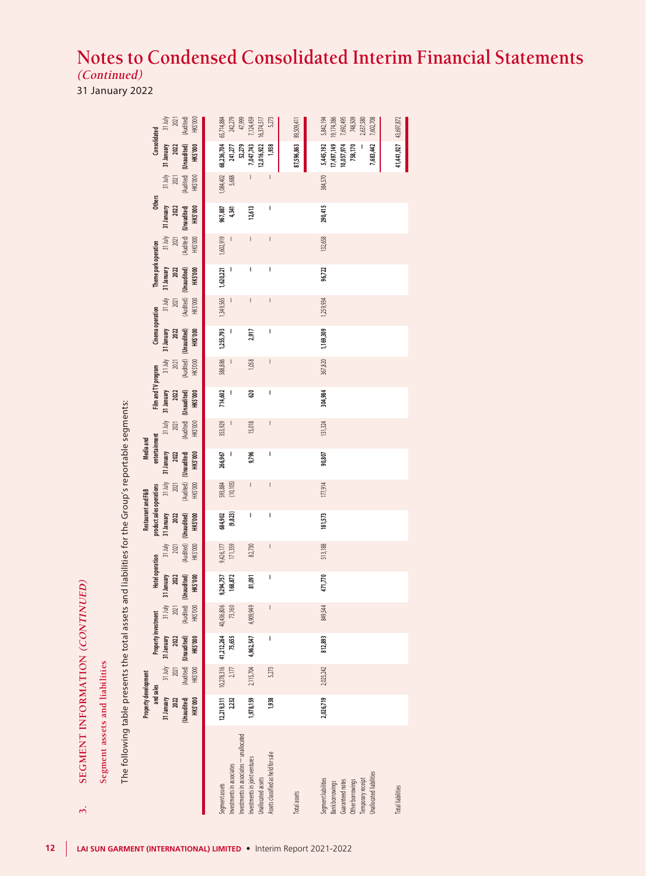31 January 2022

SEGMENT INFORMATION (CONTINUED)

 $\dot{\mathfrak{D}}$ 

| SEGMENT INFORMATION (CONTINUED)<br>$\dot{\mathbf{c}}$                                                                          |                                                            |                             |                                                                                |                                          |                                                                         |                             |                                                                                                                                                                                                                                                                                                                                                                                  |                                       |                                                                          |                                                      |                                                       |                                                        |                                                    |                                                      |                                                        |                                                                |                                                 |                             |                                                                                |                                                                           |
|--------------------------------------------------------------------------------------------------------------------------------|------------------------------------------------------------|-----------------------------|--------------------------------------------------------------------------------|------------------------------------------|-------------------------------------------------------------------------|-----------------------------|----------------------------------------------------------------------------------------------------------------------------------------------------------------------------------------------------------------------------------------------------------------------------------------------------------------------------------------------------------------------------------|---------------------------------------|--------------------------------------------------------------------------|------------------------------------------------------|-------------------------------------------------------|--------------------------------------------------------|----------------------------------------------------|------------------------------------------------------|--------------------------------------------------------|----------------------------------------------------------------|-------------------------------------------------|-----------------------------|--------------------------------------------------------------------------------|---------------------------------------------------------------------------|
| Segment assets and liabilities                                                                                                 |                                                            |                             |                                                                                |                                          |                                                                         |                             |                                                                                                                                                                                                                                                                                                                                                                                  |                                       |                                                                          |                                                      |                                                       |                                                        |                                                    |                                                      |                                                        |                                                                |                                                 |                             |                                                                                |                                                                           |
| The following table presents the total assets and liabilities for the Group's reportable segments:                             |                                                            |                             |                                                                                |                                          |                                                                         |                             |                                                                                                                                                                                                                                                                                                                                                                                  |                                       |                                                                          |                                                      |                                                       |                                                        |                                                    |                                                      |                                                        |                                                                |                                                 |                             |                                                                                |                                                                           |
|                                                                                                                                | Property development                                       |                             |                                                                                |                                          |                                                                         |                             | Restaurant and F&B                                                                                                                                                                                                                                                                                                                                                               |                                       | Media and                                                                |                                                      |                                                       |                                                        |                                                    |                                                      |                                                        |                                                                |                                                 |                             |                                                                                |                                                                           |
|                                                                                                                                | and sales<br>31 January<br>2022<br>(Unaudited)<br>HK\$'000 | 31 July<br>HK\$'000<br>2021 | Property investment<br>HK\$'000<br>31 January<br>2022<br>(Audited) (Unaudited) | (Audited)<br>31 July<br>HK\$'000<br>2021 | <b>Hotel operation</b><br>HK\$'000<br>31 January<br>(Unaudited)<br>2022 | HK\$'000<br>31 July<br>2021 | product sales operations<br>(Audited) (Unaudited)<br>31 January<br><b>HK\$'000</b><br>2022                                                                                                                                                                                                                                                                                       | HK\$'000<br>$31 \text{ July}$<br>2021 | entertainment<br>31 January<br>HK\$'000<br>(Audited) (Unaudited)<br>2022 | (Audited) (Unaudited)<br>HK\$'000<br>31 July<br>2021 | Film and TV program<br>HK\$'000<br>31 January<br>2022 | (Audited) (Unaudited)<br>HK\$'000<br>$31$ July<br>2021 | Cinema operation<br>HK\$'000<br>31 January<br>2022 | (Audited) (Unaudited)<br>31 July<br>HK\$'000<br>2021 | Theme park operation<br>HK\$'000<br>31 January<br>2022 | (Audited) (Unaudited)<br>HK\$'000<br>$31 \text{ July}$<br>2021 | <b>Others</b><br>31 January<br>HK\$'000<br>2022 | HK\$'000<br>31 July<br>2021 | Consolidated<br>31 January<br>(Audited) (Unaudited)<br><b>HK\$'000</b><br>2022 | (Audited)<br>31 July<br>HK\$'000<br>2021                                  |
| Investments in associates<br>Segment assets                                                                                    | 12,219,311<br>2,232                                        | $2,177$                     | 10,278,316 41,212,264<br>75,655                                                | 40,436,806<br>73,160                     | 9,294,757<br>168,872                                                    | 9,426,177<br>171,359        | 684,902<br>(9, 823)                                                                                                                                                                                                                                                                                                                                                              | 593,884<br>(10,105)                   | 266,967<br>$\overline{\phantom{a}}$                                      | 353,929                                              | 714,602<br>$\overline{\phantom{a}}$                   | 588,886                                                | 1,255,793                                          | 1,349,565                                            | 1,620,221<br>$\begin{array}{c} \hline \end{array}$     | 1,602,919                                                      | 967,887<br>4,341                                | 5,688                       | 1,084,402 68,236,704<br>241,277                                                | 65,714,884<br>242,279<br>47,999                                           |
| Investments in associates - unallocated<br>Investments in joint ventures                                                       | 1,978,159                                                  | 2,115,704                   | 4,962,547                                                                      | 4,909,949                                | 81,091                                                                  | 82,730                      | ı                                                                                                                                                                                                                                                                                                                                                                                |                                       | 9,796                                                                    | 15,018                                               | 620                                                   | 1,058                                                  | 2,917                                              | I                                                    | I                                                      |                                                                | 12,613                                          |                             | 52,279<br>7,047,743                                                            | 7,124,459                                                                 |
| Assets classified as held for sale<br>Unallocated assets                                                                       | 1,938                                                      | 5,273                       | I                                                                              | $\begin{array}{c} \hline \end{array}$    | I                                                                       | $\overline{\phantom{a}}$    | $\begin{array}{c} \rule{0pt}{2.5ex} \rule{0pt}{2.5ex} \rule{0pt}{2.5ex} \rule{0pt}{2.5ex} \rule{0pt}{2.5ex} \rule{0pt}{2.5ex} \rule{0pt}{2.5ex} \rule{0pt}{2.5ex} \rule{0pt}{2.5ex} \rule{0pt}{2.5ex} \rule{0pt}{2.5ex} \rule{0pt}{2.5ex} \rule{0pt}{2.5ex} \rule{0pt}{2.5ex} \rule{0pt}{2.5ex} \rule{0pt}{2.5ex} \rule{0pt}{2.5ex} \rule{0pt}{2.5ex} \rule{0pt}{2.5ex} \rule{0$ |                                       | I                                                                        | $\overline{\phantom{a}}$                             | I                                                     | $\overline{\phantom{a}}$                               | I                                                  | $\mid$                                               | I                                                      | $\overline{\phantom{a}}$                                       | I                                               | $\mid$                      | 12,016,922<br>1,938                                                            | 16,374,517<br>5,273                                                       |
| <b>Total</b> assets                                                                                                            |                                                            |                             |                                                                                |                                          |                                                                         |                             |                                                                                                                                                                                                                                                                                                                                                                                  |                                       |                                                                          |                                                      |                                                       |                                                        |                                                    |                                                      |                                                        |                                                                |                                                 |                             | 87,596,863                                                                     | 89,509,411                                                                |
| Unallocated liabilities<br>Segment liabilities<br>Temporary receipt<br>Guaranteed notes<br>Other borrowings<br>Bank borrowings | 2,026,719                                                  | 2,025,242                   | 812,893                                                                        | 849,544                                  | 471,770                                                                 | 513,188                     | 181,573                                                                                                                                                                                                                                                                                                                                                                          | 177,914                               | 90,807                                                                   | 131,324                                              | 304,984                                               | 367,820                                                | 1,169,309 1,259,934                                |                                                      | 96,722                                                 | 132,658                                                        | 290,415                                         | 384,570                     | 17,497,149<br>5,445,192<br>10,057,974<br>758,170<br>7,683,442                  | 7,692,495<br>748,509<br>5,842,194<br>19,174,386<br>2,637,580<br>7,602,708 |
| <b>Total liabilities</b>                                                                                                       |                                                            |                             |                                                                                |                                          |                                                                         |                             |                                                                                                                                                                                                                                                                                                                                                                                  |                                       |                                                                          |                                                      |                                                       |                                                        |                                                    |                                                      |                                                        |                                                                |                                                 |                             | 41,441,927 43,697,872                                                          |                                                                           |
|                                                                                                                                |                                                            |                             |                                                                                |                                          |                                                                         |                             |                                                                                                                                                                                                                                                                                                                                                                                  |                                       |                                                                          |                                                      |                                                       |                                                        |                                                    |                                                      |                                                        |                                                                |                                                 |                             |                                                                                |                                                                           |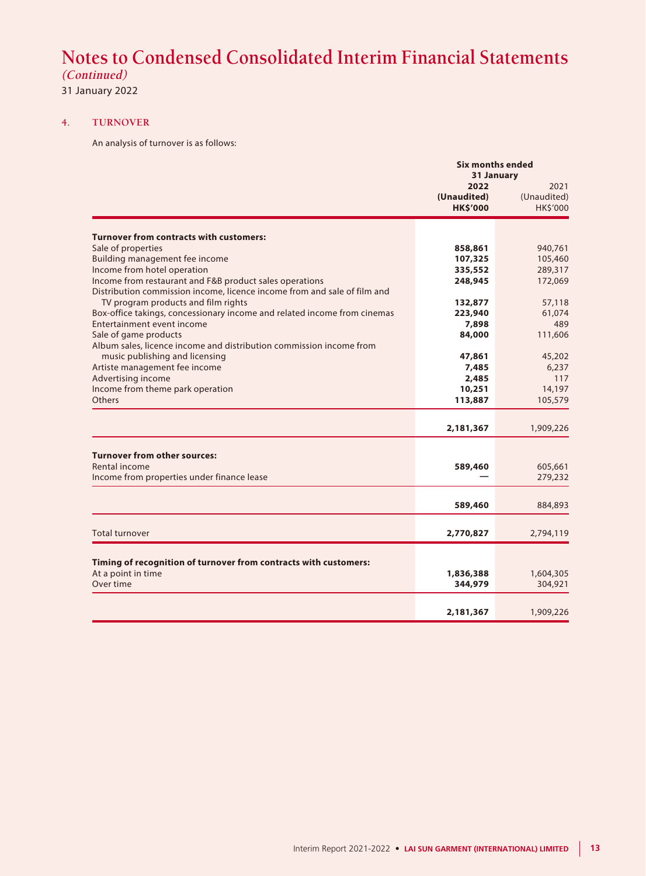**(Continued)**

31 January 2022

#### **4. TURNOVER**

An analysis of turnover is as follows:

|                                                                          |                     | <b>Six months ended</b>           |
|--------------------------------------------------------------------------|---------------------|-----------------------------------|
|                                                                          | 2022<br>(Unaudited) | 31 January<br>2021<br>(Unaudited) |
|                                                                          | <b>HK\$'000</b>     | <b>HK\$'000</b>                   |
|                                                                          |                     |                                   |
| <b>Turnover from contracts with customers:</b>                           |                     |                                   |
| Sale of properties                                                       | 858,861             | 940,761                           |
| <b>Building management fee income</b>                                    | 107,325             | 105,460                           |
| Income from hotel operation                                              | 335,552             | 289,317                           |
| Income from restaurant and F&B product sales operations                  | 248,945             | 172,069                           |
| Distribution commission income, licence income from and sale of film and |                     |                                   |
| TV program products and film rights                                      | 132,877             | 57,118                            |
| Box-office takings, concessionary income and related income from cinemas | 223,940             | 61,074                            |
| Entertainment event income                                               | 7,898               | 489                               |
| Sale of game products                                                    | 84,000              | 111,606                           |
| Album sales, licence income and distribution commission income from      |                     |                                   |
| music publishing and licensing                                           | 47,861              | 45,202                            |
| Artiste management fee income                                            | 7,485               | 6,237                             |
| Advertising income                                                       | 2,485               | 117                               |
| Income from theme park operation                                         | 10,251              | 14,197                            |
| Others                                                                   | 113,887             | 105,579                           |
|                                                                          |                     |                                   |
|                                                                          | 2,181,367           | 1,909,226                         |
|                                                                          |                     |                                   |
| <b>Turnover from other sources:</b>                                      |                     |                                   |
| Rental income                                                            | 589,460             | 605,661                           |
| Income from properties under finance lease                               |                     | 279,232                           |
|                                                                          |                     |                                   |
|                                                                          | 589,460             | 884,893                           |
|                                                                          |                     |                                   |
| <b>Total turnover</b>                                                    | 2,770,827           | 2,794,119                         |
|                                                                          |                     |                                   |
| Timing of recognition of turnover from contracts with customers:         |                     |                                   |
| At a point in time                                                       | 1,836,388           | 1,604,305                         |
| Over time                                                                | 344,979             | 304,921                           |
|                                                                          |                     |                                   |
|                                                                          | 2,181,367           | 1,909,226                         |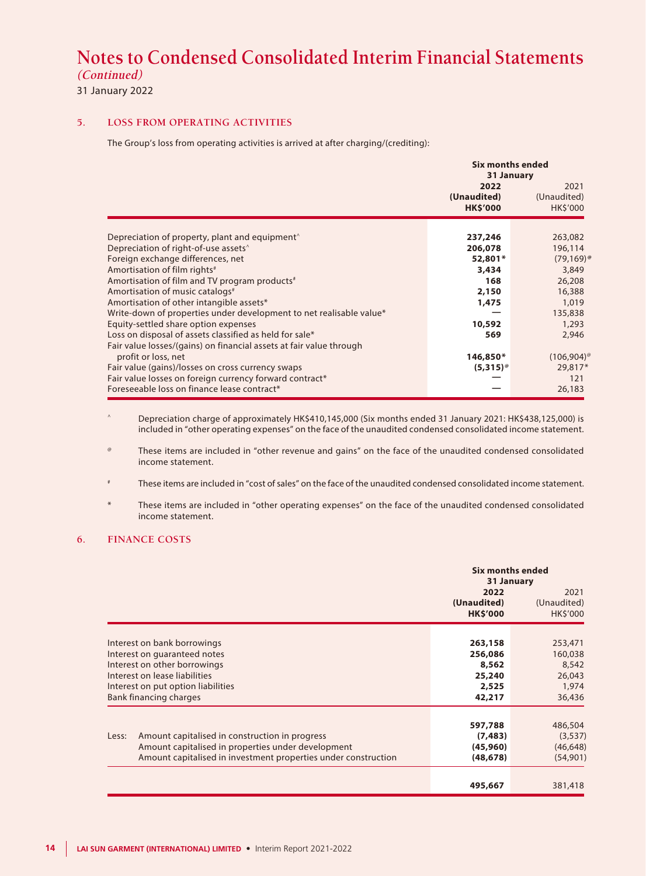**(Continued)**

### 31 January 2022

#### **5. LOSS FROM OPERATING ACTIVITIES**

The Group's loss from operating activities is arrived at after charging/(crediting):

|                                                                                       | <b>Six months ended</b><br>31 January  |                                       |
|---------------------------------------------------------------------------------------|----------------------------------------|---------------------------------------|
|                                                                                       | 2022<br>(Unaudited)<br><b>HK\$'000</b> | 2021<br>(Unaudited)<br><b>HKS'000</b> |
| Depreciation of property, plant and equipment $\hat{ }$                               | 237,246                                | 263,082                               |
| Depreciation of right-of-use assets <sup>^</sup><br>Foreign exchange differences, net | 206,078<br>52,801*                     | 196,114<br>$(79,169)$ <sup>@</sup>    |
| Amortisation of film rights <sup>#</sup>                                              | 3,434                                  | 3,849                                 |
| Amortisation of film and TV program products <sup>#</sup>                             | 168                                    | 26,208                                |
| Amortisation of music catalogs <sup>#</sup>                                           | 2,150                                  | 16,388                                |
| Amortisation of other intangible assets*                                              | 1,475                                  | 1,019                                 |
| Write-down of properties under development to net realisable value*                   |                                        | 135,838                               |
| Equity-settled share option expenses                                                  | 10,592                                 | 1,293                                 |
| Loss on disposal of assets classified as held for sale*                               | 569                                    | 2,946                                 |
| Fair value losses/(gains) on financial assets at fair value through                   |                                        |                                       |
| profit or loss, net                                                                   | 146,850*                               | $(106,904)$ <sup>@</sup>              |
| Fair value (gains)/losses on cross currency swaps                                     | $(5,315)$ <sup>®</sup>                 | 29,817*                               |
| Fair value losses on foreign currency forward contract*                               |                                        | 121                                   |
| Foreseeable loss on finance lease contract*                                           |                                        | 26,183                                |

Depreciation charge of approximately HK\$410,145,000 (Six months ended 31 January 2021: HK\$438,125,000) is included in "other operating expenses" on the face of the unaudited condensed consolidated income statement.

@ These items are included in "other revenue and gains" on the face of the unaudited condensed consolidated income statement.

# These items are included in "cost of sales" on the face of the unaudited condensed consolidated income statement.

\* These items are included in "other operating expenses" on the face of the unaudited condensed consolidated income statement.

#### **6. FINANCE COSTS**

|       |                                                                | Six months ended<br>31 January |                         |
|-------|----------------------------------------------------------------|--------------------------------|-------------------------|
|       |                                                                | 2022                           | 2021                    |
|       |                                                                | (Unaudited)<br><b>HK\$'000</b> | (Unaudited)<br>HK\$'000 |
|       |                                                                |                                |                         |
|       | Interest on bank borrowings                                    | 263,158                        | 253,471                 |
|       | Interest on guaranteed notes                                   | 256,086                        | 160,038                 |
|       | Interest on other borrowings                                   |                                | 8,542                   |
|       | Interest on lease liabilities                                  |                                | 26,043                  |
|       | Interest on put option liabilities                             | 2,525                          | 1,974                   |
|       | <b>Bank financing charges</b>                                  | 42,217                         | 36,436                  |
|       |                                                                | 597,788                        | 486,504                 |
| Less: | Amount capitalised in construction in progress                 | (7, 483)                       | (3, 537)                |
|       | Amount capitalised in properties under development             | (45,960)                       | (46, 648)               |
|       | Amount capitalised in investment properties under construction | (48, 678)                      | (54,901)                |
|       |                                                                | 495,667                        | 381,418                 |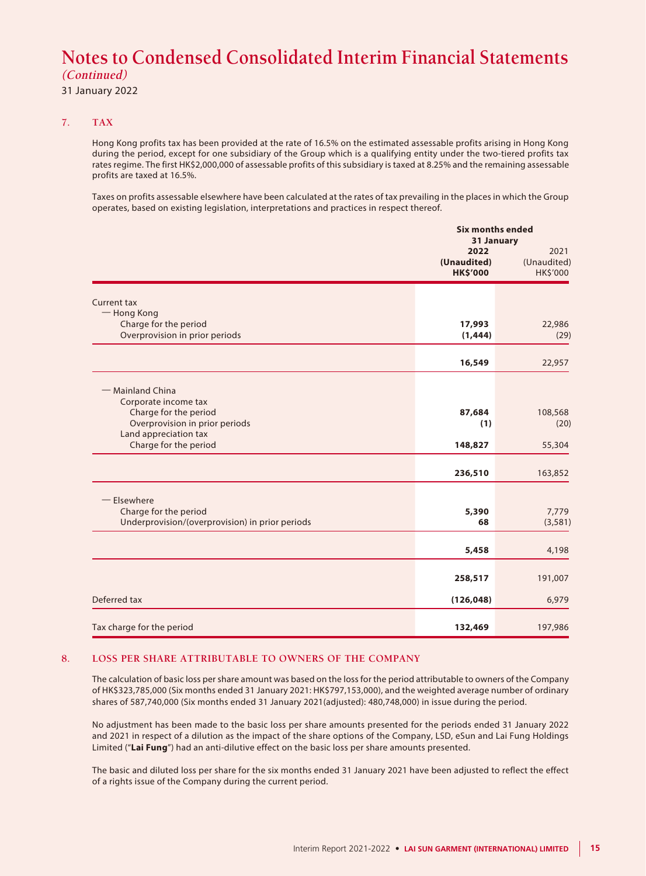31 January 2022

#### **7. TAX**

Hong Kong profits tax has been provided at the rate of 16.5% on the estimated assessable profits arising in Hong Kong during the period, except for one subsidiary of the Group which is a qualifying entity under the two-tiered profits tax rates regime. The first HK\$2,000,000 of assessable profits of this subsidiary is taxed at 8.25% and the remaining assessable profits are taxed at 16.5%.

Taxes on profits assessable elsewhere have been calculated at the rates of tax prevailing in the places in which the Group operates, based on existing legislation, interpretations and practices in respect thereof.

|                                                                                 |                                        | <b>Six months ended</b><br>31 January |  |
|---------------------------------------------------------------------------------|----------------------------------------|---------------------------------------|--|
|                                                                                 | 2022<br>(Unaudited)<br><b>HK\$'000</b> | 2021<br>(Unaudited)<br>HK\$'000       |  |
| Current tax                                                                     |                                        |                                       |  |
| - Hong Kong<br>Charge for the period<br>Overprovision in prior periods          | 17,993<br>(1, 444)                     | 22,986<br>(29)                        |  |
|                                                                                 | 16,549                                 | 22,957                                |  |
| - Mainland China                                                                |                                        |                                       |  |
| Corporate income tax<br>Charge for the period<br>Overprovision in prior periods | 87,684<br>(1)                          | 108,568<br>(20)                       |  |
| Land appreciation tax<br>Charge for the period                                  | 148,827                                | 55,304                                |  |
|                                                                                 | 236,510                                | 163,852                               |  |
| $-$ Elsewhere                                                                   |                                        |                                       |  |
| Charge for the period<br>Underprovision/(overprovision) in prior periods        | 5,390<br>68                            | 7,779<br>(3,581)                      |  |
|                                                                                 | 5,458                                  | 4,198                                 |  |
|                                                                                 | 258,517                                | 191,007                               |  |
| Deferred tax                                                                    | (126, 048)                             | 6,979                                 |  |
| Tax charge for the period                                                       | 132,469                                | 197,986                               |  |

#### **8. LOSS PER SHARE ATTRIBUTABLE TO OWNERS OF THE COMPANY**

The calculation of basic loss per share amount was based on the loss for the period attributable to owners of the Company of HK\$323,785,000 (Six months ended 31 January 2021: HK\$797,153,000), and the weighted average number of ordinary shares of 587,740,000 (Six months ended 31 January 2021(adjusted): 480,748,000) in issue during the period.

No adjustment has been made to the basic loss per share amounts presented for the periods ended 31 January 2022 and 2021 in respect of a dilution as the impact of the share options of the Company, LSD, eSun and Lai Fung Holdings Limited ("**Lai Fung**") had an anti-dilutive effect on the basic loss per share amounts presented.

The basic and diluted loss per share for the six months ended 31 January 2021 have been adjusted to reflect the effect of a rights issue of the Company during the current period.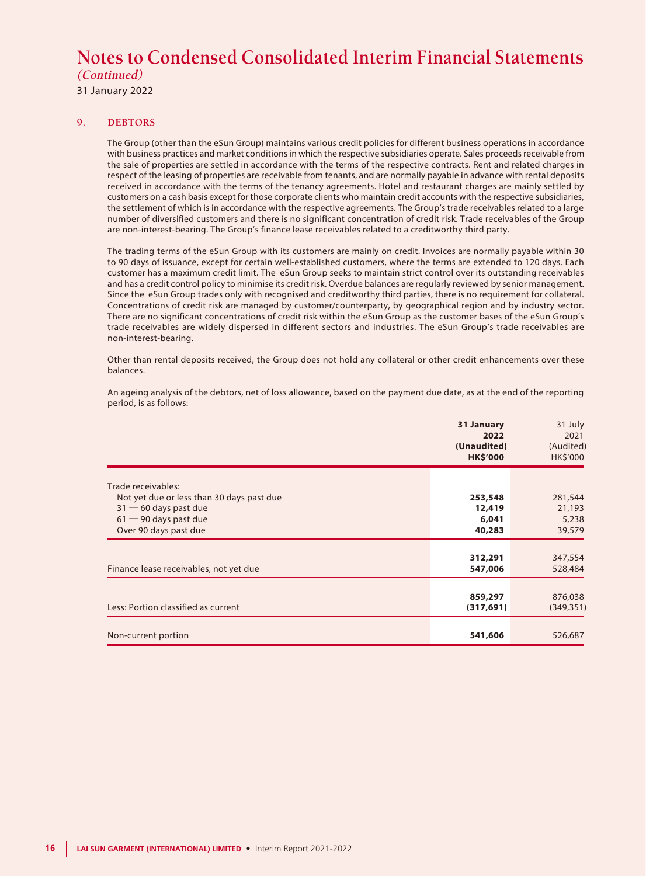31 January 2022

#### **9. DEBTORS**

The Group (other than the eSun Group) maintains various credit policies for different business operations in accordance with business practices and market conditions in which the respective subsidiaries operate. Sales proceeds receivable from the sale of properties are settled in accordance with the terms of the respective contracts. Rent and related charges in respect of the leasing of properties are receivable from tenants, and are normally payable in advance with rental deposits received in accordance with the terms of the tenancy agreements. Hotel and restaurant charges are mainly settled by customers on a cash basis except for those corporate clients who maintain credit accounts with the respective subsidiaries, the settlement of which is in accordance with the respective agreements. The Group's trade receivables related to a large number of diversified customers and there is no significant concentration of credit risk. Trade receivables of the Group are non-interest-bearing. The Group's finance lease receivables related to a creditworthy third party.

The trading terms of the eSun Group with its customers are mainly on credit. Invoices are normally payable within 30 to 90 days of issuance, except for certain well-established customers, where the terms are extended to 120 days. Each customer has a maximum credit limit. The eSun Group seeks to maintain strict control over its outstanding receivables and has a credit control policy to minimise its credit risk. Overdue balances are regularly reviewed by senior management. Since the eSun Group trades only with recognised and creditworthy third parties, there is no requirement for collateral. Concentrations of credit risk are managed by customer/counterparty, by geographical region and by industry sector. There are no significant concentrations of credit risk within the eSun Group as the customer bases of the eSun Group's trade receivables are widely dispersed in different sectors and industries. The eSun Group's trade receivables are non-interest-bearing.

Other than rental deposits received, the Group does not hold any collateral or other credit enhancements over these balances.

| An ageing analysis of the debtors, net of loss allowance, based on the payment due date, as at the end of the reporting |
|-------------------------------------------------------------------------------------------------------------------------|
| period, is as follows:                                                                                                  |
|                                                                                                                         |

|                                           | 31 January<br>2022<br>(Unaudited)<br><b>HK\$'000</b> | 31 July<br>2021<br>(Audited)<br>HK\$'000 |
|-------------------------------------------|------------------------------------------------------|------------------------------------------|
| Trade receivables:                        |                                                      |                                          |
| Not yet due or less than 30 days past due | 253,548                                              | 281,544                                  |
| $31 - 60$ days past due                   | 12,419                                               | 21,193                                   |
| $61 - 90$ days past due                   | 6,041                                                | 5,238                                    |
| Over 90 days past due                     | 40,283                                               | 39,579                                   |
|                                           |                                                      |                                          |
|                                           | 312,291                                              | 347,554                                  |
| Finance lease receivables, not yet due    | 547,006                                              | 528,484                                  |
|                                           |                                                      |                                          |
|                                           | 859,297                                              | 876,038                                  |
| Less: Portion classified as current       | (317, 691)                                           | (349, 351)                               |
| Non-current portion                       | 541,606                                              | 526,687                                  |
|                                           |                                                      |                                          |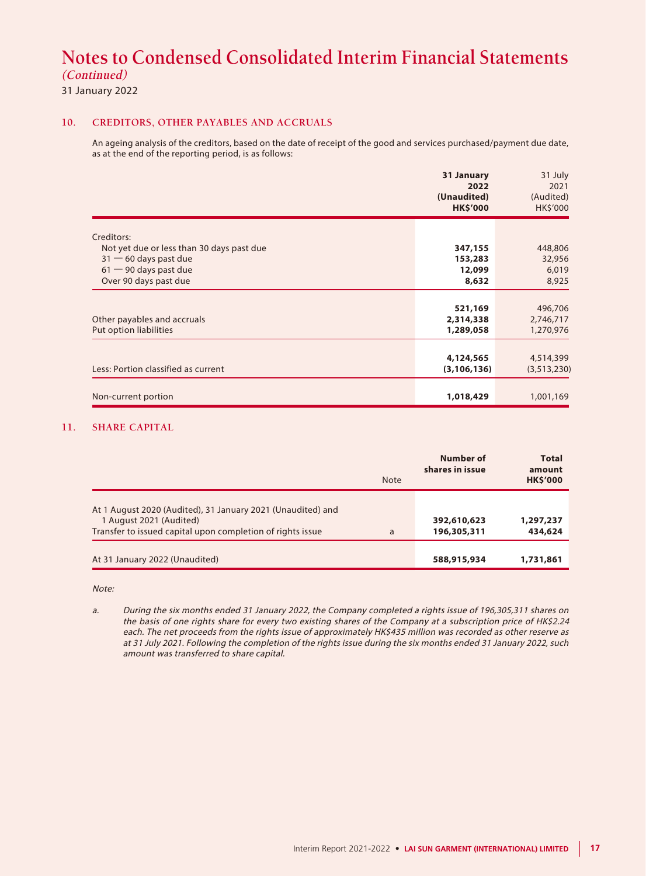31 January 2022

#### **10. CREDITORS, OTHER PAYABLES AND ACCRUALS**

An ageing analysis of the creditors, based on the date of receipt of the good and services purchased/payment due date, as at the end of the reporting period, is as follows:

|                                                         | 31 January<br>2022<br>(Unaudited)<br><b>HK\$'000</b> | 31 July<br>2021<br>(Audited)<br>HK\$'000 |
|---------------------------------------------------------|------------------------------------------------------|------------------------------------------|
|                                                         |                                                      |                                          |
| Creditors:<br>Not yet due or less than 30 days past due | 347,155                                              | 448,806                                  |
| $31 - 60$ days past due                                 | 153,283                                              | 32,956                                   |
| $61 - 90$ days past due                                 | 12,099                                               | 6,019                                    |
| Over 90 days past due                                   | 8,632                                                | 8,925                                    |
|                                                         |                                                      |                                          |
|                                                         | 521,169                                              | 496,706                                  |
| Other payables and accruals                             | 2,314,338                                            | 2,746,717                                |
| Put option liabilities                                  | 1,289,058                                            | 1,270,976                                |
|                                                         |                                                      |                                          |
|                                                         | 4,124,565                                            | 4,514,399                                |
| Less: Portion classified as current                     | (3, 106, 136)                                        | (3,513,230)                              |
|                                                         |                                                      |                                          |
| Non-current portion                                     | 1,018,429                                            | 1,001,169                                |

#### **11. SHARE CAPITAL**

|                                                                                                                                                      | <b>Note</b> | Number of<br>shares in issue | <b>Total</b><br>amount<br><b>HK\$'000</b> |
|------------------------------------------------------------------------------------------------------------------------------------------------------|-------------|------------------------------|-------------------------------------------|
| At 1 August 2020 (Audited), 31 January 2021 (Unaudited) and<br>1 August 2021 (Audited)<br>Transfer to issued capital upon completion of rights issue | a           | 392,610,623<br>196,305,311   | 1,297,237<br>434,624                      |
| At 31 January 2022 (Unaudited)                                                                                                                       |             | 588,915,934                  | 1,731,861                                 |

Note:

a. During the six months ended 31 January 2022, the Company completed a rights issue of 196,305,311 shares on the basis of one rights share for every two existing shares of the Company at a subscription price of HK\$2.24 each. The net proceeds from the rights issue of approximately HK\$435 million was recorded as other reserve as at 31 July 2021. Following the completion of the rights issue during the six months ended 31 January 2022, such amount was transferred to share capital.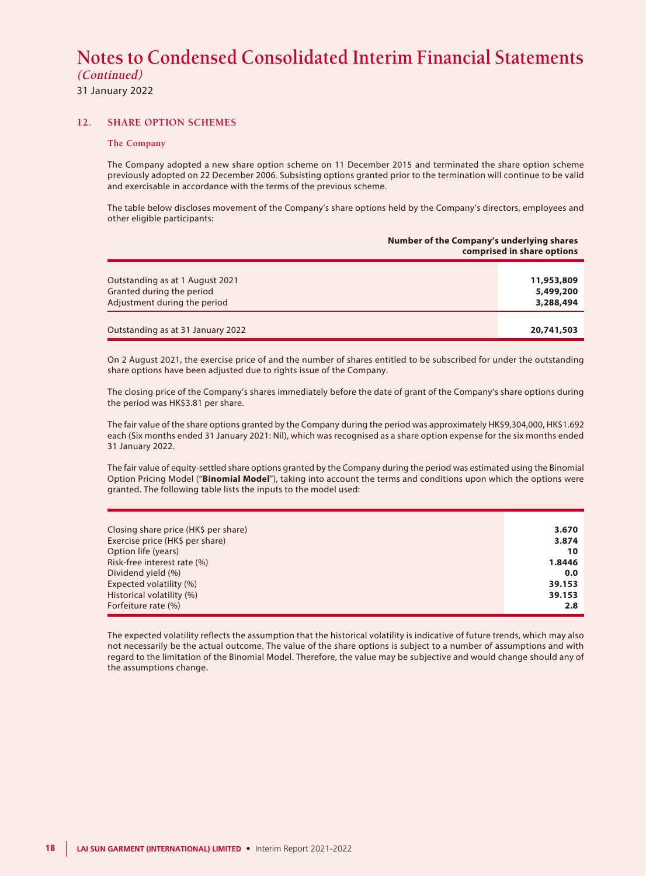31 January 2022

#### **12. SHARE OPTION SCHEMES**

#### **The Company**

The Company adopted a new share option scheme on 11 December 2015 and terminated the share option scheme previously adopted on 22 December 2006. Subsisting options granted prior to the termination will continue to be valid and exercisable in accordance with the terms of the previous scheme.

The table below discloses movement of the Company's share options held by the Company's directors, employees and other eligible participants:

|                                                                                              | Number of the Company's underlying shares<br>comprised in share options |  |
|----------------------------------------------------------------------------------------------|-------------------------------------------------------------------------|--|
| Outstanding as at 1 August 2021<br>Granted during the period<br>Adjustment during the period | 11,953,809<br>5,499,200<br>3,288,494                                    |  |
| Outstanding as at 31 January 2022                                                            | 20,741,503                                                              |  |

On 2 August 2021, the exercise price of and the number of shares entitled to be subscribed for under the outstanding share options have been adjusted due to rights issue of the Company.

The closing price of the Company's shares immediately before the date of grant of the Company's share options during the period was HK\$3.81 per share.

The fair value of the share options granted by the Company during the period was approximately HK\$9,304,000, HK\$1.692 each (Six months ended 31 January 2021: Nil), which was recognised as a share option expense for the six months ended 31 January 2022.

The fair value of equity-settled share options granted by the Company during the period was estimated using the Binomial Option Pricing Model ("**Binomial Model**"), taking into account the terms and conditions upon which the options were granted. The following table lists the inputs to the model used:

| Closing share price (HK\$ per share) | 3.670  |
|--------------------------------------|--------|
| Exercise price (HK\$ per share)      | 3.874  |
| Option life (years)                  | 10     |
| Risk-free interest rate (%)          | 1.8446 |
| Dividend yield (%)                   | 0.0    |
| Expected volatility (%)              | 39.153 |
| Historical volatility (%)            | 39.153 |
| Forfeiture rate (%)                  | 2.8    |
|                                      |        |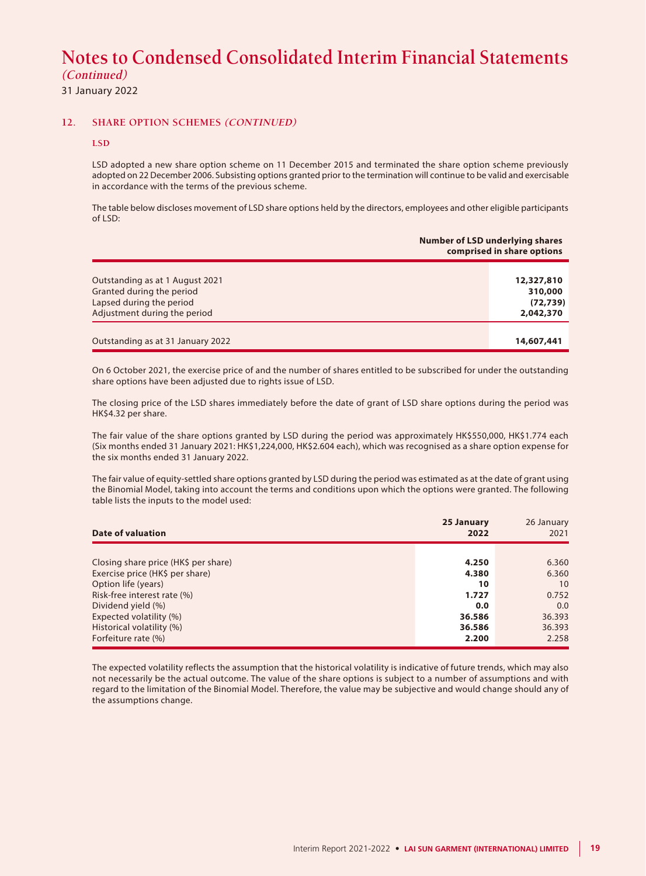31 January 2022

#### **12. SHARE OPTION SCHEMES (CONTINUED)**

#### **LSD**

LSD adopted a new share option scheme on 11 December 2015 and terminated the share option scheme previously adopted on 22 December 2006. Subsisting options granted prior to the termination will continue to be valid and exercisable in accordance with the terms of the previous scheme.

The table below discloses movement of LSD share options held by the directors, employees and other eligible participants of LSD:

|                                                                                                                          | <b>Number of LSD underlying shares</b><br>comprised in share options |  |
|--------------------------------------------------------------------------------------------------------------------------|----------------------------------------------------------------------|--|
| Outstanding as at 1 August 2021<br>Granted during the period<br>Lapsed during the period<br>Adjustment during the period | 12,327,810<br>310,000<br>(72, 739)<br>2,042,370                      |  |
| Outstanding as at 31 January 2022                                                                                        | 14,607,441                                                           |  |

On 6 October 2021, the exercise price of and the number of shares entitled to be subscribed for under the outstanding share options have been adjusted due to rights issue of LSD.

The closing price of the LSD shares immediately before the date of grant of LSD share options during the period was HK\$4.32 per share.

The fair value of the share options granted by LSD during the period was approximately HK\$550,000, HK\$1.774 each (Six months ended 31 January 2021: HK\$1,224,000, HK\$2.604 each), which was recognised as a share option expense for the six months ended 31 January 2022.

The fair value of equity-settled share options granted by LSD during the period was estimated as at the date of grant using the Binomial Model, taking into account the terms and conditions upon which the options were granted. The following table lists the inputs to the model used:

| 25 January<br>2022 | 26 January<br>2021 |
|--------------------|--------------------|
|                    |                    |
| 4.250              | 6.360              |
| 4.380              | 6.360              |
| 10                 | 10                 |
| 1.727              | 0.752              |
| 0.0                | 0.0                |
| 36.586             | 36.393             |
| 36.586             | 36.393             |
| 2.200              | 2.258              |
|                    |                    |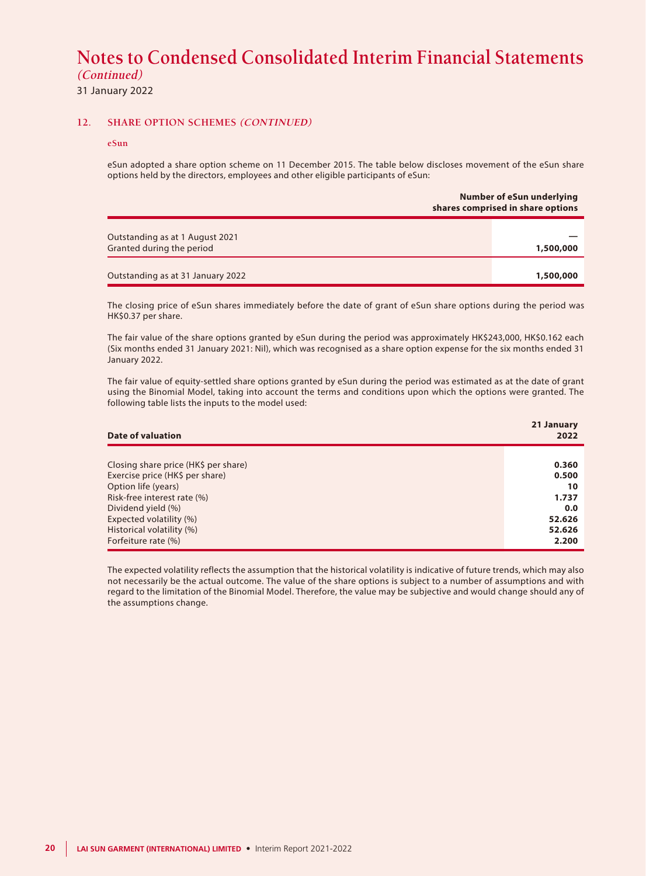31 January 2022

#### **12. SHARE OPTION SCHEMES (CONTINUED)**

#### **eSun**

eSun adopted a share option scheme on 11 December 2015. The table below discloses movement of the eSun share options held by the directors, employees and other eligible participants of eSun:

|                                                              | <b>Number of eSun underlying</b><br>shares comprised in share options |  |
|--------------------------------------------------------------|-----------------------------------------------------------------------|--|
| Outstanding as at 1 August 2021<br>Granted during the period | 1,500,000                                                             |  |
| Outstanding as at 31 January 2022                            | 1,500,000                                                             |  |

The closing price of eSun shares immediately before the date of grant of eSun share options during the period was HK\$0.37 per share.

The fair value of the share options granted by eSun during the period was approximately HK\$243,000, HK\$0.162 each (Six months ended 31 January 2021: Nil), which was recognised as a share option expense for the six months ended 31 January 2022.

The fair value of equity-settled share options granted by eSun during the period was estimated as at the date of grant using the Binomial Model, taking into account the terms and conditions upon which the options were granted. The following table lists the inputs to the model used:

| Date of valuation                    | 21 January<br>2022 |
|--------------------------------------|--------------------|
|                                      |                    |
| Closing share price (HK\$ per share) | 0.360              |
| Exercise price (HK\$ per share)      | 0.500              |
| Option life (years)                  | 10                 |
| Risk-free interest rate (%)          | 1.737              |
| Dividend yield (%)                   | 0.0                |
| Expected volatility (%)              | 52.626             |
| Historical volatility (%)            | 52.626             |
| Forfeiture rate (%)                  | 2.200              |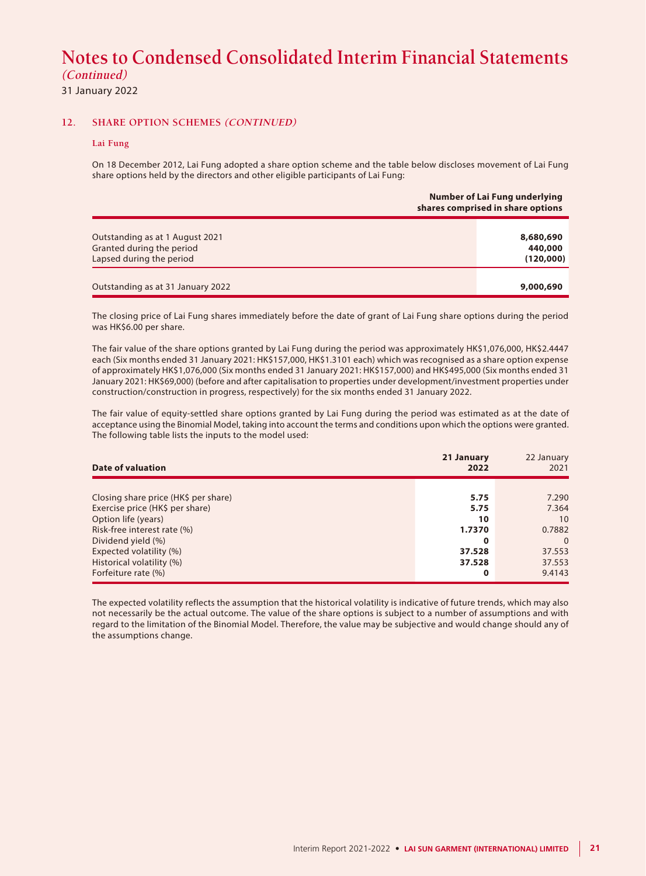31 January 2022

#### **12. SHARE OPTION SCHEMES (CONTINUED)**

#### **Lai Fung**

On 18 December 2012, Lai Fung adopted a share option scheme and the table below discloses movement of Lai Fung share options held by the directors and other eligible participants of Lai Fung:

|                                                                                          | Number of Lai Fung underlying<br>shares comprised in share options |
|------------------------------------------------------------------------------------------|--------------------------------------------------------------------|
| Outstanding as at 1 August 2021<br>Granted during the period<br>Lapsed during the period | 8,680,690<br>440,000<br>(120,000)                                  |
| Outstanding as at 31 January 2022                                                        | 9,000,690                                                          |

The closing price of Lai Fung shares immediately before the date of grant of Lai Fung share options during the period was HK\$6.00 per share.

The fair value of the share options granted by Lai Fung during the period was approximately HK\$1,076,000, HK\$2.4447 each (Six months ended 31 January 2021: HK\$157,000, HK\$1.3101 each) which was recognised as a share option expense of approximately HK\$1,076,000 (Six months ended 31 January 2021: HK\$157,000) and HK\$495,000 (Six months ended 31 January 2021: HK\$69,000) (before and after capitalisation to properties under development/investment properties under construction/construction in progress, respectively) for the six months ended 31 January 2022.

The fair value of equity-settled share options granted by Lai Fung during the period was estimated as at the date of acceptance using the Binomial Model, taking into account the terms and conditions upon which the options were granted. The following table lists the inputs to the model used:

| Date of valuation                    | 21 January<br>2022 | 22 January<br>2021 |
|--------------------------------------|--------------------|--------------------|
|                                      |                    |                    |
| Closing share price (HK\$ per share) | 5.75               | 7.290              |
| Exercise price (HK\$ per share)      | 5.75               | 7.364              |
| Option life (years)                  | 10                 | 10                 |
| Risk-free interest rate (%)          | 1.7370             | 0.7882             |
| Dividend yield (%)                   | 0                  | $\Omega$           |
| Expected volatility (%)              | 37.528             | 37.553             |
| Historical volatility (%)            | 37.528             | 37.553             |
| Forfeiture rate (%)                  | 0                  | 9.4143             |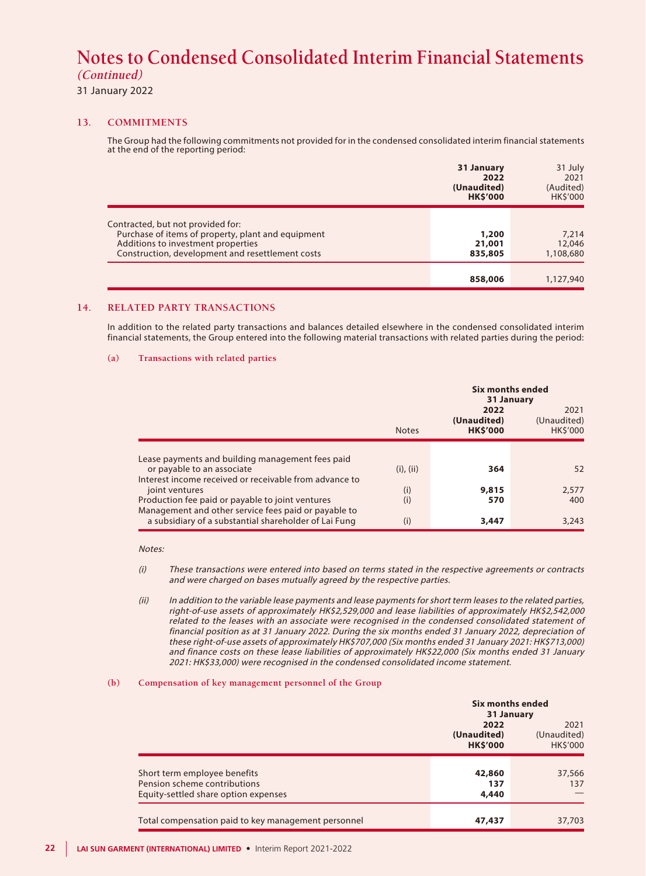#### 31 January 2022

#### **13. COMMITMENTS**

The Group had the following commitments not provided for in the condensed consolidated interim financial statements at the end of the reporting period:

|                                                                                                                                                                                   | 31 January<br>2022<br>(Unaudited)<br><b>HK\$'000</b> | 31 July<br>2021<br>(Audited)<br><b>HKS'000</b> |
|-----------------------------------------------------------------------------------------------------------------------------------------------------------------------------------|------------------------------------------------------|------------------------------------------------|
| Contracted, but not provided for:<br>Purchase of items of property, plant and equipment<br>Additions to investment properties<br>Construction, development and resettlement costs | 1,200<br>21,001<br>835,805                           | 7,214<br>12,046<br>1,108,680                   |
|                                                                                                                                                                                   | 858,006                                              | 1,127,940                                      |

#### **14. RELATED PARTY TRANSACTIONS**

In addition to the related party transactions and balances detailed elsewhere in the condensed consolidated interim financial statements, the Group entered into the following material transactions with related parties during the period:

#### **(a) Transactions with related parties**

|                                                                                                               |                | 31 January          | Six months ended    |
|---------------------------------------------------------------------------------------------------------------|----------------|---------------------|---------------------|
|                                                                                                               |                | 2022<br>(Unaudited) | 2021<br>(Unaudited) |
|                                                                                                               | <b>Notes</b>   | <b>HK\$'000</b>     | <b>HKS'000</b>      |
| Lease payments and building management fees paid                                                              |                |                     |                     |
| or payable to an associate                                                                                    | $(i)$ , $(ii)$ | 364                 | 52                  |
| Interest income received or receivable from advance to<br>joint ventures                                      | (i)            | 9,815               | 2.577               |
| Production fee paid or payable to joint ventures                                                              | (i)            | 570                 | 400                 |
| Management and other service fees paid or payable to<br>a subsidiary of a substantial shareholder of Lai Fung | (i)            | 3,447               | 3,243               |

#### Notes:

(i) These transactions were entered into based on terms stated in the respective agreements or contracts and were charged on bases mutually agreed by the respective parties.

(ii) In addition to the variable lease payments and lease payments for short term leases to the related parties, right-of-use assets of approximately HK\$2,529,000 and lease liabilities of approximately HK\$2,542,000 related to the leases with an associate were recognised in the condensed consolidated statement of financial position as at 31 January 2022. During the six months ended 31 January 2022, depreciation of these right-of-use assets of approximately HK\$707,000 (Six months ended 31 January 2021: HK\$713,000) and finance costs on these lease liabilities of approximately HK\$22,000 (Six months ended 31 January 2021: HK\$33,000) were recognised in the condensed consolidated income statement.

#### **(b) Compensation of key management personnel of the Group**

|                                                                                                      | Six months ended<br>31 January         |                                 |
|------------------------------------------------------------------------------------------------------|----------------------------------------|---------------------------------|
|                                                                                                      | 2022<br>(Unaudited)<br><b>HK\$'000</b> | 2021<br>(Unaudited)<br>HK\$'000 |
| Short term employee benefits<br>Pension scheme contributions<br>Equity-settled share option expenses | 42,860<br>137<br>4,440                 | 37,566<br>137                   |
| Total compensation paid to key management personnel                                                  | 47,437                                 | 37,703                          |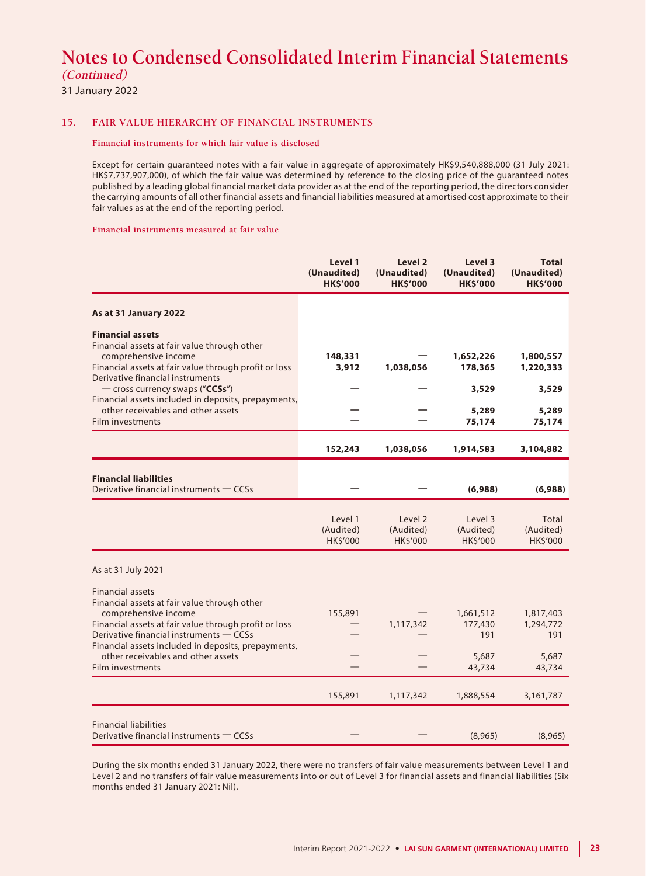31 January 2022

#### **15. FAIR VALUE HIERARCHY OF FINANCIAL INSTRUMENTS**

#### **Financial instruments for which fair value is disclosed**

Except for certain guaranteed notes with a fair value in aggregate of approximately HK\$9,540,888,000 (31 July 2021: HK\$7,737,907,000), of which the fair value was determined by reference to the closing price of the guaranteed notes published by a leading global financial market data provider as at the end of the reporting period, the directors consider the carrying amounts of all other financial assets and financial liabilities measured at amortised cost approximate to their fair values as at the end of the reporting period.

#### **Financial instruments measured at fair value**

|                                                                                                                                                                                                                                                                                                  | Level 1<br>(Unaudited)<br><b>HK\$'000</b> | Level 2<br>(Unaudited)<br><b>HK\$'000</b> | Level 3<br>(Unaudited)<br><b>HK\$'000</b> | <b>Total</b><br>(Unaudited)<br><b>HK\$'000</b> |
|--------------------------------------------------------------------------------------------------------------------------------------------------------------------------------------------------------------------------------------------------------------------------------------------------|-------------------------------------------|-------------------------------------------|-------------------------------------------|------------------------------------------------|
| As at 31 January 2022                                                                                                                                                                                                                                                                            |                                           |                                           |                                           |                                                |
| <b>Financial assets</b><br>Financial assets at fair value through other<br>comprehensive income<br>Financial assets at fair value through profit or loss<br>Derivative financial instruments                                                                                                     | 148,331<br>3,912                          | 1,038,056                                 | 1,652,226<br>178,365                      | 1,800,557<br>1,220,333                         |
| - cross currency swaps ("CCSs")                                                                                                                                                                                                                                                                  |                                           |                                           | 3,529                                     | 3,529                                          |
| Financial assets included in deposits, prepayments,<br>other receivables and other assets<br>Film investments                                                                                                                                                                                    |                                           |                                           | 5,289<br>75,174                           | 5,289<br>75,174                                |
|                                                                                                                                                                                                                                                                                                  | 152,243                                   | 1,038,056                                 | 1,914,583                                 | 3,104,882                                      |
| <b>Financial liabilities</b><br>Derivative financial instruments – CCSs                                                                                                                                                                                                                          |                                           |                                           | (6,988)                                   | (6,988)                                        |
|                                                                                                                                                                                                                                                                                                  | Level 1<br>(Audited)<br><b>HK\$'000</b>   | Level 2<br>(Audited)<br>HK\$'000          | Level 3<br>(Audited)<br>HK\$'000          | Total<br>(Audited)<br>HK\$'000                 |
| As at 31 July 2021                                                                                                                                                                                                                                                                               |                                           |                                           |                                           |                                                |
| <b>Financial assets</b><br>Financial assets at fair value through other<br>comprehensive income<br>Financial assets at fair value through profit or loss<br>Derivative financial instruments - CCSs<br>Financial assets included in deposits, prepayments,<br>other receivables and other assets | 155,891                                   | 1,117,342                                 | 1,661,512<br>177,430<br>191<br>5,687      | 1,817,403<br>1,294,772<br>191<br>5,687         |
| Film investments                                                                                                                                                                                                                                                                                 |                                           |                                           | 43,734                                    | 43,734                                         |
|                                                                                                                                                                                                                                                                                                  | 155,891                                   | 1,117,342                                 | 1,888,554                                 | 3,161,787                                      |
| <b>Financial liabilities</b><br>Derivative financial instruments – CCSs                                                                                                                                                                                                                          |                                           |                                           | (8,965)                                   | (8,965)                                        |

During the six months ended 31 January 2022, there were no transfers of fair value measurements between Level 1 and Level 2 and no transfers of fair value measurements into or out of Level 3 for financial assets and financial liabilities (Six months ended 31 January 2021: Nil).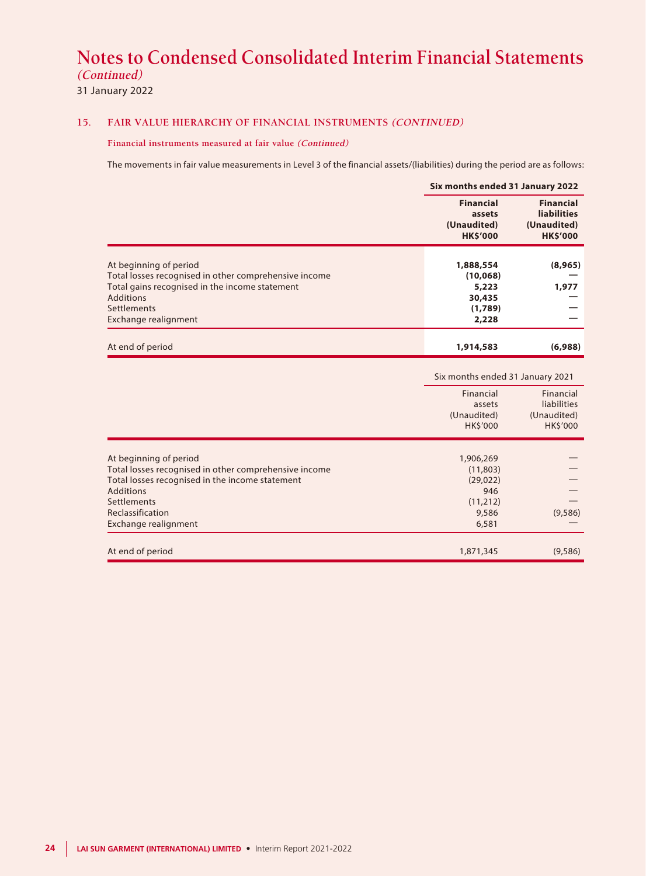31 January 2022

#### **15. FAIR VALUE HIERARCHY OF FINANCIAL INSTRUMENTS (CONTINUED)**

**Financial instruments measured at fair value (Continued)**

The movements in fair value measurements in Level 3 of the financial assets/(liabilities) during the period are as follows:

|                                                                                                                                                                                                                          | Six months ended 31 January 2022                                         |                                                                          |
|--------------------------------------------------------------------------------------------------------------------------------------------------------------------------------------------------------------------------|--------------------------------------------------------------------------|--------------------------------------------------------------------------|
|                                                                                                                                                                                                                          | <b>Financial</b><br>assets<br>(Unaudited)<br><b>HK\$'000</b>             | <b>Financial</b><br><b>liabilities</b><br>(Unaudited)<br><b>HK\$'000</b> |
| At beginning of period<br>Total losses recognised in other comprehensive income<br>Total gains recognised in the income statement<br><b>Additions</b><br>Settlements<br>Exchange realignment                             | 1,888,554<br>(10,068)<br>5,223<br>30,435<br>(1,789)<br>2,228             | (8,965)<br>1,977                                                         |
| At end of period                                                                                                                                                                                                         | 1,914,583                                                                | (6,988)                                                                  |
|                                                                                                                                                                                                                          | Six months ended 31 January 2021                                         |                                                                          |
|                                                                                                                                                                                                                          | Financial<br>assets<br>(Unaudited)<br><b>HK\$'000</b>                    | Financial<br>liabilities<br>(Unaudited)<br>HK\$'000                      |
| At beginning of period<br>Total losses recognised in other comprehensive income<br>Total losses recognised in the income statement<br><b>Additions</b><br>Settlements<br>Reclassification<br><b>Exchange realignment</b> | 1,906,269<br>(11,803)<br>(29, 022)<br>946<br>(11, 212)<br>9,586<br>6,581 | (9,586)                                                                  |
| At end of period                                                                                                                                                                                                         | 1,871,345                                                                | (9,586)                                                                  |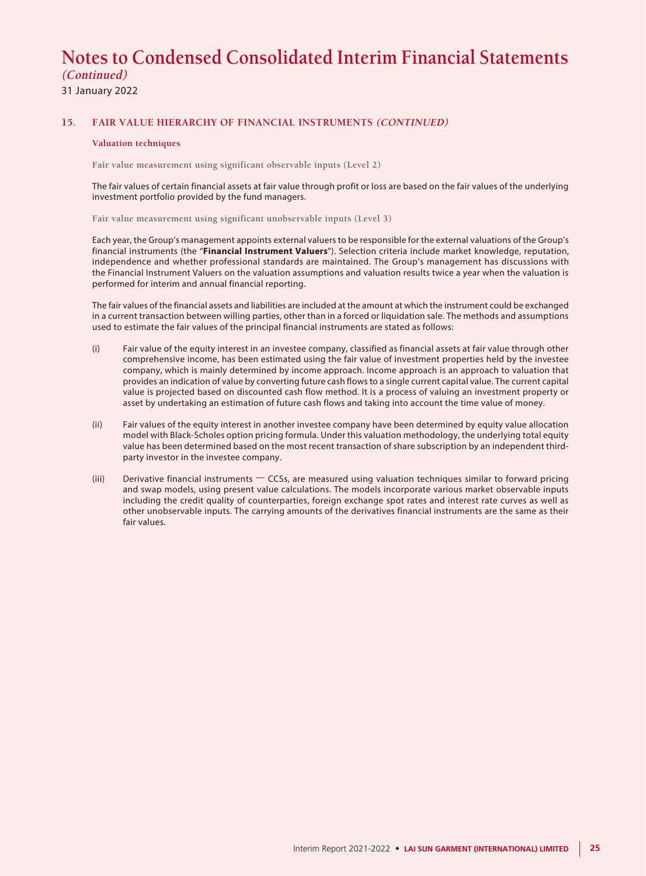31 January 2022

#### **15. FAIR VALUE HIERARCHY OF FINANCIAL INSTRUMENTS (CONTINUED)**

#### **Valuation techniques**

**Fair value measurement using significant observable inputs (Level 2)**

The fair values of certain financial assets at fair value through profit or loss are based on the fair values of the underlying investment portfolio provided by the fund managers.

**Fair value measurement using significant unobservable inputs (Level 3)**

Each year, the Group's management appoints external valuers to be responsible for the external valuations of the Group's financial instruments (the "**Financial Instrument Valuers**"). Selection criteria include market knowledge, reputation, independence and whether professional standards are maintained. The Group's management has discussions with the Financial Instrument Valuers on the valuation assumptions and valuation results twice a year when the valuation is performed for interim and annual financial reporting.

The fair values of the financial assets and liabilities are included at the amount at which the instrument could be exchanged in a current transaction between willing parties, other than in a forced or liquidation sale. The methods and assumptions used to estimate the fair values of the principal financial instruments are stated as follows:

- (i) Fair value of the equity interest in an investee company, classified as financial assets at fair value through other comprehensive income, has been estimated using the fair value of investment properties held by the investee company, which is mainly determined by income approach. Income approach is an approach to valuation that provides an indication of value by converting future cash flows to a single current capital value. The current capital value is projected based on discounted cash flow method. It is a process of valuing an investment property or asset by undertaking an estimation of future cash flows and taking into account the time value of money.
- (ii) Fair values of the equity interest in another investee company have been determined by equity value allocation model with Black-Scholes option pricing formula. Under this valuation methodology, the underlying total equity value has been determined based on the most recent transaction of share subscription by an independent thirdparty investor in the investee company.
- (iii) Derivative financial instruments  $-$  CCSs, are measured using valuation techniques similar to forward pricing and swap models, using present value calculations. The models incorporate various market observable inputs including the credit quality of counterparties, foreign exchange spot rates and interest rate curves as well as other unobservable inputs. The carrying amounts of the derivatives financial instruments are the same as their fair values.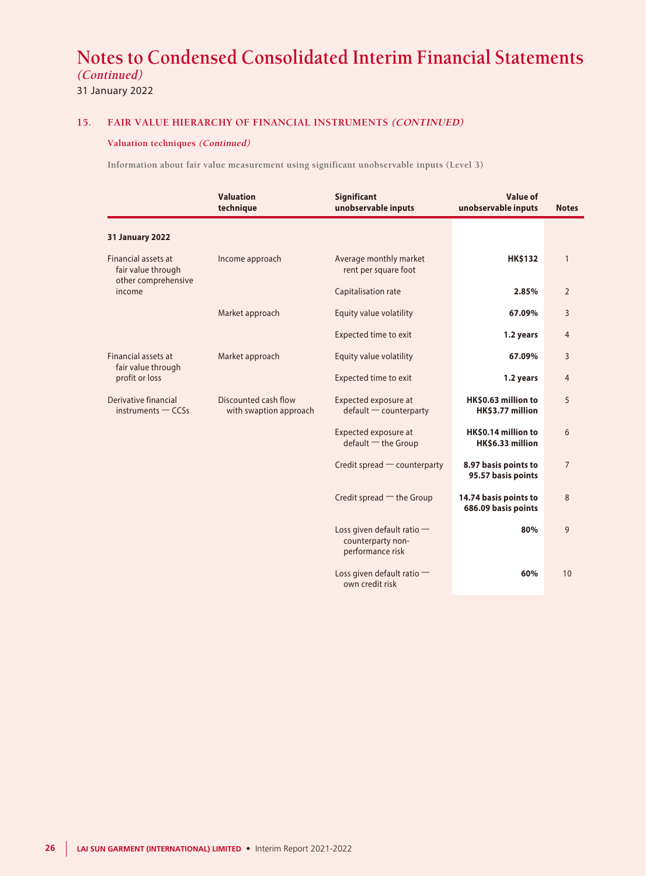31 January 2022

#### **15. FAIR VALUE HIERARCHY OF FINANCIAL INSTRUMENTS (CONTINUED)**

#### **Valuation techniques (Continued)**

**Information about fair value measurement using significant unobservable inputs (Level 3)**

|                                                | <b>Valuation</b><br>technique                  | <b>Significant</b><br>unobservable inputs                             | <b>Value of</b><br>unobservable inputs       | <b>Notes</b>   |
|------------------------------------------------|------------------------------------------------|-----------------------------------------------------------------------|----------------------------------------------|----------------|
| <b>31 January 2022</b>                         |                                                |                                                                       |                                              |                |
| Financial assets at<br>fair value through      | Income approach                                | Average monthly market<br>rent per square foot                        | <b>HK\$132</b>                               | $\mathbf{1}$   |
| other comprehensive<br>income                  |                                                | Capitalisation rate                                                   | 2.85%                                        | $\overline{2}$ |
|                                                | Market approach                                | Equity value volatility                                               | 67.09%                                       | 3              |
|                                                |                                                | <b>Expected time to exit</b>                                          | 1.2 years                                    | 4              |
| Financial assets at                            | Market approach                                | Equity value volatility                                               | 67.09%                                       | 3              |
| fair value through<br>profit or loss           |                                                | Expected time to exit                                                 | 1.2 years                                    | $\overline{4}$ |
| Derivative financial<br>$in$ struments $-CCSs$ | Discounted cash flow<br>with swaption approach | Expected exposure at<br>$default$ counterparty                        | HK\$0.63 million to<br>HK\$3.77 million      | 5              |
|                                                |                                                | Expected exposure at<br>$default$ – the Group                         | HK\$0.14 million to<br>HK\$6.33 million      | 6              |
|                                                |                                                | Credit spread - counterparty                                          | 8.97 basis points to<br>95.57 basis points   | $\overline{7}$ |
|                                                |                                                | Credit spread - the Group                                             | 14.74 basis points to<br>686.09 basis points | 8              |
|                                                |                                                | Loss given default ratio $-$<br>counterparty non-<br>performance risk | 80%                                          | 9              |
|                                                |                                                | Loss given default ratio -<br>own credit risk                         | 60%                                          | 10             |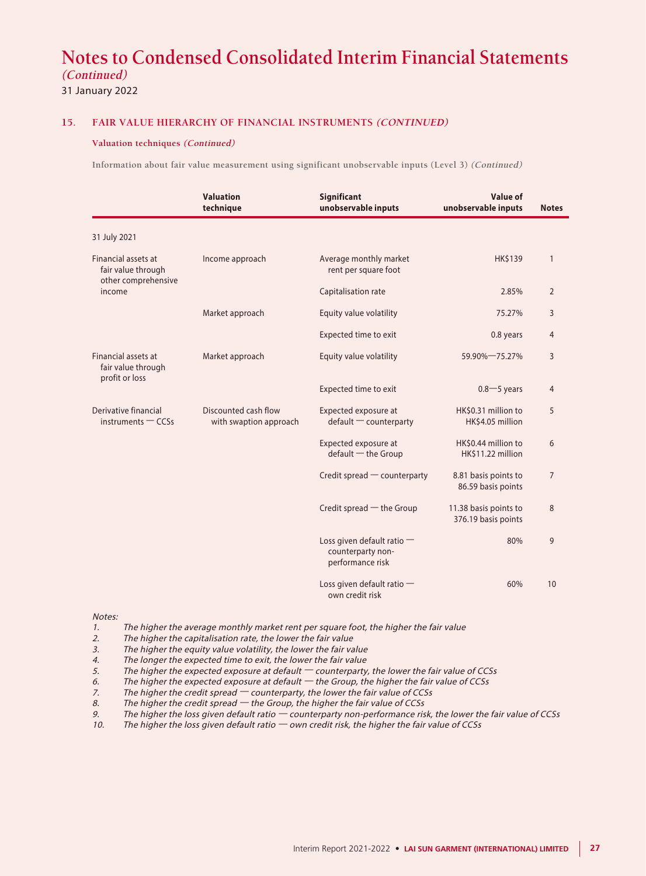31 January 2022

#### **15. FAIR VALUE HIERARCHY OF FINANCIAL INSTRUMENTS (CONTINUED)**

#### **Valuation techniques (Continued)**

**Information about fair value measurement using significant unobservable inputs (Level 3) (Continued)**

|                                                             | <b>Valuation</b><br>technique                  | Significant<br>unobservable inputs                                    | Value of<br>unobservable inputs              | <b>Notes</b>   |
|-------------------------------------------------------------|------------------------------------------------|-----------------------------------------------------------------------|----------------------------------------------|----------------|
| 31 July 2021                                                |                                                |                                                                       |                                              |                |
| Financial assets at<br>fair value through                   | Income approach                                | Average monthly market<br>rent per square foot                        | <b>HK\$139</b>                               | $\mathbf{1}$   |
| other comprehensive<br>income                               |                                                | Capitalisation rate                                                   | 2.85%                                        | $\overline{2}$ |
|                                                             | Market approach                                | Equity value volatility                                               | 75.27%                                       | 3              |
|                                                             |                                                | Expected time to exit                                                 | 0.8 years                                    | $\overline{4}$ |
| Financial assets at<br>fair value through<br>profit or loss | Market approach                                | Equity value volatility                                               | 59.90% 75.27%                                | 3              |
|                                                             |                                                | Expected time to exit                                                 | $0.8 - 5$ years                              | 4              |
| Derivative financial<br>$in$ struments $-CCSs$              | Discounted cash flow<br>with swaption approach | Expected exposure at<br>$default$ counterparty                        | HK\$0.31 million to<br>HK\$4.05 million      | 5              |
|                                                             |                                                | Expected exposure at<br>$default$ – the Group                         | HK\$0.44 million to<br>HK\$11.22 million     | 6              |
|                                                             |                                                | Credit spread - counterparty                                          | 8.81 basis points to<br>86.59 basis points   | $\overline{7}$ |
|                                                             |                                                | Credit spread $-$ the Group                                           | 11.38 basis points to<br>376.19 basis points | 8              |
|                                                             |                                                | Loss given default ratio $-$<br>counterparty non-<br>performance risk | 80%                                          | 9              |
|                                                             |                                                | Loss given default ratio -<br>own credit risk                         | 60%                                          | 10             |

Notes:

- 1. The higher the average monthly market rent per square foot, the higher the fair value<br>2. The higher the capitalisation rate, the lower the fair value
- The higher the capitalisation rate, the lower the fair value
- 3. The higher the equity value volatility, the lower the fair value<br>4. The longer the expected time to exit, the lower the fair value
- The longer the expected time to exit, the lower the fair value
- 5. The higher the expected exposure at default counterparty, the lower the fair value of CCSs
- 6. The higher the expected exposure at default the Group, the higher the fair value of CCSs
- 7. The higher the credit spread counterparty, the lower the fair value of CCSs
- 8. The higher the credit spread  $-$  the Group, the higher the fair value of CCSs
- 9. The higher the loss given default ratio counterparty non-performance risk, the lower the fair value of CCSs<br>10. The higher the loss given default ratio own credit risk, the higher the fair value of CCSs
- The higher the loss given default ratio  $-$  own credit risk, the higher the fair value of CCSs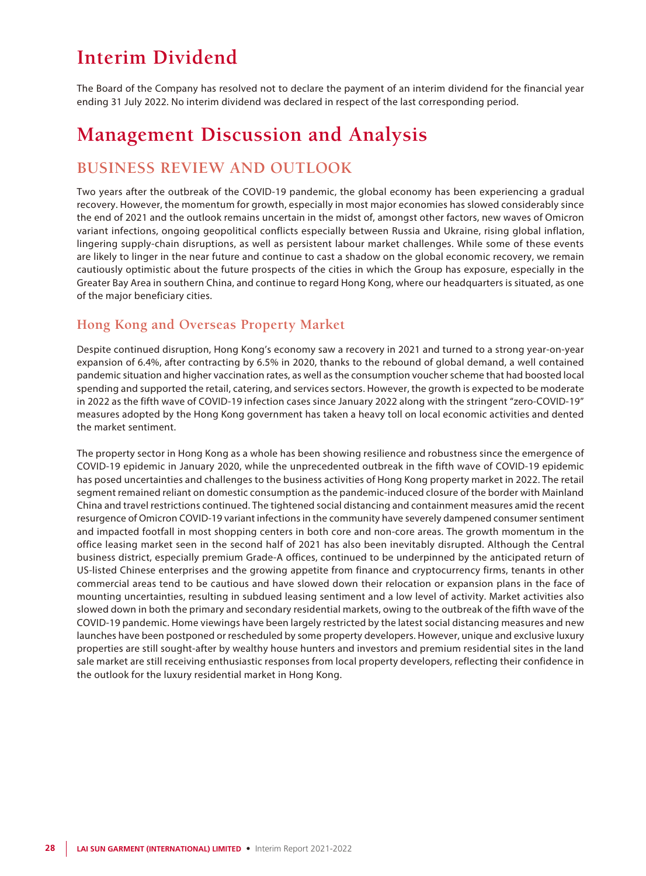## **Interim Dividend**

The Board of the Company has resolved not to declare the payment of an interim dividend for the financial year ending 31 July 2022. No interim dividend was declared in respect of the last corresponding period.

## **Management Discussion and Analysis**

### **BUSINESS REVIEW AND OUTLOOK**

Two years after the outbreak of the COVID-19 pandemic, the global economy has been experiencing a gradual recovery. However, the momentum for growth, especially in most major economies has slowed considerably since the end of 2021 and the outlook remains uncertain in the midst of, amongst other factors, new waves of Omicron variant infections, ongoing geopolitical conflicts especially between Russia and Ukraine, rising global inflation, lingering supply-chain disruptions, as well as persistent labour market challenges. While some of these events are likely to linger in the near future and continue to cast a shadow on the global economic recovery, we remain cautiously optimistic about the future prospects of the cities in which the Group has exposure, especially in the Greater Bay Area in southern China, and continue to regard Hong Kong, where our headquarters is situated, as one of the major beneficiary cities.

### **Hong Kong and Overseas Property Market**

Despite continued disruption, Hong Kong's economy saw a recovery in 2021 and turned to a strong year-on-year expansion of 6.4%, after contracting by 6.5% in 2020, thanks to the rebound of global demand, a well contained pandemic situation and higher vaccination rates, as well as the consumption voucher scheme that had boosted local spending and supported the retail, catering, and services sectors. However, the growth is expected to be moderate in 2022 as the fifth wave of COVID-19 infection cases since January 2022 along with the stringent "zero-COVID-19" measures adopted by the Hong Kong government has taken a heavy toll on local economic activities and dented the market sentiment.

The property sector in Hong Kong as a whole has been showing resilience and robustness since the emergence of COVID-19 epidemic in January 2020, while the unprecedented outbreak in the fifth wave of COVID-19 epidemic has posed uncertainties and challenges to the business activities of Hong Kong property market in 2022. The retail segment remained reliant on domestic consumption as the pandemic-induced closure of the border with Mainland China and travel restrictions continued. The tightened social distancing and containment measures amid the recent resurgence of Omicron COVID-19 variant infections in the community have severely dampened consumer sentiment and impacted footfall in most shopping centers in both core and non-core areas. The growth momentum in the office leasing market seen in the second half of 2021 has also been inevitably disrupted. Although the Central business district, especially premium Grade-A offices, continued to be underpinned by the anticipated return of US-listed Chinese enterprises and the growing appetite from finance and cryptocurrency firms, tenants in other commercial areas tend to be cautious and have slowed down their relocation or expansion plans in the face of mounting uncertainties, resulting in subdued leasing sentiment and a low level of activity. Market activities also slowed down in both the primary and secondary residential markets, owing to the outbreak of the fifth wave of the COVID-19 pandemic. Home viewings have been largely restricted by the latest social distancing measures and new launches have been postponed or rescheduled by some property developers. However, unique and exclusive luxury properties are still sought-after by wealthy house hunters and investors and premium residential sites in the land sale market are still receiving enthusiastic responses from local property developers, reflecting their confidence in the outlook for the luxury residential market in Hong Kong.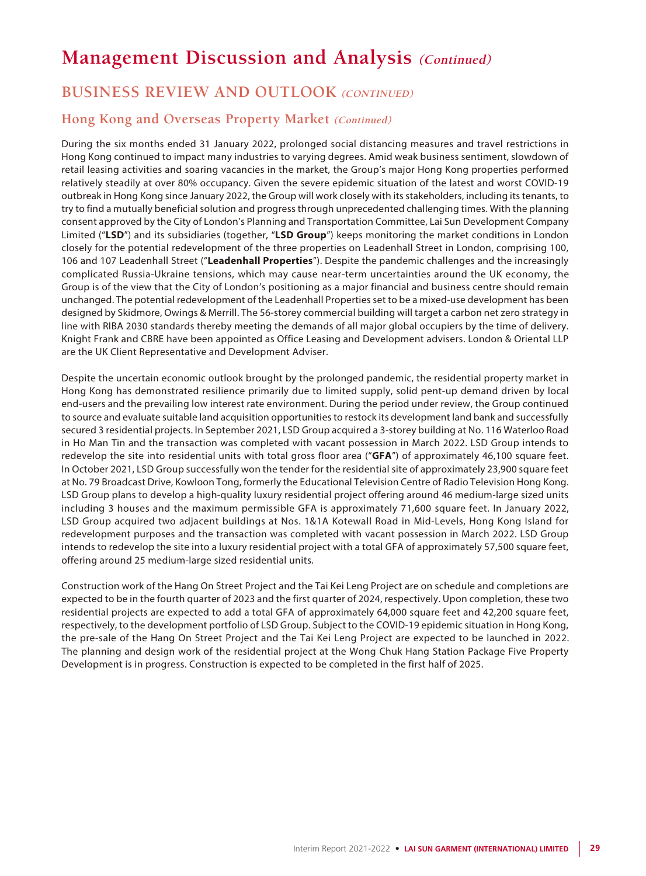## **BUSINESS REVIEW AND OUTLOOK (CONTINUED)**

### **Hong Kong and Overseas Property Market (Continued)**

During the six months ended 31 January 2022, prolonged social distancing measures and travel restrictions in Hong Kong continued to impact many industries to varying degrees. Amid weak business sentiment, slowdown of retail leasing activities and soaring vacancies in the market, the Group's major Hong Kong properties performed relatively steadily at over 80% occupancy. Given the severe epidemic situation of the latest and worst COVID-19 outbreak in Hong Kong since January 2022, the Group will work closely with its stakeholders, including its tenants, to try to find a mutually beneficial solution and progress through unprecedented challenging times. With the planning consent approved by the City of London's Planning and Transportation Committee, Lai Sun Development Company Limited ("**LSD**") and its subsidiaries (together, "**LSD Group**") keeps monitoring the market conditions in London closely for the potential redevelopment of the three properties on Leadenhall Street in London, comprising 100, 106 and 107 Leadenhall Street ("**Leadenhall Properties**"). Despite the pandemic challenges and the increasingly complicated Russia-Ukraine tensions, which may cause near-term uncertainties around the UK economy, the Group is of the view that the City of London's positioning as a major financial and business centre should remain unchanged. The potential redevelopment of the Leadenhall Properties set to be a mixed-use development has been designed by Skidmore, Owings & Merrill. The 56-storey commercial building will target a carbon net zero strategy in line with RIBA 2030 standards thereby meeting the demands of all major global occupiers by the time of delivery. Knight Frank and CBRE have been appointed as Office Leasing and Development advisers. London & Oriental LLP are the UK Client Representative and Development Adviser.

Despite the uncertain economic outlook brought by the prolonged pandemic, the residential property market in Hong Kong has demonstrated resilience primarily due to limited supply, solid pent-up demand driven by local end-users and the prevailing low interest rate environment. During the period under review, the Group continued to source and evaluate suitable land acquisition opportunities to restock its development land bank and successfully secured 3 residential projects. In September 2021, LSD Group acquired a 3-storey building at No. 116 Waterloo Road in Ho Man Tin and the transaction was completed with vacant possession in March 2022. LSD Group intends to redevelop the site into residential units with total gross floor area ("**GFA**") of approximately 46,100 square feet. In October 2021, LSD Group successfully won the tender for the residential site of approximately 23,900 square feet at No. 79 Broadcast Drive, Kowloon Tong, formerly the Educational Television Centre of Radio Television Hong Kong. LSD Group plans to develop a high-quality luxury residential project offering around 46 medium-large sized units including 3 houses and the maximum permissible GFA is approximately 71,600 square feet. In January 2022, LSD Group acquired two adjacent buildings at Nos. 1&1A Kotewall Road in Mid-Levels, Hong Kong Island for redevelopment purposes and the transaction was completed with vacant possession in March 2022. LSD Group intends to redevelop the site into a luxury residential project with a total GFA of approximately 57,500 square feet, offering around 25 medium-large sized residential units.

Construction work of the Hang On Street Project and the Tai Kei Leng Project are on schedule and completions are expected to be in the fourth quarter of 2023 and the first quarter of 2024, respectively. Upon completion, these two residential projects are expected to add a total GFA of approximately 64,000 square feet and 42,200 square feet, respectively, to the development portfolio of LSD Group. Subject to the COVID-19 epidemic situation in Hong Kong, the pre-sale of the Hang On Street Project and the Tai Kei Leng Project are expected to be launched in 2022. The planning and design work of the residential project at the Wong Chuk Hang Station Package Five Property Development is in progress. Construction is expected to be completed in the first half of 2025.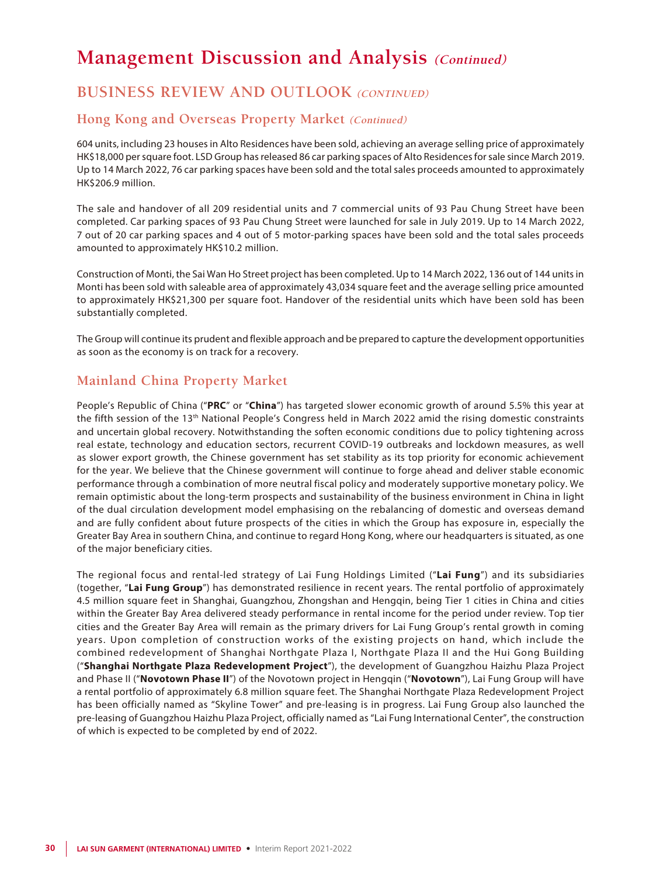## **BUSINESS REVIEW AND OUTLOOK (CONTINUED)**

### **Hong Kong and Overseas Property Market (Continued)**

604 units, including 23 houses in Alto Residences have been sold, achieving an average selling price of approximately HK\$18,000 per square foot. LSD Group has released 86 car parking spaces of Alto Residences for sale since March 2019. Up to 14 March 2022, 76 car parking spaces have been sold and the total sales proceeds amounted to approximately HK\$206.9 million.

The sale and handover of all 209 residential units and 7 commercial units of 93 Pau Chung Street have been completed. Car parking spaces of 93 Pau Chung Street were launched for sale in July 2019. Up to 14 March 2022, 7 out of 20 car parking spaces and 4 out of 5 motor-parking spaces have been sold and the total sales proceeds amounted to approximately HK\$10.2 million.

Construction of Monti, the Sai Wan Ho Street project has been completed. Up to 14 March 2022, 136 out of 144 units in Monti has been sold with saleable area of approximately 43,034 square feet and the average selling price amounted to approximately HK\$21,300 per square foot. Handover of the residential units which have been sold has been substantially completed.

The Group will continue its prudent and flexible approach and be prepared to capture the development opportunities as soon as the economy is on track for a recovery.

### **Mainland China Property Market**

People's Republic of China ("**PRC**" or "**China**") has targeted slower economic growth of around 5.5% this year at the fifth session of the 13<sup>th</sup> National People's Congress held in March 2022 amid the rising domestic constraints and uncertain global recovery. Notwithstanding the soften economic conditions due to policy tightening across real estate, technology and education sectors, recurrent COVID-19 outbreaks and lockdown measures, as well as slower export growth, the Chinese government has set stability as its top priority for economic achievement for the year. We believe that the Chinese government will continue to forge ahead and deliver stable economic performance through a combination of more neutral fiscal policy and moderately supportive monetary policy. We remain optimistic about the long-term prospects and sustainability of the business environment in China in light of the dual circulation development model emphasising on the rebalancing of domestic and overseas demand and are fully confident about future prospects of the cities in which the Group has exposure in, especially the Greater Bay Area in southern China, and continue to regard Hong Kong, where our headquarters is situated, as one of the major beneficiary cities.

The regional focus and rental-led strategy of Lai Fung Holdings Limited ("**Lai Fung**") and its subsidiaries (together, "**Lai Fung Group**") has demonstrated resilience in recent years. The rental portfolio of approximately 4.5 million square feet in Shanghai, Guangzhou, Zhongshan and Hengqin, being Tier 1 cities in China and cities within the Greater Bay Area delivered steady performance in rental income for the period under review. Top tier cities and the Greater Bay Area will remain as the primary drivers for Lai Fung Group's rental growth in coming years. Upon completion of construction works of the existing projects on hand, which include the combined redevelopment of Shanghai Northgate Plaza I, Northgate Plaza II and the Hui Gong Building ("**Shanghai Northgate Plaza Redevelopment Project**"), the development of Guangzhou Haizhu Plaza Project and Phase II ("**Novotown Phase II**") of the Novotown project in Hengqin ("**Novotown**"), Lai Fung Group will have a rental portfolio of approximately 6.8 million square feet. The Shanghai Northgate Plaza Redevelopment Project has been officially named as "Skyline Tower" and pre-leasing is in progress. Lai Fung Group also launched the pre-leasing of Guangzhou Haizhu Plaza Project, officially named as "Lai Fung International Center", the construction of which is expected to be completed by end of 2022.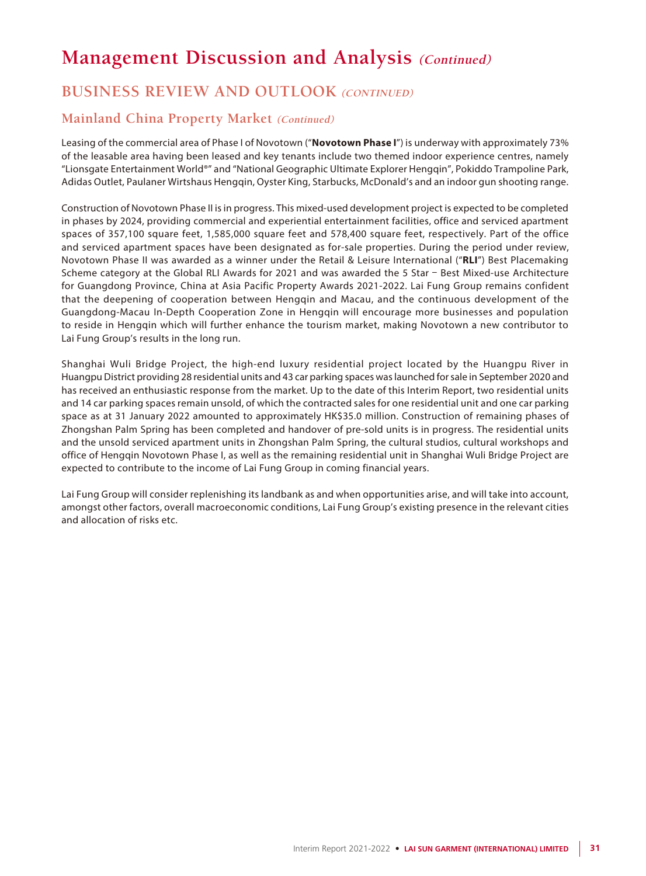## **BUSINESS REVIEW AND OUTLOOK (CONTINUED)**

### **Mainland China Property Market (Continued)**

Leasing of the commercial area of Phase I of Novotown ("**Novotown Phase I**") is underway with approximately 73% of the leasable area having been leased and key tenants include two themed indoor experience centres, namely "Lionsgate Entertainment World®" and "National Geographic Ultimate Explorer Hengqin", Pokiddo Trampoline Park, Adidas Outlet, Paulaner Wirtshaus Hengqin, Oyster King, Starbucks, McDonald's and an indoor gun shooting range.

Construction of Novotown Phase II is in progress. This mixed-used development project is expected to be completed in phases by 2024, providing commercial and experiential entertainment facilities, office and serviced apartment spaces of 357,100 square feet, 1,585,000 square feet and 578,400 square feet, respectively. Part of the office and serviced apartment spaces have been designated as for-sale properties. During the period under review, Novotown Phase II was awarded as a winner under the Retail & Leisure International ("**RLI**") Best Placemaking Scheme category at the Global RLI Awards for 2021 and was awarded the 5 Star – Best Mixed-use Architecture for Guangdong Province, China at Asia Pacific Property Awards 2021-2022. Lai Fung Group remains confident that the deepening of cooperation between Hengqin and Macau, and the continuous development of the Guangdong-Macau In-Depth Cooperation Zone in Hengqin will encourage more businesses and population to reside in Hengqin which will further enhance the tourism market, making Novotown a new contributor to Lai Fung Group's results in the long run.

Shanghai Wuli Bridge Project, the high-end luxury residential project located by the Huangpu River in Huangpu District providing 28 residential units and 43 car parking spaces was launched for sale in September 2020 and has received an enthusiastic response from the market. Up to the date of this Interim Report, two residential units and 14 car parking spaces remain unsold, of which the contracted sales for one residential unit and one car parking space as at 31 January 2022 amounted to approximately HK\$35.0 million. Construction of remaining phases of Zhongshan Palm Spring has been completed and handover of pre-sold units is in progress. The residential units and the unsold serviced apartment units in Zhongshan Palm Spring, the cultural studios, cultural workshops and office of Hengqin Novotown Phase I, as well as the remaining residential unit in Shanghai Wuli Bridge Project are expected to contribute to the income of Lai Fung Group in coming financial years.

Lai Fung Group will consider replenishing its landbank as and when opportunities arise, and will take into account, amongst other factors, overall macroeconomic conditions, Lai Fung Group's existing presence in the relevant cities and allocation of risks etc.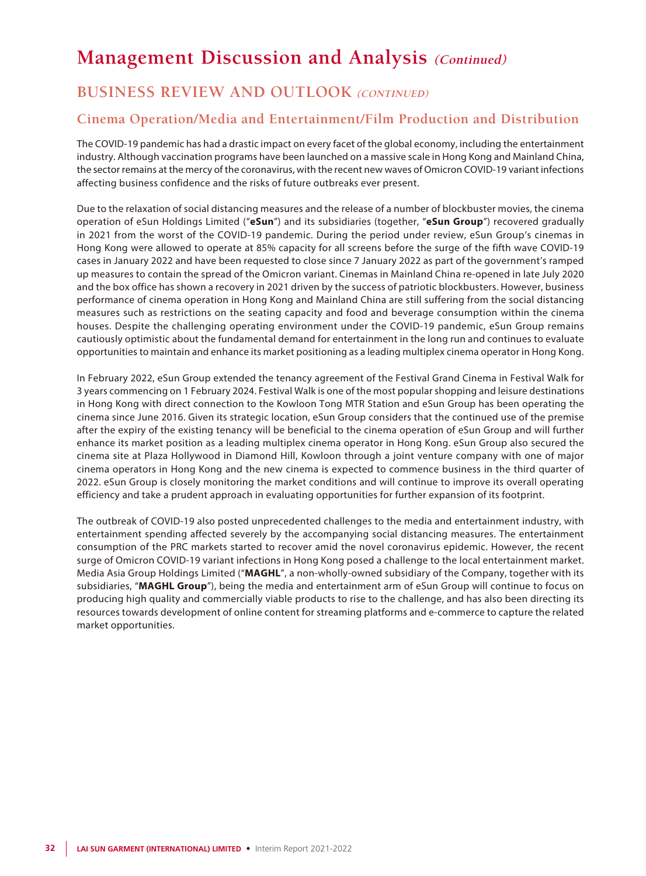## **BUSINESS REVIEW AND OUTLOOK (CONTINUED)**

### **Cinema Operation/Media and Entertainment/Film Production and Distribution**

The COVID-19 pandemic has had a drastic impact on every facet of the global economy, including the entertainment industry. Although vaccination programs have been launched on a massive scale in Hong Kong and Mainland China, the sector remains at the mercy of the coronavirus, with the recent new waves of Omicron COVID-19 variant infections affecting business confidence and the risks of future outbreaks ever present.

Due to the relaxation of social distancing measures and the release of a number of blockbuster movies, the cinema operation of eSun Holdings Limited ("**eSun**") and its subsidiaries (together, "**eSun Group**") recovered gradually in 2021 from the worst of the COVID-19 pandemic. During the period under review, eSun Group's cinemas in Hong Kong were allowed to operate at 85% capacity for all screens before the surge of the fifth wave COVID-19 cases in January 2022 and have been requested to close since 7 January 2022 as part of the government's ramped up measures to contain the spread of the Omicron variant. Cinemas in Mainland China re-opened in late July 2020 and the box office has shown a recovery in 2021 driven by the success of patriotic blockbusters. However, business performance of cinema operation in Hong Kong and Mainland China are still suffering from the social distancing measures such as restrictions on the seating capacity and food and beverage consumption within the cinema houses. Despite the challenging operating environment under the COVID-19 pandemic, eSun Group remains cautiously optimistic about the fundamental demand for entertainment in the long run and continues to evaluate opportunities to maintain and enhance its market positioning as a leading multiplex cinema operator in Hong Kong.

In February 2022, eSun Group extended the tenancy agreement of the Festival Grand Cinema in Festival Walk for 3 years commencing on 1 February 2024. Festival Walk is one of the most popular shopping and leisure destinations in Hong Kong with direct connection to the Kowloon Tong MTR Station and eSun Group has been operating the cinema since June 2016. Given its strategic location, eSun Group considers that the continued use of the premise after the expiry of the existing tenancy will be beneficial to the cinema operation of eSun Group and will further enhance its market position as a leading multiplex cinema operator in Hong Kong. eSun Group also secured the cinema site at Plaza Hollywood in Diamond Hill, Kowloon through a joint venture company with one of major cinema operators in Hong Kong and the new cinema is expected to commence business in the third quarter of 2022. eSun Group is closely monitoring the market conditions and will continue to improve its overall operating efficiency and take a prudent approach in evaluating opportunities for further expansion of its footprint.

The outbreak of COVID-19 also posted unprecedented challenges to the media and entertainment industry, with entertainment spending affected severely by the accompanying social distancing measures. The entertainment consumption of the PRC markets started to recover amid the novel coronavirus epidemic. However, the recent surge of Omicron COVID-19 variant infections in Hong Kong posed a challenge to the local entertainment market. Media Asia Group Holdings Limited ("**MAGHL**", a non-wholly-owned subsidiary of the Company, together with its subsidiaries, "**MAGHL Group**"), being the media and entertainment arm of eSun Group will continue to focus on producing high quality and commercially viable products to rise to the challenge, and has also been directing its resources towards development of online content for streaming platforms and e-commerce to capture the related market opportunities.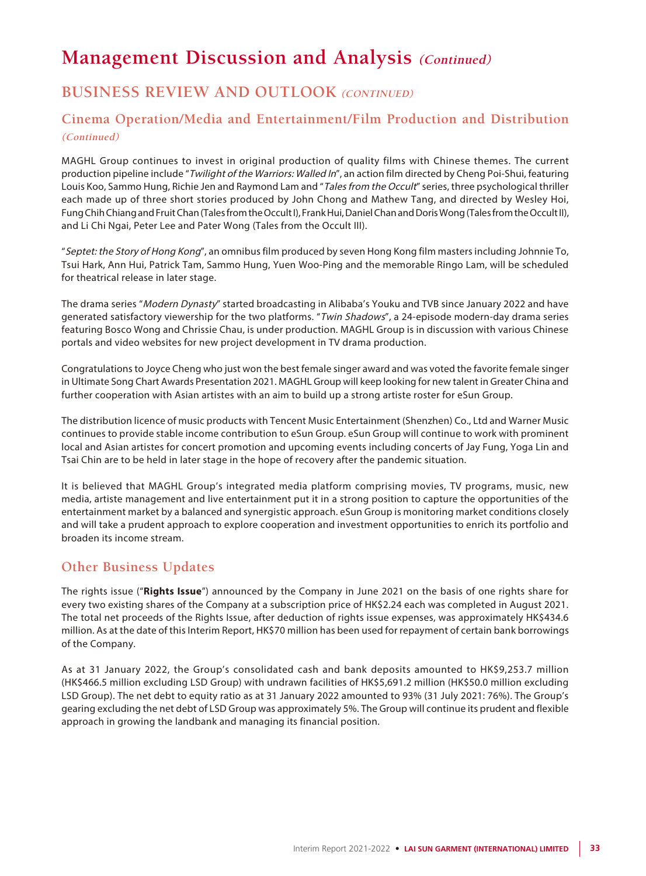## **BUSINESS REVIEW AND OUTLOOK (CONTINUED)**

### **Cinema Operation/Media and Entertainment/Film Production and Distribution (Continued)**

MAGHL Group continues to invest in original production of quality films with Chinese themes. The current production pipeline include "Twilight of the Warriors: Walled In", an action film directed by Cheng Poi-Shui, featuring Louis Koo, Sammo Hung, Richie Jen and Raymond Lam and "Tales from the Occult" series, three psychological thriller each made up of three short stories produced by John Chong and Mathew Tang, and directed by Wesley Hoi, Fung Chih Chiang and Fruit Chan (Tales from the Occult I), Frank Hui, Daniel Chan and Doris Wong (Tales from the Occult II), and Li Chi Ngai, Peter Lee and Pater Wong (Tales from the Occult III).

"Septet: the Story of Hong Kong", an omnibus film produced by seven Hong Kong film masters including Johnnie To, Tsui Hark, Ann Hui, Patrick Tam, Sammo Hung, Yuen Woo-Ping and the memorable Ringo Lam, will be scheduled for theatrical release in later stage.

The drama series "Modern Dynasty" started broadcasting in Alibaba's Youku and TVB since January 2022 and have generated satisfactory viewership for the two platforms. "Twin Shadows", a 24-episode modern-day drama series featuring Bosco Wong and Chrissie Chau, is under production. MAGHL Group is in discussion with various Chinese portals and video websites for new project development in TV drama production.

Congratulations to Joyce Cheng who just won the best female singer award and was voted the favorite female singer in Ultimate Song Chart Awards Presentation 2021. MAGHL Group will keep looking for new talent in Greater China and further cooperation with Asian artistes with an aim to build up a strong artiste roster for eSun Group.

The distribution licence of music products with Tencent Music Entertainment (Shenzhen) Co., Ltd and Warner Music continues to provide stable income contribution to eSun Group. eSun Group will continue to work with prominent local and Asian artistes for concert promotion and upcoming events including concerts of Jay Fung, Yoga Lin and Tsai Chin are to be held in later stage in the hope of recovery after the pandemic situation.

It is believed that MAGHL Group's integrated media platform comprising movies, TV programs, music, new media, artiste management and live entertainment put it in a strong position to capture the opportunities of the entertainment market by a balanced and synergistic approach. eSun Group is monitoring market conditions closely and will take a prudent approach to explore cooperation and investment opportunities to enrich its portfolio and broaden its income stream.

### **Other Business Updates**

The rights issue ("**Rights Issue**") announced by the Company in June 2021 on the basis of one rights share for every two existing shares of the Company at a subscription price of HK\$2.24 each was completed in August 2021. The total net proceeds of the Rights Issue, after deduction of rights issue expenses, was approximately HK\$434.6 million. As at the date of this Interim Report, HK\$70 million has been used for repayment of certain bank borrowings of the Company.

As at 31 January 2022, the Group's consolidated cash and bank deposits amounted to HK\$9,253.7 million (HK\$466.5 million excluding LSD Group) with undrawn facilities of HK\$5,691.2 million (HK\$50.0 million excluding LSD Group). The net debt to equity ratio as at 31 January 2022 amounted to 93% (31 July 2021: 76%). The Group's gearing excluding the net debt of LSD Group was approximately 5%. The Group will continue its prudent and flexible approach in growing the landbank and managing its financial position.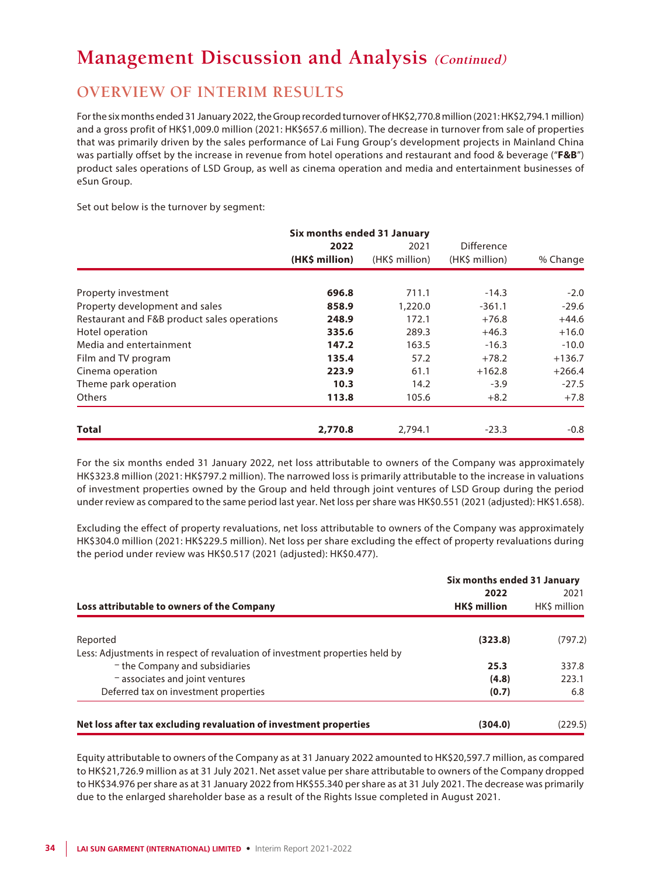### **OVERVIEW OF INTERIM RESULTS**

For the six months ended 31 January 2022, the Group recorded turnover of HK\$2,770.8 million (2021: HK\$2,794.1 million) and a gross profit of HK\$1,009.0 million (2021: HK\$657.6 million). The decrease in turnover from sale of properties that was primarily driven by the sales performance of Lai Fung Group's development projects in Mainland China was partially offset by the increase in revenue from hotel operations and restaurant and food & beverage ("**F&B**") product sales operations of LSD Group, as well as cinema operation and media and entertainment businesses of eSun Group.

Set out below is the turnover by segment:

|                                             | Six months ended 31 January |                |                   |          |
|---------------------------------------------|-----------------------------|----------------|-------------------|----------|
|                                             | 2022                        | 2021           | <b>Difference</b> |          |
|                                             | (HK\$ million)              | (HK\$ million) | (HK\$ million)    | % Change |
| Property investment                         | 696.8                       | 711.1          | $-14.3$           | $-2.0$   |
| Property development and sales              | 858.9                       | 1,220.0        | $-361.1$          | $-29.6$  |
| Restaurant and F&B product sales operations | 248.9                       | 172.1          | $+76.8$           | $+44.6$  |
| Hotel operation                             | 335.6                       | 289.3          | $+46.3$           | $+16.0$  |
| Media and entertainment                     | 147.2                       | 163.5          | $-16.3$           | $-10.0$  |
| Film and TV program                         | 135.4                       | 57.2           | $+78.2$           | $+136.7$ |
| Cinema operation                            | 223.9                       | 61.1           | $+162.8$          | $+266.4$ |
| Theme park operation                        | 10.3                        | 14.2           | $-3.9$            | $-27.5$  |
| <b>Others</b>                               | 113.8                       | 105.6          | $+8.2$            | $+7.8$   |
| <b>Total</b>                                | 2,770.8                     | 2,794.1        | $-23.3$           | $-0.8$   |

For the six months ended 31 January 2022, net loss attributable to owners of the Company was approximately HK\$323.8 million (2021: HK\$797.2 million). The narrowed loss is primarily attributable to the increase in valuations of investment properties owned by the Group and held through joint ventures of LSD Group during the period under review as compared to the same period last year. Net loss per share was HK\$0.551 (2021 (adjusted): HK\$1.658).

Excluding the effect of property revaluations, net loss attributable to owners of the Company was approximately HK\$304.0 million (2021: HK\$229.5 million). Net loss per share excluding the effect of property revaluations during the period under review was HK\$0.517 (2021 (adjusted): HK\$0.477).

|                                                                                          | Six months ended 31 January |                      |  |
|------------------------------------------------------------------------------------------|-----------------------------|----------------------|--|
| Loss attributable to owners of the Company                                               | 2022<br>HK\$ million        | 2021<br>HK\$ million |  |
|                                                                                          | (323.8)                     | (797.2)              |  |
| Reported<br>Less: Adjustments in respect of revaluation of investment properties held by |                             |                      |  |
| - the Company and subsidiaries                                                           | 25.3                        | 337.8                |  |
| $-$ associates and joint ventures                                                        | (4.8)                       | 223.1                |  |
| Deferred tax on investment properties                                                    | (0.7)                       | 6.8                  |  |
|                                                                                          |                             |                      |  |
| Net loss after tax excluding revaluation of investment properties                        | (304.0)                     | (229.5)              |  |

Equity attributable to owners of the Company as at 31 January 2022 amounted to HK\$20,597.7 million, as compared to HK\$21,726.9 million as at 31 July 2021. Net asset value per share attributable to owners of the Company dropped to HK\$34.976 per share as at 31 January 2022 from HK\$55.340 per share as at 31 July 2021. The decrease was primarily due to the enlarged shareholder base as a result of the Rights Issue completed in August 2021.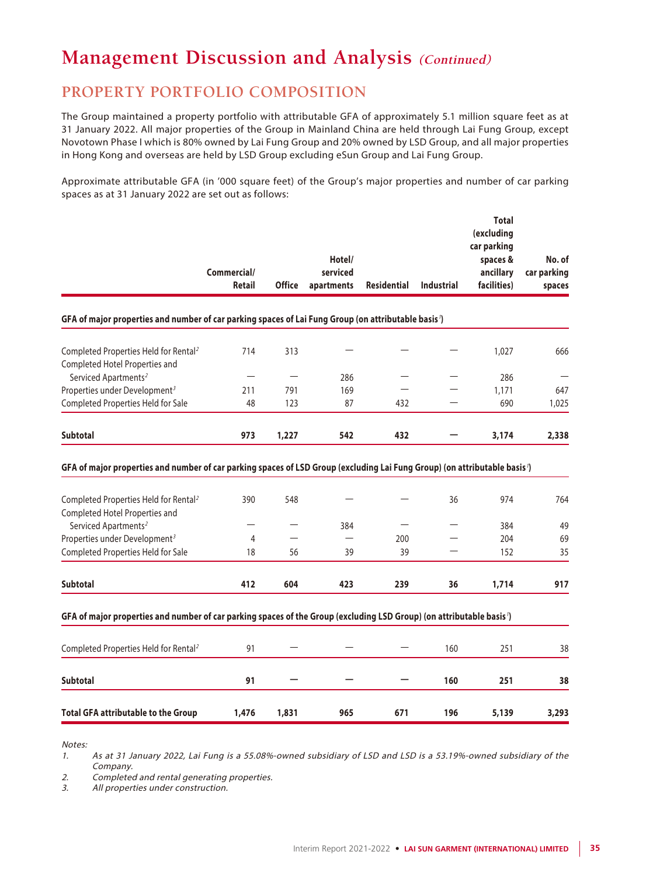## **PROPERTY PORTFOLIO COMPOSITION**

The Group maintained a property portfolio with attributable GFA of approximately 5.1 million square feet as at 31 January 2022. All major properties of the Group in Mainland China are held through Lai Fung Group, except Novotown Phase I which is 80% owned by Lai Fung Group and 20% owned by LSD Group, and all major properties in Hong Kong and overseas are held by LSD Group excluding eSun Group and Lai Fung Group.

Approximate attributable GFA (in '000 square feet) of the Group's major properties and number of car parking spaces as at 31 January 2022 are set out as follows:

|                                                                                                                                                                                                            | Commercial/<br><b>Retail</b> | <b>Office</b> | Hotel/<br>serviced<br>apartments | <b>Residential</b> | <b>Industrial</b>        | <b>Total</b><br>(excluding<br>car parking<br>spaces &<br>ancillary<br>facilities) | No. of<br>car parking<br>spaces |
|------------------------------------------------------------------------------------------------------------------------------------------------------------------------------------------------------------|------------------------------|---------------|----------------------------------|--------------------|--------------------------|-----------------------------------------------------------------------------------|---------------------------------|
| GFA of major properties and number of car parking spaces of Lai Fung Group (on attributable basis')                                                                                                        |                              |               |                                  |                    |                          |                                                                                   |                                 |
| Completed Properties Held for Rental <sup>2</sup>                                                                                                                                                          | 714                          | 313           |                                  |                    |                          | 1.027                                                                             | 666                             |
| Completed Hotel Properties and                                                                                                                                                                             |                              |               |                                  |                    |                          |                                                                                   |                                 |
| Serviced Apartments <sup>2</sup>                                                                                                                                                                           |                              |               | 286                              |                    | $\overline{\phantom{0}}$ | 286                                                                               |                                 |
| Properties under Development <sup>3</sup>                                                                                                                                                                  | 211                          | 791           | 169                              |                    |                          | 1,171                                                                             | 647                             |
| Completed Properties Held for Sale                                                                                                                                                                         | 48                           | 123           | 87                               | 432                |                          | 690                                                                               | 1,025                           |
| <b>Subtotal</b>                                                                                                                                                                                            | 973                          | 1,227         | 542                              | 432                |                          | 3,174                                                                             | 2,338                           |
| GFA of major properties and number of car parking spaces of LSD Group (excluding Lai Fung Group) (on attributable basis')                                                                                  |                              |               |                                  |                    |                          |                                                                                   |                                 |
| Completed Properties Held for Rental <sup>2</sup><br>Completed Hotel Properties and<br>Serviced Apartments <sup>2</sup><br>Properties under Development <sup>3</sup><br>Completed Properties Held for Sale | 390<br>4<br>18               | 548<br>56     | 384<br>39                        | 200<br>39          | 36                       | 974<br>384<br>204<br>152                                                          | 764<br>49<br>69<br>35           |
| Subtotal                                                                                                                                                                                                   | 412                          | 604           | 423                              | 239                | 36                       | 1,714                                                                             | 917                             |
| GFA of major properties and number of car parking spaces of the Group (excluding LSD Group) (on attributable basis')                                                                                       |                              |               |                                  |                    |                          |                                                                                   |                                 |
| Completed Properties Held for Rental <sup>2</sup>                                                                                                                                                          | 91                           |               |                                  |                    | 160                      | 251                                                                               | 38                              |
| <b>Subtotal</b>                                                                                                                                                                                            | 91                           |               |                                  |                    | 160                      | 251                                                                               | 38                              |

Notes:

1. As at 31 January 2022, Lai Fung is a 55.08%-owned subsidiary of LSD and LSD is a 53.19%-owned subsidiary of the Company.

2. Completed and rental generating properties.

3. All properties under construction.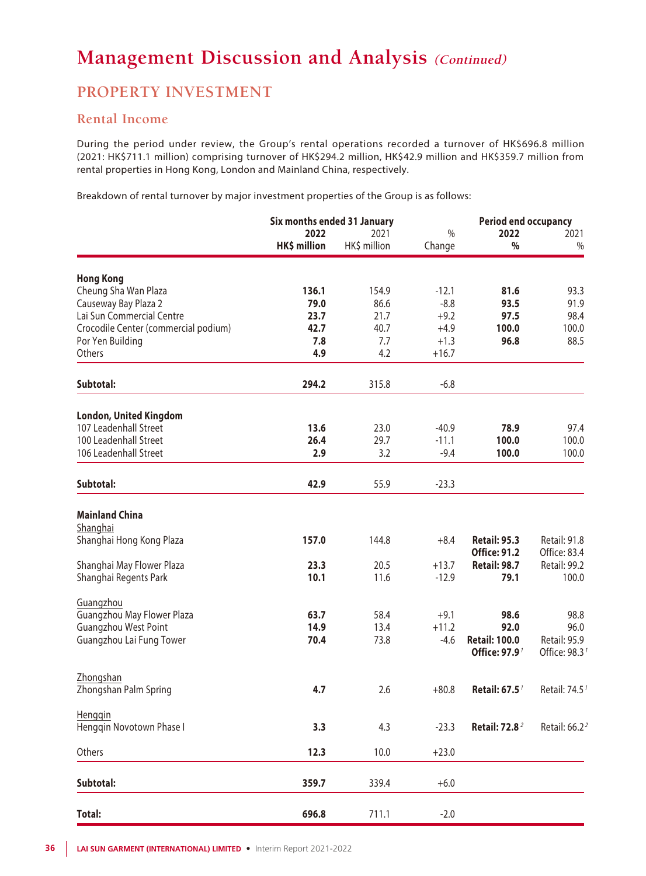### **PROPERTY INVESTMENT**

### **Rental Income**

During the period under review, the Group's rental operations recorded a turnover of HK\$696.8 million (2021: HK\$711.1 million) comprising turnover of HK\$294.2 million, HK\$42.9 million and HK\$359.7 million from rental properties in Hong Kong, London and Mainland China, respectively.

Breakdown of rental turnover by major investment properties of the Group is as follows:

|                                      | Six months ended 31 January |              | <b>Period end occupancy</b> |                                            |                                     |
|--------------------------------------|-----------------------------|--------------|-----------------------------|--------------------------------------------|-------------------------------------|
|                                      | 2022                        | 2021         | $\%$                        | 2022                                       | 2021                                |
|                                      | HK\$ million                | HK\$ million | Change                      | $\%$                                       | $\%$                                |
| <b>Hong Kong</b>                     |                             |              |                             |                                            |                                     |
| Cheung Sha Wan Plaza                 | 136.1                       | 154.9        | $-12.1$                     | 81.6                                       | 93.3                                |
|                                      |                             |              | $-8.8$                      | 93.5                                       |                                     |
| Causeway Bay Plaza 2                 | 79.0                        | 86.6         |                             |                                            | 91.9                                |
| Lai Sun Commercial Centre            | 23.7                        | 21.7         | $+9.2$                      | 97.5                                       | 98.4                                |
| Crocodile Center (commercial podium) | 42.7                        | 40.7         | $+4.9$                      | 100.0                                      | 100.0                               |
| Por Yen Building                     | 7.8                         | 7.7          | $+1.3$                      | 96.8                                       | 88.5                                |
| Others                               | 4.9                         | 4.2          | $+16.7$                     |                                            |                                     |
| Subtotal:                            | 294.2                       | 315.8        | $-6.8$                      |                                            |                                     |
| <b>London, United Kingdom</b>        |                             |              |                             |                                            |                                     |
| 107 Leadenhall Street                | 13.6                        | 23.0         | $-40.9$                     | 78.9                                       | 97.4                                |
| 100 Leadenhall Street                | 26.4                        | 29.7         | $-11.1$                     | 100.0                                      | 100.0                               |
| 106 Leadenhall Street                |                             |              |                             |                                            |                                     |
|                                      | 2.9                         | 3.2          | $-9.4$                      | 100.0                                      | 100.0                               |
| Subtotal:                            | 42.9                        | 55.9         | $-23.3$                     |                                            |                                     |
| <b>Mainland China</b>                |                             |              |                             |                                            |                                     |
| Shanghai                             |                             |              |                             |                                            |                                     |
| Shanghai Hong Kong Plaza             | 157.0                       | 144.8        | $+8.4$                      | <b>Retail: 95.3</b><br><b>Office: 91.2</b> | <b>Retail: 91.8</b><br>Office: 83.4 |
| Shanghai May Flower Plaza            | 23.3                        | 20.5         | $+13.7$                     | <b>Retail: 98.7</b>                        | Retail: 99.2                        |
| Shanghai Regents Park                | 10.1                        | 11.6         | $-12.9$                     | 79.1                                       | 100.0                               |
| Guangzhou                            |                             |              |                             |                                            |                                     |
| Guangzhou May Flower Plaza           | 63.7                        | 58.4         | $+9.1$                      | 98.6                                       | 98.8                                |
| Guangzhou West Point                 | 14.9                        | 13.4         | $+11.2$                     | 92.0                                       | 96.0                                |
| Guangzhou Lai Fung Tower             | 70.4                        | 73.8         | $-4.6$                      | <b>Retail: 100.0</b>                       | Retail: 95.9                        |
|                                      |                             |              |                             | Office: 97.9 <sup>1</sup>                  | Office: 98.3                        |
| Zhongshan                            |                             |              |                             |                                            |                                     |
| Zhongshan Palm Spring                | 4.7                         | 2.6          | $+80.8$                     | Retail: 67.5 <sup>7</sup>                  | Retail: 74.5 <sup>1</sup>           |
| Henggin                              |                             |              |                             |                                            |                                     |
| Henggin Novotown Phase I             | 3.3                         | 4.3          | $-23.3$                     | <b>Retail: 72.8<sup>2</sup></b>            | Retail: 66.2 <sup>2</sup>           |
| Others                               | 12.3                        | 10.0         | $+23.0$                     |                                            |                                     |
| Subtotal:                            | 359.7                       | 339.4        | $+6.0$                      |                                            |                                     |
| <b>Total:</b>                        | 696.8                       | 711.1        | $-2.0$                      |                                            |                                     |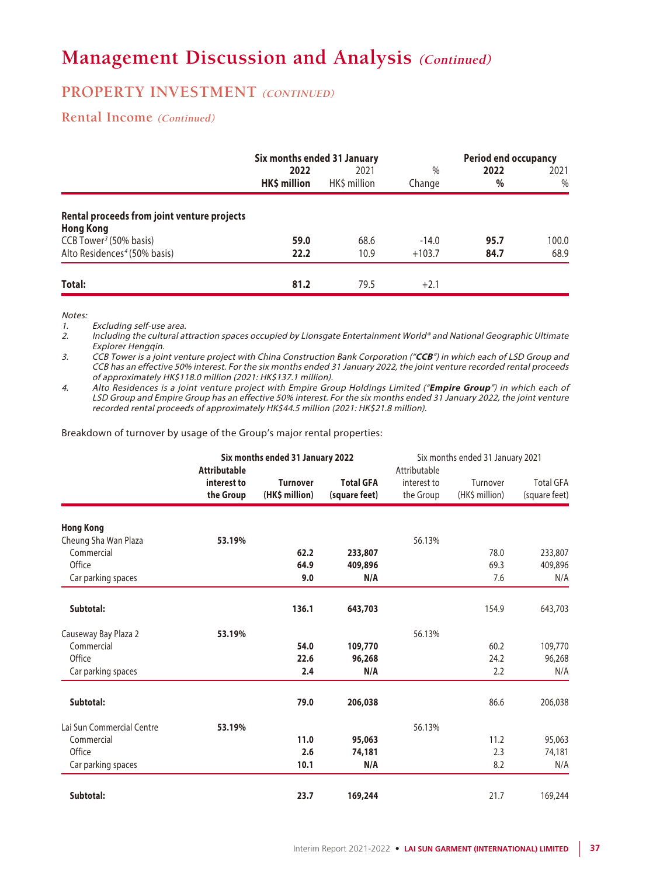### **PROPERTY INVESTMENT** (CONTINUED)

### **Rental Income (Continued)**

|                                                                 | Six months ended 31 January |                     |                | <b>Period end occupancy</b> |              |
|-----------------------------------------------------------------|-----------------------------|---------------------|----------------|-----------------------------|--------------|
|                                                                 | 2022<br>HK\$ million        | 2021<br>HKS million | $\%$<br>Change | 2022<br>$\%$                | 2021<br>$\%$ |
| Rental proceeds from joint venture projects<br><b>Hong Kong</b> |                             |                     |                |                             |              |
| CCB Tower <sup>3</sup> (50% basis)                              | 59.0                        | 68.6                | $-14.0$        | 95.7                        | 100.0        |
| Alto Residences <sup>4</sup> (50% basis)                        | 22.2                        | 10.9                | $+103.7$       | 84.7                        | 68.9         |
| Total:                                                          | 81.2                        | 79.5                | $+2.1$         |                             |              |

Notes:

1. Excluding self-use area.<br>2. Including the cultural at

Including the cultural attraction spaces occupied by Lionsgate Entertainment World® and National Geographic Ultimate Explorer Hengqin.

3. CCB Tower is a joint venture project with China Construction Bank Corporation ("**CCB**") in which each of LSD Group and CCB has an effective 50% interest. For the six months ended 31 January 2022, the joint venture recorded rental proceeds of approximately HK\$118.0 million (2021: HK\$137.1 million).

4. Alto Residences is a joint venture project with Empire Group Holdings Limited ("**Empire Group**") in which each of LSD Group and Empire Group has an effective 50% interest. For the six months ended 31 January 2022, the joint venture recorded rental proceeds of approximately HK\$44.5 million (2021: HK\$21.8 million).

Breakdown of turnover by usage of the Group's major rental properties:

|                           | Six months ended 31 January 2022<br><b>Attributable</b> |                                   |                                   | Six months ended 31 January 2021<br>Attributable |                            |                                   |
|---------------------------|---------------------------------------------------------|-----------------------------------|-----------------------------------|--------------------------------------------------|----------------------------|-----------------------------------|
|                           | interest to<br>the Group                                | <b>Turnover</b><br>(HK\$ million) | <b>Total GFA</b><br>(square feet) | interest to<br>the Group                         | Turnover<br>(HK\$ million) | <b>Total GFA</b><br>(square feet) |
| <b>Hong Kong</b>          |                                                         |                                   |                                   |                                                  |                            |                                   |
| Cheung Sha Wan Plaza      | 53.19%                                                  |                                   |                                   | 56.13%                                           |                            |                                   |
| Commercial                |                                                         | 62.2                              | 233,807                           |                                                  | 78.0                       | 233,807                           |
| Office                    |                                                         | 64.9                              | 409,896                           |                                                  | 69.3                       | 409,896                           |
| Car parking spaces        |                                                         | 9.0                               | N/A                               |                                                  | 7.6                        | N/A                               |
| Subtotal:                 |                                                         | 136.1                             | 643,703                           |                                                  | 154.9                      | 643,703                           |
| Causeway Bay Plaza 2      | 53.19%                                                  |                                   |                                   | 56.13%                                           |                            |                                   |
| Commercial                |                                                         | 54.0                              | 109,770                           |                                                  | 60.2                       | 109,770                           |
| Office                    |                                                         | 22.6                              | 96,268                            |                                                  | 24.2                       | 96,268                            |
| Car parking spaces        |                                                         | 2.4                               | N/A                               |                                                  | 2.2                        | N/A                               |
| Subtotal:                 |                                                         | 79.0                              | 206,038                           |                                                  | 86.6                       | 206,038                           |
| Lai Sun Commercial Centre | 53.19%                                                  |                                   |                                   | 56.13%                                           |                            |                                   |
| Commercial                |                                                         | 11.0                              | 95,063                            |                                                  | 11.2                       | 95,063                            |
| Office                    |                                                         | 2.6                               | 74,181                            |                                                  | 2.3                        | 74,181                            |
| Car parking spaces        |                                                         | 10.1                              | N/A                               |                                                  | 8.2                        | N/A                               |
| Subtotal:                 |                                                         | 23.7                              | 169,244                           |                                                  | 21.7                       | 169,244                           |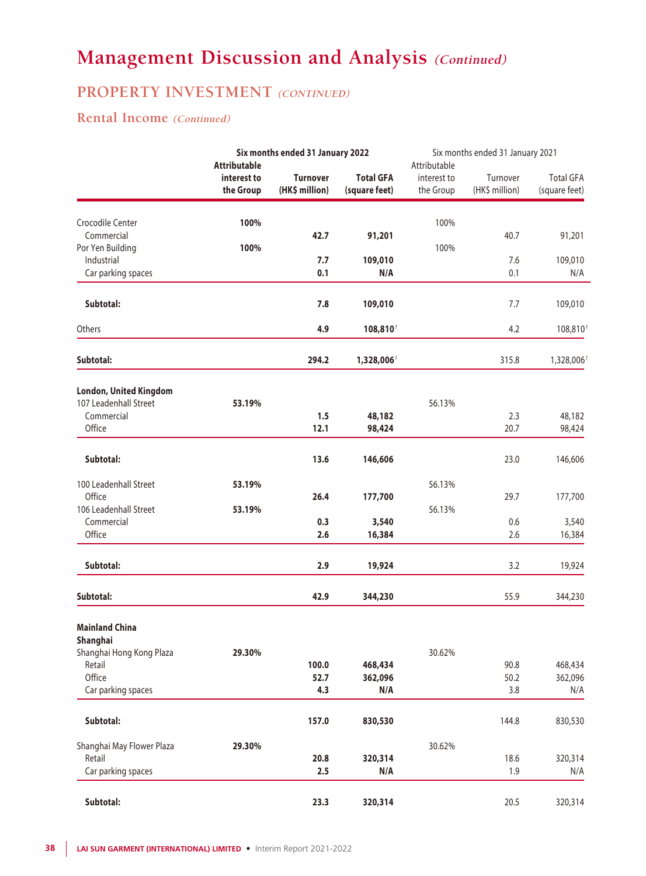### **PROPERTY INVESTMENT** (CONTINUED)

### **Rental Income (Continued)**

|                           |                                                 | Six months ended 31 January 2022  |                                   | Six months ended 31 January 2021         |                            |                                   |
|---------------------------|-------------------------------------------------|-----------------------------------|-----------------------------------|------------------------------------------|----------------------------|-----------------------------------|
|                           | <b>Attributable</b><br>interest to<br>the Group | <b>Turnover</b><br>(HK\$ million) | <b>Total GFA</b><br>(square feet) | Attributable<br>interest to<br>the Group | Turnover<br>(HK\$ million) | <b>Total GFA</b><br>(square feet) |
|                           |                                                 |                                   |                                   |                                          |                            |                                   |
| Crocodile Center          | 100%                                            |                                   |                                   | 100%                                     |                            |                                   |
| Commercial                |                                                 | 42.7                              | 91,201                            |                                          | 40.7                       | 91,201                            |
| Por Yen Building          | 100%                                            |                                   |                                   | 100%                                     |                            |                                   |
| Industrial                |                                                 | 7.7                               | 109,010                           |                                          | 7.6                        | 109,010                           |
| Car parking spaces        |                                                 | 0.1                               | N/A                               |                                          | 0.1                        | N/A                               |
| Subtotal:                 |                                                 | 7.8                               | 109,010                           |                                          | 7.7                        | 109,010                           |
| Others                    |                                                 | 4.9                               | 108,810                           |                                          | 4.2                        | 108,810                           |
| Subtotal:                 |                                                 | 294.2                             | 1,328,006                         |                                          | 315.8                      | 1,328,006                         |
| London, United Kingdom    |                                                 |                                   |                                   |                                          |                            |                                   |
| 107 Leadenhall Street     | 53.19%                                          |                                   |                                   | 56.13%                                   |                            |                                   |
| Commercial                |                                                 | 1.5                               | 48,182                            |                                          | 2.3                        | 48,182                            |
| Office                    |                                                 | 12.1                              | 98,424                            |                                          | 20.7                       | 98,424                            |
| Subtotal:                 |                                                 | 13.6                              | 146,606                           |                                          | 23.0                       | 146,606                           |
| 100 Leadenhall Street     | 53.19%                                          |                                   |                                   | 56.13%                                   |                            |                                   |
| Office                    |                                                 | 26.4                              | 177,700                           |                                          | 29.7                       | 177,700                           |
| 106 Leadenhall Street     | 53.19%                                          |                                   |                                   | 56.13%                                   |                            |                                   |
| Commercial                |                                                 | 0.3                               | 3,540                             |                                          | 0.6                        | 3,540                             |
| Office                    |                                                 | 2.6                               | 16,384                            |                                          | 2.6                        | 16,384                            |
| Subtotal:                 |                                                 | 2.9                               | 19,924                            |                                          | 3.2                        | 19,924                            |
| Subtotal:                 |                                                 | 42.9                              | 344,230                           |                                          | 55.9                       | 344,230                           |
| <b>Mainland China</b>     |                                                 |                                   |                                   |                                          |                            |                                   |
| Shanghai                  |                                                 |                                   |                                   |                                          |                            |                                   |
| Shanghai Hong Kong Plaza  | 29.30%                                          |                                   |                                   | 30.62%                                   |                            |                                   |
| Retail                    |                                                 | 100.0                             | 468,434                           |                                          | 90.8                       | 468,434                           |
| Office                    |                                                 | 52.7                              | 362,096                           |                                          | 50.2                       | 362,096                           |
| Car parking spaces        |                                                 | 4.3                               | N/A                               |                                          | 3.8                        | N/A                               |
| Subtotal:                 |                                                 | 157.0                             | 830,530                           |                                          | 144.8                      | 830,530                           |
| Shanghai May Flower Plaza | 29.30%                                          |                                   |                                   | 30.62%                                   |                            |                                   |
| Retail                    |                                                 | 20.8                              | 320,314                           |                                          | 18.6                       | 320,314                           |
| Car parking spaces        |                                                 | 2.5                               | N/A                               |                                          | 1.9                        | N/A                               |
| Subtotal:                 |                                                 | 23.3                              | 320,314                           |                                          | 20.5                       | 320,314                           |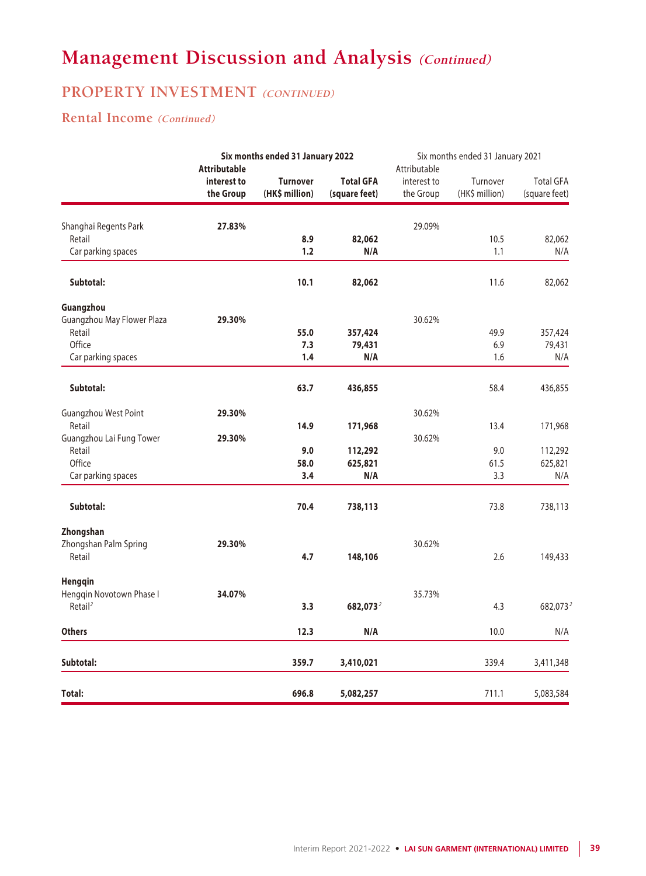### **PROPERTY INVESTMENT** (CONTINUED)

### **Rental Income (Continued)**

|                                                 | Six months ended 31 January 2022<br><b>Attributable</b> |                                   |                                   | Six months ended 31 January 2021<br>Attributable |                            |                                   |
|-------------------------------------------------|---------------------------------------------------------|-----------------------------------|-----------------------------------|--------------------------------------------------|----------------------------|-----------------------------------|
|                                                 | interest to<br>the Group                                | <b>Turnover</b><br>(HK\$ million) | <b>Total GFA</b><br>(square feet) | interest to<br>the Group                         | Turnover<br>(HK\$ million) | <b>Total GFA</b><br>(square feet) |
| Shanghai Regents Park                           | 27.83%                                                  |                                   |                                   | 29.09%                                           |                            |                                   |
| Retail                                          |                                                         | 8.9                               | 82,062                            |                                                  | 10.5                       | 82,062                            |
| Car parking spaces                              |                                                         | 1.2                               | N/A                               |                                                  | 1.1                        | N/A                               |
| Subtotal:                                       |                                                         | 10.1                              | 82,062                            |                                                  | 11.6                       | 82,062                            |
| Guangzhou                                       |                                                         |                                   |                                   |                                                  |                            |                                   |
| Guangzhou May Flower Plaza                      | 29.30%                                                  |                                   |                                   | 30.62%                                           |                            |                                   |
| Retail                                          |                                                         | 55.0                              | 357,424                           |                                                  | 49.9                       | 357,424                           |
| Office                                          |                                                         | 7.3                               | 79,431                            |                                                  | 6.9                        | 79,431                            |
| Car parking spaces                              |                                                         | 1.4                               | N/A                               |                                                  | 1.6                        | N/A                               |
| Subtotal:                                       |                                                         | 63.7                              | 436,855                           |                                                  | 58.4                       | 436,855                           |
| Guangzhou West Point                            | 29.30%                                                  |                                   |                                   | 30.62%                                           |                            |                                   |
| Retail                                          |                                                         | 14.9                              | 171,968                           |                                                  | 13.4                       | 171,968                           |
| Guangzhou Lai Fung Tower                        | 29.30%                                                  |                                   |                                   | 30.62%                                           |                            |                                   |
| Retail                                          |                                                         | 9.0                               | 112,292                           |                                                  | 9.0                        | 112,292                           |
| Office                                          |                                                         | 58.0                              | 625,821                           |                                                  | 61.5                       | 625,821                           |
| Car parking spaces                              |                                                         | 3.4                               | N/A                               |                                                  | 3.3                        | N/A                               |
| Subtotal:                                       |                                                         | 70.4                              | 738,113                           |                                                  | 73.8                       | 738,113                           |
| Zhongshan                                       |                                                         |                                   |                                   |                                                  |                            |                                   |
| Zhongshan Palm Spring                           | 29.30%                                                  |                                   |                                   | 30.62%                                           |                            |                                   |
| Retail                                          |                                                         | 4.7                               | 148,106                           |                                                  | 2.6                        | 149,433                           |
| Hengqin                                         |                                                         |                                   |                                   |                                                  |                            |                                   |
| Hengqin Novotown Phase I<br>Retail <sup>2</sup> | 34.07%                                                  |                                   |                                   | 35.73%                                           |                            |                                   |
|                                                 |                                                         | 3.3                               | 682,073 <sup>2</sup>              |                                                  | 4.3                        | 682,073 <sup>2</sup>              |
| <b>Others</b>                                   |                                                         | 12.3                              | N/A                               |                                                  | 10.0                       | N/A                               |
| Subtotal:                                       |                                                         | 359.7                             | 3,410,021                         |                                                  | 339.4                      | 3,411,348                         |
| Total:                                          |                                                         | 696.8                             | 5,082,257                         |                                                  | 711.1                      | 5,083,584                         |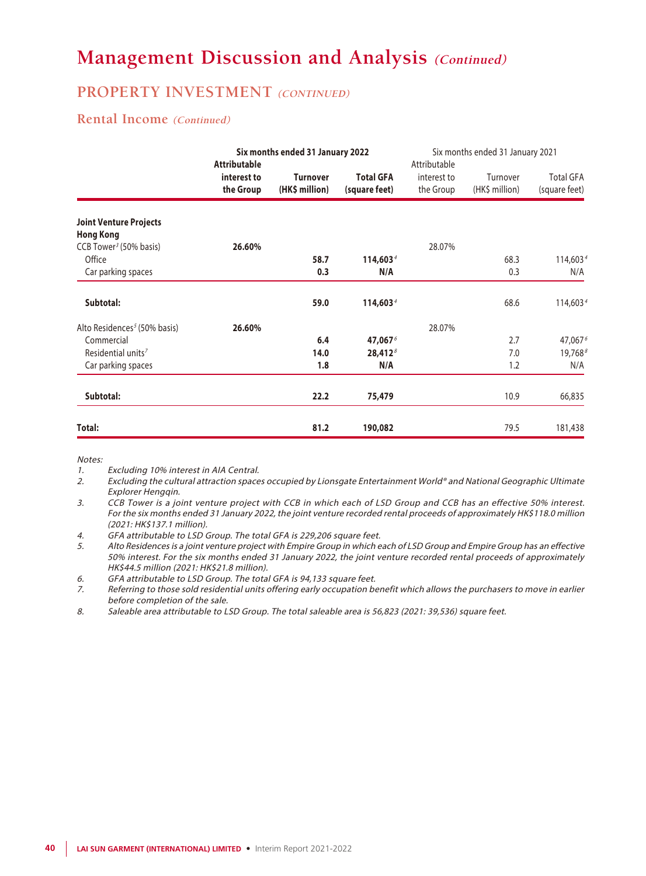### **PROPERTY INVESTMENT (CONTINUED)**

### **Rental Income (Continued)**

|                                                   | <b>Attributable</b>      | Six months ended 31 January 2022  |                                   | Attributable             | Six months ended 31 January 2021 |                                   |
|---------------------------------------------------|--------------------------|-----------------------------------|-----------------------------------|--------------------------|----------------------------------|-----------------------------------|
|                                                   | interest to<br>the Group | <b>Turnover</b><br>(HK\$ million) | <b>Total GFA</b><br>(square feet) | interest to<br>the Group | Turnover<br>(HK\$ million)       | <b>Total GFA</b><br>(square feet) |
| <b>Joint Venture Projects</b><br><b>Hong Kong</b> |                          |                                   |                                   |                          |                                  |                                   |
| CCB Tower <sup>3</sup> (50% basis)                | 26.60%                   |                                   |                                   | 28.07%                   |                                  |                                   |
| Office                                            |                          | 58.7                              | 114,603 <sup>4</sup>              |                          | 68.3                             | 114,603 <sup>4</sup>              |
| Car parking spaces                                |                          | 0.3                               | N/A                               |                          | 0.3                              | N/A                               |
| Subtotal:                                         |                          | 59.0                              | 114,603 <sup>4</sup>              |                          | 68.6                             | 114,6034                          |
| Alto Residences <sup>5</sup> (50% basis)          | 26.60%                   |                                   |                                   | 28.07%                   |                                  |                                   |
| Commercial                                        |                          | 6.4                               | 47,0676                           |                          | 2.7                              | 47,0676                           |
| Residential units <sup>7</sup>                    |                          | 14.0                              | $28,412^8$                        |                          | 7.0                              | $19,768^8$                        |
| Car parking spaces                                |                          | 1.8                               | N/A                               |                          | 1.2                              | N/A                               |
| Subtotal:                                         |                          | 22.2                              | 75,479                            |                          | 10.9                             | 66,835                            |
| Total:                                            |                          | 81.2                              | 190,082                           |                          | 79.5                             | 181,438                           |

Notes:

- 1. Excluding 10% interest in AIA Central.
- 2. Excluding the cultural attraction spaces occupied by Lionsgate Entertainment World® and National Geographic Ultimate Explorer Hengqin.
- 3. CCB Tower is a joint venture project with CCB in which each of LSD Group and CCB has an effective 50% interest. For the six months ended 31 January 2022, the joint venture recorded rental proceeds of approximately HK\$118.0 million (2021: HK\$137.1 million).
- 4. GFA attributable to LSD Group. The total GFA is 229,206 square feet.
- 5. Alto Residences is a joint venture project with Empire Group in which each of LSD Group and Empire Group has an effective 50% interest. For the six months ended 31 January 2022, the joint venture recorded rental proceeds of approximately HK\$44.5 million (2021: HK\$21.8 million).
- 6. GFA attributable to LSD Group. The total GFA is 94,133 square feet.
- 7. Referring to those sold residential units offering early occupation benefit which allows the purchasers to move in earlier before completion of the sale.
- 8. Saleable area attributable to LSD Group. The total saleable area is 56,823 (2021: 39,536) square feet.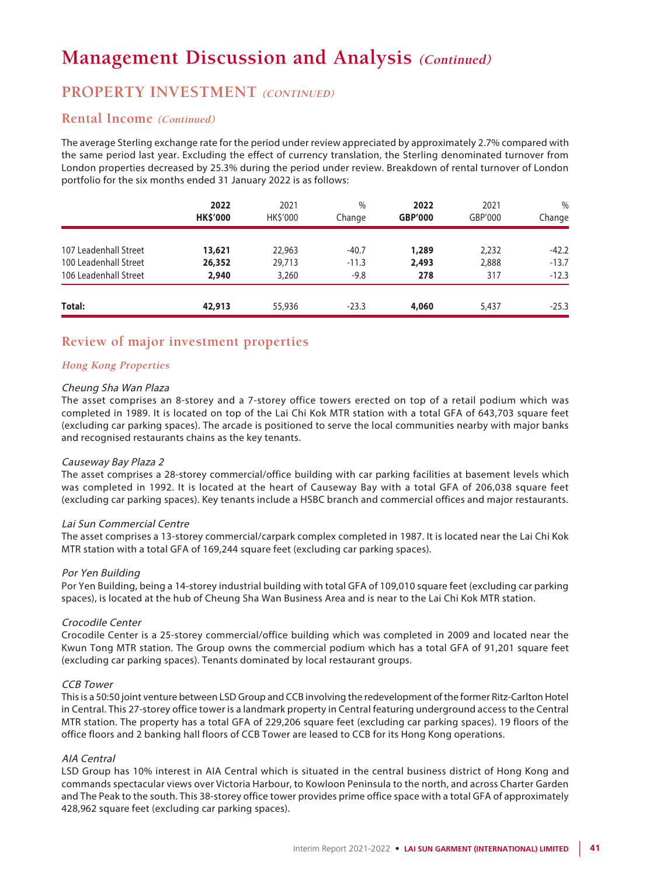### **PROPERTY INVESTMENT (CONTINUED)**

### **Rental Income (Continued)**

The average Sterling exchange rate for the period under review appreciated by approximately 2.7% compared with the same period last year. Excluding the effect of currency translation, the Sterling denominated turnover from London properties decreased by 25.3% during the period under review. Breakdown of rental turnover of London portfolio for the six months ended 31 January 2022 is as follows:

|                       | 2022<br><b>HK\$'000</b> | 2021<br><b>HK\$'000</b> | $\%$<br>Change | 2022<br><b>GBP'000</b> | 2021<br>GBP'000 | $\frac{0}{0}$<br>Change |
|-----------------------|-------------------------|-------------------------|----------------|------------------------|-----------------|-------------------------|
| 107 Leadenhall Street | 13,621                  | 22,963                  | $-40.7$        | 1,289                  | 2,232           | $-42.2$                 |
| 100 Leadenhall Street | 26,352                  | 29,713                  | $-11.3$        | 2,493                  | 2,888           | $-13.7$                 |
| 106 Leadenhall Street | 2,940                   | 3,260                   | $-9.8$         | 278                    | 317             | $-12.3$                 |
| Total:                | 42,913                  | 55,936                  | $-23.3$        | 4,060                  | 5,437           | $-25.3$                 |

### **Review of major investment properties**

### **Hong Kong Properties**

#### Cheung Sha Wan Plaza

The asset comprises an 8-storey and a 7-storey office towers erected on top of a retail podium which was completed in 1989. It is located on top of the Lai Chi Kok MTR station with a total GFA of 643,703 square feet (excluding car parking spaces). The arcade is positioned to serve the local communities nearby with major banks and recognised restaurants chains as the key tenants.

#### Causeway Bay Plaza 2

The asset comprises a 28-storey commercial/office building with car parking facilities at basement levels which was completed in 1992. It is located at the heart of Causeway Bay with a total GFA of 206,038 square feet (excluding car parking spaces). Key tenants include a HSBC branch and commercial offices and major restaurants.

#### Lai Sun Commercial Centre

The asset comprises a 13-storey commercial/carpark complex completed in 1987. It is located near the Lai Chi Kok MTR station with a total GFA of 169,244 square feet (excluding car parking spaces).

### Por Yen Building

Por Yen Building, being a 14-storey industrial building with total GFA of 109,010 square feet (excluding car parking spaces), is located at the hub of Cheung Sha Wan Business Area and is near to the Lai Chi Kok MTR station.

#### Crocodile Center

Crocodile Center is a 25-storey commercial/office building which was completed in 2009 and located near the Kwun Tong MTR station. The Group owns the commercial podium which has a total GFA of 91,201 square feet (excluding car parking spaces). Tenants dominated by local restaurant groups.

#### CCB Tower

This is a 50:50 joint venture between LSD Group and CCB involving the redevelopment of the former Ritz-Carlton Hotel in Central. This 27-storey office tower is a landmark property in Central featuring underground access to the Central MTR station. The property has a total GFA of 229,206 square feet (excluding car parking spaces). 19 floors of the office floors and 2 banking hall floors of CCB Tower are leased to CCB for its Hong Kong operations.

#### AIA Central

LSD Group has 10% interest in AIA Central which is situated in the central business district of Hong Kong and commands spectacular views over Victoria Harbour, to Kowloon Peninsula to the north, and across Charter Garden and The Peak to the south. This 38-storey office tower provides prime office space with a total GFA of approximately 428,962 square feet (excluding car parking spaces).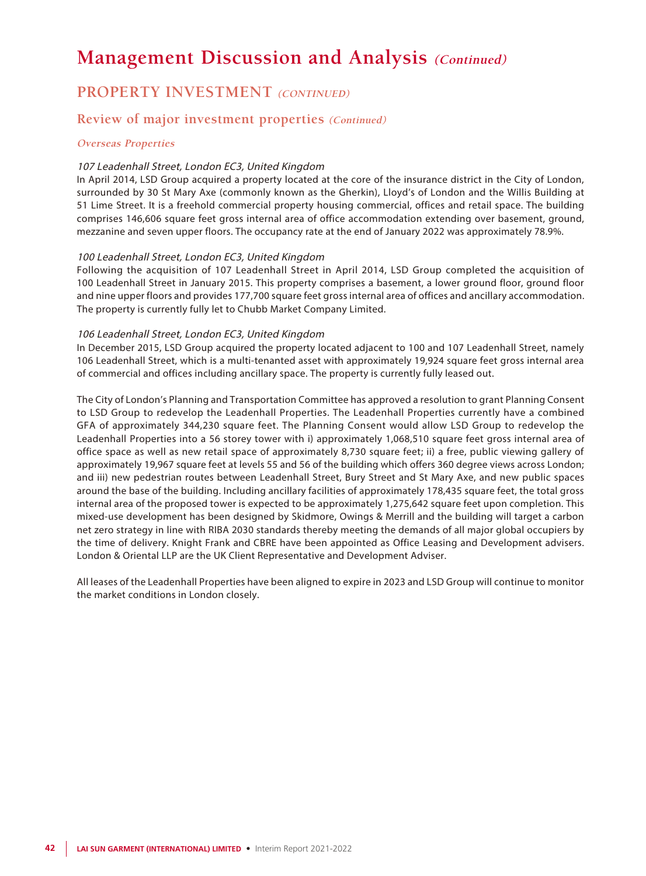### **PROPERTY INVESTMENT (CONTINUED)**

### **Review of major investment properties (Continued)**

#### **Overseas Properties**

#### 107 Leadenhall Street, London EC3, United Kingdom

In April 2014, LSD Group acquired a property located at the core of the insurance district in the City of London, surrounded by 30 St Mary Axe (commonly known as the Gherkin), Lloyd's of London and the Willis Building at 51 Lime Street. It is a freehold commercial property housing commercial, offices and retail space. The building comprises 146,606 square feet gross internal area of office accommodation extending over basement, ground, mezzanine and seven upper floors. The occupancy rate at the end of January 2022 was approximately 78.9%.

### 100 Leadenhall Street, London EC3, United Kingdom

Following the acquisition of 107 Leadenhall Street in April 2014, LSD Group completed the acquisition of 100 Leadenhall Street in January 2015. This property comprises a basement, a lower ground floor, ground floor and nine upper floors and provides 177,700 square feet gross internal area of offices and ancillary accommodation. The property is currently fully let to Chubb Market Company Limited.

#### 106 Leadenhall Street, London EC3, United Kingdom

In December 2015, LSD Group acquired the property located adjacent to 100 and 107 Leadenhall Street, namely 106 Leadenhall Street, which is a multi-tenanted asset with approximately 19,924 square feet gross internal area of commercial and offices including ancillary space. The property is currently fully leased out.

The City of London's Planning and Transportation Committee has approved a resolution to grant Planning Consent to LSD Group to redevelop the Leadenhall Properties. The Leadenhall Properties currently have a combined GFA of approximately 344,230 square feet. The Planning Consent would allow LSD Group to redevelop the Leadenhall Properties into a 56 storey tower with i) approximately 1,068,510 square feet gross internal area of office space as well as new retail space of approximately 8,730 square feet; ii) a free, public viewing gallery of approximately 19,967 square feet at levels 55 and 56 of the building which offers 360 degree views across London; and iii) new pedestrian routes between Leadenhall Street, Bury Street and St Mary Axe, and new public spaces around the base of the building. Including ancillary facilities of approximately 178,435 square feet, the total gross internal area of the proposed tower is expected to be approximately 1,275,642 square feet upon completion. This mixed-use development has been designed by Skidmore, Owings & Merrill and the building will target a carbon net zero strategy in line with RIBA 2030 standards thereby meeting the demands of all major global occupiers by the time of delivery. Knight Frank and CBRE have been appointed as Office Leasing and Development advisers. London & Oriental LLP are the UK Client Representative and Development Adviser.

All leases of the Leadenhall Properties have been aligned to expire in 2023 and LSD Group will continue to monitor the market conditions in London closely.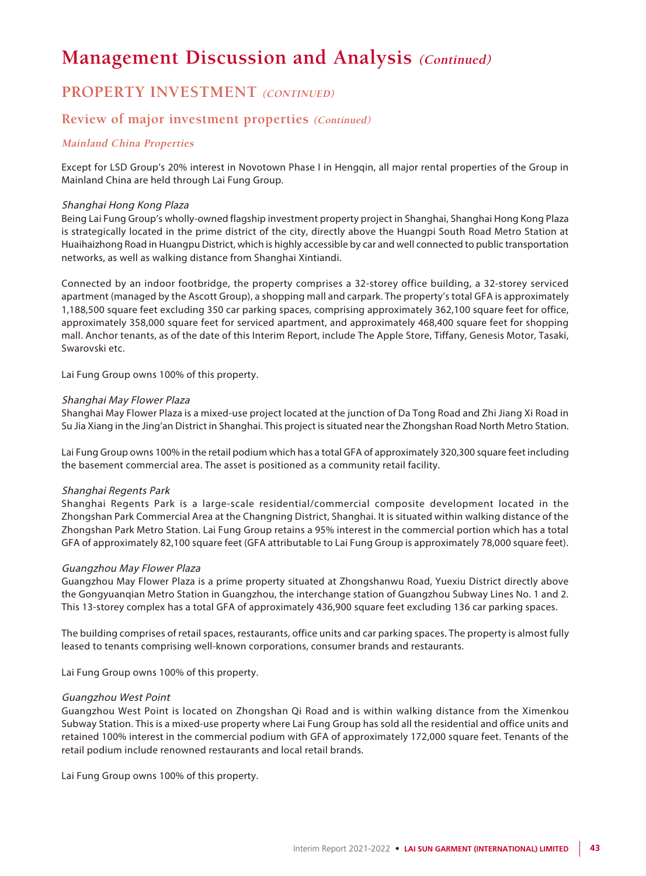### **PROPERTY INVESTMENT (CONTINUED)**

### **Review of major investment properties (Continued)**

### **Mainland China Properties**

Except for LSD Group's 20% interest in Novotown Phase I in Hengqin, all major rental properties of the Group in Mainland China are held through Lai Fung Group.

#### Shanghai Hong Kong Plaza

Being Lai Fung Group's wholly-owned flagship investment property project in Shanghai, Shanghai Hong Kong Plaza is strategically located in the prime district of the city, directly above the Huangpi South Road Metro Station at Huaihaizhong Road in Huangpu District, which is highly accessible by car and well connected to public transportation networks, as well as walking distance from Shanghai Xintiandi.

Connected by an indoor footbridge, the property comprises a 32-storey office building, a 32-storey serviced apartment (managed by the Ascott Group), a shopping mall and carpark. The property's total GFA is approximately 1,188,500 square feet excluding 350 car parking spaces, comprising approximately 362,100 square feet for office, approximately 358,000 square feet for serviced apartment, and approximately 468,400 square feet for shopping mall. Anchor tenants, as of the date of this Interim Report, include The Apple Store, Tiffany, Genesis Motor, Tasaki, Swarovski etc.

Lai Fung Group owns 100% of this property.

#### Shanghai May Flower Plaza

Shanghai May Flower Plaza is a mixed-use project located at the junction of Da Tong Road and Zhi Jiang Xi Road in Su Jia Xiang in the Jing'an District in Shanghai. This project is situated near the Zhongshan Road North Metro Station.

Lai Fung Group owns 100% in the retail podium which has a total GFA of approximately 320,300 square feet including the basement commercial area. The asset is positioned as a community retail facility.

#### Shanghai Regents Park

Shanghai Regents Park is a large-scale residential/commercial composite development located in the Zhongshan Park Commercial Area at the Changning District, Shanghai. It is situated within walking distance of the Zhongshan Park Metro Station. Lai Fung Group retains a 95% interest in the commercial portion which has a total GFA of approximately 82,100 square feet (GFA attributable to Lai Fung Group is approximately 78,000 square feet).

#### Guangzhou May Flower Plaza

Guangzhou May Flower Plaza is a prime property situated at Zhongshanwu Road, Yuexiu District directly above the Gongyuanqian Metro Station in Guangzhou, the interchange station of Guangzhou Subway Lines No. 1 and 2. This 13-storey complex has a total GFA of approximately 436,900 square feet excluding 136 car parking spaces.

The building comprises of retail spaces, restaurants, office units and car parking spaces. The property is almost fully leased to tenants comprising well-known corporations, consumer brands and restaurants.

Lai Fung Group owns 100% of this property.

#### Guangzhou West Point

Guangzhou West Point is located on Zhongshan Qi Road and is within walking distance from the Ximenkou Subway Station. This is a mixed-use property where Lai Fung Group has sold all the residential and office units and retained 100% interest in the commercial podium with GFA of approximately 172,000 square feet. Tenants of the retail podium include renowned restaurants and local retail brands.

Lai Fung Group owns 100% of this property.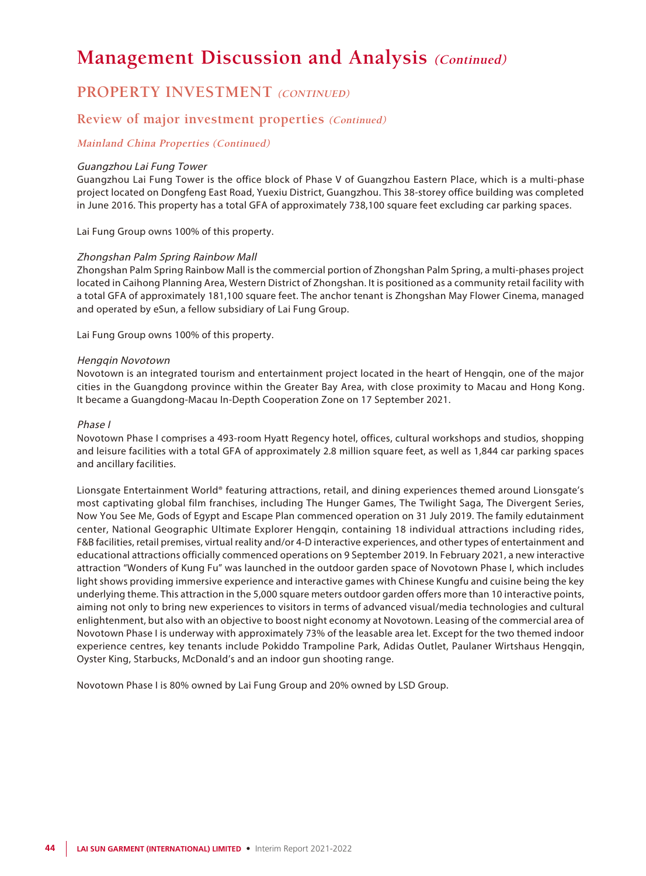### **PROPERTY INVESTMENT (CONTINUED)**

### **Review of major investment properties (Continued)**

### **Mainland China Properties (Continued)**

#### Guangzhou Lai Fung Tower

Guangzhou Lai Fung Tower is the office block of Phase V of Guangzhou Eastern Place, which is a multi-phase project located on Dongfeng East Road, Yuexiu District, Guangzhou. This 38-storey office building was completed in June 2016. This property has a total GFA of approximately 738,100 square feet excluding car parking spaces.

Lai Fung Group owns 100% of this property.

#### Zhongshan Palm Spring Rainbow Mall

Zhongshan Palm Spring Rainbow Mall is the commercial portion of Zhongshan Palm Spring, a multi-phases project located in Caihong Planning Area, Western District of Zhongshan. It is positioned as a community retail facility with a total GFA of approximately 181,100 square feet. The anchor tenant is Zhongshan May Flower Cinema, managed and operated by eSun, a fellow subsidiary of Lai Fung Group.

Lai Fung Group owns 100% of this property.

#### Hengqin Novotown

Novotown is an integrated tourism and entertainment project located in the heart of Hengqin, one of the major cities in the Guangdong province within the Greater Bay Area, with close proximity to Macau and Hong Kong. It became a Guangdong-Macau In-Depth Cooperation Zone on 17 September 2021.

#### Phase I

Novotown Phase I comprises a 493-room Hyatt Regency hotel, offices, cultural workshops and studios, shopping and leisure facilities with a total GFA of approximately 2.8 million square feet, as well as 1,844 car parking spaces and ancillary facilities.

Lionsgate Entertainment World® featuring attractions, retail, and dining experiences themed around Lionsgate's most captivating global film franchises, including The Hunger Games, The Twilight Saga, The Divergent Series, Now You See Me, Gods of Egypt and Escape Plan commenced operation on 31 July 2019. The family edutainment center, National Geographic Ultimate Explorer Hengqin, containing 18 individual attractions including rides, F&B facilities, retail premises, virtual reality and/or 4-D interactive experiences, and other types of entertainment and educational attractions officially commenced operations on 9 September 2019. In February 2021, a new interactive attraction "Wonders of Kung Fu" was launched in the outdoor garden space of Novotown Phase I, which includes light shows providing immersive experience and interactive games with Chinese Kungfu and cuisine being the key underlying theme. This attraction in the 5,000 square meters outdoor garden offers more than 10 interactive points, aiming not only to bring new experiences to visitors in terms of advanced visual/media technologies and cultural enlightenment, but also with an objective to boost night economy at Novotown. Leasing of the commercial area of Novotown Phase I is underway with approximately 73% of the leasable area let. Except for the two themed indoor experience centres, key tenants include Pokiddo Trampoline Park, Adidas Outlet, Paulaner Wirtshaus Hengqin, Oyster King, Starbucks, McDonald's and an indoor gun shooting range.

Novotown Phase I is 80% owned by Lai Fung Group and 20% owned by LSD Group.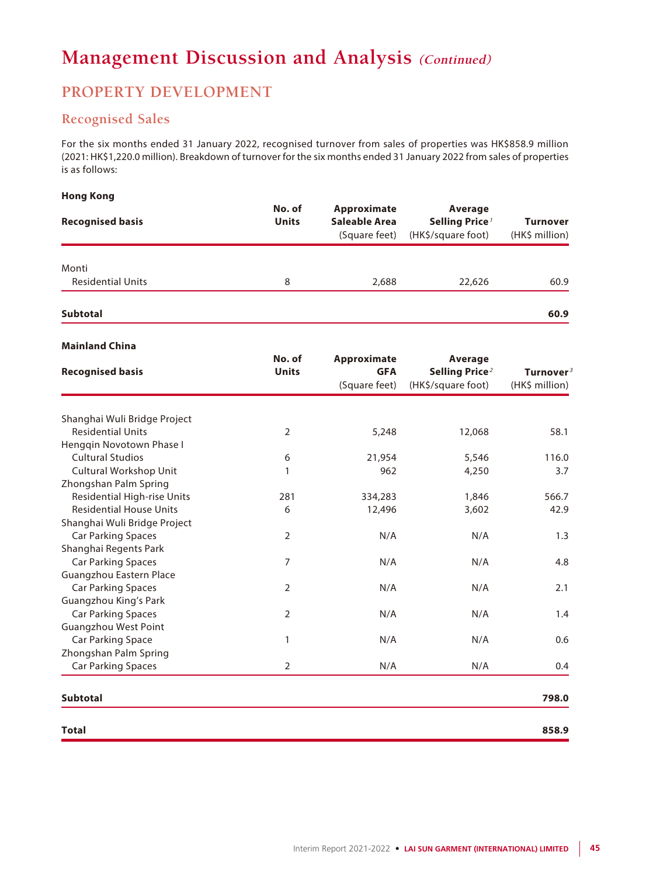### **PROPERTY DEVELOPMENT**

### **Recognised Sales**

For the six months ended 31 January 2022, recognised turnover from sales of properties was HK\$858.9 million (2021: HK\$1,220.0 million). Breakdown of turnover for the six months ended 31 January 2022 from sales of properties is as follows:

### **Hong Kong**

| <b>Recognised basis</b>           | No. of<br><b>Units</b> | Approximate<br>Saleable Area<br>(Square feet) | Average<br>Selling Price <sup>1</sup><br>(HK\$/square foot) | <b>Turnover</b><br>(HK\$ million) |
|-----------------------------------|------------------------|-----------------------------------------------|-------------------------------------------------------------|-----------------------------------|
| Monti<br><b>Residential Units</b> | 8                      | 2,688                                         | 22,626                                                      | 60.9                              |
| <b>Subtotal</b>                   |                        |                                               |                                                             | 60.9                              |

### **Mainland China**

| <b>Recognised basis</b>        | No. of<br><b>Units</b> | Approximate<br><b>GFA</b><br>(Square feet) | Average<br>Selling Price <sup>2</sup><br>(HK\$/square foot) | Turnover $^3$<br>(HK\$ million) |
|--------------------------------|------------------------|--------------------------------------------|-------------------------------------------------------------|---------------------------------|
|                                |                        |                                            |                                                             |                                 |
| Shanghai Wuli Bridge Project   |                        |                                            |                                                             |                                 |
| <b>Residential Units</b>       | 2                      | 5,248                                      | 12,068                                                      | 58.1                            |
| Hengqin Novotown Phase I       |                        |                                            |                                                             |                                 |
| <b>Cultural Studios</b>        | 6                      | 21,954                                     | 5,546                                                       | 116.0                           |
| Cultural Workshop Unit         | 1                      | 962                                        | 4,250                                                       | 3.7                             |
| Zhongshan Palm Spring          |                        |                                            |                                                             |                                 |
| Residential High-rise Units    | 281                    | 334,283                                    | 1,846                                                       | 566.7                           |
| <b>Residential House Units</b> | 6                      | 12,496                                     | 3,602                                                       | 42.9                            |
| Shanghai Wuli Bridge Project   |                        |                                            |                                                             |                                 |
| <b>Car Parking Spaces</b>      | $\overline{2}$         | N/A                                        | N/A                                                         | 1.3                             |
| Shanghai Regents Park          |                        |                                            |                                                             |                                 |
| <b>Car Parking Spaces</b>      | 7                      | N/A                                        | N/A                                                         | 4.8                             |
| Guangzhou Eastern Place        |                        |                                            |                                                             |                                 |
| <b>Car Parking Spaces</b>      | $\overline{2}$         | N/A                                        | N/A                                                         | 2.1                             |
| Guangzhou King's Park          |                        |                                            |                                                             |                                 |
| <b>Car Parking Spaces</b>      | $\overline{2}$         | N/A                                        | N/A                                                         | 1.4                             |
| Guangzhou West Point           |                        |                                            |                                                             |                                 |
| <b>Car Parking Space</b>       | 1                      | N/A                                        | N/A                                                         | 0.6                             |
| Zhongshan Palm Spring          |                        |                                            |                                                             |                                 |
| <b>Car Parking Spaces</b>      | $\overline{2}$         | N/A                                        | N/A                                                         | 0.4                             |
| <b>Subtotal</b>                |                        |                                            |                                                             | 798.0                           |
| <b>Total</b>                   |                        |                                            |                                                             | 858.9                           |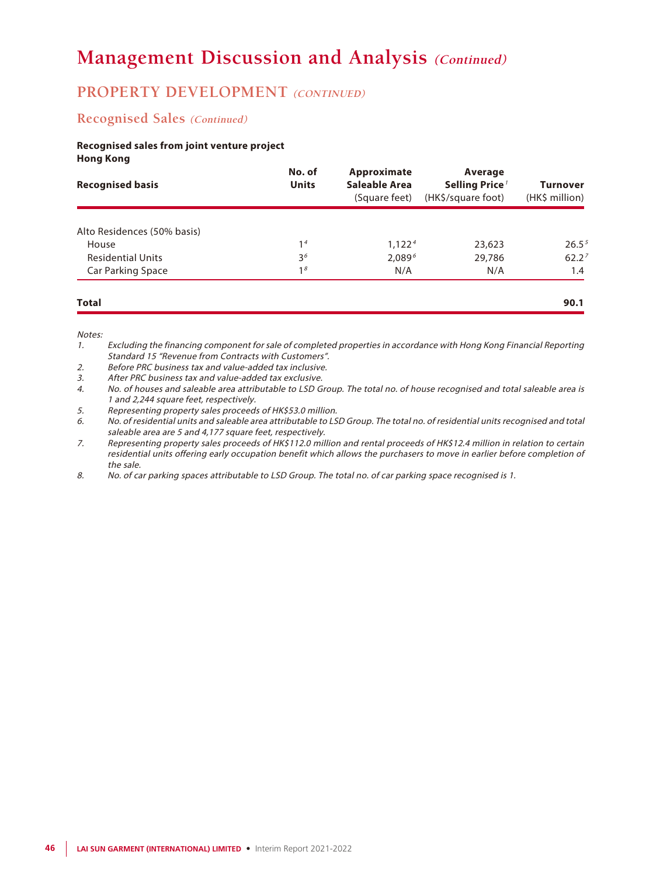### **PROPERTY DEVELOPMENT** (CONTINUED)

### **Recognised Sales (Continued)**

### **Recognised sales from joint venture project Hong Kong**

| <b>Recognised basis</b>     | No. of<br><b>Units</b> | Approximate<br>Saleable Area<br>(Square feet) | Average<br>Selling Price <sup>1</sup><br>(HK\$/square foot) | <b>Turnover</b><br>(HK\$ million) |
|-----------------------------|------------------------|-----------------------------------------------|-------------------------------------------------------------|-----------------------------------|
| Alto Residences (50% basis) |                        |                                               |                                                             |                                   |
| House                       | 1 <sup>4</sup>         | 1.122 <sup>4</sup>                            | 23,623                                                      | 26.5 <sup>5</sup>                 |
| <b>Residential Units</b>    | 3 <sup>6</sup>         | $2,089^{6}$                                   | 29,786                                                      | 62.2 <sup>7</sup>                 |
| Car Parking Space           | 1 <sup>8</sup>         | N/A                                           | N/A                                                         | 1.4                               |
| <b>Total</b>                |                        |                                               |                                                             | 90.1                              |

Notes:

1. Excluding the financing component for sale of completed properties in accordance with Hong Kong Financial Reporting Standard 15 "Revenue from Contracts with Customers".

2. Before PRC business tax and value-added tax inclusive.

3. After PRC business tax and value-added tax exclusive.

4. No. of houses and saleable area attributable to LSD Group. The total no. of house recognised and total saleable area is 1 and 2,244 square feet, respectively.

5. Representing property sales proceeds of HK\$53.0 million.

6. No. of residential units and saleable area attributable to LSD Group. The total no. of residential units recognised and total saleable area are 5 and 4,177 square feet, respectively.

7. Representing property sales proceeds of HK\$112.0 million and rental proceeds of HK\$12.4 million in relation to certain residential units offering early occupation benefit which allows the purchasers to move in earlier before completion of the sale.

8. No. of car parking spaces attributable to LSD Group. The total no. of car parking space recognised is 1.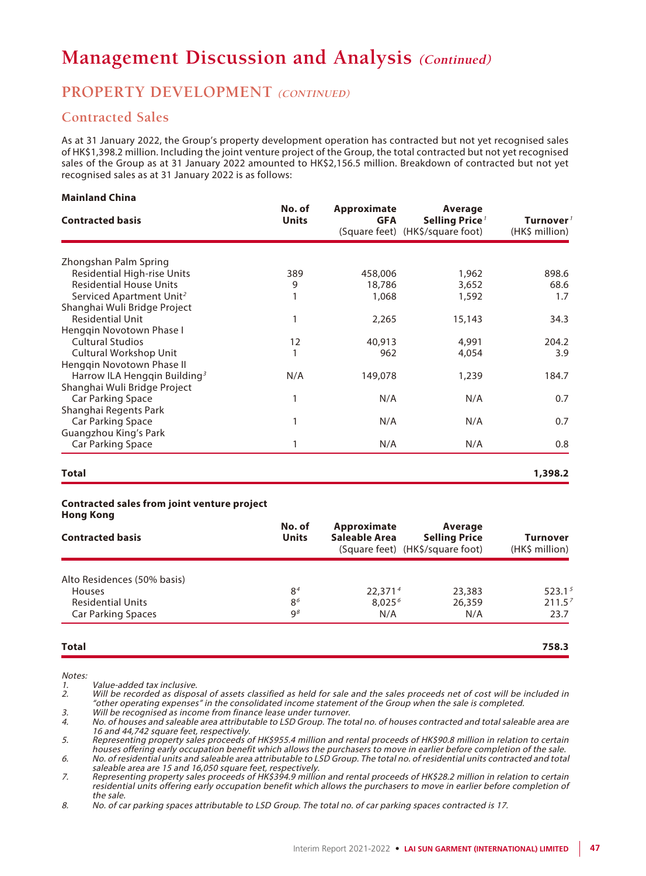### **PROPERTY DEVELOPMENT (CONTINUED)**

### **Contracted Sales**

As at 31 January 2022, the Group's property development operation has contracted but not yet recognised sales of HK\$1,398.2 million. Including the joint venture project of the Group, the total contracted but not yet recognised sales of the Group as at 31 January 2022 amounted to HK\$2,156.5 million. Breakdown of contracted but not yet recognised sales as at 31 January 2022 is as follows:

#### **Mainland China**

| <b>Contracted basis</b>                  | No. of<br><b>Units</b> | Approximate<br><b>GFA</b> | Average<br>Selling Price <sup>7</sup><br>(Square feet) (HK\$/square foot) | Turnover $^{\prime}$<br>(HK\$ million) |
|------------------------------------------|------------------------|---------------------------|---------------------------------------------------------------------------|----------------------------------------|
| Zhongshan Palm Spring                    |                        |                           |                                                                           |                                        |
| <b>Residential High-rise Units</b>       | 389                    | 458,006                   | 1,962                                                                     | 898.6                                  |
| <b>Residential House Units</b>           | 9                      | 18,786                    | 3,652                                                                     | 68.6                                   |
| Serviced Apartment Unit <sup>2</sup>     |                        | 1,068                     | 1,592                                                                     | 1.7                                    |
| Shanghai Wuli Bridge Project             |                        |                           |                                                                           |                                        |
| <b>Residential Unit</b>                  | 1                      | 2,265                     | 15,143                                                                    | 34.3                                   |
| Hengqin Novotown Phase I                 |                        |                           |                                                                           |                                        |
| <b>Cultural Studios</b>                  | 12                     | 40,913                    | 4,991                                                                     | 204.2                                  |
| Cultural Workshop Unit                   | 1                      | 962                       | 4,054                                                                     | 3.9                                    |
| Henggin Novotown Phase II                |                        |                           |                                                                           |                                        |
| Harrow ILA Hengqin Building <sup>3</sup> | N/A                    | 149,078                   | 1,239                                                                     | 184.7                                  |
| Shanghai Wuli Bridge Project             |                        |                           |                                                                           |                                        |
| Car Parking Space                        | 1                      | N/A                       | N/A                                                                       | 0.7                                    |
| Shanghai Regents Park                    |                        |                           |                                                                           |                                        |
| Car Parking Space                        | 1                      | N/A                       | N/A                                                                       | 0.7                                    |
| Guangzhou King's Park                    |                        |                           |                                                                           |                                        |
| Car Parking Space                        | 1                      | N/A                       | N/A                                                                       | 0.8                                    |

#### **Total 1,398.2**

#### **Contracted sales from joint venture project Hong Kong**

| <b>Contracted basis</b>     | No. of<br><b>Units</b> | Approximate<br>Saleable Area | Average<br><b>Selling Price</b><br>(Square feet) (HK\$/square foot) | Turnover<br>(HK\$ million) |
|-----------------------------|------------------------|------------------------------|---------------------------------------------------------------------|----------------------------|
| Alto Residences (50% basis) |                        |                              |                                                                     |                            |
| <b>Houses</b>               | 8 <sup>4</sup>         | 22.371 <sup>4</sup>          | 23,383                                                              | 523.1 <sup>5</sup>         |
| <b>Residential Units</b>    | 8 <sup>6</sup>         | 8.025 <sup>6</sup>           | 26,359                                                              | 211.5 <sup>7</sup>         |
| <b>Car Parking Spaces</b>   | $\mathsf{Q}^g$         | N/A                          | N/A                                                                 | 23.7                       |

#### **Total 758.3**

Notes:

Value-added tax inclusive.

2. Will be recorded as disposal of assets classified as held for sale and the sales proceeds net of cost will be included in "other operating expenses" in the consolidated income statement of the Group when the sale is completed.

3. Will be recognised as income from finance lease under turnover.

4. No. of houses and saleable area attributable to LSD Group. The total no. of houses contracted and total saleable area are 16 and 44,742 square feet, respectively.

5. Representing property sales proceeds of HK\$955.4 million and rental proceeds of HK\$90.8 million in relation to certain houses offering early occupation benefit which allows the purchasers to move in earlier before completion of the sale.

6. No. of residential units and saleable area attributable to LSD Group. The total no. of residential units contracted and total saleable area are 15 and 16,050 square feet, respectively.

7. Representing property sales proceeds of HK\$394.9 million and rental proceeds of HK\$28.2 million in relation to certain residential units offering early occupation benefit which allows the purchasers to move in earlier before completion of the sale.

8. No. of car parking spaces attributable to LSD Group. The total no. of car parking spaces contracted is 17.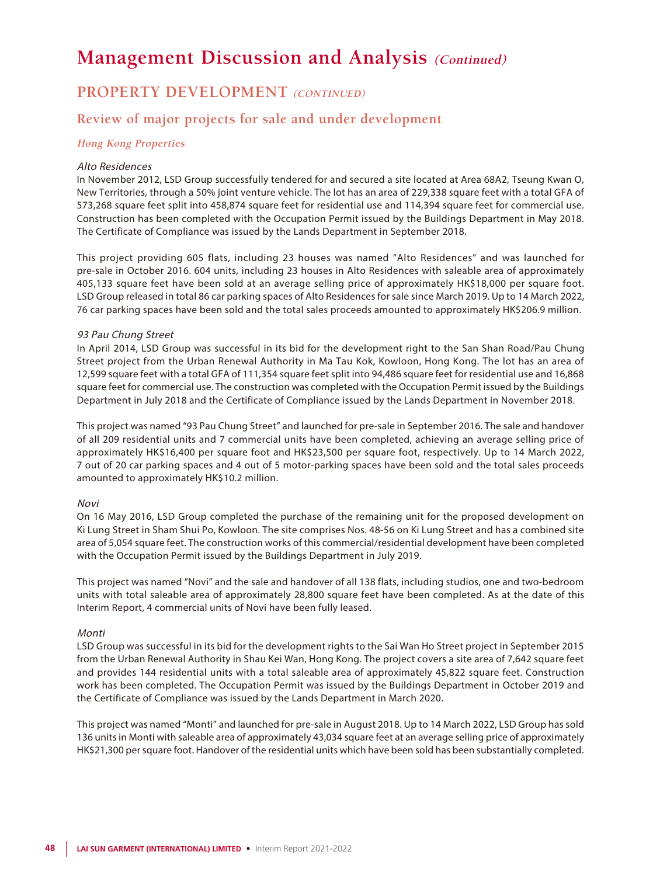### **PROPERTY DEVELOPMENT (CONTINUED)**

### **Review of major projects for sale and under development**

### **Hong Kong Properties**

#### Alto Residences

In November 2012, LSD Group successfully tendered for and secured a site located at Area 68A2, Tseung Kwan O, New Territories, through a 50% joint venture vehicle. The lot has an area of 229,338 square feet with a total GFA of 573,268 square feet split into 458,874 square feet for residential use and 114,394 square feet for commercial use. Construction has been completed with the Occupation Permit issued by the Buildings Department in May 2018. The Certificate of Compliance was issued by the Lands Department in September 2018.

This project providing 605 flats, including 23 houses was named "Alto Residences" and was launched for pre-sale in October 2016. 604 units, including 23 houses in Alto Residences with saleable area of approximately 405,133 square feet have been sold at an average selling price of approximately HK\$18,000 per square foot. LSD Group released in total 86 car parking spaces of Alto Residences for sale since March 2019. Up to 14 March 2022, 76 car parking spaces have been sold and the total sales proceeds amounted to approximately HK\$206.9 million.

#### 93 Pau Chung Street

In April 2014, LSD Group was successful in its bid for the development right to the San Shan Road/Pau Chung Street project from the Urban Renewal Authority in Ma Tau Kok, Kowloon, Hong Kong. The lot has an area of 12,599 square feet with a total GFA of 111,354 square feet split into 94,486 square feet for residential use and 16,868 square feet for commercial use. The construction was completed with the Occupation Permit issued by the Buildings Department in July 2018 and the Certificate of Compliance issued by the Lands Department in November 2018.

This project was named "93 Pau Chung Street" and launched for pre-sale in September 2016. The sale and handover of all 209 residential units and 7 commercial units have been completed, achieving an average selling price of approximately HK\$16,400 per square foot and HK\$23,500 per square foot, respectively. Up to 14 March 2022, 7 out of 20 car parking spaces and 4 out of 5 motor-parking spaces have been sold and the total sales proceeds amounted to approximately HK\$10.2 million.

#### Novi

On 16 May 2016, LSD Group completed the purchase of the remaining unit for the proposed development on Ki Lung Street in Sham Shui Po, Kowloon. The site comprises Nos. 48-56 on Ki Lung Street and has a combined site area of 5,054 square feet. The construction works of this commercial/residential development have been completed with the Occupation Permit issued by the Buildings Department in July 2019.

This project was named "Novi" and the sale and handover of all 138 flats, including studios, one and two-bedroom units with total saleable area of approximately 28,800 square feet have been completed. As at the date of this Interim Report, 4 commercial units of Novi have been fully leased.

#### Monti

LSD Group was successful in its bid for the development rights to the Sai Wan Ho Street project in September 2015 from the Urban Renewal Authority in Shau Kei Wan, Hong Kong. The project covers a site area of 7,642 square feet and provides 144 residential units with a total saleable area of approximately 45,822 square feet. Construction work has been completed. The Occupation Permit was issued by the Buildings Department in October 2019 and the Certificate of Compliance was issued by the Lands Department in March 2020.

This project was named "Monti" and launched for pre-sale in August 2018. Up to 14 March 2022, LSD Group has sold 136 units in Monti with saleable area of approximately 43,034 square feet at an average selling price of approximately HK\$21,300 per square foot. Handover of the residential units which have been sold has been substantially completed.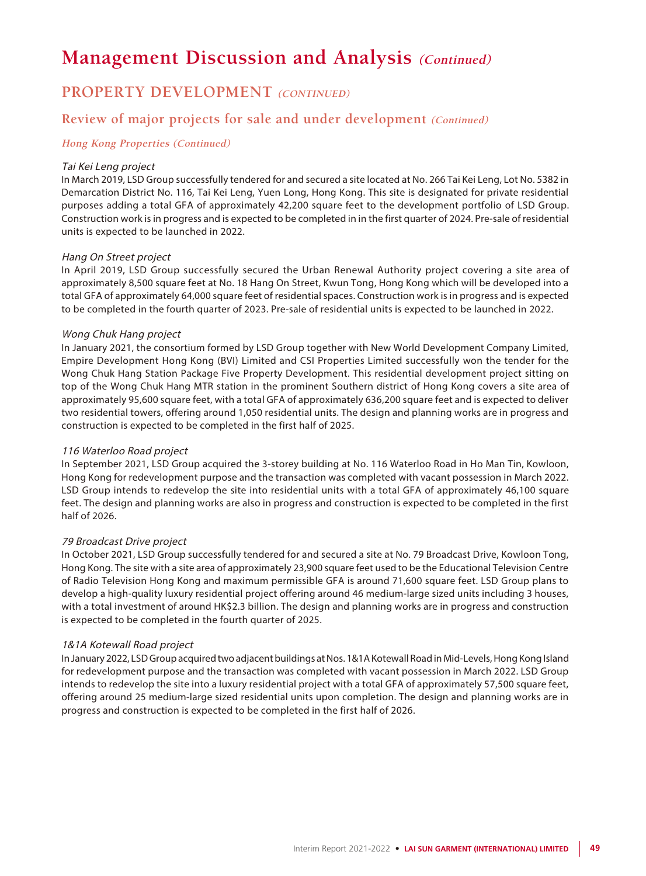### **PROPERTY DEVELOPMENT (CONTINUED)**

### **Review of major projects for sale and under development (Continued)**

### **Hong Kong Properties (Continued)**

#### Tai Kei Leng project

In March 2019, LSD Group successfully tendered for and secured a site located at No. 266 Tai Kei Leng, Lot No. 5382 in Demarcation District No. 116, Tai Kei Leng, Yuen Long, Hong Kong. This site is designated for private residential purposes adding a total GFA of approximately 42,200 square feet to the development portfolio of LSD Group. Construction work is in progress and is expected to be completed in in the first quarter of 2024. Pre-sale of residential units is expected to be launched in 2022.

### Hang On Street project

In April 2019, LSD Group successfully secured the Urban Renewal Authority project covering a site area of approximately 8,500 square feet at No. 18 Hang On Street, Kwun Tong, Hong Kong which will be developed into a total GFA of approximately 64,000 square feet of residential spaces. Construction work is in progress and is expected to be completed in the fourth quarter of 2023. Pre-sale of residential units is expected to be launched in 2022.

#### Wong Chuk Hang project

In January 2021, the consortium formed by LSD Group together with New World Development Company Limited, Empire Development Hong Kong (BVI) Limited and CSI Properties Limited successfully won the tender for the Wong Chuk Hang Station Package Five Property Development. This residential development project sitting on top of the Wong Chuk Hang MTR station in the prominent Southern district of Hong Kong covers a site area of approximately 95,600 square feet, with a total GFA of approximately 636,200 square feet and is expected to deliver two residential towers, offering around 1,050 residential units. The design and planning works are in progress and construction is expected to be completed in the first half of 2025.

#### 116 Waterloo Road project

In September 2021, LSD Group acquired the 3-storey building at No. 116 Waterloo Road in Ho Man Tin, Kowloon, Hong Kong for redevelopment purpose and the transaction was completed with vacant possession in March 2022. LSD Group intends to redevelop the site into residential units with a total GFA of approximately 46,100 square feet. The design and planning works are also in progress and construction is expected to be completed in the first half of 2026.

#### 79 Broadcast Drive project

In October 2021, LSD Group successfully tendered for and secured a site at No. 79 Broadcast Drive, Kowloon Tong, Hong Kong. The site with a site area of approximately 23,900 square feet used to be the Educational Television Centre of Radio Television Hong Kong and maximum permissible GFA is around 71,600 square feet. LSD Group plans to develop a high-quality luxury residential project offering around 46 medium-large sized units including 3 houses, with a total investment of around HK\$2.3 billion. The design and planning works are in progress and construction is expected to be completed in the fourth quarter of 2025.

#### 1&1A Kotewall Road project

In January 2022, LSD Group acquired two adjacent buildings at Nos. 1&1A Kotewall Road in Mid-Levels, Hong Kong Island for redevelopment purpose and the transaction was completed with vacant possession in March 2022. LSD Group intends to redevelop the site into a luxury residential project with a total GFA of approximately 57,500 square feet, offering around 25 medium-large sized residential units upon completion. The design and planning works are in progress and construction is expected to be completed in the first half of 2026.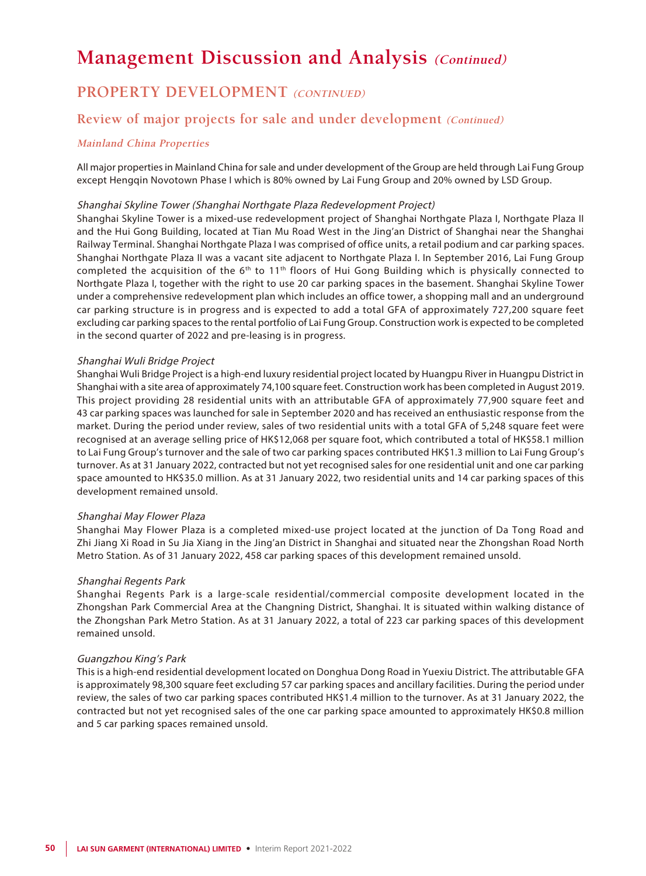### **PROPERTY DEVELOPMENT (CONTINUED)**

### **Review of major projects for sale and under development (Continued)**

### **Mainland China Properties**

All major properties in Mainland China for sale and under development of the Group are held through Lai Fung Group except Hengqin Novotown Phase I which is 80% owned by Lai Fung Group and 20% owned by LSD Group.

#### Shanghai Skyline Tower (Shanghai Northgate Plaza Redevelopment Project)

Shanghai Skyline Tower is a mixed-use redevelopment project of Shanghai Northgate Plaza I, Northgate Plaza II and the Hui Gong Building, located at Tian Mu Road West in the Jing'an District of Shanghai near the Shanghai Railway Terminal. Shanghai Northgate Plaza I was comprised of office units, a retail podium and car parking spaces. Shanghai Northgate Plaza II was a vacant site adjacent to Northgate Plaza I. In September 2016, Lai Fung Group completed the acquisition of the 6<sup>th</sup> to 11<sup>th</sup> floors of Hui Gong Building which is physically connected to Northgate Plaza I, together with the right to use 20 car parking spaces in the basement. Shanghai Skyline Tower under a comprehensive redevelopment plan which includes an office tower, a shopping mall and an underground car parking structure is in progress and is expected to add a total GFA of approximately 727,200 square feet excluding car parking spaces to the rental portfolio of Lai Fung Group. Construction work is expected to be completed in the second quarter of 2022 and pre-leasing is in progress.

#### Shanghai Wuli Bridge Project

Shanghai Wuli Bridge Project is a high-end luxury residential project located by Huangpu River in Huangpu District in Shanghai with a site area of approximately 74,100 square feet. Construction work has been completed in August 2019. This project providing 28 residential units with an attributable GFA of approximately 77,900 square feet and 43 car parking spaces was launched for sale in September 2020 and has received an enthusiastic response from the market. During the period under review, sales of two residential units with a total GFA of 5,248 square feet were recognised at an average selling price of HK\$12,068 per square foot, which contributed a total of HK\$58.1 million to Lai Fung Group's turnover and the sale of two car parking spaces contributed HK\$1.3 million to Lai Fung Group's turnover. As at 31 January 2022, contracted but not yet recognised sales for one residential unit and one car parking space amounted to HK\$35.0 million. As at 31 January 2022, two residential units and 14 car parking spaces of this development remained unsold.

#### Shanghai May Flower Plaza

Shanghai May Flower Plaza is a completed mixed-use project located at the junction of Da Tong Road and Zhi Jiang Xi Road in Su Jia Xiang in the Jing'an District in Shanghai and situated near the Zhongshan Road North Metro Station. As of 31 January 2022, 458 car parking spaces of this development remained unsold.

#### Shanghai Regents Park

Shanghai Regents Park is a large-scale residential/commercial composite development located in the Zhongshan Park Commercial Area at the Changning District, Shanghai. It is situated within walking distance of the Zhongshan Park Metro Station. As at 31 January 2022, a total of 223 car parking spaces of this development remained unsold.

#### Guangzhou King's Park

This is a high-end residential development located on Donghua Dong Road in Yuexiu District. The attributable GFA is approximately 98,300 square feet excluding 57 car parking spaces and ancillary facilities. During the period under review, the sales of two car parking spaces contributed HK\$1.4 million to the turnover. As at 31 January 2022, the contracted but not yet recognised sales of the one car parking space amounted to approximately HK\$0.8 million and 5 car parking spaces remained unsold.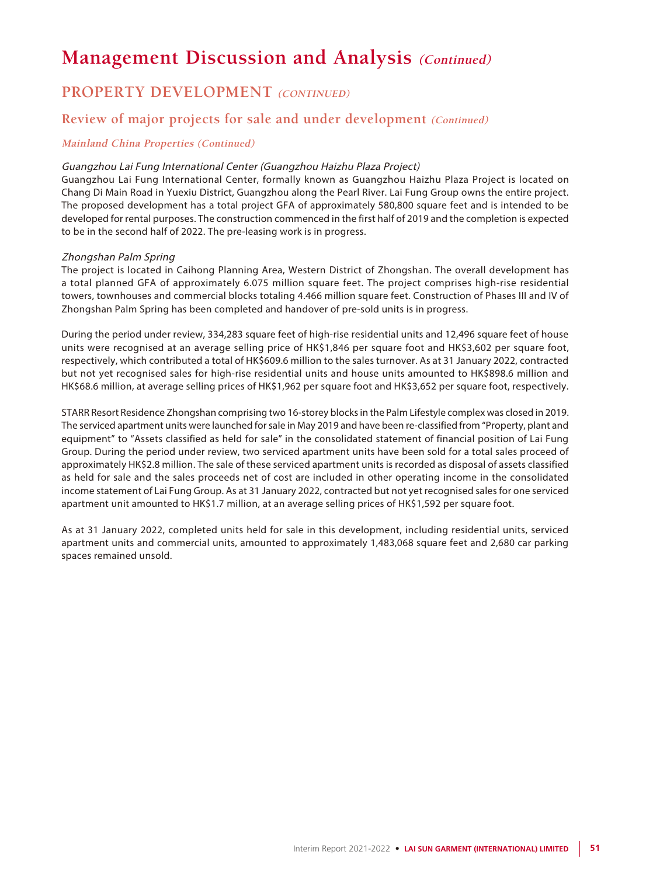### **PROPERTY DEVELOPMENT (CONTINUED)**

### **Review of major projects for sale and under development (Continued)**

### **Mainland China Properties (Continued)**

### Guangzhou Lai Fung International Center (Guangzhou Haizhu Plaza Project)

Guangzhou Lai Fung International Center, formally known as Guangzhou Haizhu Plaza Project is located on Chang Di Main Road in Yuexiu District, Guangzhou along the Pearl River. Lai Fung Group owns the entire project. The proposed development has a total project GFA of approximately 580,800 square feet and is intended to be developed for rental purposes. The construction commenced in the first half of 2019 and the completion is expected to be in the second half of 2022. The pre-leasing work is in progress.

### Zhongshan Palm Spring

The project is located in Caihong Planning Area, Western District of Zhongshan. The overall development has a total planned GFA of approximately 6.075 million square feet. The project comprises high-rise residential towers, townhouses and commercial blocks totaling 4.466 million square feet. Construction of Phases III and IV of Zhongshan Palm Spring has been completed and handover of pre-sold units is in progress.

During the period under review, 334,283 square feet of high-rise residential units and 12,496 square feet of house units were recognised at an average selling price of HK\$1,846 per square foot and HK\$3,602 per square foot, respectively, which contributed a total of HK\$609.6 million to the sales turnover. As at 31 January 2022, contracted but not yet recognised sales for high-rise residential units and house units amounted to HK\$898.6 million and HK\$68.6 million, at average selling prices of HK\$1,962 per square foot and HK\$3,652 per square foot, respectively.

STARR Resort Residence Zhongshan comprising two 16-storey blocks in the Palm Lifestyle complex was closed in 2019. The serviced apartment units were launched for sale in May 2019 and have been re-classified from "Property, plant and equipment" to "Assets classified as held for sale" in the consolidated statement of financial position of Lai Fung Group. During the period under review, two serviced apartment units have been sold for a total sales proceed of approximately HK\$2.8 million. The sale of these serviced apartment units is recorded as disposal of assets classified as held for sale and the sales proceeds net of cost are included in other operating income in the consolidated income statement of Lai Fung Group. As at 31 January 2022, contracted but not yet recognised sales for one serviced apartment unit amounted to HK\$1.7 million, at an average selling prices of HK\$1,592 per square foot.

As at 31 January 2022, completed units held for sale in this development, including residential units, serviced apartment units and commercial units, amounted to approximately 1,483,068 square feet and 2,680 car parking spaces remained unsold.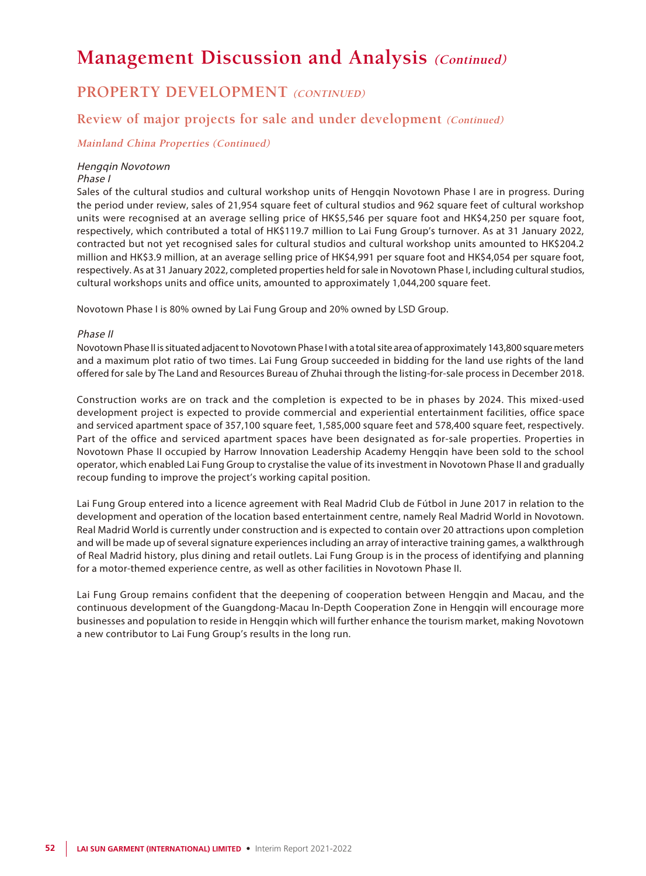### **PROPERTY DEVELOPMENT (CONTINUED)**

### **Review of major projects for sale and under development (Continued)**

### **Mainland China Properties (Continued)**

### Hengqin Novotown

#### Phase I

Sales of the cultural studios and cultural workshop units of Hengqin Novotown Phase I are in progress. During the period under review, sales of 21,954 square feet of cultural studios and 962 square feet of cultural workshop units were recognised at an average selling price of HK\$5,546 per square foot and HK\$4,250 per square foot, respectively, which contributed a total of HK\$119.7 million to Lai Fung Group's turnover. As at 31 January 2022, contracted but not yet recognised sales for cultural studios and cultural workshop units amounted to HK\$204.2 million and HK\$3.9 million, at an average selling price of HK\$4,991 per square foot and HK\$4,054 per square foot, respectively. As at 31 January 2022, completed properties held for sale in Novotown Phase I, including cultural studios, cultural workshops units and office units, amounted to approximately 1,044,200 square feet.

Novotown Phase I is 80% owned by Lai Fung Group and 20% owned by LSD Group.

#### Phase II

Novotown Phase II is situated adjacent to Novotown Phase I with a total site area of approximately 143,800 square meters and a maximum plot ratio of two times. Lai Fung Group succeeded in bidding for the land use rights of the land offered for sale by The Land and Resources Bureau of Zhuhai through the listing-for-sale process in December 2018.

Construction works are on track and the completion is expected to be in phases by 2024. This mixed-used development project is expected to provide commercial and experiential entertainment facilities, office space and serviced apartment space of 357,100 square feet, 1,585,000 square feet and 578,400 square feet, respectively. Part of the office and serviced apartment spaces have been designated as for-sale properties. Properties in Novotown Phase II occupied by Harrow Innovation Leadership Academy Hengqin have been sold to the school operator, which enabled Lai Fung Group to crystalise the value of its investment in Novotown Phase II and gradually recoup funding to improve the project's working capital position.

Lai Fung Group entered into a licence agreement with Real Madrid Club de Fútbol in June 2017 in relation to the development and operation of the location based entertainment centre, namely Real Madrid World in Novotown. Real Madrid World is currently under construction and is expected to contain over 20 attractions upon completion and will be made up of several signature experiences including an array of interactive training games, a walkthrough of Real Madrid history, plus dining and retail outlets. Lai Fung Group is in the process of identifying and planning for a motor-themed experience centre, as well as other facilities in Novotown Phase II.

Lai Fung Group remains confident that the deepening of cooperation between Hengqin and Macau, and the continuous development of the Guangdong-Macau In-Depth Cooperation Zone in Hengqin will encourage more businesses and population to reside in Hengqin which will further enhance the tourism market, making Novotown a new contributor to Lai Fung Group's results in the long run.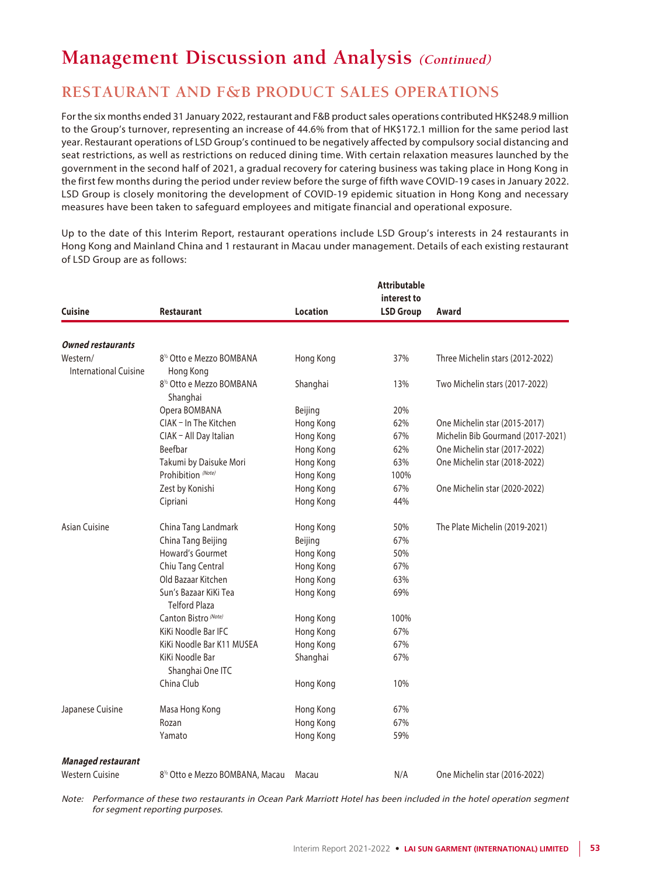### **RESTAURANT AND F&B PRODUCT SALES OPERATIONS**

For the six months ended 31 January 2022, restaurant and F&B product sales operations contributed HK\$248.9 million to the Group's turnover, representing an increase of 44.6% from that of HK\$172.1 million for the same period last year. Restaurant operations of LSD Group's continued to be negatively affected by compulsory social distancing and seat restrictions, as well as restrictions on reduced dining time. With certain relaxation measures launched by the government in the second half of 2021, a gradual recovery for catering business was taking place in Hong Kong in the first few months during the period under review before the surge of fifth wave COVID-19 cases in January 2022. LSD Group is closely monitoring the development of COVID-19 epidemic situation in Hong Kong and necessary measures have been taken to safeguard employees and mitigate financial and operational exposure.

Up to the date of this Interim Report, restaurant operations include LSD Group's interests in 24 restaurants in Hong Kong and Mainland China and 1 restaurant in Macau under management. Details of each existing restaurant of LSD Group are as follows:

|                                   |                                                    |                 | <b>Attributable</b><br>interest to |                                   |
|-----------------------------------|----------------------------------------------------|-----------------|------------------------------------|-----------------------------------|
| <b>Cuisine</b>                    | <b>Restaurant</b>                                  | <b>Location</b> | <b>LSD Group</b>                   | Award                             |
|                                   |                                                    |                 |                                    |                                   |
| <b>Owned restaurants</b>          |                                                    |                 |                                    |                                   |
| Western/<br>International Cuisine | 8 <sup>1/2</sup> Otto e Mezzo BOMBANA<br>Hong Kong | Hong Kong       | 37%                                | Three Michelin stars (2012-2022)  |
|                                   | 8 <sup>1/2</sup> Otto e Mezzo BOMBANA<br>Shanghai  | Shanghai        | 13%                                | Two Michelin stars (2017-2022)    |
|                                   | Opera BOMBANA                                      | Beijing         | 20%                                |                                   |
|                                   | CIAK - In The Kitchen                              | Hong Kong       | 62%                                | One Michelin star (2015-2017)     |
|                                   | CIAK - All Day Italian                             | Hong Kong       | 67%                                | Michelin Bib Gourmand (2017-2021) |
|                                   | Beefbar                                            | Hong Kong       | 62%                                | One Michelin star (2017-2022)     |
|                                   | Takumi by Daisuke Mori                             | Hong Kong       | 63%                                | One Michelin star (2018-2022)     |
|                                   | Prohibition (Note)                                 | Hong Kong       | 100%                               |                                   |
|                                   | Zest by Konishi                                    | Hong Kong       | 67%                                | One Michelin star (2020-2022)     |
|                                   | Cipriani                                           | Hong Kong       | 44%                                |                                   |
| Asian Cuisine                     | China Tang Landmark                                | Hong Kong       | 50%                                | The Plate Michelin (2019-2021)    |
|                                   | China Tang Beijing                                 | Beijing         | 67%                                |                                   |
|                                   | Howard's Gourmet                                   | Hong Kong       | 50%                                |                                   |
|                                   | Chiu Tang Central                                  | Hong Kong       | 67%                                |                                   |
|                                   | Old Bazaar Kitchen                                 | Hong Kong       | 63%                                |                                   |
|                                   | Sun's Bazaar KiKi Tea<br><b>Telford Plaza</b>      | Hong Kong       | 69%                                |                                   |
|                                   | Canton Bistro (Note)                               | Hong Kong       | 100%                               |                                   |
|                                   | KiKi Noodle Bar IFC                                | Hong Kong       | 67%                                |                                   |
|                                   | KiKi Noodle Bar K11 MUSEA                          | Hong Kong       | 67%                                |                                   |
|                                   | KiKi Noodle Bar<br>Shanghai One ITC                | Shanghai        | 67%                                |                                   |
|                                   | China Club                                         | Hong Kong       | 10%                                |                                   |
| Japanese Cuisine                  | Masa Hong Kong                                     | Hong Kong       | 67%                                |                                   |
|                                   | Rozan                                              | Hong Kong       | 67%                                |                                   |
|                                   | Yamato                                             | Hong Kong       | 59%                                |                                   |
| <b>Managed restaurant</b>         |                                                    |                 |                                    |                                   |
| <b>Western Cuisine</b>            | 8 <sup>1/2</sup> Otto e Mezzo BOMBANA, Macau       | Macau           | N/A                                | One Michelin star (2016-2022)     |

Note: Performance of these two restaurants in Ocean Park Marriott Hotel has been included in the hotel operation segment for segment reporting purposes.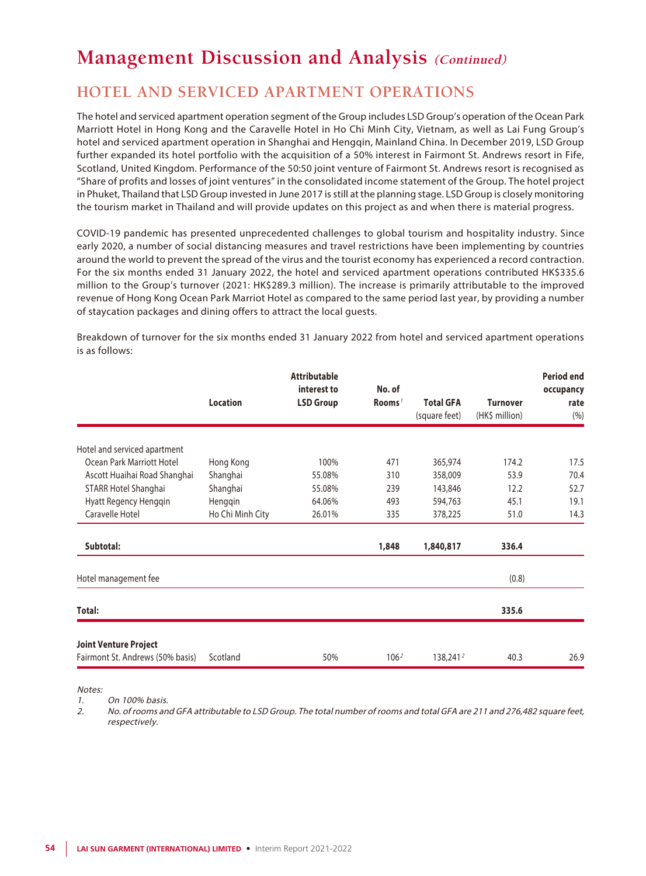### **HOTEL AND SERVICED APARTMENT OPERATIONS**

The hotel and serviced apartment operation segment of the Group includes LSD Group's operation of the Ocean Park Marriott Hotel in Hong Kong and the Caravelle Hotel in Ho Chi Minh City, Vietnam, as well as Lai Fung Group's hotel and serviced apartment operation in Shanghai and Hengqin, Mainland China. In December 2019, LSD Group further expanded its hotel portfolio with the acquisition of a 50% interest in Fairmont St. Andrews resort in Fife, Scotland, United Kingdom. Performance of the 50:50 joint venture of Fairmont St. Andrews resort is recognised as "Share of profits and losses of joint ventures" in the consolidated income statement of the Group. The hotel project in Phuket, Thailand that LSD Group invested in June 2017 is still at the planning stage. LSD Group is closely monitoring the tourism market in Thailand and will provide updates on this project as and when there is material progress.

COVID-19 pandemic has presented unprecedented challenges to global tourism and hospitality industry. Since early 2020, a number of social distancing measures and travel restrictions have been implementing by countries around the world to prevent the spread of the virus and the tourist economy has experienced a record contraction. For the six months ended 31 January 2022, the hotel and serviced apartment operations contributed HK\$335.6 million to the Group's turnover (2021: HK\$289.3 million). The increase is primarily attributable to the improved revenue of Hong Kong Ocean Park Marriot Hotel as compared to the same period last year, by providing a number of staycation packages and dining offers to attract the local guests.

|                                  | <b>Location</b>  | <b>Attributable</b><br>interest to<br><b>LSD Group</b> | No. of<br>Rooms <sup>1</sup> | <b>Total GFA</b><br>(square feet) | <b>Turnover</b><br>(HK\$ million) | <b>Period end</b><br>occupancy<br>rate<br>(%) |
|----------------------------------|------------------|--------------------------------------------------------|------------------------------|-----------------------------------|-----------------------------------|-----------------------------------------------|
| Hotel and serviced apartment     |                  |                                                        |                              |                                   |                                   |                                               |
| Ocean Park Marriott Hotel        | Hong Kong        | 100%                                                   | 471                          | 365,974                           | 174.2                             | 17.5                                          |
| Ascott Huaihai Road Shanghai     | Shanghai         | 55.08%                                                 | 310                          | 358,009                           | 53.9                              | 70.4                                          |
| STARR Hotel Shanghai             | Shanghai         | 55.08%                                                 | 239                          | 143,846                           | 12.2                              | 52.7                                          |
| Hyatt Regency Hengqin            | Hengqin          | 64.06%                                                 | 493                          | 594,763                           | 45.1                              | 19.1                                          |
| Caravelle Hotel                  | Ho Chi Minh City | 26.01%                                                 | 335                          | 378,225                           | 51.0                              | 14.3                                          |
| Subtotal:                        |                  |                                                        | 1,848                        | 1,840,817                         | 336.4                             |                                               |
| Hotel management fee             |                  |                                                        |                              |                                   | (0.8)                             |                                               |
| Total:                           |                  |                                                        |                              |                                   | 335.6                             |                                               |
| <b>Joint Venture Project</b>     |                  |                                                        |                              |                                   |                                   |                                               |
| Fairmont St. Andrews (50% basis) | Scotland         | 50%                                                    | 106 <sup>2</sup>             | 138,241 <sup>2</sup>              | 40.3                              | 26.9                                          |

Breakdown of turnover for the six months ended 31 January 2022 from hotel and serviced apartment operations is as follows:

Notes:

1. On 100% basis.

2. No. of rooms and GFA attributable to LSD Group. The total number of rooms and total GFA are 211 and 276,482 square feet, respectively.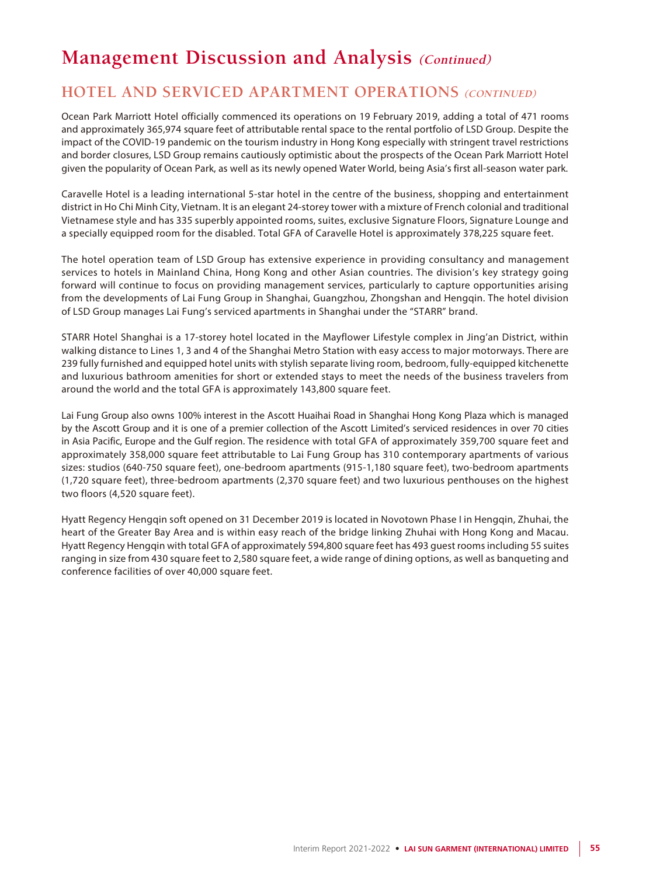### **HOTEL AND SERVICED APARTMENT OPERATIONS (CONTINUED)**

Ocean Park Marriott Hotel officially commenced its operations on 19 February 2019, adding a total of 471 rooms and approximately 365,974 square feet of attributable rental space to the rental portfolio of LSD Group. Despite the impact of the COVID-19 pandemic on the tourism industry in Hong Kong especially with stringent travel restrictions and border closures, LSD Group remains cautiously optimistic about the prospects of the Ocean Park Marriott Hotel given the popularity of Ocean Park, as well as its newly opened Water World, being Asia's first all-season water park.

Caravelle Hotel is a leading international 5-star hotel in the centre of the business, shopping and entertainment district in Ho Chi Minh City, Vietnam. It is an elegant 24-storey tower with a mixture of French colonial and traditional Vietnamese style and has 335 superbly appointed rooms, suites, exclusive Signature Floors, Signature Lounge and a specially equipped room for the disabled. Total GFA of Caravelle Hotel is approximately 378,225 square feet.

The hotel operation team of LSD Group has extensive experience in providing consultancy and management services to hotels in Mainland China, Hong Kong and other Asian countries. The division's key strategy going forward will continue to focus on providing management services, particularly to capture opportunities arising from the developments of Lai Fung Group in Shanghai, Guangzhou, Zhongshan and Hengqin. The hotel division of LSD Group manages Lai Fung's serviced apartments in Shanghai under the "STARR" brand.

STARR Hotel Shanghai is a 17-storey hotel located in the Mayflower Lifestyle complex in Jing'an District, within walking distance to Lines 1, 3 and 4 of the Shanghai Metro Station with easy access to major motorways. There are 239 fully furnished and equipped hotel units with stylish separate living room, bedroom, fully-equipped kitchenette and luxurious bathroom amenities for short or extended stays to meet the needs of the business travelers from around the world and the total GFA is approximately 143,800 square feet.

Lai Fung Group also owns 100% interest in the Ascott Huaihai Road in Shanghai Hong Kong Plaza which is managed by the Ascott Group and it is one of a premier collection of the Ascott Limited's serviced residences in over 70 cities in Asia Pacific, Europe and the Gulf region. The residence with total GFA of approximately 359,700 square feet and approximately 358,000 square feet attributable to Lai Fung Group has 310 contemporary apartments of various sizes: studios (640-750 square feet), one-bedroom apartments (915-1,180 square feet), two-bedroom apartments (1,720 square feet), three-bedroom apartments (2,370 square feet) and two luxurious penthouses on the highest two floors (4,520 square feet).

Hyatt Regency Hengqin soft opened on 31 December 2019 is located in Novotown Phase I in Hengqin, Zhuhai, the heart of the Greater Bay Area and is within easy reach of the bridge linking Zhuhai with Hong Kong and Macau. Hyatt Regency Hengqin with total GFA of approximately 594,800 square feet has 493 guest rooms including 55 suites ranging in size from 430 square feet to 2,580 square feet, a wide range of dining options, as well as banqueting and conference facilities of over 40,000 square feet.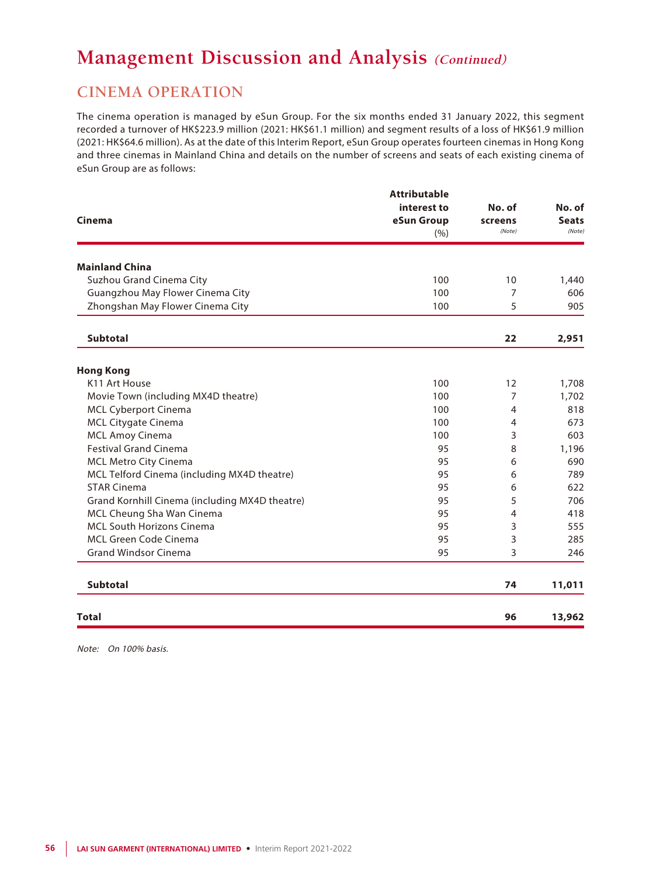### **CINEMA OPERATION**

The cinema operation is managed by eSun Group. For the six months ended 31 January 2022, this segment recorded a turnover of HK\$223.9 million (2021: HK\$61.1 million) and segment results of a loss of HK\$61.9 million (2021: HK\$64.6 million). As at the date of this Interim Report, eSun Group operates fourteen cinemas in Hong Kong and three cinemas in Mainland China and details on the number of screens and seats of each existing cinema of eSun Group are as follows:

|                                                | <b>Attributable</b> |                |              |
|------------------------------------------------|---------------------|----------------|--------------|
|                                                | interest to         | No. of         | No. of       |
| Cinema                                         | eSun Group          | screens        | <b>Seats</b> |
|                                                | (% )                | (Note)         | (Note)       |
| <b>Mainland China</b>                          |                     |                |              |
| Suzhou Grand Cinema City                       | 100                 | 10             | 1,440        |
| Guangzhou May Flower Cinema City               | 100                 | 7              | 606          |
| Zhongshan May Flower Cinema City               | 100                 | 5              | 905          |
| <b>Subtotal</b>                                |                     | 22             | 2,951        |
| <b>Hong Kong</b>                               |                     |                |              |
| K11 Art House                                  | 100                 | 12             | 1,708        |
| Movie Town (including MX4D theatre)            | 100                 | 7              | 1,702        |
| <b>MCL Cyberport Cinema</b>                    | 100                 | $\overline{4}$ | 818          |
| <b>MCL Citygate Cinema</b>                     | 100                 | $\overline{4}$ | 673          |
| <b>MCL Amoy Cinema</b>                         | 100                 | 3              | 603          |
| <b>Festival Grand Cinema</b>                   | 95                  | 8              | 1,196        |
| <b>MCL Metro City Cinema</b>                   | 95                  | 6              | 690          |
| MCL Telford Cinema (including MX4D theatre)    | 95                  | 6              | 789          |
| <b>STAR Cinema</b>                             | 95                  | 6              | 622          |
| Grand Kornhill Cinema (including MX4D theatre) | 95                  | 5              | 706          |
| MCL Cheung Sha Wan Cinema                      | 95                  | 4              | 418          |
| <b>MCL South Horizons Cinema</b>               | 95                  | 3              | 555          |
| <b>MCL Green Code Cinema</b>                   | 95                  | 3              | 285          |
| <b>Grand Windsor Cinema</b>                    | 95                  | 3              | 246          |
| <b>Subtotal</b>                                |                     | 74             | 11,011       |
| Total                                          |                     | 96             | 13,962       |

Note: On 100% basis.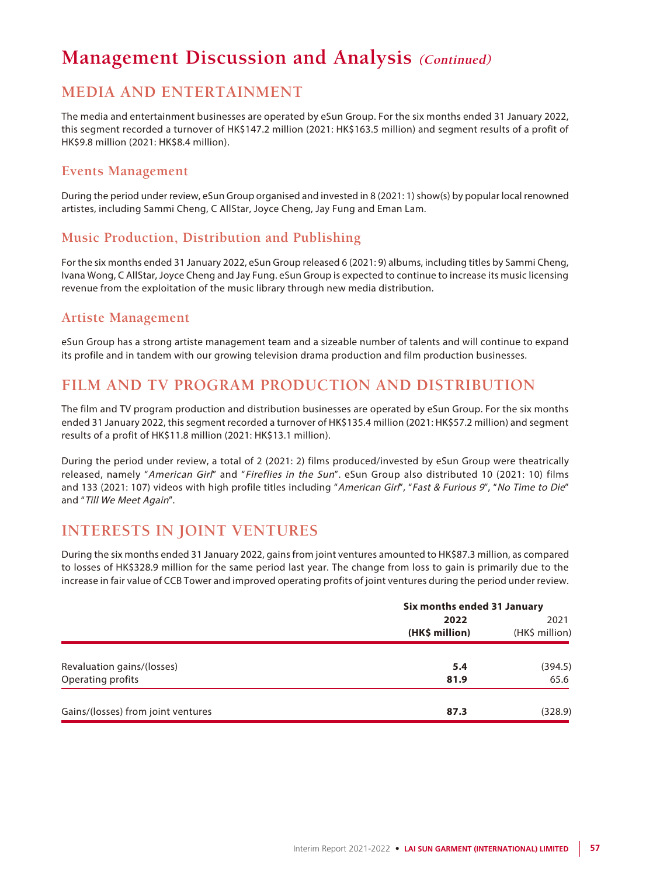### **MEDIA AND ENTERTAINMENT**

The media and entertainment businesses are operated by eSun Group. For the six months ended 31 January 2022, this segment recorded a turnover of HK\$147.2 million (2021: HK\$163.5 million) and segment results of a profit of HK\$9.8 million (2021: HK\$8.4 million).

### **Events Management**

During the period under review, eSun Group organised and invested in 8 (2021: 1) show(s) by popular local renowned artistes, including Sammi Cheng, C AllStar, Joyce Cheng, Jay Fung and Eman Lam.

### **Music Production, Distribution and Publishing**

For the six months ended 31 January 2022, eSun Group released 6 (2021: 9) albums, including titles by Sammi Cheng, Ivana Wong, C AllStar, Joyce Cheng and Jay Fung. eSun Group is expected to continue to increase its music licensing revenue from the exploitation of the music library through new media distribution.

### **Artiste Management**

eSun Group has a strong artiste management team and a sizeable number of talents and will continue to expand its profile and in tandem with our growing television drama production and film production businesses.

### **FILM AND TV PROGRAM PRODUCTION AND DISTRIBUTION**

The film and TV program production and distribution businesses are operated by eSun Group. For the six months ended 31 January 2022, this segment recorded a turnover of HK\$135.4 million (2021: HK\$57.2 million) and segment results of a profit of HK\$11.8 million (2021: HK\$13.1 million).

During the period under review, a total of 2 (2021: 2) films produced/invested by eSun Group were theatrically released, namely "American Girl" and "Fireflies in the Sun". eSun Group also distributed 10 (2021: 10) films and 133 (2021: 107) videos with high profile titles including "American Girl", "Fast & Furious 9", "No Time to Die" and "Till We Meet Again".

### **INTERESTS IN JOINT VENTURES**

During the six months ended 31 January 2022, gains from joint ventures amounted to HK\$87.3 million, as compared to losses of HK\$328.9 million for the same period last year. The change from loss to gain is primarily due to the increase in fair value of CCB Tower and improved operating profits of joint ventures during the period under review.

|                                    | Six months ended 31 January |                |
|------------------------------------|-----------------------------|----------------|
|                                    | 2022                        | 2021           |
|                                    | (HK\$ million)              | (HK\$ million) |
| Revaluation gains/(losses)         | 5.4                         | (394.5)        |
| Operating profits                  | 81.9                        | 65.6           |
| Gains/(losses) from joint ventures | 87.3                        | (328.9)        |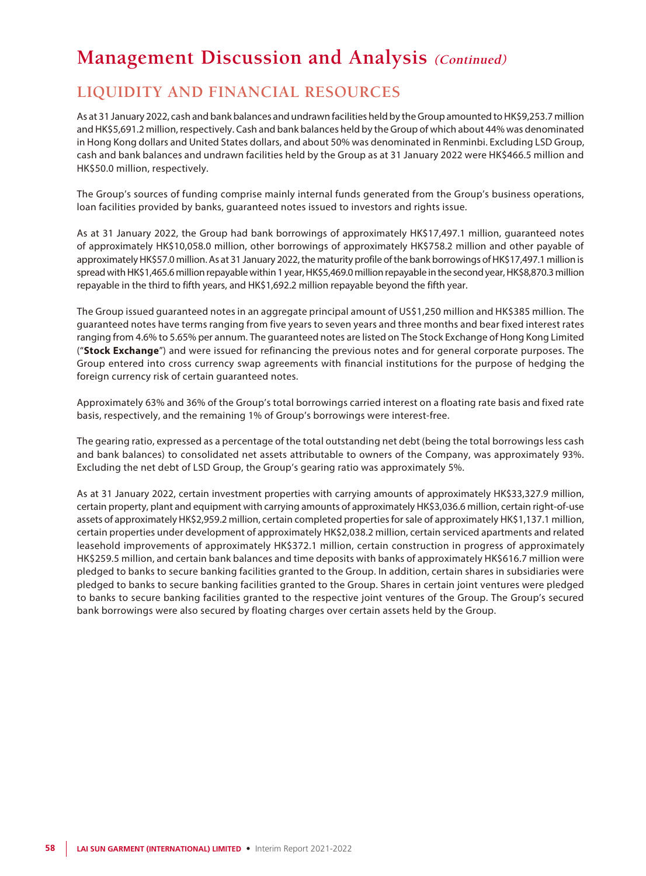### **LIQUIDITY AND FINANCIAL RESOURCES**

As at 31 January 2022, cash and bank balances and undrawn facilities held by the Group amounted to HK\$9,253.7 million and HK\$5,691.2 million, respectively. Cash and bank balances held by the Group of which about 44% was denominated in Hong Kong dollars and United States dollars, and about 50% was denominated in Renminbi. Excluding LSD Group, cash and bank balances and undrawn facilities held by the Group as at 31 January 2022 were HK\$466.5 million and HK\$50.0 million, respectively.

The Group's sources of funding comprise mainly internal funds generated from the Group's business operations, loan facilities provided by banks, guaranteed notes issued to investors and rights issue.

As at 31 January 2022, the Group had bank borrowings of approximately HK\$17,497.1 million, guaranteed notes of approximately HK\$10,058.0 million, other borrowings of approximately HK\$758.2 million and other payable of approximately HK\$57.0 million. As at 31 January 2022, the maturity profile of the bank borrowings of HK\$17,497.1 million is spread with HK\$1,465.6 million repayable within 1 year, HK\$5,469.0 million repayable in the second year, HK\$8,870.3 million repayable in the third to fifth years, and HK\$1,692.2 million repayable beyond the fifth year.

The Group issued guaranteed notes in an aggregate principal amount of US\$1,250 million and HK\$385 million. The guaranteed notes have terms ranging from five years to seven years and three months and bear fixed interest rates ranging from 4.6% to 5.65% per annum. The guaranteed notes are listed on The Stock Exchange of Hong Kong Limited ("**Stock Exchange**") and were issued for refinancing the previous notes and for general corporate purposes. The Group entered into cross currency swap agreements with financial institutions for the purpose of hedging the foreign currency risk of certain guaranteed notes.

Approximately 63% and 36% of the Group's total borrowings carried interest on a floating rate basis and fixed rate basis, respectively, and the remaining 1% of Group's borrowings were interest-free.

The gearing ratio, expressed as a percentage of the total outstanding net debt (being the total borrowings less cash and bank balances) to consolidated net assets attributable to owners of the Company, was approximately 93%. Excluding the net debt of LSD Group, the Group's gearing ratio was approximately 5%.

As at 31 January 2022, certain investment properties with carrying amounts of approximately HK\$33,327.9 million, certain property, plant and equipment with carrying amounts of approximately HK\$3,036.6 million, certain right-of-use assets of approximately HK\$2,959.2 million, certain completed properties for sale of approximately HK\$1,137.1 million, certain properties under development of approximately HK\$2,038.2 million, certain serviced apartments and related leasehold improvements of approximately HK\$372.1 million, certain construction in progress of approximately HK\$259.5 million, and certain bank balances and time deposits with banks of approximately HK\$616.7 million were pledged to banks to secure banking facilities granted to the Group. In addition, certain shares in subsidiaries were pledged to banks to secure banking facilities granted to the Group. Shares in certain joint ventures were pledged to banks to secure banking facilities granted to the respective joint ventures of the Group. The Group's secured bank borrowings were also secured by floating charges over certain assets held by the Group.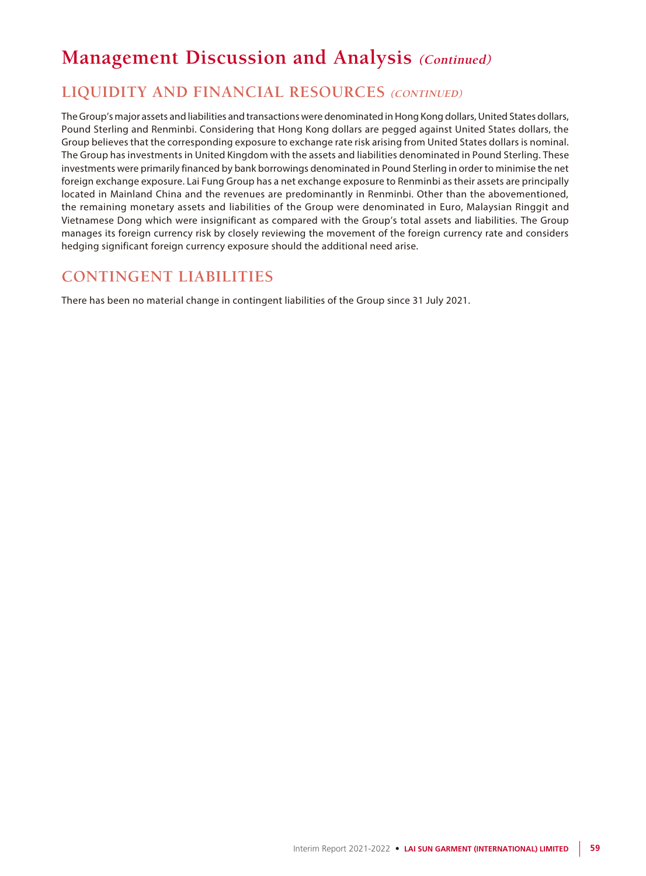### **LIQUIDITY AND FINANCIAL RESOURCES (CONTINUED)**

The Group's major assets and liabilities and transactions were denominated in Hong Kong dollars, United States dollars, Pound Sterling and Renminbi. Considering that Hong Kong dollars are pegged against United States dollars, the Group believes that the corresponding exposure to exchange rate risk arising from United States dollars is nominal. The Group has investments in United Kingdom with the assets and liabilities denominated in Pound Sterling. These investments were primarily financed by bank borrowings denominated in Pound Sterling in order to minimise the net foreign exchange exposure. Lai Fung Group has a net exchange exposure to Renminbi as their assets are principally located in Mainland China and the revenues are predominantly in Renminbi. Other than the abovementioned, the remaining monetary assets and liabilities of the Group were denominated in Euro, Malaysian Ringgit and Vietnamese Dong which were insignificant as compared with the Group's total assets and liabilities. The Group manages its foreign currency risk by closely reviewing the movement of the foreign currency rate and considers hedging significant foreign currency exposure should the additional need arise.

### **CONTINGENT LIABILITIES**

There has been no material change in contingent liabilities of the Group since 31 July 2021.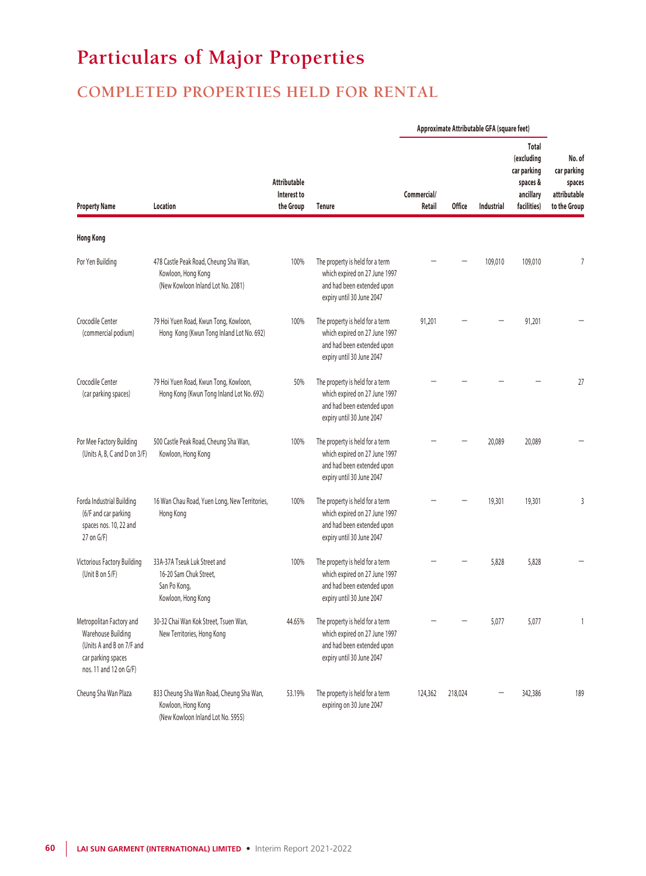## **Particulars of Major Properties**

## **COMPLETED PROPERTIES HELD FOR RENTAL**

|                                                                                                                             |                                                                                                     |                                                 | Approximate Attributable GFA (square feet)                                                                                  |                       |               |                   |                                                                            |                                                                 |
|-----------------------------------------------------------------------------------------------------------------------------|-----------------------------------------------------------------------------------------------------|-------------------------------------------------|-----------------------------------------------------------------------------------------------------------------------------|-----------------------|---------------|-------------------|----------------------------------------------------------------------------|-----------------------------------------------------------------|
| <b>Property Name</b>                                                                                                        | Location                                                                                            | <b>Attributable</b><br>Interest to<br>the Group | <b>Tenure</b>                                                                                                               | Commercial/<br>Retail | <b>Office</b> | <b>Industrial</b> | Total<br>(excluding<br>car parking<br>spaces &<br>ancillary<br>facilities) | No. of<br>car parking<br>spaces<br>attributable<br>to the Group |
| <b>Hong Kong</b>                                                                                                            |                                                                                                     |                                                 |                                                                                                                             |                       |               |                   |                                                                            |                                                                 |
| Por Yen Building                                                                                                            | 478 Castle Peak Road, Cheung Sha Wan,<br>Kowloon, Hong Kong<br>(New Kowloon Inland Lot No. 2081)    | 100%                                            | The property is held for a term<br>which expired on 27 June 1997<br>and had been extended upon<br>expiry until 30 June 2047 |                       |               | 109,010           | 109,010                                                                    | 7                                                               |
| Crocodile Center<br>(commercial podium)                                                                                     | 79 Hoi Yuen Road, Kwun Tong, Kowloon,<br>Hong Kong (Kwun Tong Inland Lot No. 692)                   | 100%                                            | The property is held for a term<br>which expired on 27 June 1997<br>and had been extended upon<br>expiry until 30 June 2047 | 91,201                |               |                   | 91,201                                                                     |                                                                 |
| Crocodile Center<br>(car parking spaces)                                                                                    | 79 Hoi Yuen Road, Kwun Tong, Kowloon,<br>Hong Kong (Kwun Tong Inland Lot No. 692)                   | 50%                                             | The property is held for a term<br>which expired on 27 June 1997<br>and had been extended upon<br>expiry until 30 June 2047 |                       |               |                   |                                                                            | 27                                                              |
| Por Mee Factory Building<br>(Units A, B, C and D on 3/F)                                                                    | 500 Castle Peak Road, Cheung Sha Wan,<br>Kowloon, Hong Kong                                         | 100%                                            | The property is held for a term<br>which expired on 27 June 1997<br>and had been extended upon<br>expiry until 30 June 2047 |                       |               | 20,089            | 20,089                                                                     |                                                                 |
| Forda Industrial Building<br>(6/F and car parking<br>spaces nos. 10, 22 and<br>$27$ on $G/F$ )                              | 16 Wan Chau Road, Yuen Long, New Territories,<br>Hong Kong                                          | 100%                                            | The property is held for a term<br>which expired on 27 June 1997<br>and had been extended upon<br>expiry until 30 June 2047 |                       |               | 19,301            | 19,301                                                                     | 3                                                               |
| Victorious Factory Building<br>(Unit B on 5/F)                                                                              | 33A-37A Tseuk Luk Street and<br>16-20 Sam Chuk Street,<br>San Po Kong,<br>Kowloon, Hong Kong        | 100%                                            | The property is held for a term<br>which expired on 27 June 1997<br>and had been extended upon<br>expiry until 30 June 2047 |                       |               | 5,828             | 5,828                                                                      |                                                                 |
| Metropolitan Factory and<br>Warehouse Building<br>(Units A and B on 7/F and<br>car parking spaces<br>nos. 11 and 12 on G/F) | 30-32 Chai Wan Kok Street, Tsuen Wan,<br>New Territories, Hong Kong                                 | 44.65%                                          | The property is held for a term<br>which expired on 27 June 1997<br>and had been extended upon<br>expiry until 30 June 2047 |                       |               | 5,077             | 5,077                                                                      | $\mathbf{1}$                                                    |
| Cheung Sha Wan Plaza                                                                                                        | 833 Cheung Sha Wan Road, Cheung Sha Wan,<br>Kowloon, Hong Kong<br>(New Kowloon Inland Lot No. 5955) | 53.19%                                          | The property is held for a term<br>expiring on 30 June 2047                                                                 | 124,362               | 218,024       |                   | 342,386                                                                    | 189                                                             |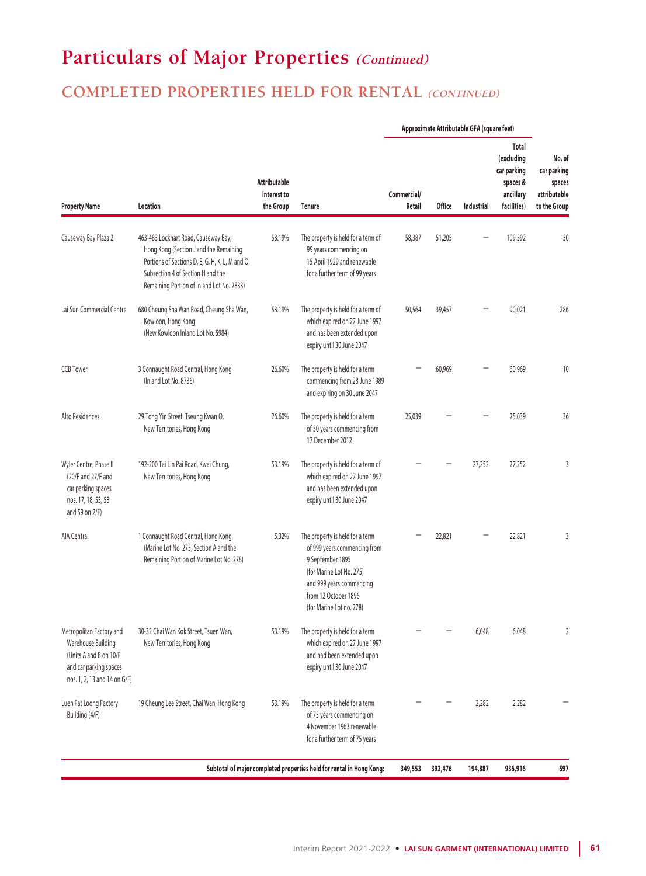### **COMPLETED PROPERTIES HELD FOR RENTAL (CONTINUED)**

|                                                                                                                                    |                                                                                                                                                                                                                     |                                                 |                                                                                                                                                                                                 |                       |               | Approximate Attributable GFA (square feet) |                                                                            |                                                                 |
|------------------------------------------------------------------------------------------------------------------------------------|---------------------------------------------------------------------------------------------------------------------------------------------------------------------------------------------------------------------|-------------------------------------------------|-------------------------------------------------------------------------------------------------------------------------------------------------------------------------------------------------|-----------------------|---------------|--------------------------------------------|----------------------------------------------------------------------------|-----------------------------------------------------------------|
| <b>Property Name</b>                                                                                                               | Location                                                                                                                                                                                                            | <b>Attributable</b><br>Interest to<br>the Group | <b>Tenure</b>                                                                                                                                                                                   | Commercial/<br>Retail | <b>Office</b> | Industrial                                 | Total<br>(excluding<br>car parking<br>spaces &<br>ancillary<br>facilities) | No. of<br>car parking<br>spaces<br>attributable<br>to the Group |
| Causeway Bay Plaza 2                                                                                                               | 463-483 Lockhart Road, Causeway Bay,<br>Hong Kong (Section J and the Remaining<br>Portions of Sections D, E, G, H, K, L, M and O,<br>Subsection 4 of Section H and the<br>Remaining Portion of Inland Lot No. 2833) | 53.19%                                          | The property is held for a term of<br>99 years commencing on<br>15 April 1929 and renewable<br>for a further term of 99 years                                                                   | 58,387                | 51,205        |                                            | 109,592                                                                    | 30                                                              |
| Lai Sun Commercial Centre                                                                                                          | 680 Cheung Sha Wan Road, Cheung Sha Wan,<br>Kowloon, Hong Kong<br>(New Kowloon Inland Lot No. 5984)                                                                                                                 | 53.19%                                          | The property is held for a term of<br>which expired on 27 June 1997<br>and has been extended upon<br>expiry until 30 June 2047                                                                  | 50,564                | 39,457        |                                            | 90,021                                                                     | 286                                                             |
| <b>CCB Tower</b>                                                                                                                   | 3 Connaught Road Central, Hong Kong<br>(Inland Lot No. 8736)                                                                                                                                                        | 26.60%                                          | The property is held for a term<br>commencing from 28 June 1989<br>and expiring on 30 June 2047                                                                                                 |                       | 60,969        |                                            | 60,969                                                                     | 10                                                              |
| Alto Residences                                                                                                                    | 29 Tong Yin Street, Tseung Kwan O,<br>New Territories, Hong Kong                                                                                                                                                    | 26.60%                                          | The property is held for a term<br>of 50 years commencing from<br>17 December 2012                                                                                                              | 25,039                |               |                                            | 25,039                                                                     | 36                                                              |
| Wyler Centre, Phase II<br>(20/F and 27/F and<br>car parking spaces<br>nos. 17, 18, 53, 58<br>and 59 on 2/F)                        | 192-200 Tai Lin Pai Road, Kwai Chung,<br>New Territories, Hong Kong                                                                                                                                                 | 53.19%                                          | The property is held for a term of<br>which expired on 27 June 1997<br>and has been extended upon<br>expiry until 30 June 2047                                                                  |                       |               | 27,252                                     | 27,252                                                                     | 3                                                               |
| AIA Central                                                                                                                        | 1 Connaught Road Central, Hong Kong<br>(Marine Lot No. 275, Section A and the<br>Remaining Portion of Marine Lot No. 278)                                                                                           | 5.32%                                           | The property is held for a term<br>of 999 years commencing from<br>9 September 1895<br>(for Marine Lot No. 275)<br>and 999 years commencing<br>from 12 October 1896<br>(for Marine Lot no. 278) |                       | 22,821        |                                            | 22,821                                                                     | 3                                                               |
| Metropolitan Factory and<br>Warehouse Building<br>(Units A and B on 10/F<br>and car parking spaces<br>nos. 1, 2, 13 and 14 on G/F) | 30-32 Chai Wan Kok Street, Tsuen Wan,<br>New Territories, Hong Kong                                                                                                                                                 | 53.19%                                          | The property is held for a term<br>which expired on 27 June 1997<br>and had been extended upon<br>expiry until 30 June 2047                                                                     |                       |               | 6,048                                      | 6,048                                                                      | $\overline{2}$                                                  |
| Luen Fat Loong Factory<br>Building (4/F)                                                                                           | 19 Cheung Lee Street, Chai Wan, Hong Kong                                                                                                                                                                           | 53.19%                                          | The property is held for a term<br>of 75 years commencing on<br>4 November 1963 renewable<br>for a further term of 75 years                                                                     |                       |               | 2,282                                      | 2,282                                                                      |                                                                 |
|                                                                                                                                    |                                                                                                                                                                                                                     |                                                 | Subtotal of major completed properties held for rental in Hong Kong:                                                                                                                            | 349,553               | 392,476       | 194,887                                    | 936,916                                                                    | 597                                                             |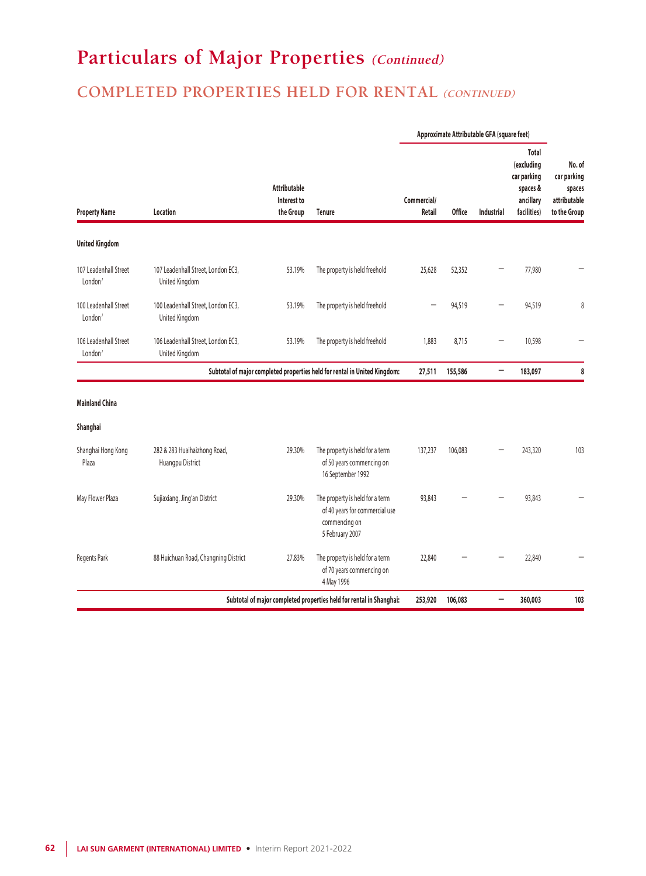## **COMPLETED PROPERTIES HELD FOR RENTAL (CONTINUED)**

|                                              |                                                      |                                                 |                                                                                                       | Approximate Attributable GFA (square feet) |                   |                                                                            |                                                                 |     |
|----------------------------------------------|------------------------------------------------------|-------------------------------------------------|-------------------------------------------------------------------------------------------------------|--------------------------------------------|-------------------|----------------------------------------------------------------------------|-----------------------------------------------------------------|-----|
| <b>Property Name</b>                         | Location                                             | <b>Attributable</b><br>Interest to<br>the Group | Commercial/<br>Retail                                                                                 | <b>Office</b>                              | <b>Industrial</b> | Total<br>(excluding<br>car parking<br>spaces &<br>ancillary<br>facilities) | No. of<br>car parking<br>spaces<br>attributable<br>to the Group |     |
| <b>United Kingdom</b>                        |                                                      |                                                 |                                                                                                       |                                            |                   |                                                                            |                                                                 |     |
| 107 Leadenhall Street<br>London <sup>1</sup> | 107 Leadenhall Street, London EC3,<br>United Kingdom | 53.19%                                          | The property is held freehold                                                                         | 25.628                                     | 52,352            |                                                                            | 77,980                                                          |     |
| 100 Leadenhall Street<br>London'             | 100 Leadenhall Street, London EC3,<br>United Kingdom | 53.19%                                          | The property is held freehold                                                                         |                                            | 94,519            |                                                                            | 94,519                                                          | 8   |
| 106 Leadenhall Street<br>London <sup>1</sup> | 106 Leadenhall Street, London EC3,<br>United Kingdom | 53.19%                                          | The property is held freehold                                                                         | 1,883                                      | 8,715             |                                                                            | 10,598                                                          |     |
|                                              |                                                      |                                                 | Subtotal of major completed properties held for rental in United Kingdom:                             | 27,511                                     | 155,586           | -                                                                          | 183,097                                                         | 8   |
| <b>Mainland China</b>                        |                                                      |                                                 |                                                                                                       |                                            |                   |                                                                            |                                                                 |     |
| Shanghai                                     |                                                      |                                                 |                                                                                                       |                                            |                   |                                                                            |                                                                 |     |
| Shanghai Hong Kong<br>Plaza                  | 282 & 283 Huaihaizhong Road,<br>Huangpu District     | 29.30%                                          | The property is held for a term<br>of 50 years commencing on<br>16 September 1992                     | 137,237                                    | 106,083           |                                                                            | 243,320                                                         | 103 |
| May Flower Plaza                             | Sujiaxiang, Jing'an District                         | 29.30%                                          | The property is held for a term<br>of 40 years for commercial use<br>commencing on<br>5 February 2007 | 93,843                                     |                   |                                                                            | 93,843                                                          |     |
| <b>Regents Park</b>                          | 88 Huichuan Road, Changning District                 | 27.83%                                          | The property is held for a term<br>of 70 years commencing on<br>4 May 1996                            | 22,840                                     |                   |                                                                            | 22,840                                                          |     |
|                                              |                                                      |                                                 | Subtotal of major completed properties held for rental in Shanghai:                                   | 253,920                                    | 106,083           | -                                                                          | 360,003                                                         | 103 |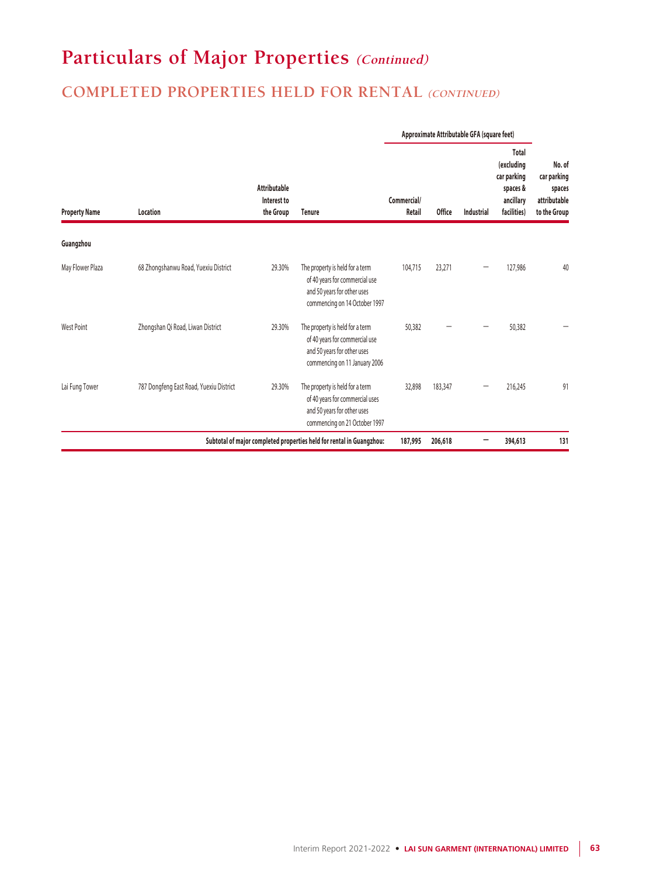## **COMPLETED PROPERTIES HELD FOR RENTAL (CONTINUED)**

|                      |                                         |                                                 |                                                                                                                                    | Approximate Attributable GFA (square feet) |               |            |                                                                            |                                                                 |
|----------------------|-----------------------------------------|-------------------------------------------------|------------------------------------------------------------------------------------------------------------------------------------|--------------------------------------------|---------------|------------|----------------------------------------------------------------------------|-----------------------------------------------------------------|
| <b>Property Name</b> | Location                                | <b>Attributable</b><br>Interest to<br>the Group | <b>Tenure</b>                                                                                                                      | Commercial/<br>Retail                      | <b>Office</b> | Industrial | Total<br>(excluding<br>car parking<br>spaces &<br>ancillary<br>facilities) | No. of<br>car parking<br>spaces<br>attributable<br>to the Group |
| Guangzhou            |                                         |                                                 |                                                                                                                                    |                                            |               |            |                                                                            |                                                                 |
| May Flower Plaza     | 68 Zhongshanwu Road, Yuexiu District    | 29.30%                                          | The property is held for a term<br>of 40 years for commercial use<br>and 50 years for other uses<br>commencing on 14 October 1997  | 104,715                                    | 23,271        |            | 127,986                                                                    | 40                                                              |
| West Point           | Zhongshan Qi Road, Liwan District       | 29.30%                                          | The property is held for a term<br>of 40 years for commercial use<br>and 50 years for other uses<br>commencing on 11 January 2006  | 50,382                                     |               |            | 50,382                                                                     |                                                                 |
| Lai Fung Tower       | 787 Dongfeng East Road, Yuexiu District | 29.30%                                          | The property is held for a term<br>of 40 years for commercial uses<br>and 50 years for other uses<br>commencing on 21 October 1997 | 32,898                                     | 183,347       |            | 216,245                                                                    | 91                                                              |
|                      |                                         |                                                 | Subtotal of major completed properties held for rental in Guangzhou:                                                               | 187,995                                    | 206,618       | -          | 394,613                                                                    | 131                                                             |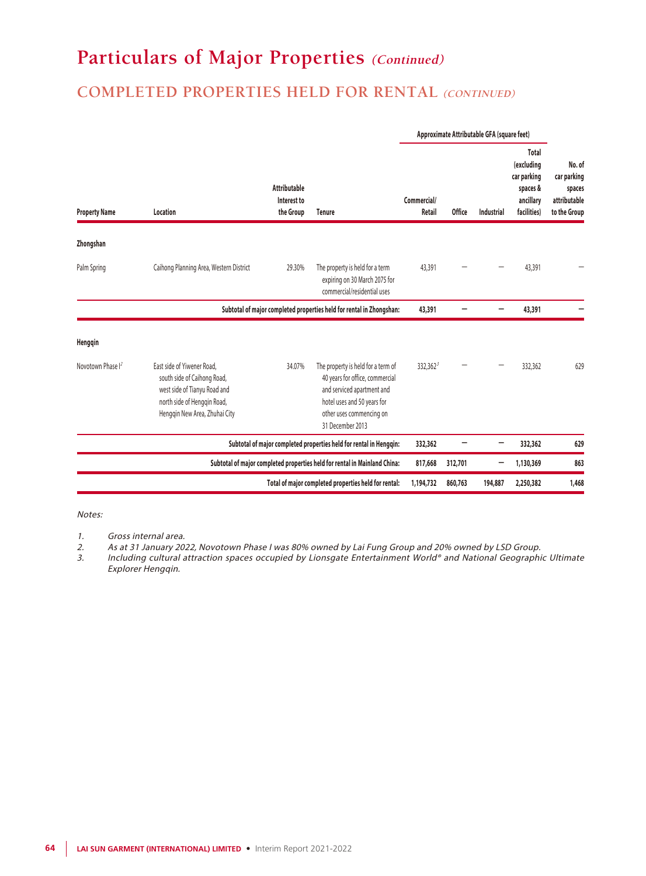### **COMPLETED PROPERTIES HELD FOR RENTAL (CONTINUED)**

|                               |                                                                                                                                                           |                                                 |                                                                                                                                                                                    |             |               | Approximate Attributable GFA (square feet) |                                                                            |                                                                 |
|-------------------------------|-----------------------------------------------------------------------------------------------------------------------------------------------------------|-------------------------------------------------|------------------------------------------------------------------------------------------------------------------------------------------------------------------------------------|-------------|---------------|--------------------------------------------|----------------------------------------------------------------------------|-----------------------------------------------------------------|
| <b>Property Name</b>          | Location                                                                                                                                                  | <b>Attributable</b><br>Interest to<br>the Group | Commercial/<br><b>Tenure</b>                                                                                                                                                       |             | <b>Office</b> | <b>Industrial</b>                          | Total<br>(excluding<br>car parking<br>spaces &<br>ancillary<br>facilities) | No. of<br>car parking<br>spaces<br>attributable<br>to the Group |
| Zhongshan                     |                                                                                                                                                           |                                                 |                                                                                                                                                                                    |             |               |                                            |                                                                            |                                                                 |
| Palm Spring                   | Caihong Planning Area, Western District                                                                                                                   | 29.30%                                          | The property is held for a term<br>expiring on 30 March 2075 for<br>commercial/residential uses                                                                                    | 43,391      |               |                                            | 43,391                                                                     |                                                                 |
|                               |                                                                                                                                                           |                                                 | Subtotal of major completed properties held for rental in Zhongshan:                                                                                                               | 43,391      |               |                                            | 43,391                                                                     |                                                                 |
| Hengqin                       |                                                                                                                                                           |                                                 |                                                                                                                                                                                    |             |               |                                            |                                                                            |                                                                 |
| Novotown Phase I <sup>2</sup> | East side of Yiwener Road,<br>south side of Caihong Road,<br>west side of Tianyu Road and<br>north side of Hengqin Road,<br>Henggin New Area, Zhuhai City | 34.07%                                          | The property is held for a term of<br>40 years for office, commercial<br>and serviced apartment and<br>hotel uses and 50 years for<br>other uses commencing on<br>31 December 2013 | $332,362^3$ |               |                                            | 332,362                                                                    | 629                                                             |
|                               |                                                                                                                                                           |                                                 | Subtotal of major completed properties held for rental in Hengqin:                                                                                                                 | 332,362     |               |                                            | 332,362                                                                    | 629                                                             |
|                               |                                                                                                                                                           |                                                 | Subtotal of major completed properties held for rental in Mainland China:                                                                                                          | 817,668     | 312,701       |                                            | 1,130,369                                                                  | 863                                                             |
|                               |                                                                                                                                                           |                                                 | Total of major completed properties held for rental:                                                                                                                               | 1,194,732   | 860,763       | 194,887                                    | 2,250,382                                                                  | 1,468                                                           |

Notes:

- 1. Gross internal area.
- 2. As at 31 January 2022, Novotown Phase I was 80% owned by Lai Fung Group and 20% owned by LSD Group.<br>3. Including cultural attraction spaces occupied by Lionsgate Entertainment World® and National Geographi
- Including cultural attraction spaces occupied by Lionsgate Entertainment World® and National Geographic Ultimate Explorer Hengqin.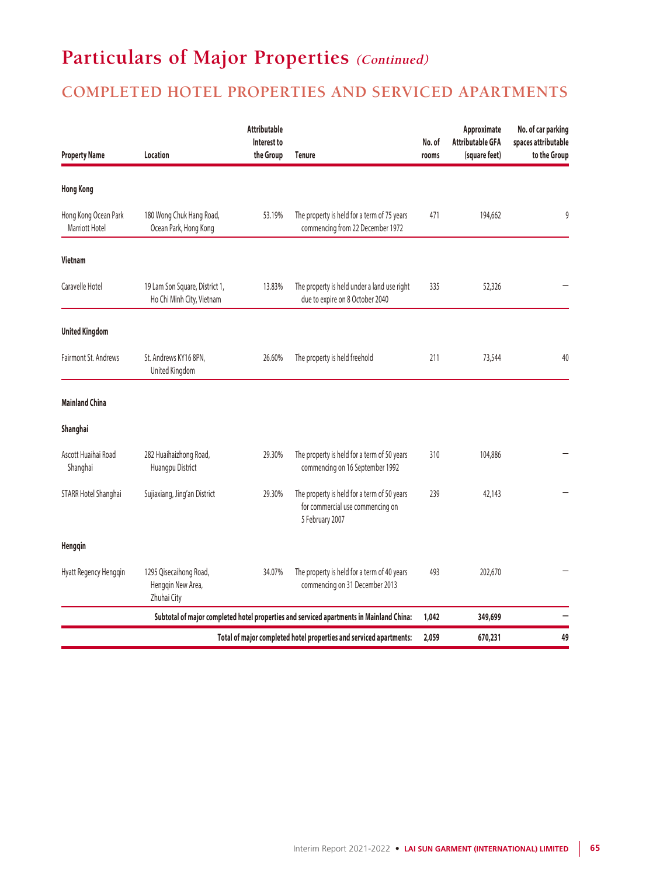### **COMPLETED HOTEL PROPERTIES AND SERVICED APARTMENTS**

| <b>Property Name</b>                   | Location                                                    |        | <b>Tenure</b>                                                                                      | No. of<br>rooms | Approximate<br><b>Attributable GFA</b><br>(square feet) | No. of car parking<br>spaces attributable<br>to the Group |
|----------------------------------------|-------------------------------------------------------------|--------|----------------------------------------------------------------------------------------------------|-----------------|---------------------------------------------------------|-----------------------------------------------------------|
| <b>Hong Kong</b>                       |                                                             |        |                                                                                                    |                 |                                                         |                                                           |
| Hong Kong Ocean Park<br>Marriott Hotel | 180 Wong Chuk Hang Road,<br>Ocean Park, Hong Kong           | 53.19% | The property is held for a term of 75 years<br>commencing from 22 December 1972                    | 471             | 194,662                                                 | 9                                                         |
| Vietnam                                |                                                             |        |                                                                                                    |                 |                                                         |                                                           |
| Caravelle Hotel                        | 19 Lam Son Square, District 1,<br>Ho Chi Minh City, Vietnam | 13.83% | The property is held under a land use right<br>due to expire on 8 October 2040                     | 335             | 52,326                                                  |                                                           |
| <b>United Kingdom</b>                  |                                                             |        |                                                                                                    |                 |                                                         |                                                           |
| Fairmont St. Andrews                   | St. Andrews KY16 8PN,<br>United Kingdom                     | 26.60% | The property is held freehold                                                                      | 211             | 73,544                                                  | 40                                                        |
| <b>Mainland China</b>                  |                                                             |        |                                                                                                    |                 |                                                         |                                                           |
| Shanghai                               |                                                             |        |                                                                                                    |                 |                                                         |                                                           |
| Ascott Huaihai Road<br>Shanghai        | 282 Huaihaizhong Road,<br>Huangpu District                  | 29.30% | The property is held for a term of 50 years<br>commencing on 16 September 1992                     | 310             | 104,886                                                 |                                                           |
| STARR Hotel Shanghai                   | Sujiaxiang, Jing'an District                                | 29.30% | The property is held for a term of 50 years<br>for commercial use commencing on<br>5 February 2007 | 239             | 42,143                                                  |                                                           |
| Hengqin                                |                                                             |        |                                                                                                    |                 |                                                         |                                                           |
| Hyatt Regency Hengqin                  | 1295 Qisecaihong Road,<br>Henggin New Area,<br>Zhuhai City  | 34.07% | The property is held for a term of 40 years<br>commencing on 31 December 2013                      | 493             | 202,670                                                 |                                                           |
|                                        |                                                             |        | Subtotal of major completed hotel properties and serviced apartments in Mainland China:            | 1,042           | 349,699                                                 |                                                           |
|                                        |                                                             |        | Total of major completed hotel properties and serviced apartments:                                 | 2,059           | 670,231                                                 | 49                                                        |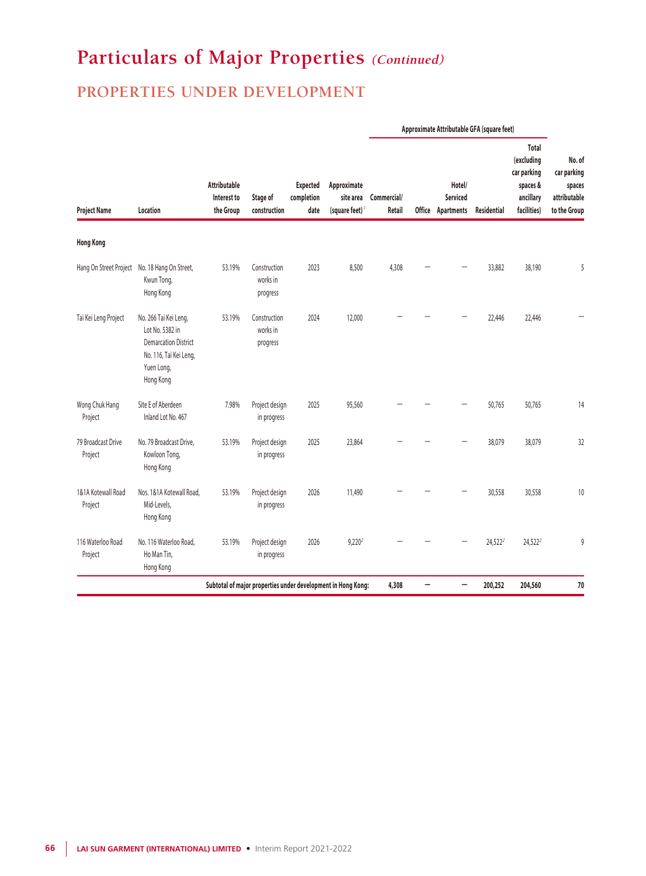### **PROPERTIES UNDER DEVELOPMENT**

|                               |                                                                                                                              |                                                 |                                                              |                                       |                                                        |                       | Approximate Attributable GFA (square feet) |                                         |             |                                                                                   |                                                                 |
|-------------------------------|------------------------------------------------------------------------------------------------------------------------------|-------------------------------------------------|--------------------------------------------------------------|---------------------------------------|--------------------------------------------------------|-----------------------|--------------------------------------------|-----------------------------------------|-------------|-----------------------------------------------------------------------------------|-----------------------------------------------------------------|
| <b>Project Name</b>           | Location                                                                                                                     | <b>Attributable</b><br>Interest to<br>the Group | Stage of<br>construction                                     | <b>Expected</b><br>completion<br>date | Approximate<br>site area<br>(square feet) <sup>/</sup> | Commercial/<br>Retail |                                            | Hotel/<br>Serviced<br>Office Apartments | Residential | <b>Total</b><br>(excluding<br>car parking<br>spaces &<br>ancillary<br>facilities) | No. of<br>car parking<br>spaces<br>attributable<br>to the Group |
| <b>Hong Kong</b>              |                                                                                                                              |                                                 |                                                              |                                       |                                                        |                       |                                            |                                         |             |                                                                                   |                                                                 |
|                               | Hang On Street Project No. 18 Hang On Street,<br>Kwun Tong,<br>Hong Kong                                                     | 53.19%                                          | Construction<br>works in<br>progress                         | 2023                                  | 8,500                                                  | 4,308                 |                                            |                                         | 33,882      | 38,190                                                                            | 5                                                               |
| Tai Kei Leng Project          | No. 266 Tai Kei Leng,<br>Lot No. 5382 in<br><b>Demarcation District</b><br>No. 116, Tai Kei Leng,<br>Yuen Long,<br>Hong Kong | 53.19%                                          | Construction<br>works in<br>progress                         | 2024                                  | 12,000                                                 |                       |                                            |                                         | 22,446      | 22,446                                                                            |                                                                 |
| Wong Chuk Hang<br>Project     | Site E of Aberdeen<br>Inland Lot No. 467                                                                                     | 7.98%                                           | Project design<br>in progress                                | 2025                                  | 95,560                                                 |                       |                                            |                                         | 50,765      | 50,765                                                                            | 14                                                              |
| 79 Broadcast Drive<br>Project | No. 79 Broadcast Drive,<br>Kowloon Tong,<br>Hong Kong                                                                        | 53.19%                                          | Project design<br>in progress                                | 2025                                  | 23,864                                                 |                       |                                            |                                         | 38,079      | 38,079                                                                            | 32                                                              |
| 1&1A Kotewall Road<br>Project | Nos. 1&1A Kotewall Road,<br>Mid-Levels,<br>Hong Kong                                                                         | 53.19%                                          | Project design<br>in progress                                | 2026                                  | 11,490                                                 |                       |                                            |                                         | 30,558      | 30,558                                                                            | 10                                                              |
| 116 Waterloo Road<br>Project  | No. 116 Waterloo Road,<br>Ho Man Tin,<br>Hong Kong                                                                           | 53.19%                                          | Project design<br>in progress                                | 2026                                  | $9,220^2$                                              |                       |                                            |                                         | $24,522^2$  | $24,522^2$                                                                        | 9                                                               |
|                               |                                                                                                                              |                                                 | Subtotal of major properties under development in Hong Kong: |                                       |                                                        | 4,308                 | —                                          |                                         | 200,252     | 204,560                                                                           | 70                                                              |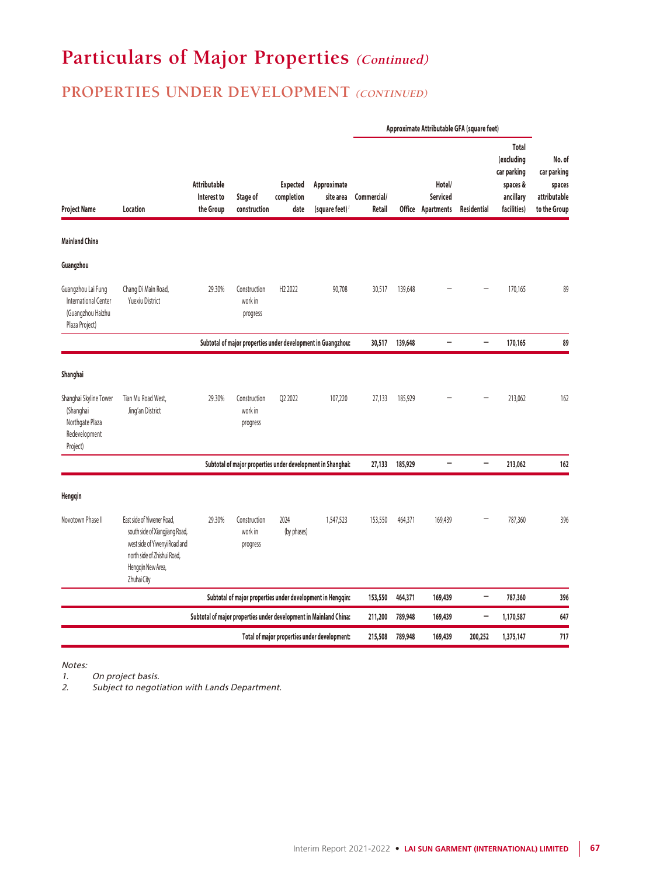### **PROPERTIES UNDER DEVELOPMENT** (CONTINUED)

|                                                                                     |                                                                                                                                                                  |                                                 |                                                                   | <b>Expected</b><br>Approximate<br>completion<br>site area<br>(square feet) <sup>7</sup><br>date | Approximate Attributable GFA (square feet)   |                       |         |                                                |                          |                                                                            |                                                                 |
|-------------------------------------------------------------------------------------|------------------------------------------------------------------------------------------------------------------------------------------------------------------|-------------------------------------------------|-------------------------------------------------------------------|-------------------------------------------------------------------------------------------------|----------------------------------------------|-----------------------|---------|------------------------------------------------|--------------------------|----------------------------------------------------------------------------|-----------------------------------------------------------------|
| <b>Project Name</b>                                                                 | Location                                                                                                                                                         | <b>Attributable</b><br>Interest to<br>the Group | Stage of<br>construction                                          |                                                                                                 |                                              | Commercial/<br>Retail |         | Hotel/<br><b>Serviced</b><br>Office Apartments | Residential              | Total<br>(excluding<br>car parking<br>spaces &<br>ancillary<br>facilities) | No. of<br>car parking<br>spaces<br>attributable<br>to the Group |
| <b>Mainland China</b>                                                               |                                                                                                                                                                  |                                                 |                                                                   |                                                                                                 |                                              |                       |         |                                                |                          |                                                                            |                                                                 |
| Guangzhou                                                                           |                                                                                                                                                                  |                                                 |                                                                   |                                                                                                 |                                              |                       |         |                                                |                          |                                                                            |                                                                 |
| Guangzhou Lai Fung<br>International Center<br>(Guangzhou Haizhu<br>Plaza Project)   | Chang Di Main Road,<br><b>Yuexiu District</b>                                                                                                                    | 29.30%                                          | Construction<br>work in<br>progress                               | H <sub>2</sub> 2022                                                                             | 90,708                                       | 30,517                | 139,648 |                                                |                          | 170,165                                                                    | 89                                                              |
|                                                                                     |                                                                                                                                                                  |                                                 | Subtotal of major properties under development in Guangzhou:      |                                                                                                 |                                              | 30,517                | 139,648 | $\overline{\phantom{0}}$                       | -                        | 170,165                                                                    | 89                                                              |
| Shanghai                                                                            |                                                                                                                                                                  |                                                 |                                                                   |                                                                                                 |                                              |                       |         |                                                |                          |                                                                            |                                                                 |
| Shanghai Skyline Tower<br>(Shanghai<br>Northgate Plaza<br>Redevelopment<br>Project) | Tian Mu Road West,<br>Jing'an District                                                                                                                           | 29.30%                                          | Construction<br>work in<br>progress                               | Q2 2022                                                                                         | 107,220                                      | 27,133                | 185,929 |                                                |                          | 213,062                                                                    | 162                                                             |
|                                                                                     |                                                                                                                                                                  |                                                 | Subtotal of major properties under development in Shanghai:       |                                                                                                 |                                              | 27,133                | 185,929 | $\overline{\phantom{0}}$                       | -                        | 213,062                                                                    | 162                                                             |
| Hengqin                                                                             |                                                                                                                                                                  |                                                 |                                                                   |                                                                                                 |                                              |                       |         |                                                |                          |                                                                            |                                                                 |
| Novotown Phase II                                                                   | East side of Yiwener Road,<br>south side of Xiangjiang Road,<br>west side of Yiwenyi Road and<br>north side of Zhishui Road,<br>Hengqin New Area,<br>Zhuhai City | 29.30%                                          | Construction<br>work in<br>progress                               | 2024<br>(by phases)                                                                             | 1,547,523                                    | 153,550               | 464,371 | 169,439                                        |                          | 787,360                                                                    | 396                                                             |
|                                                                                     |                                                                                                                                                                  |                                                 | Subtotal of major properties under development in Hengqin:        |                                                                                                 |                                              | 153,550               | 464,371 | 169,439                                        | $\overline{\phantom{0}}$ | 787,360                                                                    | 396                                                             |
|                                                                                     |                                                                                                                                                                  |                                                 | Subtotal of major properties under development in Mainland China: |                                                                                                 |                                              | 211,200               | 789,948 | 169,439                                        | -                        | 1,170,587                                                                  | 647                                                             |
|                                                                                     |                                                                                                                                                                  |                                                 |                                                                   |                                                                                                 | Total of major properties under development: | 215,508               | 789,948 | 169,439                                        | 200,252                  | 1,375,147                                                                  | 717                                                             |

Notes:

1. On project basis.<br>2. Subject to negoti

Subject to negotiation with Lands Department.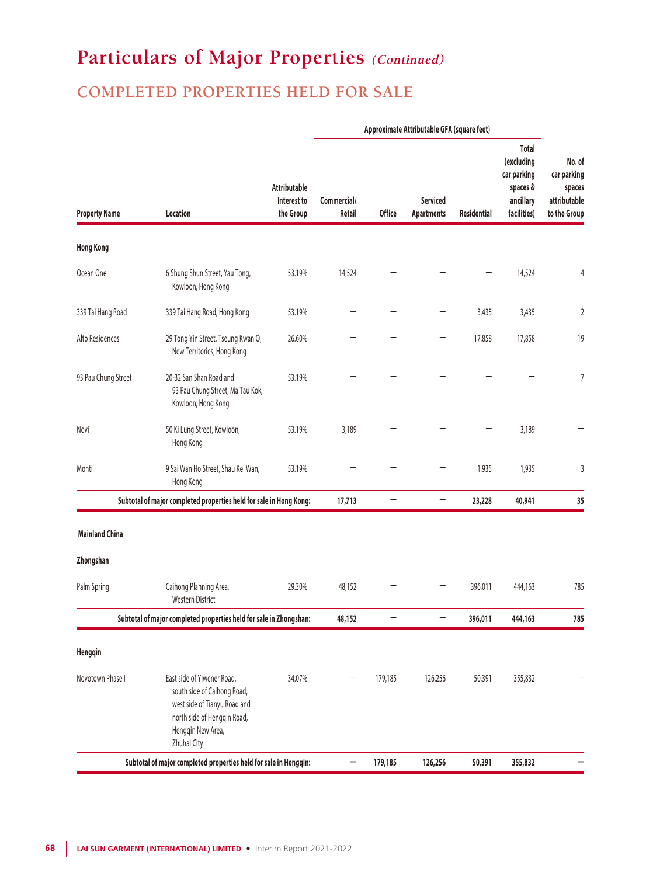## **COMPLETED PROPERTIES HELD FOR SALE**

|                                                                    |                                                                                                                                                              |                                          | Approximate Attributable GFA (square feet) |               |                                      |                    |                                                                            |                                                                 |
|--------------------------------------------------------------------|--------------------------------------------------------------------------------------------------------------------------------------------------------------|------------------------------------------|--------------------------------------------|---------------|--------------------------------------|--------------------|----------------------------------------------------------------------------|-----------------------------------------------------------------|
| <b>Property Name</b>                                               | Location                                                                                                                                                     | Attributable<br>Interest to<br>the Group | Commercial/<br>Retail                      | <b>Office</b> | <b>Serviced</b><br><b>Apartments</b> | <b>Residential</b> | Total<br>(excluding<br>car parking<br>spaces &<br>ancillary<br>facilities) | No. of<br>car parking<br>spaces<br>attributable<br>to the Group |
| <b>Hong Kong</b>                                                   |                                                                                                                                                              |                                          |                                            |               |                                      |                    |                                                                            |                                                                 |
| Ocean One                                                          | 6 Shung Shun Street, Yau Tong,<br>Kowloon, Hong Kong                                                                                                         | 53.19%                                   | 14,524                                     |               |                                      |                    | 14,524                                                                     | 4                                                               |
| 339 Tai Hang Road                                                  | 339 Tai Hang Road, Hong Kong                                                                                                                                 | 53.19%                                   |                                            |               |                                      | 3,435              | 3,435                                                                      | $\overline{2}$                                                  |
| Alto Residences                                                    | 29 Tong Yin Street, Tseung Kwan O,<br>New Territories, Hong Kong                                                                                             | 26.60%                                   |                                            |               |                                      | 17,858             | 17,858                                                                     | 19                                                              |
| 93 Pau Chung Street                                                | 20-32 San Shan Road and<br>93 Pau Chung Street, Ma Tau Kok,<br>Kowloon, Hong Kong                                                                            | 53.19%                                   |                                            |               |                                      |                    |                                                                            | 7                                                               |
| Novi                                                               | 50 Ki Lung Street, Kowloon,<br>Hong Kong                                                                                                                     | 53.19%                                   | 3,189                                      |               |                                      |                    | 3,189                                                                      |                                                                 |
| Monti                                                              | 9 Sai Wan Ho Street, Shau Kei Wan,<br>Hong Kong                                                                                                              | 53.19%                                   |                                            |               |                                      | 1,935              | 1,935                                                                      | 3                                                               |
|                                                                    | Subtotal of major completed properties held for sale in Hong Kong:                                                                                           |                                          | 17,713                                     | -             | —                                    | 23,228             | 40,941                                                                     | 35                                                              |
| <b>Mainland China</b>                                              |                                                                                                                                                              |                                          |                                            |               |                                      |                    |                                                                            |                                                                 |
| Zhongshan                                                          |                                                                                                                                                              |                                          |                                            |               |                                      |                    |                                                                            |                                                                 |
| Palm Spring                                                        | Caihong Planning Area,<br>Western District                                                                                                                   | 29.30%                                   | 48,152                                     |               |                                      | 396,011            | 444,163                                                                    | 785                                                             |
| Subtotal of major completed properties held for sale in Zhongshan: |                                                                                                                                                              |                                          |                                            |               |                                      | 396,011            | 444,163                                                                    | 785                                                             |
| Hengqin                                                            |                                                                                                                                                              |                                          |                                            |               |                                      |                    |                                                                            |                                                                 |
| Novotown Phase I                                                   | East side of Yiwener Road,<br>south side of Caihong Road,<br>west side of Tianyu Road and<br>north side of Hengqin Road,<br>Hengqin New Area,<br>Zhuhai City | 34.07%                                   |                                            | 179,185       | 126,256                              | 50,391             | 355,832                                                                    |                                                                 |
| Subtotal of major completed properties held for sale in Hengqin:   |                                                                                                                                                              |                                          |                                            | 179,185       | 126,256                              | 50,391             | 355,832                                                                    |                                                                 |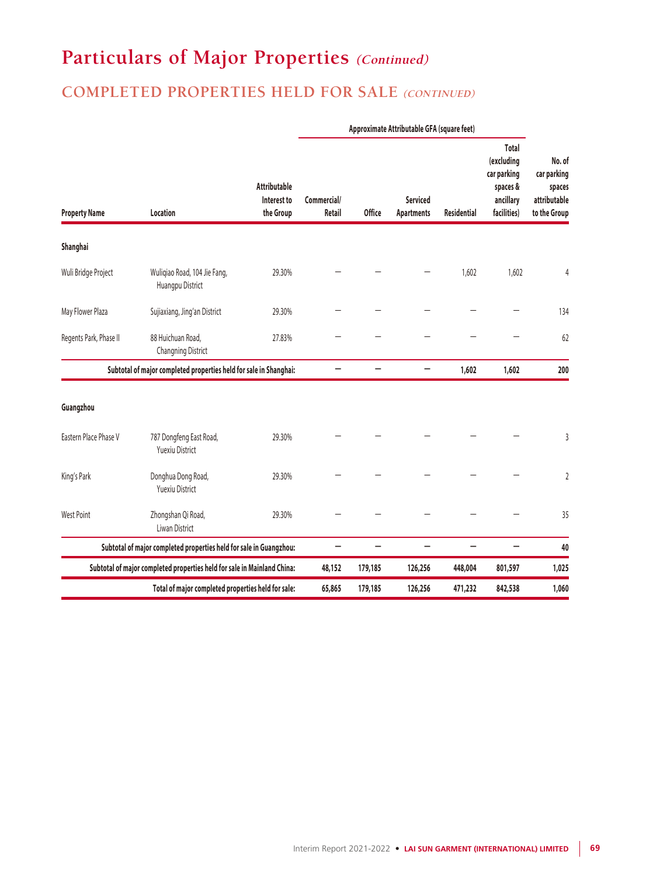### **COMPLETED PROPERTIES HELD FOR SALE (CONTINUED)**

|                                                                         |                                                                    |                                                 | Approximate Attributable GFA (square feet) |                          |                                      |                    |                                                                            |                                                                 |
|-------------------------------------------------------------------------|--------------------------------------------------------------------|-------------------------------------------------|--------------------------------------------|--------------------------|--------------------------------------|--------------------|----------------------------------------------------------------------------|-----------------------------------------------------------------|
| <b>Property Name</b>                                                    | Location                                                           | <b>Attributable</b><br>Interest to<br>the Group | Commercial/<br>Retail                      | <b>Office</b>            | <b>Serviced</b><br><b>Apartments</b> | <b>Residential</b> | Total<br>(excluding<br>car parking<br>spaces &<br>ancillary<br>facilities) | No. of<br>car parking<br>spaces<br>attributable<br>to the Group |
| Shanghai                                                                |                                                                    |                                                 |                                            |                          |                                      |                    |                                                                            |                                                                 |
| Wuli Bridge Project                                                     | Wuliqiao Road, 104 Jie Fang,<br>Huangpu District                   | 29.30%                                          |                                            |                          |                                      | 1,602              | 1,602                                                                      | 4                                                               |
| May Flower Plaza                                                        | Sujiaxiang, Jing'an District                                       | 29.30%                                          |                                            |                          |                                      |                    |                                                                            | 134                                                             |
| Regents Park, Phase II                                                  | 88 Huichuan Road,<br>Changning District                            | 27.83%                                          |                                            |                          |                                      |                    |                                                                            | 62                                                              |
| Subtotal of major completed properties held for sale in Shanghai:       |                                                                    |                                                 | -                                          | -                        | -                                    | 1,602              | 1,602                                                                      | 200                                                             |
| Guangzhou                                                               |                                                                    |                                                 |                                            |                          |                                      |                    |                                                                            |                                                                 |
| Eastern Place Phase V                                                   | 787 Dongfeng East Road,<br><b>Yuexiu District</b>                  | 29.30%                                          |                                            |                          |                                      |                    |                                                                            | 3                                                               |
| King's Park                                                             | Donghua Dong Road,<br><b>Yuexiu District</b>                       | 29.30%                                          |                                            |                          |                                      |                    |                                                                            | $\overline{2}$                                                  |
| <b>West Point</b>                                                       | Zhongshan Qi Road,<br>Liwan District                               | 29.30%                                          |                                            |                          |                                      |                    |                                                                            | 35                                                              |
|                                                                         | Subtotal of major completed properties held for sale in Guangzhou: |                                                 | $\overline{\phantom{0}}$                   | $\overline{\phantom{0}}$ | $\overline{\phantom{0}}$             | -                  | $\overline{\phantom{0}}$                                                   | 40                                                              |
| Subtotal of major completed properties held for sale in Mainland China: |                                                                    |                                                 | 48,152                                     | 179,185                  | 126,256                              | 448,004            | 801,597                                                                    | 1,025                                                           |
| Total of major completed properties held for sale:                      |                                                                    |                                                 | 65,865                                     | 179,185                  | 126,256                              | 471,232            | 842,538                                                                    | 1,060                                                           |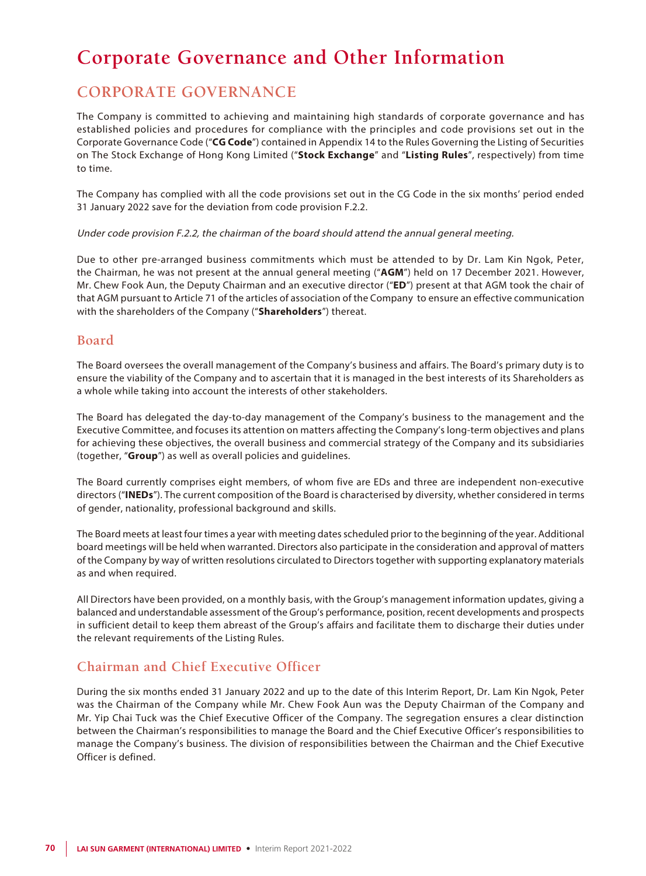## **Corporate Governance and Other Information**

### **CORPORATE GOVERNANCE**

The Company is committed to achieving and maintaining high standards of corporate governance and has established policies and procedures for compliance with the principles and code provisions set out in the Corporate Governance Code ("**CG Code**") contained in Appendix 14 to the Rules Governing the Listing of Securities on The Stock Exchange of Hong Kong Limited ("**Stock Exchange**" and "**Listing Rules**", respectively) from time to time.

The Company has complied with all the code provisions set out in the CG Code in the six months' period ended 31 January 2022 save for the deviation from code provision F.2.2.

#### Under code provision F.2.2, the chairman of the board should attend the annual general meeting.

Due to other pre-arranged business commitments which must be attended to by Dr. Lam Kin Ngok, Peter, the Chairman, he was not present at the annual general meeting ("**AGM**") held on 17 December 2021. However, Mr. Chew Fook Aun, the Deputy Chairman and an executive director ("**ED**") present at that AGM took the chair of that AGM pursuant to Article 71 of the articles of association of the Company to ensure an effective communication with the shareholders of the Company ("**Shareholders**") thereat.

### **Board**

The Board oversees the overall management of the Company's business and affairs. The Board's primary duty is to ensure the viability of the Company and to ascertain that it is managed in the best interests of its Shareholders as a whole while taking into account the interests of other stakeholders.

The Board has delegated the day-to-day management of the Company's business to the management and the Executive Committee, and focuses its attention on matters affecting the Company's long-term objectives and plans for achieving these objectives, the overall business and commercial strategy of the Company and its subsidiaries (together, "**Group**") as well as overall policies and guidelines.

The Board currently comprises eight members, of whom five are EDs and three are independent non-executive directors ("**INEDs**"). The current composition of the Board is characterised by diversity, whether considered in terms of gender, nationality, professional background and skills.

The Board meets at least four times a year with meeting dates scheduled prior to the beginning of the year. Additional board meetings will be held when warranted. Directors also participate in the consideration and approval of matters of the Company by way of written resolutions circulated to Directors together with supporting explanatory materials as and when required.

All Directors have been provided, on a monthly basis, with the Group's management information updates, giving a balanced and understandable assessment of the Group's performance, position, recent developments and prospects in sufficient detail to keep them abreast of the Group's affairs and facilitate them to discharge their duties under the relevant requirements of the Listing Rules.

### **Chairman and Chief Executive Officer**

During the six months ended 31 January 2022 and up to the date of this Interim Report, Dr. Lam Kin Ngok, Peter was the Chairman of the Company while Mr. Chew Fook Aun was the Deputy Chairman of the Company and Mr. Yip Chai Tuck was the Chief Executive Officer of the Company. The segregation ensures a clear distinction between the Chairman's responsibilities to manage the Board and the Chief Executive Officer's responsibilities to manage the Company's business. The division of responsibilities between the Chairman and the Chief Executive Officer is defined.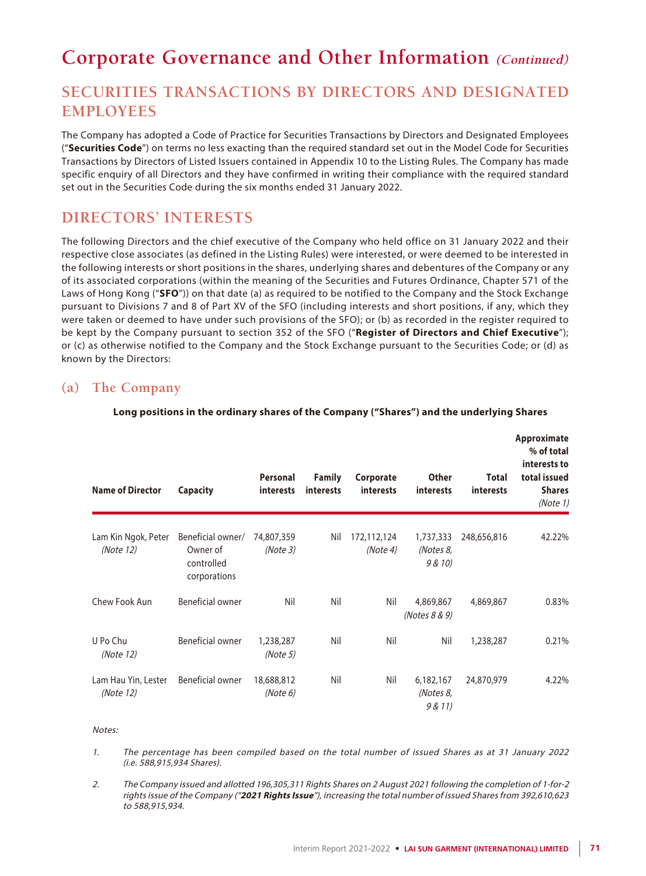## **Corporate Governance and Other Information (Continued)**

### **SECURITIES TRANSACTIONS BY DIRECTORS AND DESIGNATED EMPLOYEES**

The Company has adopted a Code of Practice for Securities Transactions by Directors and Designated Employees ("**Securities Code**") on terms no less exacting than the required standard set out in the Model Code for Securities Transactions by Directors of Listed Issuers contained in Appendix 10 to the Listing Rules. The Company has made specific enquiry of all Directors and they have confirmed in writing their compliance with the required standard set out in the Securities Code during the six months ended 31 January 2022.

### **DIRECTORS' INTERESTS**

The following Directors and the chief executive of the Company who held office on 31 January 2022 and their respective close associates (as defined in the Listing Rules) were interested, or were deemed to be interested in the following interests or short positions in the shares, underlying shares and debentures of the Company or any of its associated corporations (within the meaning of the Securities and Futures Ordinance, Chapter 571 of the Laws of Hong Kong ("**SFO**")) on that date (a) as required to be notified to the Company and the Stock Exchange pursuant to Divisions 7 and 8 of Part XV of the SFO (including interests and short positions, if any, which they were taken or deemed to have under such provisions of the SFO); or (b) as recorded in the register required to be kept by the Company pursuant to section 352 of the SFO ("**Register of Directors and Chief Executive**"); or (c) as otherwise notified to the Company and the Stock Exchange pursuant to the Securities Code; or (d) as known by the Directors:

### **(a) The Company**

| <b>Name of Director</b>          | Capacity                                                    | Personal<br>interests  | <b>Family</b><br><b>interests</b> | Corporate<br><i>interests</i> | <b>Other</b><br>interests         | Total<br><b>interests</b> | Approximate<br>% of total<br>interests to<br>total issued<br><b>Shares</b><br>(Note 1) |
|----------------------------------|-------------------------------------------------------------|------------------------|-----------------------------------|-------------------------------|-----------------------------------|---------------------------|----------------------------------------------------------------------------------------|
| Lam Kin Ngok, Peter<br>(Note 12) | Beneficial owner/<br>Owner of<br>controlled<br>corporations | 74,807,359<br>(Note 3) | Nil                               | 172,112,124<br>(Note 4)       | 1,737,333<br>(Notes 8,<br>9 & 10) | 248,656,816               | 42.22%                                                                                 |
| Chew Fook Aun                    | Beneficial owner                                            | Nil                    | Nil                               | Nil                           | 4,869,867<br>(Notes 8 & 9)        | 4,869,867                 | 0.83%                                                                                  |
| U Po Chu<br>(Note 12)            | Beneficial owner                                            | 1,238,287<br>(Note 5)  | Nil                               | Nil                           | Nil                               | 1,238,287                 | 0.21%                                                                                  |
| Lam Hau Yin, Lester<br>(Note 12) | Beneficial owner                                            | 18,688,812<br>(Note 6) | Nil                               | Nil                           | 6,182,167<br>(Notes 8,<br>9 & 11  | 24,870,979                | 4.22%                                                                                  |

#### **Long positions in the ordinary shares of the Company ("Shares") and the underlying Shares**

### Notes:

- 1. The percentage has been compiled based on the total number of issued Shares as at 31 January 2022 (i.e. 588,915,934 Shares).
- 2. The Company issued and allotted 196,305,311 Rights Shares on 2 August 2021 following the completion of 1-for-2 rights issue of the Company ("**2021 Rights Issue**"), increasing the total number of issued Shares from 392,610,623 to 588,915,934.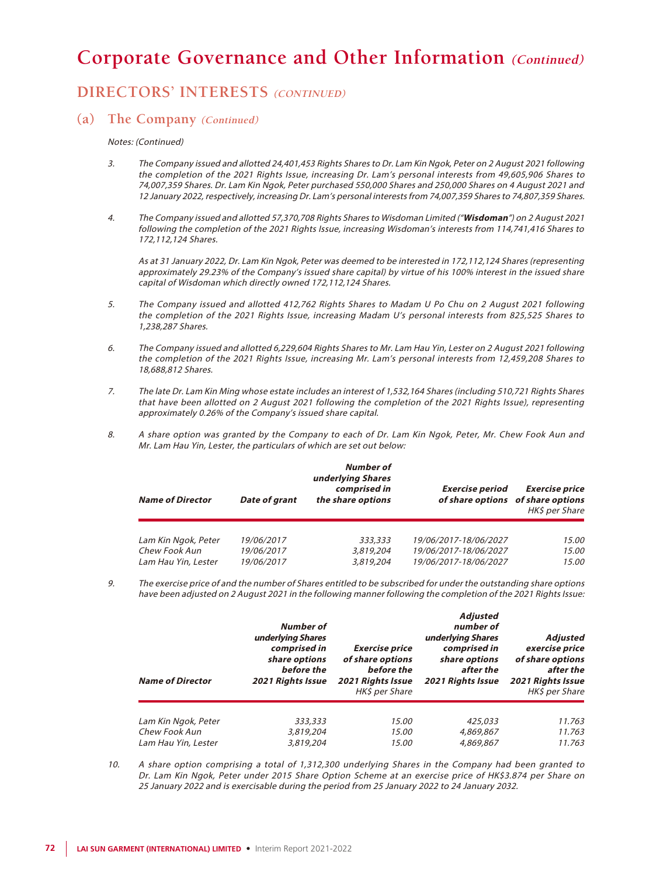## **DIRECTORS' INTERESTS (CONTINUED)**

#### **(a) The Company (Continued)**

#### Notes: (Continued)

- 3. The Company issued and allotted 24,401,453 Rights Shares to Dr. Lam Kin Ngok, Peter on 2 August 2021 following the completion of the 2021 Rights Issue, increasing Dr. Lam's personal interests from 49,605,906 Shares to 74,007,359 Shares. Dr. Lam Kin Ngok, Peter purchased 550,000 Shares and 250,000 Shares on 4 August 2021 and 12 January 2022, respectively, increasing Dr. Lam's personal interests from 74,007,359 Shares to 74,807,359 Shares.
- 4. The Company issued and allotted 57,370,708 Rights Shares to Wisdoman Limited ("**Wisdoman**") on 2 August 2021 following the completion of the 2021 Rights Issue, increasing Wisdoman's interests from 114,741,416 Shares to 172,112,124 Shares.

As at 31 January 2022, Dr. Lam Kin Ngok, Peter was deemed to be interested in 172,112,124 Shares (representing approximately 29.23% of the Company's issued share capital) by virtue of his 100% interest in the issued share capital of Wisdoman which directly owned 172,112,124 Shares.

- 5. The Company issued and allotted 412,762 Rights Shares to Madam U Po Chu on 2 August 2021 following the completion of the 2021 Rights Issue, increasing Madam U's personal interests from 825,525 Shares to 1,238,287 Shares.
- 6. The Company issued and allotted 6,229,604 Rights Shares to Mr. Lam Hau Yin, Lester on 2 August 2021 following the completion of the 2021 Rights Issue, increasing Mr. Lam's personal interests from 12,459,208 Shares to 18,688,812 Shares.
- 7. The late Dr. Lam Kin Ming whose estate includes an interest of 1,532,164 Shares (including 510,721 Rights Shares that have been allotted on 2 August 2021 following the completion of the 2021 Rights Issue), representing approximately 0.26% of the Company's issued share capital.
- 8. A share option was granted by the Company to each of Dr. Lam Kin Ngok, Peter, Mr. Chew Fook Aun and Mr. Lam Hau Yin, Lester, the particulars of which are set out below:

| <b>Name of Director</b> | <b>Date of grant</b> | Number of<br>underlying Shares<br>comprised in<br>the share options | <b>Exercise period</b> | <b>Exercise price</b><br>of share options of share options<br>HK\$ per Share |
|-------------------------|----------------------|---------------------------------------------------------------------|------------------------|------------------------------------------------------------------------------|
| Lam Kin Ngok, Peter     | 19/06/2017           | 333,333                                                             | 19/06/2017-18/06/2027  | 15.00                                                                        |
| Chew Fook Aun           | 19/06/2017           | 3,819,204                                                           | 19/06/2017-18/06/2027  | 15.00                                                                        |
| Lam Hau Yin, Lester     | 19/06/2017           | 3,819,204                                                           | 19/06/2017-18/06/2027  | 15.00                                                                        |

9. The exercise price of and the number of Shares entitled to be subscribed for under the outstanding share options have been adjusted on 2 August 2021 in the following manner following the completion of the 2021 Rights Issue:

| <b>Name of Director</b>              | Number of<br>underlying Shares<br>comprised in<br>share options<br>before the<br><b>2021 Rights Issue</b> | <b>Exercise price</b><br>of share options<br>before the<br><b>2021 Rights Issue</b><br>HK\$ per Share | Adjusted<br>number of<br>underlying Shares<br>comprised in<br>share options<br>after the<br><b>2021 Rights Issue</b> | Adjusted<br>exercise price<br>of share options<br>after the<br>2021 Rights Issue<br>HK\$ per Share |
|--------------------------------------|-----------------------------------------------------------------------------------------------------------|-------------------------------------------------------------------------------------------------------|----------------------------------------------------------------------------------------------------------------------|----------------------------------------------------------------------------------------------------|
| Lam Kin Ngok, Peter                  | 333,333                                                                                                   | 15.00                                                                                                 | 425,033                                                                                                              | 11.763                                                                                             |
| Chew Fook Aun<br>Lam Hau Yin, Lester | 3,819,204<br>3,819,204                                                                                    | <i>15.00</i><br>15.00                                                                                 | 4,869,867<br>4,869,867                                                                                               | 11.763<br>11.763                                                                                   |

10. A share option comprising a total of 1,312,300 underlying Shares in the Company had been granted to Dr. Lam Kin Ngok, Peter under 2015 Share Option Scheme at an exercise price of HK\$3.874 per Share on 25 January 2022 and is exercisable during the period from 25 January 2022 to 24 January 2032.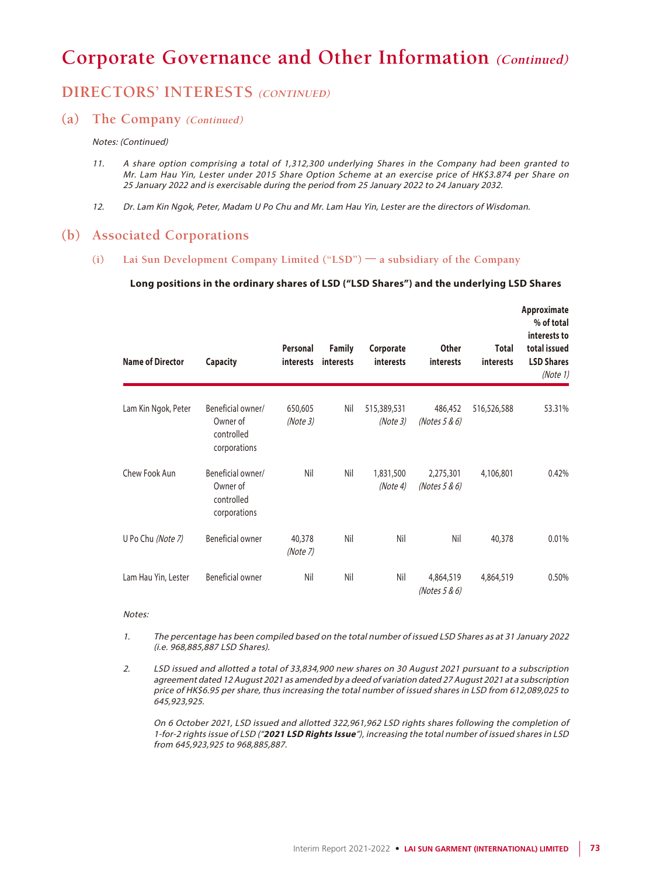## **DIRECTORS' INTERESTS (CONTINUED)**

### **(a) The Company (Continued)**

#### Notes: (Continued)

- 11. A share option comprising a total of 1,312,300 underlying Shares in the Company had been granted to Mr. Lam Hau Yin, Lester under 2015 Share Option Scheme at an exercise price of HK\$3.874 per Share on 25 January 2022 and is exercisable during the period from 25 January 2022 to 24 January 2032.
- 12. Dr. Lam Kin Ngok, Peter, Madam U Po Chu and Mr. Lam Hau Yin, Lester are the directors of Wisdoman.

### **(b) Associated Corporations**

**(i) Lai Sun Development Company Limited ("LSD") — a subsidiary of the Company**

#### **Long positions in the ordinary shares of LSD ("LSD Shares") and the underlying LSD Shares**

| <b>Name of Director</b> | <b>Capacity</b>                                             | Personal<br><i>interests</i> | <b>Family</b><br>interests | Corporate<br>interests  | <b>Other</b><br><b>interests</b> | Total<br><i>interests</i> | Approximate<br>% of total<br>interests to<br>total issued<br><b>LSD Shares</b><br>(Note 1) |
|-------------------------|-------------------------------------------------------------|------------------------------|----------------------------|-------------------------|----------------------------------|---------------------------|--------------------------------------------------------------------------------------------|
| Lam Kin Ngok, Peter     | Beneficial owner/<br>Owner of<br>controlled<br>corporations | 650,605<br>(Note3)           | Nil                        | 515,389,531<br>(Note 3) | 486,452<br>(Notes 5 & 6)         | 516,526,588               | 53.31%                                                                                     |
| Chew Fook Aun           | Beneficial owner/<br>Owner of<br>controlled<br>corporations | Nil                          | Nil                        | 1,831,500<br>(Note 4)   | 2,275,301<br>(Notes 5 & 6)       | 4,106,801                 | 0.42%                                                                                      |
| U Po Chu (Note 7)       | <b>Beneficial owner</b>                                     | 40,378<br>(Note 7)           | Nil                        | Nil                     | Nil                              | 40,378                    | 0.01%                                                                                      |
| Lam Hau Yin, Lester     | Beneficial owner                                            | Nil                          | Nil                        | Nil                     | 4,864,519<br>(Notes 5 & 6)       | 4,864,519                 | 0.50%                                                                                      |

#### Notes:

- 1. The percentage has been compiled based on the total number of issued LSD Shares as at 31 January 2022 (i.e. 968,885,887 LSD Shares).
- 2. LSD issued and allotted a total of 33,834,900 new shares on 30 August 2021 pursuant to a subscription agreement dated 12 August 2021 as amended by a deed of variation dated 27 August 2021 at a subscription price of HK\$6.95 per share, thus increasing the total number of issued shares in LSD from 612,089,025 to 645,923,925.

On 6 October 2021, LSD issued and allotted 322,961,962 LSD rights shares following the completion of 1-for-2 rights issue of LSD ("**2021 LSD Rights Issue**"), increasing the total number of issued shares in LSD from 645,923,925 to 968,885,887.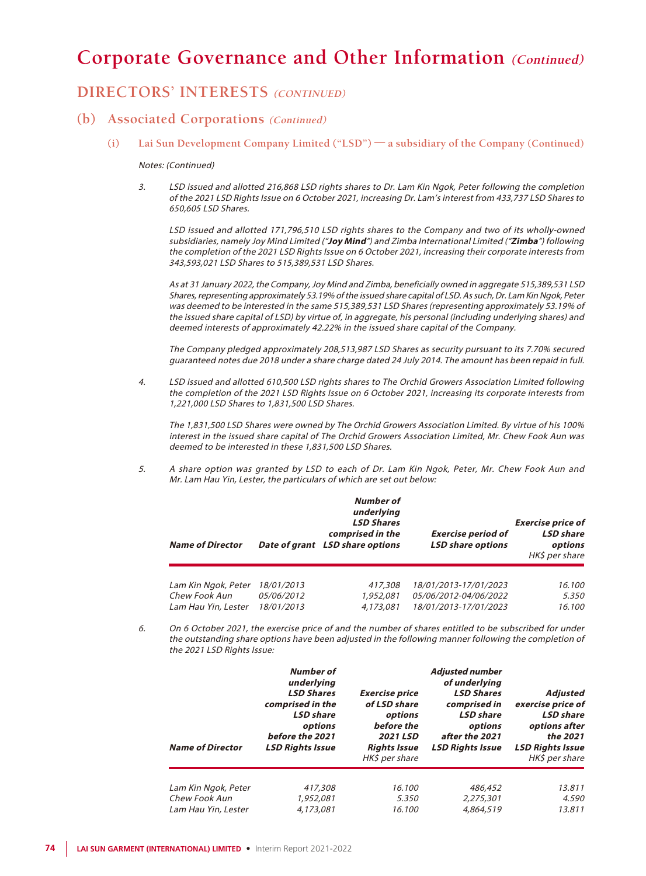## **DIRECTORS' INTERESTS (CONTINUED)**

### **(b) Associated Corporations (Continued)**

**(i) Lai Sun Development Company Limited ("LSD") — a subsidiary of the Company (Continued)**

#### Notes: (Continued)

3. LSD issued and allotted 216,868 LSD rights shares to Dr. Lam Kin Ngok, Peter following the completion of the 2021 LSD Rights Issue on 6 October 2021, increasing Dr. Lam's interest from 433,737 LSD Shares to 650,605 LSD Shares.

 LSD issued and allotted 171,796,510 LSD rights shares to the Company and two of its wholly-owned subsidiaries, namely Joy Mind Limited ("**Joy Mind**") and Zimba International Limited ("**Zimba**") following the completion of the 2021 LSD Rights Issue on 6 October 2021, increasing their corporate interests from 343,593,021 LSD Shares to 515,389,531 LSD Shares.

As at 31 January 2022, the Company, Joy Mind and Zimba, beneficially owned in aggregate 515,389,531 LSD Shares, representing approximately 53.19% of the issued share capital of LSD. As such, Dr. Lam Kin Ngok, Peter was deemed to be interested in the same 515,389,531 LSD Shares (representing approximately 53.19% of the issued share capital of LSD) by virtue of, in aggregate, his personal (including underlying shares) and deemed interests of approximately 42.22% in the issued share capital of the Company.

The Company pledged approximately 208,513,987 LSD Shares as security pursuant to its 7.70% secured guaranteed notes due 2018 under a share charge dated 24 July 2014. The amount has been repaid in full.

4. LSD issued and allotted 610,500 LSD rights shares to The Orchid Growers Association Limited following the completion of the 2021 LSD Rights Issue on 6 October 2021, increasing its corporate interests from 1,221,000 LSD Shares to 1,831,500 LSD Shares.

The 1,831,500 LSD Shares were owned by The Orchid Growers Association Limited. By virtue of his 100% interest in the issued share capital of The Orchid Growers Association Limited, Mr. Chew Fook Aun was deemed to be interested in these 1,831,500 LSD Shares.

5. A share option was granted by LSD to each of Dr. Lam Kin Ngok, Peter, Mr. Chew Fook Aun and Mr. Lam Hau Yin, Lester, the particulars of which are set out below:

| <b>Name of Director</b> |            | Number of<br>underlying<br><b>LSD Shares</b><br>comprised in the<br>Date of grant LSD share options | <b>Exercise period of</b><br><b>LSD share options</b> | <b>Exercise price of</b><br><b>LSD</b> share<br>options<br>HK\$ per share |
|-------------------------|------------|-----------------------------------------------------------------------------------------------------|-------------------------------------------------------|---------------------------------------------------------------------------|
| Lam Kin Ngok, Peter     | 18/01/2013 | 417,308                                                                                             | 18/01/2013-17/01/2023                                 | 16.100                                                                    |
| Chew Fook Aun           | 05/06/2012 | 1,952,081                                                                                           | 05/06/2012-04/06/2022                                 | 5.350                                                                     |
| Lam Hau Yin, Lester     | 18/01/2013 | 4,173,081                                                                                           | 18/01/2013-17/01/2023                                 | 16.100                                                                    |

6. On 6 October 2021, the exercise price of and the number of shares entitled to be subscribed for under the outstanding share options have been adjusted in the following manner following the completion of the 2021 LSD Rights Issue:

| <b>Name of Director</b> | Number of<br>underlying<br><b>LSD Shares</b><br>comprised in the<br><b>LSD</b> share<br>options<br>before the 2021<br><b>LSD Rights Issue</b> | <b>Exercise price</b><br>of LSD share<br>options<br>before the<br>2021 LSD<br><b>Rights Issue</b><br>HK\$ per share | <b>Adjusted number</b><br>of underlying<br><b>LSD Shares</b><br>comprised in<br><b>LSD</b> share<br>options<br>after the 2021<br><b>LSD Rights Issue</b> | Adjusted<br>exercise price of<br><b>LSD</b> share<br>options after<br>the 2021<br><b>LSD Rights Issue</b><br>HK\$ per share |
|-------------------------|-----------------------------------------------------------------------------------------------------------------------------------------------|---------------------------------------------------------------------------------------------------------------------|----------------------------------------------------------------------------------------------------------------------------------------------------------|-----------------------------------------------------------------------------------------------------------------------------|
| Lam Kin Ngok, Peter     | 417,308                                                                                                                                       | 16.100                                                                                                              | 486,452                                                                                                                                                  | 13.811                                                                                                                      |
| Chew Fook Aun           | 1,952,081                                                                                                                                     | 5.350                                                                                                               | 2.275.301                                                                                                                                                | 4.590                                                                                                                       |
| Lam Hau Yin, Lester     | 4,173,081                                                                                                                                     | 16.100                                                                                                              | 4,864,519                                                                                                                                                | 13.811                                                                                                                      |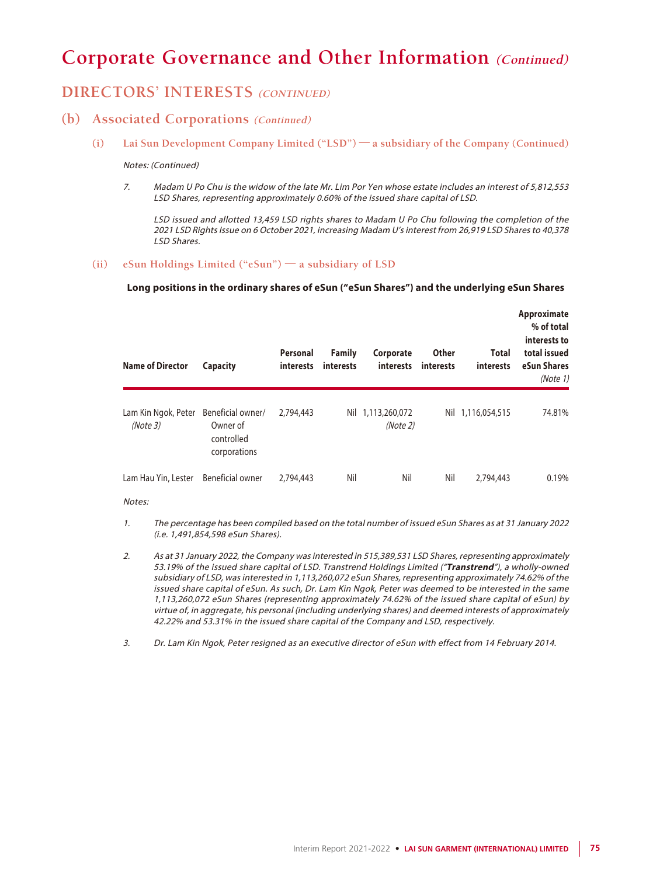## **DIRECTORS' INTERESTS (CONTINUED)**

### **(b) Associated Corporations (Continued)**

**(i) Lai Sun Development Company Limited ("LSD") — a subsidiary of the Company (Continued)**

#### Notes: (Continued)

7. Madam U Po Chu is the widow of the late Mr. Lim Por Yen whose estate includes an interest of 5,812,553 LSD Shares, representing approximately 0.60% of the issued share capital of LSD.

LSD issued and allotted 13,459 LSD rights shares to Madam U Po Chu following the completion of the 2021 LSD Rights Issue on 6 October 2021, increasing Madam U's interest from 26,919 LSD Shares to 40,378 LSD Shares.

#### **(ii) eSun Holdings Limited ("eSun") — a subsidiary of LSD**

#### **Long positions in the ordinary shares of eSun ("eSun Shares") and the underlying eSun Shares**

| <b>Name of Director</b>        | Capacity                                                    | Personal<br><b>interests</b> | <b>Family</b><br>interests | Corporate<br>interests        | <b>Other</b><br>interests | <b>Total</b><br>interests | Approximate<br>% of total<br>interests to<br>total issued<br>eSun Shares<br>(Note 1) |
|--------------------------------|-------------------------------------------------------------|------------------------------|----------------------------|-------------------------------|---------------------------|---------------------------|--------------------------------------------------------------------------------------|
| Lam Kin Ngok, Peter<br>(Note3) | Beneficial owner/<br>Owner of<br>controlled<br>corporations | 2.794.443                    |                            | Nil 1,113,260,072<br>(Note 2) |                           | Nil 1,116,054,515         | 74.81%                                                                               |
| Lam Hau Yin, Lester            | Beneficial owner                                            | 2.794.443                    | Nil                        | Nil                           | Nil                       | 2,794,443                 | 0.19%                                                                                |

#### Notes:

- 1. The percentage has been compiled based on the total number of issued eSun Shares as at 31 January 2022 (i.e. 1,491,854,598 eSun Shares).
- 2. As at 31 January 2022, the Company was interested in 515,389,531 LSD Shares, representing approximately 53.19% of the issued share capital of LSD. Transtrend Holdings Limited ("**Transtrend**"), a wholly-owned subsidiary of LSD, was interested in 1,113,260,072 eSun Shares, representing approximately 74.62% of the issued share capital of eSun. As such, Dr. Lam Kin Ngok, Peter was deemed to be interested in the same 1,113,260,072 eSun Shares (representing approximately 74.62% of the issued share capital of eSun) by virtue of, in aggregate, his personal (including underlying shares) and deemed interests of approximately 42.22% and 53.31% in the issued share capital of the Company and LSD, respectively.
- 3. Dr. Lam Kin Ngok, Peter resigned as an executive director of eSun with effect from 14 February 2014.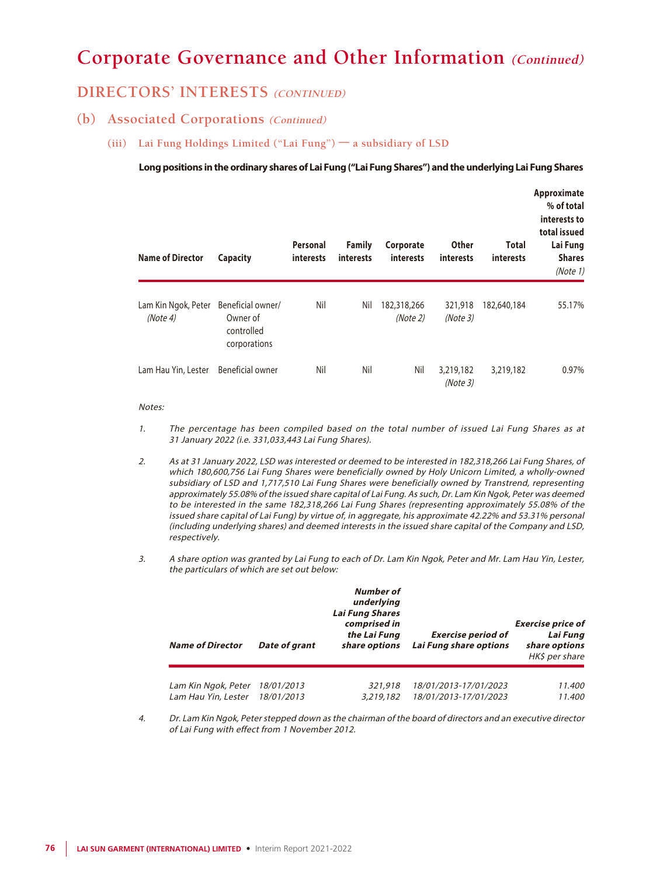### **DIRECTORS' INTERESTS (CONTINUED)**

### **(b) Associated Corporations (Continued)**

**(iii) Lai Fung Holdings Limited ("Lai Fung") — a subsidiary of LSD**

**Long positions in the ordinary shares of Lai Fung ("Lai Fung Shares") and the underlying Lai Fung Shares**

| <b>Name of Director</b>        | Capacity                                                    | Personal<br>interests | <b>Family</b><br>interests | Corporate<br>interests  | <b>Other</b><br>interests | <b>Total</b><br>interests | Approximate<br>% of total<br>interests to<br>total issued<br>Lai Fung<br><b>Shares</b><br>(Note 1) |
|--------------------------------|-------------------------------------------------------------|-----------------------|----------------------------|-------------------------|---------------------------|---------------------------|----------------------------------------------------------------------------------------------------|
| Lam Kin Ngok, Peter<br>(Note4) | Beneficial owner/<br>Owner of<br>controlled<br>corporations | Nil                   | Nil                        | 182,318,266<br>(Note 2) | 321,918<br>(Note3)        | 182,640,184               | 55.17%                                                                                             |
| Lam Hau Yin, Lester            | Beneficial owner                                            | Nil                   | Nil                        | Nil                     | 3,219,182<br>(Note3)      | 3,219,182                 | 0.97%                                                                                              |

#### Notes:

- 1. The percentage has been compiled based on the total number of issued Lai Fung Shares as at 31 January 2022 (i.e. 331,033,443 Lai Fung Shares).
- 2. As at 31 January 2022, LSD was interested or deemed to be interested in 182,318,266 Lai Fung Shares, of which 180,600,756 Lai Fung Shares were beneficially owned by Holy Unicorn Limited, a wholly-owned subsidiary of LSD and 1,717,510 Lai Fung Shares were beneficially owned by Transtrend, representing approximately 55.08% of the issued share capital of Lai Fung. As such, Dr. Lam Kin Ngok, Peter was deemed to be interested in the same 182,318,266 Lai Fung Shares (representing approximately 55.08% of the issued share capital of Lai Fung) by virtue of, in aggregate, his approximate 42.22% and 53.31% personal (including underlying shares) and deemed interests in the issued share capital of the Company and LSD, respectively.
- 3. A share option was granted by Lai Fung to each of Dr. Lam Kin Ngok, Peter and Mr. Lam Hau Yin, Lester, the particulars of which are set out below:

| <b>Name of Director</b> | Date of grant | <b>Number of</b><br>underlying<br><b>Lai Fung Shares</b><br>comprised in<br>the Lai Fung<br>share options | <b>Exercise period of</b><br>Lai Fung share options | <b>Exercise price of</b><br>Lai Fung<br>share options<br>HK\$ per share |
|-------------------------|---------------|-----------------------------------------------------------------------------------------------------------|-----------------------------------------------------|-------------------------------------------------------------------------|
| Lam Kin Ngok, Peter     | 18/01/2013    | 321,918                                                                                                   | 18/01/2013-17/01/2023                               | 11.400                                                                  |
|                         |               |                                                                                                           |                                                     |                                                                         |
| Lam Hau Yin, Lester     | 18/01/2013    | 3,219,182                                                                                                 | 18/01/2013-17/01/2023                               | 11.400                                                                  |

4. Dr. Lam Kin Ngok, Peter stepped down as the chairman of the board of directors and an executive director of Lai Fung with effect from 1 November 2012.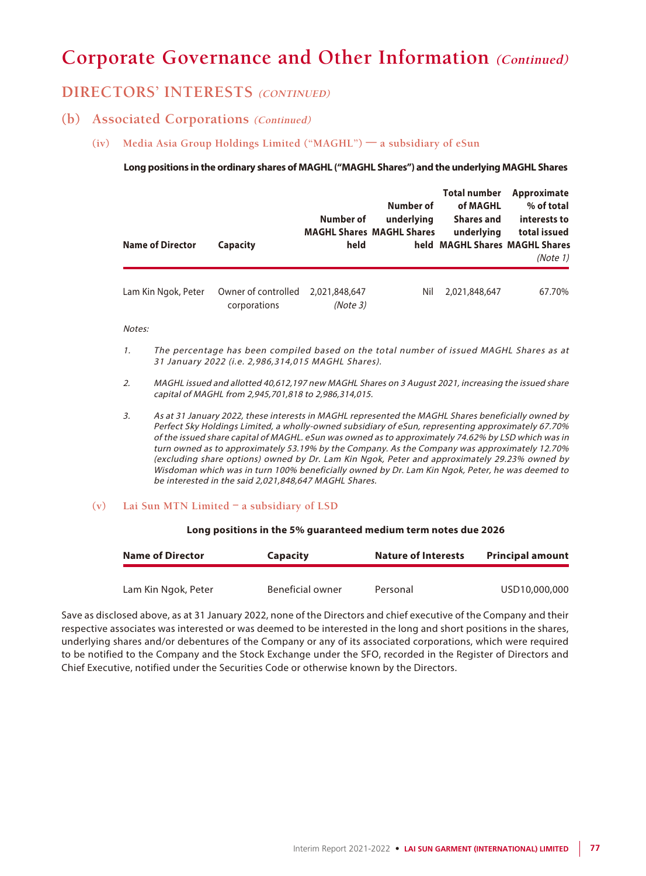## **DIRECTORS' INTERESTS (CONTINUED)**

### **(b) Associated Corporations (Continued)**

**(iv) Media Asia Group Holdings Limited ("MAGHL") — a subsidiary of eSun**

#### **Long positions in the ordinary shares of MAGHL ("MAGHL Shares") and the underlying MAGHL Shares**

| <b>Name of Director</b> | <b>Capacity</b>                     | Number of<br>held        | Number of<br>underlying<br><b>MAGHL Shares MAGHL Shares</b> | <b>Total number</b><br>of MAGHL<br><b>Shares and</b><br>underlying<br>held MAGHL Shares MAGHL Shares | Approximate<br>% of total<br>interests to<br>total issued<br>(Note 1) |
|-------------------------|-------------------------------------|--------------------------|-------------------------------------------------------------|------------------------------------------------------------------------------------------------------|-----------------------------------------------------------------------|
| Lam Kin Ngok, Peter     | Owner of controlled<br>corporations | 2.021.848.647<br>(Note3) | Nil                                                         | 2,021,848,647                                                                                        | 67.70%                                                                |

#### Notes:

- 1. The percentage has been compiled based on the total number of issued MAGHL Shares as at 31 January 2022 (i.e. 2,986,314,015 MAGHL Shares).
- 2. MAGHL issued and allotted 40,612,197 new MAGHL Shares on 3 August 2021, increasing the issued share capital of MAGHL from 2,945,701,818 to 2,986,314,015.
- 3. As at 31 January 2022, these interests in MAGHL represented the MAGHL Shares beneficially owned by Perfect Sky Holdings Limited, a wholly-owned subsidiary of eSun, representing approximately 67.70% of the issued share capital of MAGHL. eSun was owned as to approximately 74.62% by LSD which was in turn owned as to approximately 53.19% by the Company. As the Company was approximately 12.70% (excluding share options) owned by Dr. Lam Kin Ngok, Peter and approximately 29.23% owned by Wisdoman which was in turn 100% beneficially owned by Dr. Lam Kin Ngok, Peter, he was deemed to be interested in the said 2,021,848,647 MAGHL Shares.

#### **(v) Lai Sun MTN Limited – a subsidiary of LSD**

#### **Long positions in the 5% guaranteed medium term notes due 2026**

| <b>Name of Director</b> | <b>Capacity</b>  | <b>Nature of Interests</b> | <b>Principal amount</b> |
|-------------------------|------------------|----------------------------|-------------------------|
| Lam Kin Ngok, Peter     | Beneficial owner | Personal                   | USD10,000,000           |

Save as disclosed above, as at 31 January 2022, none of the Directors and chief executive of the Company and their respective associates was interested or was deemed to be interested in the long and short positions in the shares, underlying shares and/or debentures of the Company or any of its associated corporations, which were required to be notified to the Company and the Stock Exchange under the SFO, recorded in the Register of Directors and Chief Executive, notified under the Securities Code or otherwise known by the Directors.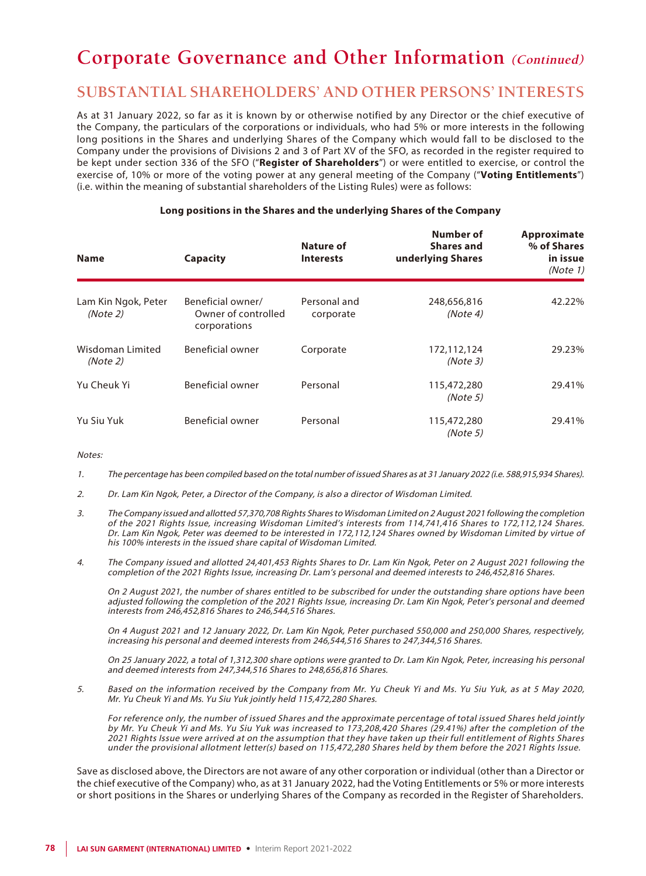## **SUBSTANTIAL SHAREHOLDERS' AND OTHER PERSONS' INTERESTS**

As at 31 January 2022, so far as it is known by or otherwise notified by any Director or the chief executive of the Company, the particulars of the corporations or individuals, who had 5% or more interests in the following long positions in the Shares and underlying Shares of the Company which would fall to be disclosed to the Company under the provisions of Divisions 2 and 3 of Part XV of the SFO, as recorded in the register required to be kept under section 336 of the SFO ("**Register of Shareholders**") or were entitled to exercise, or control the exercise of, 10% or more of the voting power at any general meeting of the Company ("**Voting Entitlements**") (i.e. within the meaning of substantial shareholders of the Listing Rules) were as follows:

| <b>Name</b>                     | <b>Capacity</b>                                          | Nature of<br><b>Interests</b> | Number of<br><b>Shares and</b><br>underlying Shares | Approximate<br>% of Shares<br>in issue<br>(Note 1) |
|---------------------------------|----------------------------------------------------------|-------------------------------|-----------------------------------------------------|----------------------------------------------------|
| Lam Kin Ngok, Peter<br>(Note 2) | Beneficial owner/<br>Owner of controlled<br>corporations | Personal and<br>corporate     | 248,656,816<br>(Note4)                              | 42.22%                                             |
| Wisdoman Limited<br>(Note 2)    | Beneficial owner                                         | Corporate                     | 172,112,124<br>(Note3)                              | 29.23%                                             |
| Yu Cheuk Yi                     | Beneficial owner                                         | Personal                      | 115,472,280<br>(Note 5)                             | 29.41%                                             |
| Yu Siu Yuk                      | Beneficial owner                                         | Personal                      | 115,472,280<br>(Note 5)                             | 29.41%                                             |

#### **Long positions in the Shares and the underlying Shares of the Company**

#### Notes:

- 1. The percentage has been compiled based on the total number of issued Shares as at 31 January 2022 (i.e. 588,915,934 Shares).
- 2. Dr. Lam Kin Ngok, Peter, a Director of the Company, is also a director of Wisdoman Limited.
- 3. The Company issued and allotted 57,370,708 Rights Shares to Wisdoman Limited on 2 August 2021 following the completion of the 2021 Rights Issue, increasing Wisdoman Limited's interests from 114,741,416 Shares to 172,112,124 Shares. Dr. Lam Kin Ngok, Peter was deemed to be interested in 172,112,124 Shares owned by Wisdoman Limited by virtue of his 100% interests in the issued share capital of Wisdoman Limited.
- 4. The Company issued and allotted 24,401,453 Rights Shares to Dr. Lam Kin Ngok, Peter on 2 August 2021 following the completion of the 2021 Rights Issue, increasing Dr. Lam's personal and deemed interests to 246,452,816 Shares.

On 2 August 2021, the number of shares entitled to be subscribed for under the outstanding share options have been adjusted following the completion of the 2021 Rights Issue, increasing Dr. Lam Kin Ngok, Peter's personal and deemed interests from 246,452,816 Shares to 246,544,516 Shares.

On 4 August 2021 and 12 January 2022, Dr. Lam Kin Ngok, Peter purchased 550,000 and 250,000 Shares, respectively, increasing his personal and deemed interests from 246,544,516 Shares to 247,344,516 Shares.

On 25 January 2022, a total of 1,312,300 share options were granted to Dr. Lam Kin Ngok, Peter, increasing his personal and deemed interests from 247,344,516 Shares to 248,656,816 Shares.

5. Based on the information received by the Company from Mr. Yu Cheuk Yi and Ms. Yu Siu Yuk, as at 5 May 2020, Mr. Yu Cheuk Yi and Ms. Yu Siu Yuk jointly held 115,472,280 Shares.

For reference only, the number of issued Shares and the approximate percentage of total issued Shares held jointly by Mr. Yu Cheuk Yi and Ms. Yu Siu Yuk was increased to 173,208,420 Shares (29.41%) after the completion of the 2021 Rights Issue were arrived at on the assumption that they have taken up their full entitlement of Rights Shares under the provisional allotment letter(s) based on 115,472,280 Shares held by them before the 2021 Rights Issue.

Save as disclosed above, the Directors are not aware of any other corporation or individual (other than a Director or the chief executive of the Company) who, as at 31 January 2022, had the Voting Entitlements or 5% or more interests or short positions in the Shares or underlying Shares of the Company as recorded in the Register of Shareholders.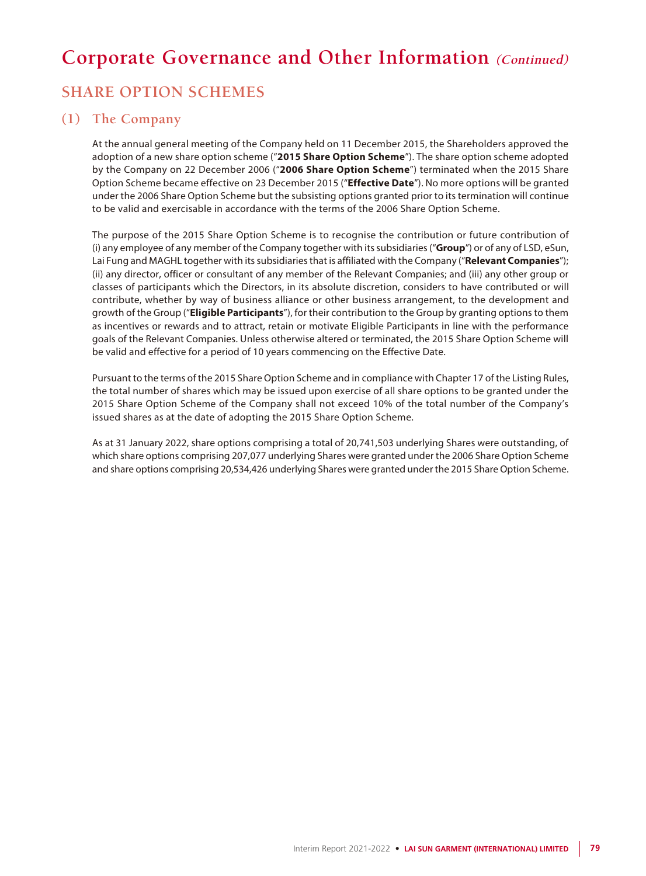## **SHARE OPTION SCHEMES**

### **(1) The Company**

At the annual general meeting of the Company held on 11 December 2015, the Shareholders approved the adoption of a new share option scheme ("**2015 Share Option Scheme**"). The share option scheme adopted by the Company on 22 December 2006 ("**2006 Share Option Scheme**") terminated when the 2015 Share Option Scheme became effective on 23 December 2015 ("**Effective Date**"). No more options will be granted under the 2006 Share Option Scheme but the subsisting options granted prior to its termination will continue to be valid and exercisable in accordance with the terms of the 2006 Share Option Scheme.

The purpose of the 2015 Share Option Scheme is to recognise the contribution or future contribution of (i) any employee of any member of the Company together with its subsidiaries ("**Group**") or of any of LSD, eSun, Lai Fung and MAGHL together with its subsidiaries that is affiliated with the Company ("**Relevant Companies**"); (ii) any director, officer or consultant of any member of the Relevant Companies; and (iii) any other group or classes of participants which the Directors, in its absolute discretion, considers to have contributed or will contribute, whether by way of business alliance or other business arrangement, to the development and growth of the Group ("**Eligible Participants**"), for their contribution to the Group by granting options to them as incentives or rewards and to attract, retain or motivate Eligible Participants in line with the performance goals of the Relevant Companies. Unless otherwise altered or terminated, the 2015 Share Option Scheme will be valid and effective for a period of 10 years commencing on the Effective Date.

Pursuant to the terms of the 2015 Share Option Scheme and in compliance with Chapter 17 of the Listing Rules, the total number of shares which may be issued upon exercise of all share options to be granted under the 2015 Share Option Scheme of the Company shall not exceed 10% of the total number of the Company's issued shares as at the date of adopting the 2015 Share Option Scheme.

As at 31 January 2022, share options comprising a total of 20,741,503 underlying Shares were outstanding, of which share options comprising 207,077 underlying Shares were granted under the 2006 Share Option Scheme and share options comprising 20,534,426 underlying Shares were granted under the 2015 Share Option Scheme.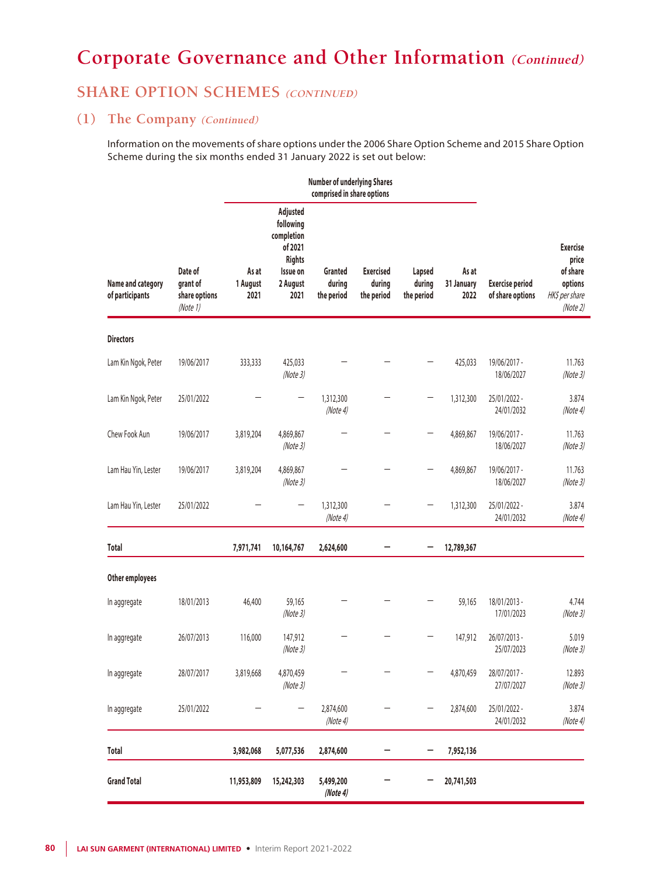## **SHARE OPTION SCHEMES** (CONTINUED)

## **(1) The Company (Continued)**

Information on the movements of share options under the 2006 Share Option Scheme and 2015 Share Option Scheme during the six months ended 31 January 2022 is set out below:

|                                      |                                                  | <b>Number of underlying Shares</b><br>comprised in share options |                                                                                          |                                 |                                          |                                |                             |                                            |                                                                              |
|--------------------------------------|--------------------------------------------------|------------------------------------------------------------------|------------------------------------------------------------------------------------------|---------------------------------|------------------------------------------|--------------------------------|-----------------------------|--------------------------------------------|------------------------------------------------------------------------------|
| Name and category<br>of participants | Date of<br>grant of<br>share options<br>(Note 1) | As at<br>1 August<br>2021                                        | Adjusted<br>following<br>completion<br>of 2021<br>Rights<br>Issue on<br>2 August<br>2021 | Granted<br>during<br>the period | <b>Exercised</b><br>during<br>the period | Lapsed<br>during<br>the period | As at<br>31 January<br>2022 | <b>Exercise period</b><br>of share options | <b>Exercise</b><br>price<br>of share<br>options<br>HK\$ per share<br>(Note2) |
| <b>Directors</b>                     |                                                  |                                                                  |                                                                                          |                                 |                                          |                                |                             |                                            |                                                                              |
| Lam Kin Ngok, Peter                  | 19/06/2017                                       | 333,333                                                          | 425,033<br>(Note3)                                                                       |                                 |                                          |                                | 425,033                     | 19/06/2017 -<br>18/06/2027                 | 11.763<br>(Note3)                                                            |
| Lam Kin Ngok, Peter                  | 25/01/2022                                       |                                                                  |                                                                                          | 1,312,300<br>(Note4)            |                                          |                                | 1,312,300                   | 25/01/2022 -<br>24/01/2032                 | 3.874<br>(Note 4)                                                            |
| Chew Fook Aun                        | 19/06/2017                                       | 3,819,204                                                        | 4,869,867<br>(Note3)                                                                     |                                 |                                          |                                | 4,869,867                   | 19/06/2017 -<br>18/06/2027                 | 11.763<br>(Note3)                                                            |
| Lam Hau Yin, Lester                  | 19/06/2017                                       | 3,819,204                                                        | 4,869,867<br>(Note3)                                                                     |                                 |                                          |                                | 4,869,867                   | 19/06/2017 -<br>18/06/2027                 | 11.763<br>(Note3)                                                            |
| Lam Hau Yin, Lester                  | 25/01/2022                                       |                                                                  |                                                                                          | 1,312,300<br>(Note4)            |                                          |                                | 1,312,300                   | 25/01/2022 -<br>24/01/2032                 | 3.874<br>(Note4)                                                             |
| <b>Total</b>                         |                                                  | 7,971,741                                                        | 10,164,767                                                                               | 2,624,600                       |                                          |                                | 12,789,367                  |                                            |                                                                              |
| Other employees                      |                                                  |                                                                  |                                                                                          |                                 |                                          |                                |                             |                                            |                                                                              |
| In aggregate                         | 18/01/2013                                       | 46,400                                                           | 59,165<br>(Note3)                                                                        |                                 |                                          |                                | 59,165                      | 18/01/2013 -<br>17/01/2023                 | 4.744<br>(Note3)                                                             |
| In aggregate                         | 26/07/2013                                       | 116,000                                                          | 147,912<br>(Note3)                                                                       |                                 |                                          |                                | 147,912                     | 26/07/2013 -<br>25/07/2023                 | 5.019<br>(Note3)                                                             |
| In aggregate                         | 28/07/2017                                       | 3,819,668                                                        | 4,870,459<br>(Note3)                                                                     |                                 |                                          |                                | 4,870,459                   | 28/07/2017 -<br>27/07/2027                 | 12.893<br>(Note3)                                                            |
| In aggregate                         | 25/01/2022                                       |                                                                  | —                                                                                        | 2,874,600<br>(Note 4)           |                                          |                                | 2,874,600                   | 25/01/2022 -<br>24/01/2032                 | 3.874<br>(Note 4)                                                            |
| <b>Total</b>                         |                                                  | 3,982,068                                                        | 5,077,536                                                                                | 2,874,600                       |                                          | -                              | 7,952,136                   |                                            |                                                                              |
| <b>Grand Total</b>                   |                                                  | 11,953,809                                                       | 15,242,303                                                                               | 5,499,200<br>(Note4)            |                                          |                                | 20,741,503                  |                                            |                                                                              |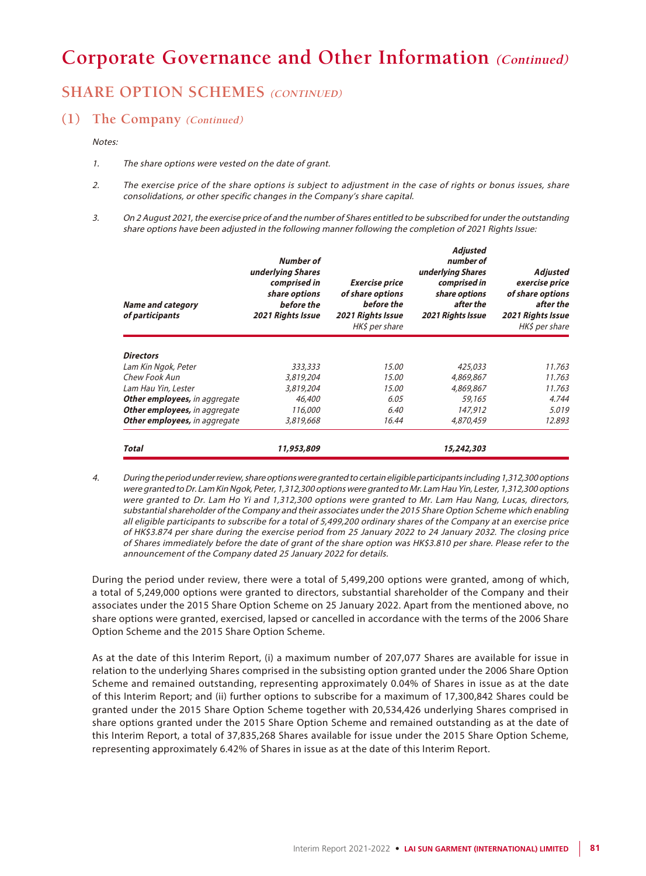## **SHARE OPTION SCHEMES** (CONTINUED)

### **(1) The Company (Continued)**

Notes:

- 1. The share options were vested on the date of grant.
- 2. The exercise price of the share options is subject to adjustment in the case of rights or bonus issues, share consolidations, or other specific changes in the Company's share capital.
- 3. On 2 August 2021, the exercise price of and the number of Shares entitled to be subscribed for under the outstanding share options have been adjusted in the following manner following the completion of 2021 Rights Issue:

| <b>Name and category</b><br>of participants | Number of<br>underlying Shares<br>comprised in<br>share options<br>before the<br>2021 Rights Issue | <b>Exercise price</b><br>of share options<br>before the<br>2021 Rights Issue<br>HK\$ per share | <b>Adjusted</b><br>number of<br>underlying Shares<br>comprised in<br>share options<br>after the<br>2021 Rights Issue | Adjusted<br>exercise price<br>of share options<br>after the<br>2021 Rights Issue<br>HK\$ per share |
|---------------------------------------------|----------------------------------------------------------------------------------------------------|------------------------------------------------------------------------------------------------|----------------------------------------------------------------------------------------------------------------------|----------------------------------------------------------------------------------------------------|
| <b>Directors</b>                            |                                                                                                    |                                                                                                |                                                                                                                      |                                                                                                    |
| Lam Kin Ngok, Peter                         | 333,333                                                                                            | 15.00                                                                                          | 425,033                                                                                                              | 11.763                                                                                             |
| Chew Fook Aun                               | 3,819,204                                                                                          | 15.00                                                                                          | 4,869,867                                                                                                            | 11.763                                                                                             |
| Lam Hau Yin, Lester                         | 3,819,204                                                                                          | 15.00                                                                                          | 4,869,867                                                                                                            | 11.763                                                                                             |
| Other employees, in aggregate               | 46,400                                                                                             | 6.05                                                                                           | 59,165                                                                                                               | 4.744                                                                                              |
| <b>Other employees, in aggregate</b>        | 116,000                                                                                            | 6.40                                                                                           | 147,912                                                                                                              | 5.019                                                                                              |
| Other employees, in aggregate               | 3,819,668                                                                                          | 16.44                                                                                          | 4,870,459                                                                                                            | 12.893                                                                                             |
| <b>Total</b>                                | 11,953,809                                                                                         |                                                                                                | 15,242,303                                                                                                           |                                                                                                    |

4. During the period under review, share options were granted to certain eligible participants including 1,312,300 options were granted to Dr. Lam Kin Ngok, Peter, 1,312,300 options were granted to Mr. Lam Hau Yin, Lester, 1,312,300 options were granted to Dr. Lam Ho Yi and 1,312,300 options were granted to Mr. Lam Hau Nang, Lucas, directors, substantial shareholder of the Company and their associates under the 2015 Share Option Scheme which enabling all eligible participants to subscribe for a total of 5,499,200 ordinary shares of the Company at an exercise price of HK\$3.874 per share during the exercise period from 25 January 2022 to 24 January 2032. The closing price of Shares immediately before the date of grant of the share option was HK\$3.810 per share. Please refer to the announcement of the Company dated 25 January 2022 for details.

During the period under review, there were a total of 5,499,200 options were granted, among of which, a total of 5,249,000 options were granted to directors, substantial shareholder of the Company and their associates under the 2015 Share Option Scheme on 25 January 2022. Apart from the mentioned above, no share options were granted, exercised, lapsed or cancelled in accordance with the terms of the 2006 Share Option Scheme and the 2015 Share Option Scheme.

As at the date of this Interim Report, (i) a maximum number of 207,077 Shares are available for issue in relation to the underlying Shares comprised in the subsisting option granted under the 2006 Share Option Scheme and remained outstanding, representing approximately 0.04% of Shares in issue as at the date of this Interim Report; and (ii) further options to subscribe for a maximum of 17,300,842 Shares could be granted under the 2015 Share Option Scheme together with 20,534,426 underlying Shares comprised in share options granted under the 2015 Share Option Scheme and remained outstanding as at the date of this Interim Report, a total of 37,835,268 Shares available for issue under the 2015 Share Option Scheme, representing approximately 6.42% of Shares in issue as at the date of this Interim Report.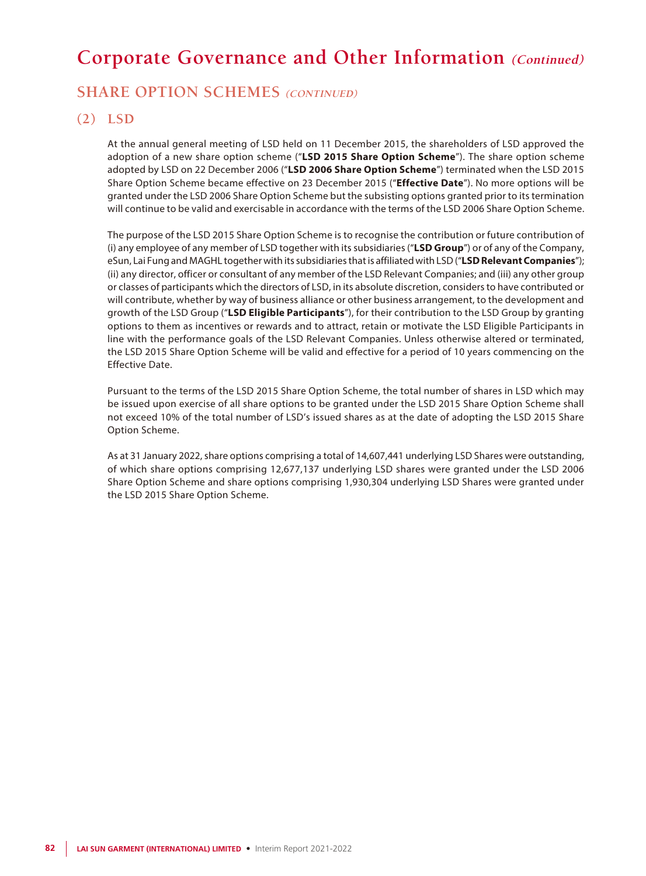## **SHARE OPTION SCHEMES** (CONTINUED)

### **(2) LSD**

At the annual general meeting of LSD held on 11 December 2015, the shareholders of LSD approved the adoption of a new share option scheme ("**LSD 2015 Share Option Scheme**"). The share option scheme adopted by LSD on 22 December 2006 ("**LSD 2006 Share Option Scheme**") terminated when the LSD 2015 Share Option Scheme became effective on 23 December 2015 ("**Effective Date**"). No more options will be granted under the LSD 2006 Share Option Scheme but the subsisting options granted prior to its termination will continue to be valid and exercisable in accordance with the terms of the LSD 2006 Share Option Scheme.

The purpose of the LSD 2015 Share Option Scheme is to recognise the contribution or future contribution of (i) any employee of any member of LSD together with its subsidiaries ("**LSD Group**") or of any of the Company, eSun, Lai Fung and MAGHL together with its subsidiaries that is affiliated with LSD ("**LSD Relevant Companies**"); (ii) any director, officer or consultant of any member of the LSD Relevant Companies; and (iii) any other group or classes of participants which the directors of LSD, in its absolute discretion, considers to have contributed or will contribute, whether by way of business alliance or other business arrangement, to the development and growth of the LSD Group ("**LSD Eligible Participants**"), for their contribution to the LSD Group by granting options to them as incentives or rewards and to attract, retain or motivate the LSD Eligible Participants in line with the performance goals of the LSD Relevant Companies. Unless otherwise altered or terminated, the LSD 2015 Share Option Scheme will be valid and effective for a period of 10 years commencing on the Effective Date.

Pursuant to the terms of the LSD 2015 Share Option Scheme, the total number of shares in LSD which may be issued upon exercise of all share options to be granted under the LSD 2015 Share Option Scheme shall not exceed 10% of the total number of LSD's issued shares as at the date of adopting the LSD 2015 Share Option Scheme.

As at 31 January 2022, share options comprising a total of 14,607,441 underlying LSD Shares were outstanding, of which share options comprising 12,677,137 underlying LSD shares were granted under the LSD 2006 Share Option Scheme and share options comprising 1,930,304 underlying LSD Shares were granted under the LSD 2015 Share Option Scheme.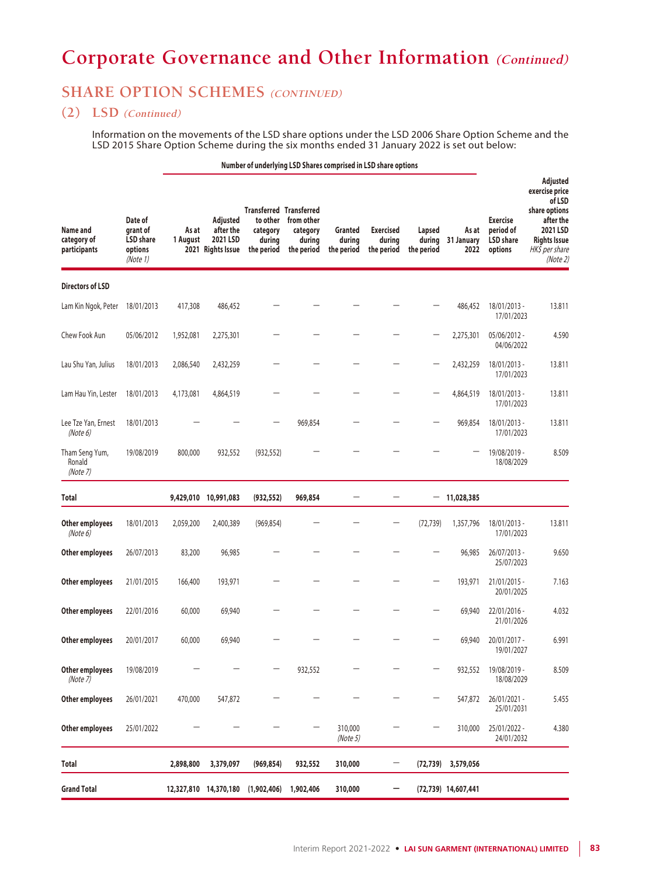## **SHARE OPTION SCHEMES** (CONTINUED)

### **(2) LSD (Continued)**

Information on the movements of the LSD share options under the LSD 2006 Share Option Scheme and the LSD 2015 Share Option Scheme during the six months ended 31 January 2022 is set out below:

#### **Number of underlying LSD Shares comprised in LSD share options**

| Name and<br>category of<br>participants | Date of<br>grant of<br><b>LSD</b> share<br>options<br>(Note 1) | As at<br>1 August | Adjusted<br>after the<br>2021 LSD<br>2021 Rights Issue | <b>Transferred Transferred</b><br>to other<br>category<br>during<br>the period | from other<br>category<br>during<br>the period | Granted<br>during<br>the period | <b>Exercised</b><br>during<br>the period | Lapsed<br>during<br>the period | As at<br>31 January<br>2022 | <b>Exercise</b><br>period of<br><b>LSD</b> share<br>options | Adjusted<br>exercise price<br>of LSD<br>share options<br>after the<br>2021 LSD<br><b>Rights Issue</b><br>HK\$ per share<br>(Note 2) |
|-----------------------------------------|----------------------------------------------------------------|-------------------|--------------------------------------------------------|--------------------------------------------------------------------------------|------------------------------------------------|---------------------------------|------------------------------------------|--------------------------------|-----------------------------|-------------------------------------------------------------|-------------------------------------------------------------------------------------------------------------------------------------|
| <b>Directors of LSD</b>                 |                                                                |                   |                                                        |                                                                                |                                                |                                 |                                          |                                |                             |                                                             |                                                                                                                                     |
| Lam Kin Ngok, Peter                     | 18/01/2013                                                     | 417,308           | 486,452                                                |                                                                                |                                                |                                 |                                          |                                | 486,452                     | 18/01/2013 -<br>17/01/2023                                  | 13.811                                                                                                                              |
| Chew Fook Aun                           | 05/06/2012                                                     | 1,952,081         | 2,275,301                                              |                                                                                |                                                |                                 |                                          |                                | 2,275,301                   | 05/06/2012 -<br>04/06/2022                                  | 4.590                                                                                                                               |
| Lau Shu Yan, Julius                     | 18/01/2013                                                     | 2,086,540         | 2,432,259                                              |                                                                                |                                                |                                 |                                          |                                | 2,432,259                   | 18/01/2013 -<br>17/01/2023                                  | 13.811                                                                                                                              |
| Lam Hau Yin, Lester                     | 18/01/2013                                                     | 4,173,081         | 4,864,519                                              |                                                                                |                                                |                                 |                                          |                                | 4,864,519                   | 18/01/2013 -<br>17/01/2023                                  | 13.811                                                                                                                              |
| Lee Tze Yan, Ernest<br>(Note 6)         | 18/01/2013                                                     |                   |                                                        |                                                                                | 969,854                                        |                                 |                                          |                                | 969,854                     | 18/01/2013 -<br>17/01/2023                                  | 13.811                                                                                                                              |
| Tham Seng Yum,<br>Ronald<br>(Note 7)    | 19/08/2019                                                     | 800,000           | 932,552                                                | (932, 552)                                                                     |                                                |                                 |                                          |                                |                             | 19/08/2019 -<br>18/08/2029                                  | 8.509                                                                                                                               |
| <b>Total</b>                            |                                                                |                   | 9,429,010 10,991,083                                   | (932, 552)                                                                     | 969,854                                        |                                 |                                          | —                              | 11,028,385                  |                                                             |                                                                                                                                     |
| Other employees<br>(Note 6)             | 18/01/2013                                                     | 2,059,200         | 2,400,389                                              | (969, 854)                                                                     |                                                |                                 |                                          | (72, 739)                      | 1,357,796                   | 18/01/2013 -<br>17/01/2023                                  | 13.811                                                                                                                              |
| Other employees                         | 26/07/2013                                                     | 83,200            | 96,985                                                 |                                                                                |                                                |                                 |                                          |                                | 96,985                      | 26/07/2013 -<br>25/07/2023                                  | 9.650                                                                                                                               |
| <b>Other employees</b>                  | 21/01/2015                                                     | 166,400           | 193,971                                                |                                                                                |                                                |                                 |                                          |                                | 193,971                     | 21/01/2015 -<br>20/01/2025                                  | 7.163                                                                                                                               |
| <b>Other employees</b>                  | 22/01/2016                                                     | 60,000            | 69,940                                                 |                                                                                |                                                |                                 |                                          |                                | 69,940                      | 22/01/2016 -<br>21/01/2026                                  | 4.032                                                                                                                               |
| <b>Other employees</b>                  | 20/01/2017                                                     | 60,000            | 69,940                                                 |                                                                                |                                                |                                 |                                          |                                | 69,940                      | 20/01/2017 -<br>19/01/2027                                  | 6.991                                                                                                                               |
| Other employees<br>(Note 7)             | 19/08/2019                                                     |                   |                                                        |                                                                                | 932,552                                        |                                 |                                          |                                | 932,552                     | 19/08/2019 -<br>18/08/2029                                  | 8.509                                                                                                                               |
| Other employees                         | 26/01/2021                                                     | 470,000           | 547,872                                                |                                                                                |                                                |                                 |                                          |                                | 547,872                     | 26/01/2021 -<br>25/01/2031                                  | 5.455                                                                                                                               |
| Other employees                         | 25/01/2022                                                     |                   |                                                        |                                                                                | —                                              | 310,000<br>(Note 5)             |                                          |                                | 310,000                     | 25/01/2022 -<br>24/01/2032                                  | 4.380                                                                                                                               |
| Total                                   |                                                                | 2,898,800         | 3,379,097                                              | (969, 854)                                                                     | 932,552                                        | 310,000                         |                                          | (72, 739)                      | 3,579,056                   |                                                             |                                                                                                                                     |
| <b>Grand Total</b>                      |                                                                |                   | 12,327,810 14,370,180 (1,902,406)                      |                                                                                | 1,902,406                                      | 310,000                         |                                          |                                | (72,739) 14,607,441         |                                                             |                                                                                                                                     |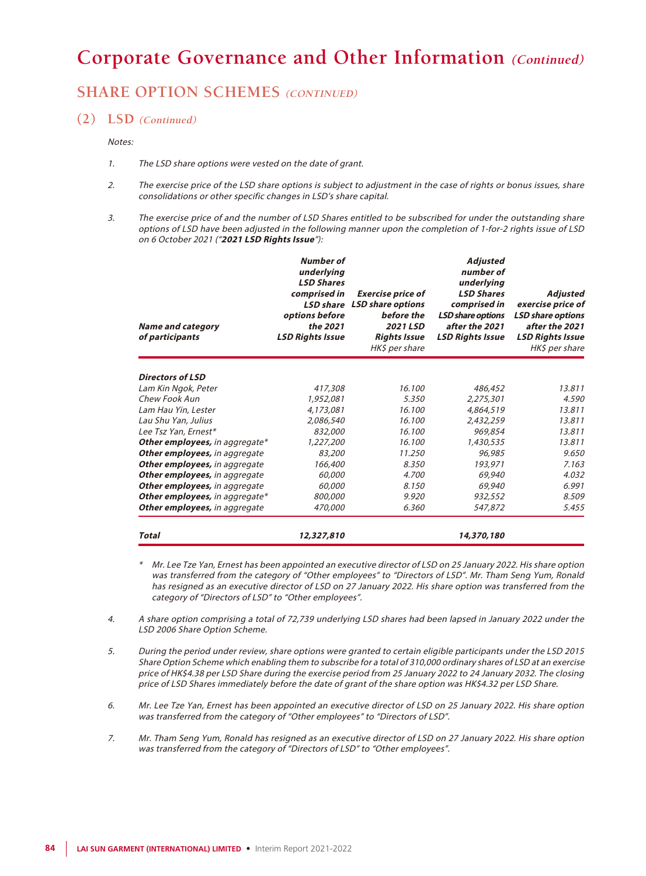## **SHARE OPTION SCHEMES** (CONTINUED)

#### **(2) LSD (Continued)**

#### Notes:

- 1. The LSD share options were vested on the date of grant.
- 2. The exercise price of the LSD share options is subject to adjustment in the case of rights or bonus issues, share consolidations or other specific changes in LSD's share capital.
- 3. The exercise price of and the number of LSD Shares entitled to be subscribed for under the outstanding share options of LSD have been adjusted in the following manner upon the completion of 1-for-2 rights issue of LSD on 6 October 2021 ("**2021 LSD Rights Issue**"):

| <b>Name and category</b><br>of participants | <b>Number of</b><br>underlying<br><b>LSD Shares</b><br>comprised in<br><b>LSD</b> share<br>options before<br>the 2021<br><b>LSD Rights Issue</b> | <b>Exercise price of</b><br><b>LSD share options</b><br>before the<br>2021 LSD<br><b>Rights Issue</b><br>HK\$ per share | Adjusted<br>number of<br>underlying<br><b>LSD Shares</b><br>comprised in<br><b>LSD share options</b><br>after the 2021<br><b>LSD Rights Issue</b> | Adjusted<br>exercise price of<br><b>LSD share options</b><br>after the 2021<br><b>LSD Rights Issue</b><br>HK\$ per share |
|---------------------------------------------|--------------------------------------------------------------------------------------------------------------------------------------------------|-------------------------------------------------------------------------------------------------------------------------|---------------------------------------------------------------------------------------------------------------------------------------------------|--------------------------------------------------------------------------------------------------------------------------|
| <b>Directors of LSD</b>                     |                                                                                                                                                  |                                                                                                                         |                                                                                                                                                   |                                                                                                                          |
| Lam Kin Ngok, Peter                         | 417,308                                                                                                                                          | 16.100                                                                                                                  | 486,452                                                                                                                                           | 13.811                                                                                                                   |
| Chew Fook Aun                               | 1,952,081                                                                                                                                        | 5.350                                                                                                                   | 2,275,301                                                                                                                                         | 4.590                                                                                                                    |
| Lam Hau Yin, Lester                         | 4,173,081                                                                                                                                        | 16.100                                                                                                                  | 4,864,519                                                                                                                                         | 13.811                                                                                                                   |
| Lau Shu Yan, Julius                         | 2,086,540                                                                                                                                        | 16.100                                                                                                                  | 2,432,259                                                                                                                                         | 13.811                                                                                                                   |
| Lee Tsz Yan, Ernest*                        | 832,000                                                                                                                                          | 16.100                                                                                                                  | 969,854                                                                                                                                           | 13.811                                                                                                                   |
| Other employees, in aggregate*              | 1,227,200                                                                                                                                        | 16.100                                                                                                                  | 1,430,535                                                                                                                                         | 13.811                                                                                                                   |
| Other employees, in aggregate               | 83,200                                                                                                                                           | 11.250                                                                                                                  | 96,985                                                                                                                                            | 9.650                                                                                                                    |
| <b>Other employees, in aggregate</b>        | 166,400                                                                                                                                          | 8.350                                                                                                                   | 193,971                                                                                                                                           | 7.163                                                                                                                    |
| <b>Other employees, in aggregate</b>        | 60,000                                                                                                                                           | 4.700                                                                                                                   | 69,940                                                                                                                                            | 4.032                                                                                                                    |
| <b>Other employees, in aggregate</b>        | 60,000                                                                                                                                           | 8.150                                                                                                                   | 69,940                                                                                                                                            | 6.991                                                                                                                    |
| Other employees, in aggregate*              | 800,000                                                                                                                                          | 9.920                                                                                                                   | 932,552                                                                                                                                           | 8.509                                                                                                                    |
| <b>Other employees, in aggregate</b>        | 470,000                                                                                                                                          | 6.360                                                                                                                   | 547,872                                                                                                                                           | 5.455                                                                                                                    |
| Total                                       | 12,327,810                                                                                                                                       |                                                                                                                         | 14,370,180                                                                                                                                        |                                                                                                                          |

- \* Mr. Lee Tze Yan, Ernest has been appointed an executive director of LSD on 25 January 2022. His share option was transferred from the category of "Other employees" to "Directors of LSD". Mr. Tham Seng Yum, Ronald has resigned as an executive director of LSD on 27 January 2022. His share option was transferred from the category of "Directors of LSD" to "Other employees".
- 4. A share option comprising a total of 72,739 underlying LSD shares had been lapsed in January 2022 under the LSD 2006 Share Option Scheme.
- 5. During the period under review, share options were granted to certain eligible participants under the LSD 2015 Share Option Scheme which enabling them to subscribe for a total of 310,000 ordinary shares of LSD at an exercise price of HK\$4.38 per LSD Share during the exercise period from 25 January 2022 to 24 January 2032. The closing price of LSD Shares immediately before the date of grant of the share option was HK\$4.32 per LSD Share.
- 6. Mr. Lee Tze Yan, Ernest has been appointed an executive director of LSD on 25 January 2022. His share option was transferred from the category of "Other employees" to "Directors of LSD".
- 7. Mr. Tham Seng Yum, Ronald has resigned as an executive director of LSD on 27 January 2022. His share option was transferred from the category of "Directors of LSD" to "Other employees".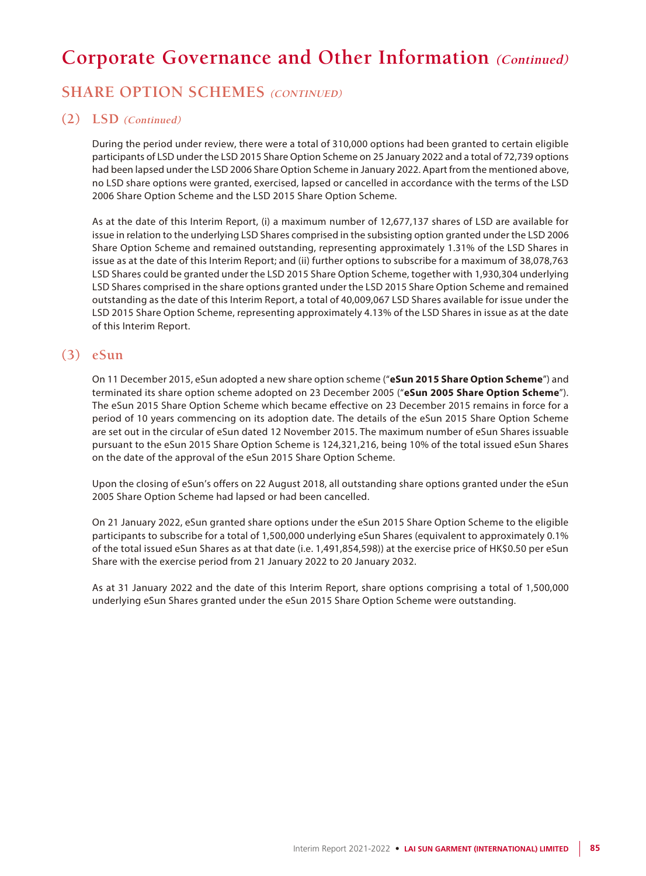## **SHARE OPTION SCHEMES** (CONTINUED)

### **(2) LSD (Continued)**

During the period under review, there were a total of 310,000 options had been granted to certain eligible participants of LSD under the LSD 2015 Share Option Scheme on 25 January 2022 and a total of 72,739 options had been lapsed under the LSD 2006 Share Option Scheme in January 2022. Apart from the mentioned above, no LSD share options were granted, exercised, lapsed or cancelled in accordance with the terms of the LSD 2006 Share Option Scheme and the LSD 2015 Share Option Scheme.

As at the date of this Interim Report, (i) a maximum number of 12,677,137 shares of LSD are available for issue in relation to the underlying LSD Shares comprised in the subsisting option granted under the LSD 2006 Share Option Scheme and remained outstanding, representing approximately 1.31% of the LSD Shares in issue as at the date of this Interim Report; and (ii) further options to subscribe for a maximum of 38,078,763 LSD Shares could be granted under the LSD 2015 Share Option Scheme, together with 1,930,304 underlying LSD Shares comprised in the share options granted under the LSD 2015 Share Option Scheme and remained outstanding as the date of this Interim Report, a total of 40,009,067 LSD Shares available for issue under the LSD 2015 Share Option Scheme, representing approximately 4.13% of the LSD Shares in issue as at the date of this Interim Report.

### **(3) eSun**

On 11 December 2015, eSun adopted a new share option scheme ("**eSun 2015 Share Option Scheme**") and terminated its share option scheme adopted on 23 December 2005 ("**eSun 2005 Share Option Scheme**"). The eSun 2015 Share Option Scheme which became effective on 23 December 2015 remains in force for a period of 10 years commencing on its adoption date. The details of the eSun 2015 Share Option Scheme are set out in the circular of eSun dated 12 November 2015. The maximum number of eSun Shares issuable pursuant to the eSun 2015 Share Option Scheme is 124,321,216, being 10% of the total issued eSun Shares on the date of the approval of the eSun 2015 Share Option Scheme.

Upon the closing of eSun's offers on 22 August 2018, all outstanding share options granted under the eSun 2005 Share Option Scheme had lapsed or had been cancelled.

On 21 January 2022, eSun granted share options under the eSun 2015 Share Option Scheme to the eligible participants to subscribe for a total of 1,500,000 underlying eSun Shares (equivalent to approximately 0.1% of the total issued eSun Shares as at that date (i.e. 1,491,854,598)) at the exercise price of HK\$0.50 per eSun Share with the exercise period from 21 January 2022 to 20 January 2032.

As at 31 January 2022 and the date of this Interim Report, share options comprising a total of 1,500,000 underlying eSun Shares granted under the eSun 2015 Share Option Scheme were outstanding.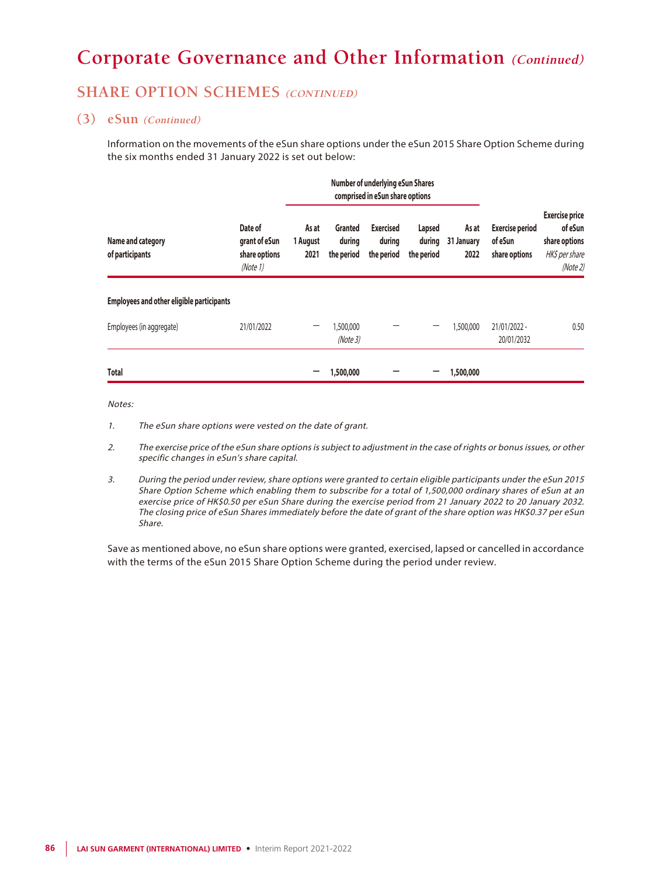## **SHARE OPTION SCHEMES** (CONTINUED)

### **(3) eSun (Continued)**

Information on the movements of the eSun share options under the eSun 2015 Share Option Scheme during the six months ended 31 January 2022 is set out below:

|                                                  |                                                       | <b>Number of underlying eSun Shares</b><br>comprised in eSun share options |                                 |                                          |                                |                             |                                                    |                                                                                 |  |
|--------------------------------------------------|-------------------------------------------------------|----------------------------------------------------------------------------|---------------------------------|------------------------------------------|--------------------------------|-----------------------------|----------------------------------------------------|---------------------------------------------------------------------------------|--|
| Name and category<br>of participants             | Date of<br>grant of eSun<br>share options<br>(Note 1) | As at<br>1 August<br>2021                                                  | Granted<br>during<br>the period | <b>Exercised</b><br>during<br>the period | Lapsed<br>during<br>the period | As at<br>31 January<br>2022 | <b>Exercise period</b><br>of eSun<br>share options | <b>Exercise price</b><br>of eSun<br>share options<br>HK\$ per share<br>(Note 2) |  |
| <b>Employees and other eligible participants</b> |                                                       |                                                                            |                                 |                                          |                                |                             |                                                    |                                                                                 |  |
| Employees (in aggregate)                         | 21/01/2022                                            |                                                                            | 1,500,000<br>(Note 3)           |                                          |                                | 1,500,000                   | 21/01/2022 -<br>20/01/2032                         | 0.50                                                                            |  |
| <b>Total</b>                                     |                                                       |                                                                            | 1,500,000                       |                                          |                                | 1,500,000                   |                                                    |                                                                                 |  |

#### Notes:

- 1. The eSun share options were vested on the date of grant.
- 2. The exercise price of the eSun share options is subject to adjustment in the case of rights or bonus issues, or other specific changes in eSun's share capital.
- 3. During the period under review, share options were granted to certain eligible participants under the eSun 2015 Share Option Scheme which enabling them to subscribe for a total of 1,500,000 ordinary shares of eSun at an exercise price of HK\$0.50 per eSun Share during the exercise period from 21 January 2022 to 20 January 2032. The closing price of eSun Shares immediately before the date of grant of the share option was HK\$0.37 per eSun Share.

Save as mentioned above, no eSun share options were granted, exercised, lapsed or cancelled in accordance with the terms of the eSun 2015 Share Option Scheme during the period under review.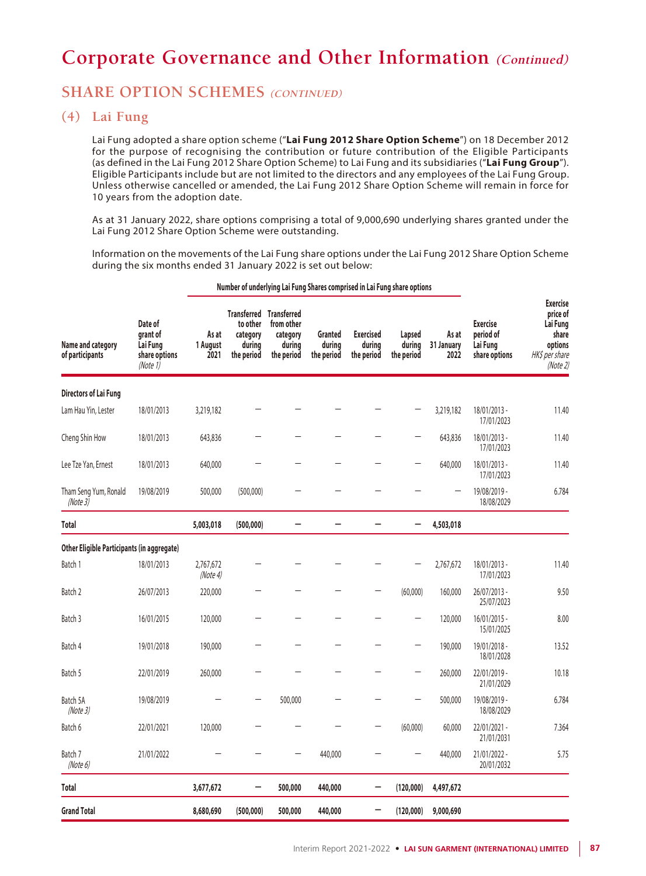## **SHARE OPTION SCHEMES** (CONTINUED)

### **(4) Lai Fung**

Lai Fung adopted a share option scheme ("**Lai Fung 2012 Share Option Scheme**") on 18 December 2012 for the purpose of recognising the contribution or future contribution of the Eligible Participants (as defined in the Lai Fung 2012 Share Option Scheme) to Lai Fung and its subsidiaries ("**Lai Fung Group**"). Eligible Participants include but are not limited to the directors and any employees of the Lai Fung Group. Unless otherwise cancelled or amended, the Lai Fung 2012 Share Option Scheme will remain in force for 10 years from the adoption date.

As at 31 January 2022, share options comprising a total of 9,000,690 underlying shares granted under the Lai Fung 2012 Share Option Scheme were outstanding.

Information on the movements of the Lai Fung share options under the Lai Fung 2012 Share Option Scheme during the six months ended 31 January 2022 is set out below:

| Name and category<br>of participants       | Date of<br>grant of<br>Lai Fung<br>share options<br>(Note $1$ ) | As at<br>1 August<br>2021 | to other<br>category<br>during<br>the period | <b>Transferred Transferred</b><br>from other<br>category<br>during<br>the period | <b>Granted</b><br>during<br>the period | <b>Exercised</b><br>during<br>the period | Lapsed<br>during<br>the period | As at<br>31 January<br>2022 | <b>Exercise</b><br>period of<br>Lai Fung<br>share options | <b>Exercise</b><br>price of<br>Lai Fung<br>share<br>options<br>HK\$ per share<br>(Note2) |
|--------------------------------------------|-----------------------------------------------------------------|---------------------------|----------------------------------------------|----------------------------------------------------------------------------------|----------------------------------------|------------------------------------------|--------------------------------|-----------------------------|-----------------------------------------------------------|------------------------------------------------------------------------------------------|
| <b>Directors of Lai Fung</b>               |                                                                 |                           |                                              |                                                                                  |                                        |                                          |                                |                             |                                                           |                                                                                          |
| Lam Hau Yin, Lester                        | 18/01/2013                                                      | 3,219,182                 |                                              |                                                                                  |                                        |                                          |                                | 3,219,182                   | 18/01/2013 -<br>17/01/2023                                | 11.40                                                                                    |
| Cheng Shin How                             | 18/01/2013                                                      | 643,836                   |                                              |                                                                                  |                                        |                                          | $\qquad \qquad -$              | 643,836                     | 18/01/2013 -<br>17/01/2023                                | 11.40                                                                                    |
| Lee Tze Yan, Ernest                        | 18/01/2013                                                      | 640,000                   |                                              |                                                                                  |                                        |                                          | —                              | 640,000                     | 18/01/2013 -<br>17/01/2023                                | 11.40                                                                                    |
| Tham Seng Yum, Ronald<br>(Note3)           | 19/08/2019                                                      | 500,000                   | (500,000)                                    |                                                                                  |                                        |                                          |                                |                             | 19/08/2019 -<br>18/08/2029                                | 6.784                                                                                    |
| Total                                      |                                                                 | 5,003,018                 | (500,000)                                    |                                                                                  |                                        | L.                                       | -                              | 4,503,018                   |                                                           |                                                                                          |
| Other Eligible Participants (in aggregate) |                                                                 |                           |                                              |                                                                                  |                                        |                                          |                                |                             |                                                           |                                                                                          |
| Batch 1                                    | 18/01/2013                                                      | 2,767,672<br>(Note4)      |                                              |                                                                                  |                                        |                                          | —                              | 2,767,672                   | 18/01/2013 -<br>17/01/2023                                | 11.40                                                                                    |
| Batch 2                                    | 26/07/2013                                                      | 220,000                   |                                              |                                                                                  |                                        | —                                        | (60,000)                       | 160,000                     | 26/07/2013 -<br>25/07/2023                                | 9.50                                                                                     |
| Batch 3                                    | 16/01/2015                                                      | 120,000                   |                                              |                                                                                  |                                        |                                          | $\overline{\phantom{0}}$       | 120,000                     | $16/01/2015 -$<br>15/01/2025                              | 8.00                                                                                     |
| Batch 4                                    | 19/01/2018                                                      | 190,000                   |                                              |                                                                                  |                                        |                                          | —                              | 190,000                     | 19/01/2018 -<br>18/01/2028                                | 13.52                                                                                    |
| Batch 5                                    | 22/01/2019                                                      | 260,000                   |                                              |                                                                                  |                                        |                                          | —                              | 260,000                     | 22/01/2019 -<br>21/01/2029                                | 10.18                                                                                    |
| Batch 5A<br>(Note3)                        | 19/08/2019                                                      |                           |                                              | 500,000                                                                          |                                        |                                          |                                | 500,000                     | 19/08/2019 -<br>18/08/2029                                | 6.784                                                                                    |
| Batch 6                                    | 22/01/2021                                                      | 120,000                   |                                              |                                                                                  |                                        | —                                        | (60,000)                       | 60,000                      | 22/01/2021 -<br>21/01/2031                                | 7.364                                                                                    |
| Batch 7<br>(Note 6)                        | 21/01/2022                                                      |                           |                                              |                                                                                  | 440,000                                |                                          |                                | 440,000                     | 21/01/2022 -<br>20/01/2032                                | 5.75                                                                                     |
| Total                                      |                                                                 | 3,677,672                 |                                              | 500,000                                                                          | 440,000                                | -                                        | (120,000)                      | 4,497,672                   |                                                           |                                                                                          |
| <b>Grand Total</b>                         |                                                                 | 8,680,690                 | (500, 000)                                   | 500,000                                                                          | 440,000                                |                                          | (120,000)                      | 9,000,690                   |                                                           |                                                                                          |

#### **Number of underlying Lai Fung Shares comprised in Lai Fung share options**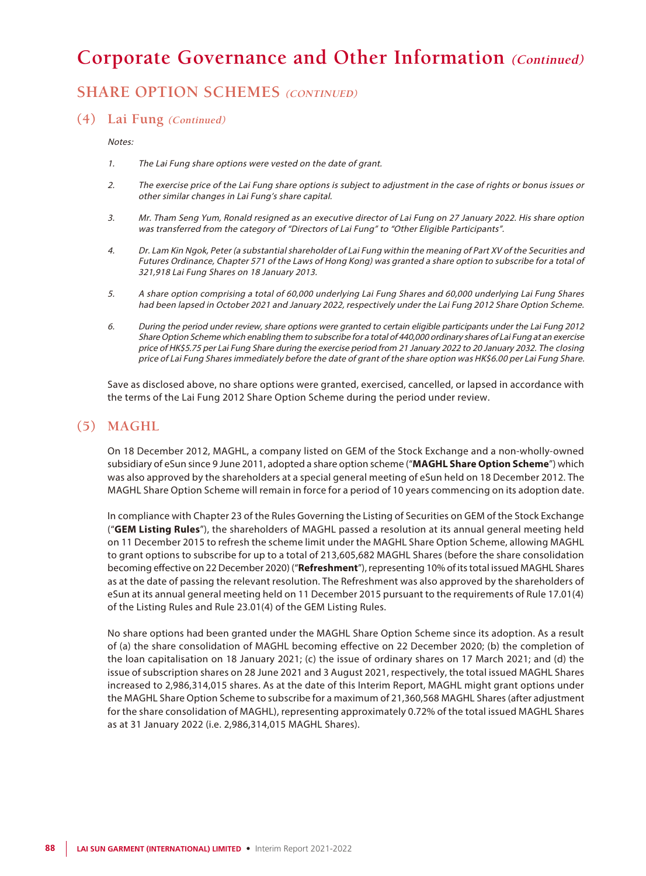## **SHARE OPTION SCHEMES** (CONTINUED)

### **(4) Lai Fung (Continued)**

Notes:

- 1. The Lai Fung share options were vested on the date of grant.
- 2. The exercise price of the Lai Fung share options is subject to adjustment in the case of rights or bonus issues or other similar changes in Lai Fung's share capital.
- 3. Mr. Tham Seng Yum, Ronald resigned as an executive director of Lai Fung on 27 January 2022. His share option was transferred from the category of "Directors of Lai Fung" to "Other Eligible Participants".
- 4. Dr. Lam Kin Ngok, Peter (a substantial shareholder of Lai Fung within the meaning of Part XV of the Securities and Futures Ordinance, Chapter 571 of the Laws of Hong Kong) was granted a share option to subscribe for a total of 321,918 Lai Fung Shares on 18 January 2013.
- 5. A share option comprising a total of 60,000 underlying Lai Fung Shares and 60,000 underlying Lai Fung Shares had been lapsed in October 2021 and January 2022, respectively under the Lai Fung 2012 Share Option Scheme.
- 6. During the period under review, share options were granted to certain eligible participants under the Lai Fung 2012 Share Option Scheme which enabling them to subscribe for a total of 440,000 ordinary shares of Lai Fung at an exercise price of HK\$5.75 per Lai Fung Share during the exercise period from 21 January 2022 to 20 January 2032. The closing price of Lai Fung Shares immediately before the date of grant of the share option was HK\$6.00 per Lai Fung Share.

Save as disclosed above, no share options were granted, exercised, cancelled, or lapsed in accordance with the terms of the Lai Fung 2012 Share Option Scheme during the period under review.

### **(5) MAGHL**

On 18 December 2012, MAGHL, a company listed on GEM of the Stock Exchange and a non-wholly-owned subsidiary of eSun since 9 June 2011, adopted a share option scheme ("**MAGHL Share Option Scheme**") which was also approved by the shareholders at a special general meeting of eSun held on 18 December 2012. The MAGHL Share Option Scheme will remain in force for a period of 10 years commencing on its adoption date.

In compliance with Chapter 23 of the Rules Governing the Listing of Securities on GEM of the Stock Exchange ("**GEM Listing Rules**"), the shareholders of MAGHL passed a resolution at its annual general meeting held on 11 December 2015 to refresh the scheme limit under the MAGHL Share Option Scheme, allowing MAGHL to grant options to subscribe for up to a total of 213,605,682 MAGHL Shares (before the share consolidation becoming effective on 22 December 2020) ("**Refreshment**"), representing 10% of its total issued MAGHL Shares as at the date of passing the relevant resolution. The Refreshment was also approved by the shareholders of eSun at its annual general meeting held on 11 December 2015 pursuant to the requirements of Rule 17.01(4) of the Listing Rules and Rule 23.01(4) of the GEM Listing Rules.

No share options had been granted under the MAGHL Share Option Scheme since its adoption. As a result of (a) the share consolidation of MAGHL becoming effective on 22 December 2020; (b) the completion of the loan capitalisation on 18 January 2021; (c) the issue of ordinary shares on 17 March 2021; and (d) the issue of subscription shares on 28 June 2021 and 3 August 2021, respectively, the total issued MAGHL Shares increased to 2,986,314,015 shares. As at the date of this Interim Report, MAGHL might grant options under the MAGHL Share Option Scheme to subscribe for a maximum of 21,360,568 MAGHL Shares (after adjustment for the share consolidation of MAGHL), representing approximately 0.72% of the total issued MAGHL Shares as at 31 January 2022 (i.e. 2,986,314,015 MAGHL Shares).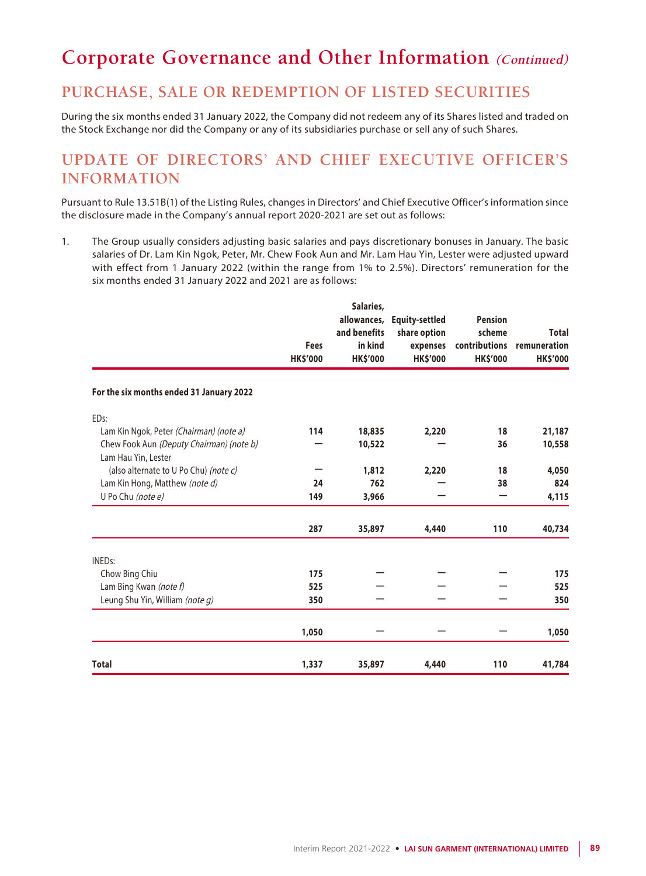## **PURCHASE, SALE OR REDEMPTION OF LISTED SECURITIES**

During the six months ended 31 January 2022, the Company did not redeem any of its Shares listed and traded on the Stock Exchange nor did the Company or any of its subsidiaries purchase or sell any of such Shares.

# **UPDATE OF DIRECTORS' AND CHIEF EXECUTIVE OFFICER'S INFORMATION**

Pursuant to Rule 13.51B(1) of the Listing Rules, changes in Directors' and Chief Executive Officer's information since the disclosure made in the Company's annual report 2020-2021 are set out as follows:

1. The Group usually considers adjusting basic salaries and pays discretionary bonuses in January. The basic salaries of Dr. Lam Kin Ngok, Peter, Mr. Chew Fook Aun and Mr. Lam Hau Yin, Lester were adjusted upward with effect from 1 January 2022 (within the range from 1% to 2.5%). Directors' remuneration for the six months ended 31 January 2022 and 2021 are as follows:

|                                                                 | <b>Fees</b><br><b>HK\$'000</b> | Salaries,<br>allowances,<br>and benefits<br>in kind<br><b>HK\$'000</b> | <b>Equity-settled</b><br>share option<br>expenses<br><b>HK\$'000</b> | <b>Pension</b><br>scheme<br>contributions<br><b>HK\$'000</b> | <b>Total</b><br>remuneration<br><b>HK\$'000</b> |
|-----------------------------------------------------------------|--------------------------------|------------------------------------------------------------------------|----------------------------------------------------------------------|--------------------------------------------------------------|-------------------------------------------------|
| For the six months ended 31 January 2022                        |                                |                                                                        |                                                                      |                                                              |                                                 |
| ED <sub>s</sub> :                                               |                                |                                                                        |                                                                      |                                                              |                                                 |
| Lam Kin Ngok, Peter (Chairman) (note a)                         | 114                            | 18,835                                                                 | 2,220                                                                | 18                                                           | 21,187                                          |
| Chew Fook Aun (Deputy Chairman) (note b)<br>Lam Hau Yin, Lester |                                | 10,522                                                                 |                                                                      | 36                                                           | 10,558                                          |
| (also alternate to U Po Chu) (note c)                           |                                | 1,812                                                                  | 2,220                                                                | 18                                                           | 4,050                                           |
| Lam Kin Hong, Matthew (note d)                                  | 24                             | 762                                                                    |                                                                      | 38                                                           | 824                                             |
| U Po Chu (note e)                                               | 149                            | 3,966                                                                  |                                                                      |                                                              | 4,115                                           |
|                                                                 | 287                            | 35,897                                                                 | 4,440                                                                | 110                                                          | 40,734                                          |
| <b>INEDs:</b>                                                   |                                |                                                                        |                                                                      |                                                              |                                                 |
| Chow Bing Chiu                                                  | 175                            |                                                                        |                                                                      |                                                              | 175                                             |
| Lam Bing Kwan (note f)                                          | 525                            |                                                                        |                                                                      |                                                              | 525                                             |
| Leung Shu Yin, William (note g)                                 | 350                            |                                                                        |                                                                      |                                                              | 350                                             |
|                                                                 | 1,050                          |                                                                        |                                                                      |                                                              | 1,050                                           |
| <b>Total</b>                                                    | 1,337                          | 35,897                                                                 | 4,440                                                                | 110                                                          | 41,784                                          |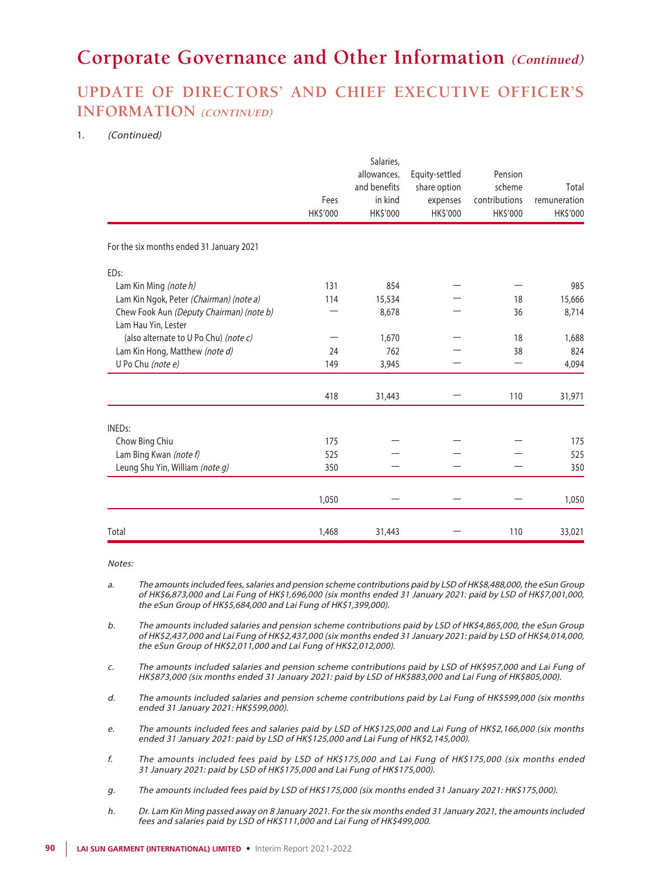# **UPDATE OF DIRECTORS' AND CHIEF EXECUTIVE OFFICER'S INFORMATION (CONTINUED)**

#### 1. (Continued)

|                                                                 | Fees<br>HK\$'000 | Salaries,<br>allowances,<br>and benefits<br>in kind<br>HK\$'000 | Equity-settled<br>share option<br>expenses<br>HK\$'000 | Pension<br>scheme<br>contributions<br>HK\$'000 | Total<br>remuneration<br>HK\$'000 |
|-----------------------------------------------------------------|------------------|-----------------------------------------------------------------|--------------------------------------------------------|------------------------------------------------|-----------------------------------|
| For the six months ended 31 January 2021                        |                  |                                                                 |                                                        |                                                |                                   |
| ED <sub>s</sub> :                                               |                  |                                                                 |                                                        |                                                |                                   |
| Lam Kin Ming (note h)                                           | 131              | 854                                                             |                                                        |                                                | 985                               |
| Lam Kin Ngok, Peter (Chairman) (note a)                         | 114              | 15,534                                                          |                                                        | 18                                             | 15,666                            |
| Chew Fook Aun (Deputy Chairman) (note b)<br>Lam Hau Yin, Lester |                  | 8,678                                                           |                                                        | 36                                             | 8,714                             |
| (also alternate to U Po Chu) (note c)                           |                  | 1,670                                                           |                                                        | 18                                             | 1,688                             |
| Lam Kin Hong, Matthew (note d)                                  | 24               | 762                                                             |                                                        | 38                                             | 824                               |
| U Po Chu (note e)                                               | 149              | 3,945                                                           |                                                        |                                                | 4,094                             |
|                                                                 | 418              | 31,443                                                          |                                                        | 110                                            | 31,971                            |
| <b>INEDs:</b>                                                   |                  |                                                                 |                                                        |                                                |                                   |
| Chow Bing Chiu                                                  | 175              |                                                                 |                                                        |                                                | 175                               |
| Lam Bing Kwan (note f)                                          | 525              |                                                                 |                                                        |                                                | 525                               |
| Leung Shu Yin, William (note g)                                 | 350              |                                                                 |                                                        |                                                | 350                               |
|                                                                 | 1,050            |                                                                 |                                                        |                                                | 1,050                             |
| Total                                                           | 1,468            | 31,443                                                          |                                                        | 110                                            | 33,021                            |

Notes:

- a. The amounts included fees, salaries and pension scheme contributions paid by LSD of HK\$8,488,000, the eSun Group of HK\$6,873,000 and Lai Fung of HK\$1,696,000 (six months ended 31 January 2021: paid by LSD of HK\$7,001,000, the eSun Group of HK\$5,684,000 and Lai Fung of HK\$1,399,000).
- b. The amounts included salaries and pension scheme contributions paid by LSD of HK\$4,865,000, the eSun Group of HK\$2,437,000 and Lai Fung of HK\$2,437,000 (six months ended 31 January 2021: paid by LSD of HK\$4,014,000, the eSun Group of HK\$2,011,000 and Lai Fung of HK\$2,012,000).
- c. The amounts included salaries and pension scheme contributions paid by LSD of HK\$957,000 and Lai Fung of HK\$873,000 (six months ended 31 January 2021: paid by LSD of HK\$883,000 and Lai Fung of HK\$805,000).
- d. The amounts included salaries and pension scheme contributions paid by Lai Fung of HK\$599,000 (six months ended 31 January 2021: HK\$599,000).
- e. The amounts included fees and salaries paid by LSD of HK\$125,000 and Lai Fung of HK\$2,166,000 (six months ended 31 January 2021: paid by LSD of HK\$125,000 and Lai Fung of HK\$2,145,000).
- f. The amounts included fees paid by LSD of HK\$175,000 and Lai Fung of HK\$175,000 (six months ended 31 January 2021: paid by LSD of HK\$175,000 and Lai Fung of HK\$175,000).
- g. The amounts included fees paid by LSD of HK\$175,000 (six months ended 31 January 2021: HK\$175,000).
- h. Dr. Lam Kin Ming passed away on 8 January 2021. For the six months ended 31 January 2021, the amounts included fees and salaries paid by LSD of HK\$111,000 and Lai Fung of HK\$499,000.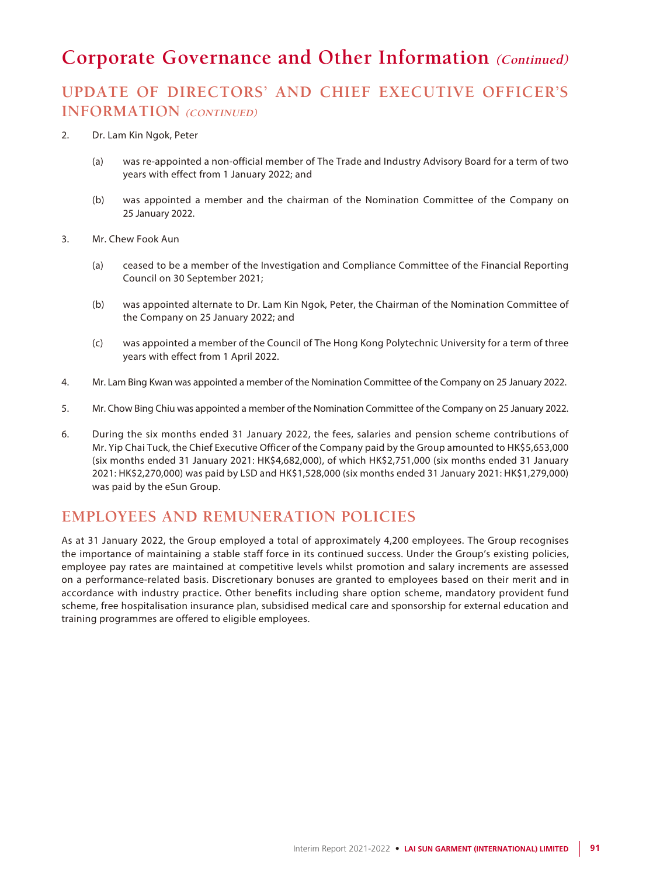# **UPDATE OF DIRECTORS' AND CHIEF EXECUTIVE OFFICER'S INFORMATION (CONTINUED)**

#### 2. Dr. Lam Kin Ngok, Peter

- (a) was re-appointed a non-official member of The Trade and Industry Advisory Board for a term of two years with effect from 1 January 2022; and
- (b) was appointed a member and the chairman of the Nomination Committee of the Company on 25 January 2022.
- 3. Mr. Chew Fook Aun
	- (a) ceased to be a member of the Investigation and Compliance Committee of the Financial Reporting Council on 30 September 2021;
	- (b) was appointed alternate to Dr. Lam Kin Ngok, Peter, the Chairman of the Nomination Committee of the Company on 25 January 2022; and
	- (c) was appointed a member of the Council of The Hong Kong Polytechnic University for a term of three years with effect from 1 April 2022.
- 4. Mr. Lam Bing Kwan was appointed a member of the Nomination Committee of the Company on 25 January 2022.
- 5. Mr. Chow Bing Chiu was appointed a member of the Nomination Committee of the Company on 25 January 2022.
- 6. During the six months ended 31 January 2022, the fees, salaries and pension scheme contributions of Mr. Yip Chai Tuck, the Chief Executive Officer of the Company paid by the Group amounted to HK\$5,653,000 (six months ended 31 January 2021: HK\$4,682,000), of which HK\$2,751,000 (six months ended 31 January 2021: HK\$2,270,000) was paid by LSD and HK\$1,528,000 (six months ended 31 January 2021: HK\$1,279,000) was paid by the eSun Group.

## **EMPLOYEES AND REMUNERATION POLICIES**

As at 31 January 2022, the Group employed a total of approximately 4,200 employees. The Group recognises the importance of maintaining a stable staff force in its continued success. Under the Group's existing policies, employee pay rates are maintained at competitive levels whilst promotion and salary increments are assessed on a performance-related basis. Discretionary bonuses are granted to employees based on their merit and in accordance with industry practice. Other benefits including share option scheme, mandatory provident fund scheme, free hospitalisation insurance plan, subsidised medical care and sponsorship for external education and training programmes are offered to eligible employees.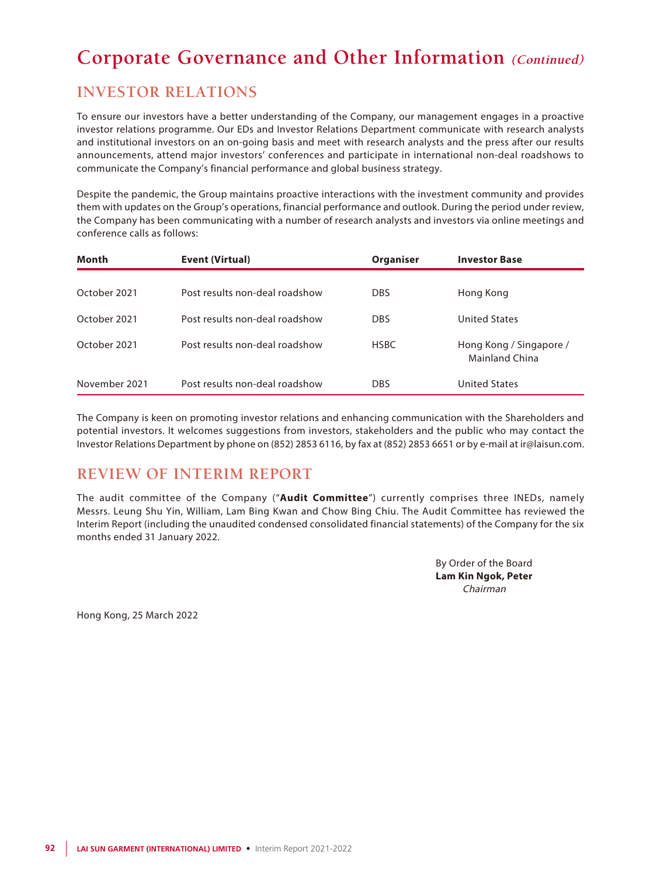## **INVESTOR RELATIONS**

To ensure our investors have a better understanding of the Company, our management engages in a proactive investor relations programme. Our EDs and Investor Relations Department communicate with research analysts and institutional investors on an on-going basis and meet with research analysts and the press after our results announcements, attend major investors' conferences and participate in international non-deal roadshows to communicate the Company's financial performance and global business strategy.

Despite the pandemic, the Group maintains proactive interactions with the investment community and provides them with updates on the Group's operations, financial performance and outlook. During the period under review, the Company has been communicating with a number of research analysts and investors via online meetings and conference calls as follows:

| Month         | Event (Virtual)                | Organiser   | <b>Investor Base</b>                             |
|---------------|--------------------------------|-------------|--------------------------------------------------|
| October 2021  | Post results non-deal roadshow | <b>DBS</b>  | Hong Kong                                        |
|               |                                |             |                                                  |
| October 2021  | Post results non-deal roadshow | <b>DBS</b>  | <b>United States</b>                             |
| October 2021  | Post results non-deal roadshow | <b>HSBC</b> | Hong Kong / Singapore /<br><b>Mainland China</b> |
| November 2021 | Post results non-deal roadshow | <b>DBS</b>  | United States                                    |

The Company is keen on promoting investor relations and enhancing communication with the Shareholders and potential investors. It welcomes suggestions from investors, stakeholders and the public who may contact the Investor Relations Department by phone on (852) 2853 6116, by fax at (852) 2853 6651 or by e-mail at ir@laisun.com.

## **REVIEW OF INTERIM REPORT**

The audit committee of the Company ("**Audit Committee**") currently comprises three INEDs, namely Messrs. Leung Shu Yin, William, Lam Bing Kwan and Chow Bing Chiu. The Audit Committee has reviewed the Interim Report (including the unaudited condensed consolidated financial statements) of the Company for the six months ended 31 January 2022.

> By Order of the Board **Lam Kin Ngok, Peter** Chairman

Hong Kong, 25 March 2022